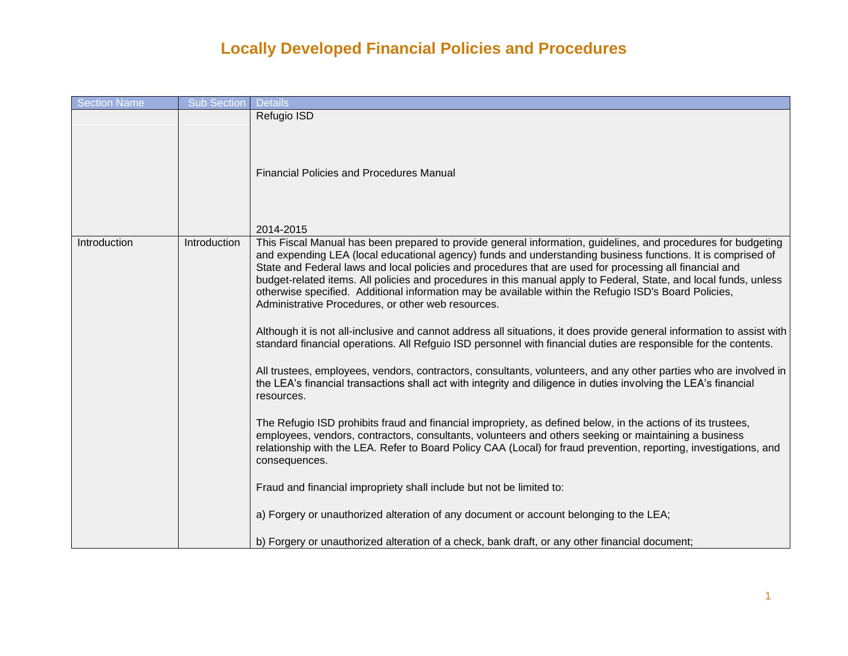| <b>Section Name</b> | Sub Section  | <b>Details</b>                                                                                                                                                                                                                                                                                                                                                                                                                                                                                                                                                                                                                                                                                                                                                                                                                                                                                                                                                                                                                                                                                                                                                                                                                                                                                                                                                                                                                                                                                                                                                                                                                                                                                                                                                     |
|---------------------|--------------|--------------------------------------------------------------------------------------------------------------------------------------------------------------------------------------------------------------------------------------------------------------------------------------------------------------------------------------------------------------------------------------------------------------------------------------------------------------------------------------------------------------------------------------------------------------------------------------------------------------------------------------------------------------------------------------------------------------------------------------------------------------------------------------------------------------------------------------------------------------------------------------------------------------------------------------------------------------------------------------------------------------------------------------------------------------------------------------------------------------------------------------------------------------------------------------------------------------------------------------------------------------------------------------------------------------------------------------------------------------------------------------------------------------------------------------------------------------------------------------------------------------------------------------------------------------------------------------------------------------------------------------------------------------------------------------------------------------------------------------------------------------------|
|                     |              | Refugio ISD<br><b>Financial Policies and Procedures Manual</b><br>2014-2015                                                                                                                                                                                                                                                                                                                                                                                                                                                                                                                                                                                                                                                                                                                                                                                                                                                                                                                                                                                                                                                                                                                                                                                                                                                                                                                                                                                                                                                                                                                                                                                                                                                                                        |
| Introduction        | Introduction | This Fiscal Manual has been prepared to provide general information, guidelines, and procedures for budgeting<br>and expending LEA (local educational agency) funds and understanding business functions. It is comprised of<br>State and Federal laws and local policies and procedures that are used for processing all financial and<br>budget-related items. All policies and procedures in this manual apply to Federal, State, and local funds, unless<br>otherwise specified. Additional information may be available within the Refugio ISD's Board Policies,<br>Administrative Procedures, or other web resources.<br>Although it is not all-inclusive and cannot address all situations, it does provide general information to assist with<br>standard financial operations. All Refguio ISD personnel with financial duties are responsible for the contents.<br>All trustees, employees, vendors, contractors, consultants, volunteers, and any other parties who are involved in<br>the LEA's financial transactions shall act with integrity and diligence in duties involving the LEA's financial<br>resources.<br>The Refugio ISD prohibits fraud and financial impropriety, as defined below, in the actions of its trustees,<br>employees, vendors, contractors, consultants, volunteers and others seeking or maintaining a business<br>relationship with the LEA. Refer to Board Policy CAA (Local) for fraud prevention, reporting, investigations, and<br>consequences.<br>Fraud and financial impropriety shall include but not be limited to:<br>a) Forgery or unauthorized alteration of any document or account belonging to the LEA;<br>b) Forgery or unauthorized alteration of a check, bank draft, or any other financial document; |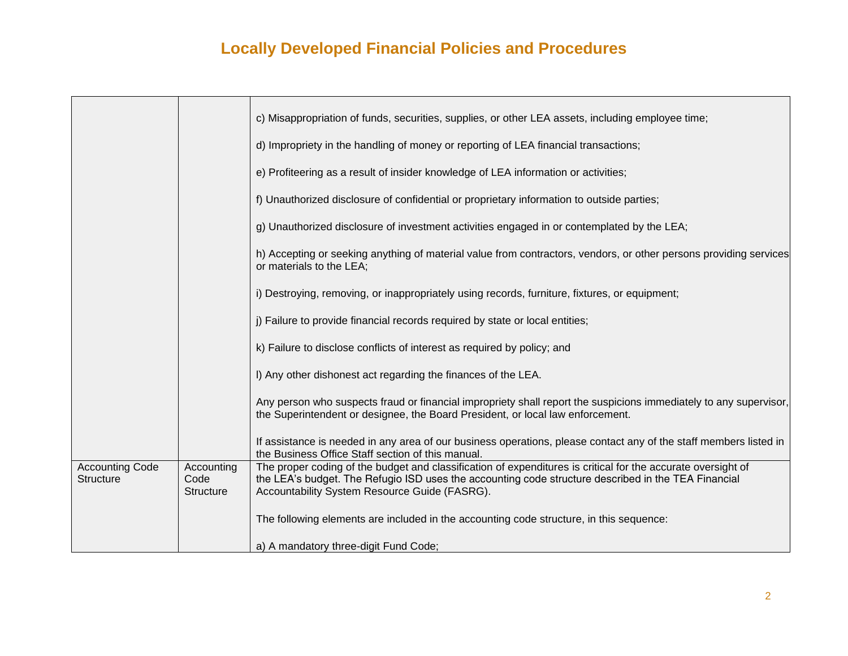|                                     |                                        | c) Misappropriation of funds, securities, supplies, or other LEA assets, including employee time;                                                                                                                                                                    |
|-------------------------------------|----------------------------------------|----------------------------------------------------------------------------------------------------------------------------------------------------------------------------------------------------------------------------------------------------------------------|
|                                     |                                        | d) Impropriety in the handling of money or reporting of LEA financial transactions;                                                                                                                                                                                  |
|                                     |                                        | e) Profiteering as a result of insider knowledge of LEA information or activities;                                                                                                                                                                                   |
|                                     |                                        | f) Unauthorized disclosure of confidential or proprietary information to outside parties;                                                                                                                                                                            |
|                                     |                                        | g) Unauthorized disclosure of investment activities engaged in or contemplated by the LEA;                                                                                                                                                                           |
|                                     |                                        | h) Accepting or seeking anything of material value from contractors, vendors, or other persons providing services<br>or materials to the LEA;                                                                                                                        |
|                                     |                                        | i) Destroying, removing, or inappropriately using records, furniture, fixtures, or equipment;                                                                                                                                                                        |
|                                     |                                        | j) Failure to provide financial records required by state or local entities;                                                                                                                                                                                         |
|                                     |                                        | k) Failure to disclose conflicts of interest as required by policy; and                                                                                                                                                                                              |
|                                     |                                        | I) Any other dishonest act regarding the finances of the LEA.                                                                                                                                                                                                        |
|                                     |                                        | Any person who suspects fraud or financial impropriety shall report the suspicions immediately to any supervisor,<br>the Superintendent or designee, the Board President, or local law enforcement.                                                                  |
|                                     |                                        | If assistance is needed in any area of our business operations, please contact any of the staff members listed in<br>the Business Office Staff section of this manual.                                                                                               |
| <b>Accounting Code</b><br>Structure | Accounting<br>Code<br><b>Structure</b> | The proper coding of the budget and classification of expenditures is critical for the accurate oversight of<br>the LEA's budget. The Refugio ISD uses the accounting code structure described in the TEA Financial<br>Accountability System Resource Guide (FASRG). |
|                                     |                                        | The following elements are included in the accounting code structure, in this sequence:                                                                                                                                                                              |
|                                     |                                        | a) A mandatory three-digit Fund Code;                                                                                                                                                                                                                                |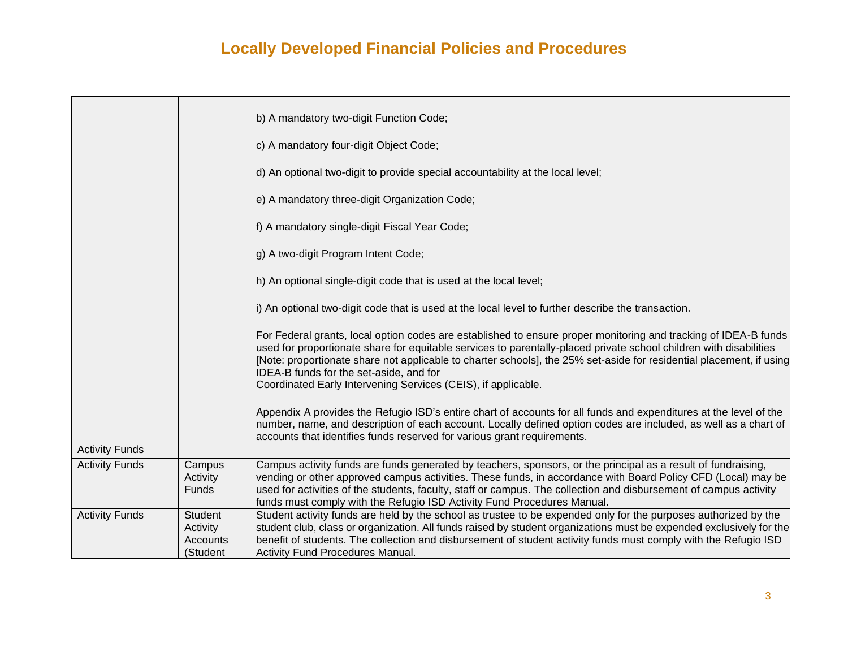|                       |                                                    | b) A mandatory two-digit Function Code;                                                                                                                                                                                                                                                                                                                                                                                                                                   |
|-----------------------|----------------------------------------------------|---------------------------------------------------------------------------------------------------------------------------------------------------------------------------------------------------------------------------------------------------------------------------------------------------------------------------------------------------------------------------------------------------------------------------------------------------------------------------|
|                       |                                                    | c) A mandatory four-digit Object Code;                                                                                                                                                                                                                                                                                                                                                                                                                                    |
|                       |                                                    | d) An optional two-digit to provide special accountability at the local level;                                                                                                                                                                                                                                                                                                                                                                                            |
|                       |                                                    | e) A mandatory three-digit Organization Code;                                                                                                                                                                                                                                                                                                                                                                                                                             |
|                       |                                                    | f) A mandatory single-digit Fiscal Year Code;                                                                                                                                                                                                                                                                                                                                                                                                                             |
|                       |                                                    | g) A two-digit Program Intent Code;                                                                                                                                                                                                                                                                                                                                                                                                                                       |
|                       |                                                    | h) An optional single-digit code that is used at the local level;                                                                                                                                                                                                                                                                                                                                                                                                         |
|                       |                                                    | i) An optional two-digit code that is used at the local level to further describe the transaction.                                                                                                                                                                                                                                                                                                                                                                        |
|                       |                                                    | For Federal grants, local option codes are established to ensure proper monitoring and tracking of IDEA-B funds<br>used for proportionate share for equitable services to parentally-placed private school children with disabilities<br>[Note: proportionate share not applicable to charter schools], the 25% set-aside for residential placement, if using<br>IDEA-B funds for the set-aside, and for<br>Coordinated Early Intervening Services (CEIS), if applicable. |
|                       |                                                    | Appendix A provides the Refugio ISD's entire chart of accounts for all funds and expenditures at the level of the<br>number, name, and description of each account. Locally defined option codes are included, as well as a chart of<br>accounts that identifies funds reserved for various grant requirements.                                                                                                                                                           |
| <b>Activity Funds</b> |                                                    |                                                                                                                                                                                                                                                                                                                                                                                                                                                                           |
| <b>Activity Funds</b> | Campus<br>Activity<br><b>Funds</b>                 | Campus activity funds are funds generated by teachers, sponsors, or the principal as a result of fundraising,<br>vending or other approved campus activities. These funds, in accordance with Board Policy CFD (Local) may be<br>used for activities of the students, faculty, staff or campus. The collection and disbursement of campus activity<br>funds must comply with the Refugio ISD Activity Fund Procedures Manual.                                             |
| <b>Activity Funds</b> | Student<br>Activity<br><b>Accounts</b><br>(Student | Student activity funds are held by the school as trustee to be expended only for the purposes authorized by the<br>student club, class or organization. All funds raised by student organizations must be expended exclusively for the<br>benefit of students. The collection and disbursement of student activity funds must comply with the Refugio ISD<br>Activity Fund Procedures Manual.                                                                             |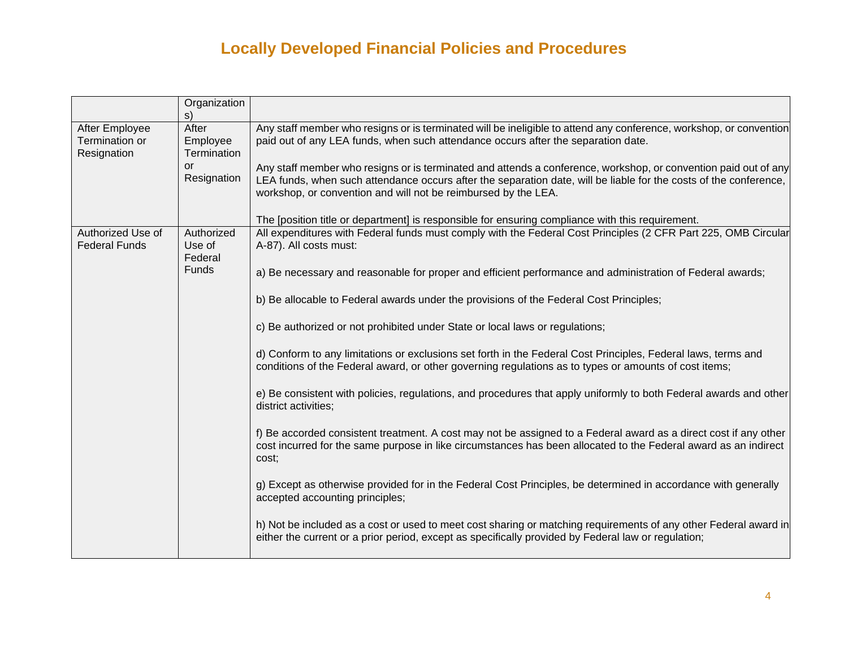|                                                 | Organization<br>S)               |                                                                                                                                                                                                                                                                                                        |
|-------------------------------------------------|----------------------------------|--------------------------------------------------------------------------------------------------------------------------------------------------------------------------------------------------------------------------------------------------------------------------------------------------------|
| After Employee<br>Termination or<br>Resignation | After<br>Employee<br>Termination | Any staff member who resigns or is terminated will be ineligible to attend any conference, workshop, or convention<br>paid out of any LEA funds, when such attendance occurs after the separation date.                                                                                                |
|                                                 | or<br>Resignation                | Any staff member who resigns or is terminated and attends a conference, workshop, or convention paid out of any<br>LEA funds, when such attendance occurs after the separation date, will be liable for the costs of the conference,<br>workshop, or convention and will not be reimbursed by the LEA. |
| Authorized Use of                               | Authorized                       | The [position title or department] is responsible for ensuring compliance with this requirement.<br>All expenditures with Federal funds must comply with the Federal Cost Principles (2 CFR Part 225, OMB Circular                                                                                     |
| <b>Federal Funds</b>                            | Use of<br>Federal                | A-87). All costs must:                                                                                                                                                                                                                                                                                 |
|                                                 | <b>Funds</b>                     | a) Be necessary and reasonable for proper and efficient performance and administration of Federal awards;                                                                                                                                                                                              |
|                                                 |                                  | b) Be allocable to Federal awards under the provisions of the Federal Cost Principles;                                                                                                                                                                                                                 |
|                                                 |                                  | c) Be authorized or not prohibited under State or local laws or regulations;                                                                                                                                                                                                                           |
|                                                 |                                  | d) Conform to any limitations or exclusions set forth in the Federal Cost Principles, Federal laws, terms and<br>conditions of the Federal award, or other governing regulations as to types or amounts of cost items;                                                                                 |
|                                                 |                                  | e) Be consistent with policies, regulations, and procedures that apply uniformly to both Federal awards and other<br>district activities;                                                                                                                                                              |
|                                                 |                                  | f) Be accorded consistent treatment. A cost may not be assigned to a Federal award as a direct cost if any other<br>cost incurred for the same purpose in like circumstances has been allocated to the Federal award as an indirect<br>cost;                                                           |
|                                                 |                                  | g) Except as otherwise provided for in the Federal Cost Principles, be determined in accordance with generally<br>accepted accounting principles;                                                                                                                                                      |
|                                                 |                                  | h) Not be included as a cost or used to meet cost sharing or matching requirements of any other Federal award in<br>either the current or a prior period, except as specifically provided by Federal law or regulation;                                                                                |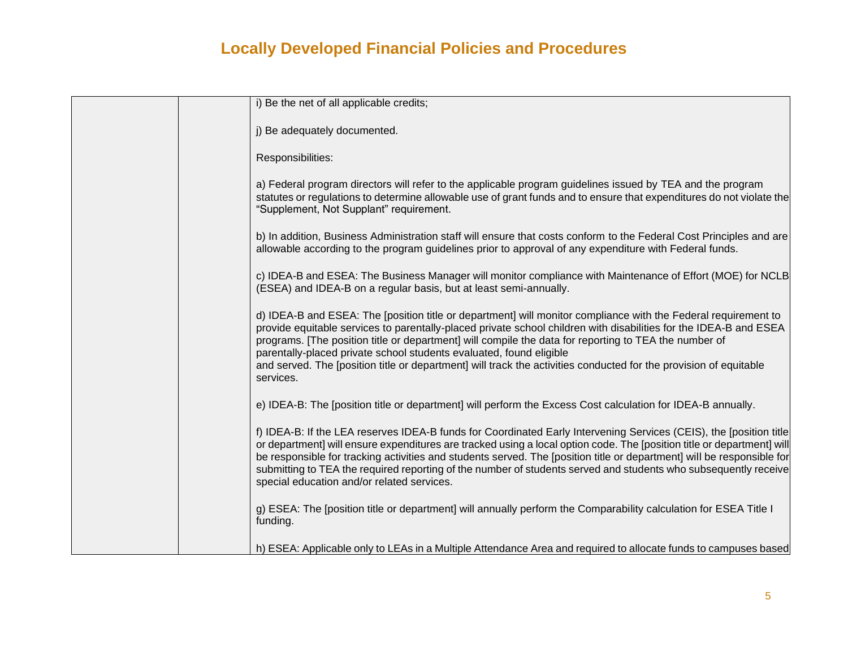| i) Be the net of all applicable credits;                                                                                                                                                                                                                                                                                                                                                                                                                                                                                                              |
|-------------------------------------------------------------------------------------------------------------------------------------------------------------------------------------------------------------------------------------------------------------------------------------------------------------------------------------------------------------------------------------------------------------------------------------------------------------------------------------------------------------------------------------------------------|
| j) Be adequately documented.                                                                                                                                                                                                                                                                                                                                                                                                                                                                                                                          |
| Responsibilities:                                                                                                                                                                                                                                                                                                                                                                                                                                                                                                                                     |
| a) Federal program directors will refer to the applicable program guidelines issued by TEA and the program<br>statutes or regulations to determine allowable use of grant funds and to ensure that expenditures do not violate the<br>"Supplement, Not Supplant" requirement.                                                                                                                                                                                                                                                                         |
| b) In addition, Business Administration staff will ensure that costs conform to the Federal Cost Principles and are<br>allowable according to the program guidelines prior to approval of any expenditure with Federal funds.                                                                                                                                                                                                                                                                                                                         |
| c) IDEA-B and ESEA: The Business Manager will monitor compliance with Maintenance of Effort (MOE) for NCLB<br>(ESEA) and IDEA-B on a regular basis, but at least semi-annually.                                                                                                                                                                                                                                                                                                                                                                       |
| d) IDEA-B and ESEA: The [position title or department] will monitor compliance with the Federal requirement to<br>provide equitable services to parentally-placed private school children with disabilities for the IDEA-B and ESEA<br>programs. [The position title or department] will compile the data for reporting to TEA the number of<br>parentally-placed private school students evaluated, found eligible<br>and served. The [position title or department] will track the activities conducted for the provision of equitable<br>services. |
| e) IDEA-B: The [position title or department] will perform the Excess Cost calculation for IDEA-B annually.                                                                                                                                                                                                                                                                                                                                                                                                                                           |
| f) IDEA-B: If the LEA reserves IDEA-B funds for Coordinated Early Intervening Services (CEIS), the [position title<br>or department] will ensure expenditures are tracked using a local option code. The [position title or department] will<br>be responsible for tracking activities and students served. The [position title or department] will be responsible for<br>submitting to TEA the required reporting of the number of students served and students who subsequently receive<br>special education and/or related services.               |
| g) ESEA: The [position title or department] will annually perform the Comparability calculation for ESEA Title I<br>funding.                                                                                                                                                                                                                                                                                                                                                                                                                          |
| h) ESEA: Applicable only to LEAs in a Multiple Attendance Area and required to allocate funds to campuses based                                                                                                                                                                                                                                                                                                                                                                                                                                       |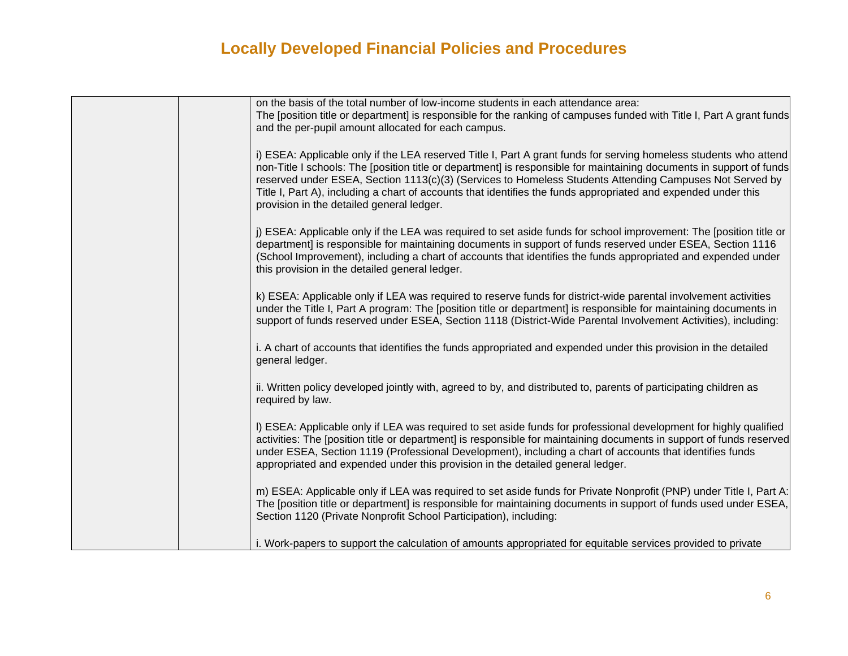| on the basis of the total number of low-income students in each attendance area:<br>The [position title or department] is responsible for the ranking of campuses funded with Title I, Part A grant funds<br>and the per-pupil amount allocated for each campus.                                                                                                                                                                                                                                                    |
|---------------------------------------------------------------------------------------------------------------------------------------------------------------------------------------------------------------------------------------------------------------------------------------------------------------------------------------------------------------------------------------------------------------------------------------------------------------------------------------------------------------------|
| i) ESEA: Applicable only if the LEA reserved Title I, Part A grant funds for serving homeless students who attend<br>non-Title I schools: The [position title or department] is responsible for maintaining documents in support of funds<br>reserved under ESEA, Section 1113(c)(3) (Services to Homeless Students Attending Campuses Not Served by<br>Title I, Part A), including a chart of accounts that identifies the funds appropriated and expended under this<br>provision in the detailed general ledger. |
| j) ESEA: Applicable only if the LEA was required to set aside funds for school improvement: The [position title or<br>department] is responsible for maintaining documents in support of funds reserved under ESEA, Section 1116<br>(School Improvement), including a chart of accounts that identifies the funds appropriated and expended under<br>this provision in the detailed general ledger.                                                                                                                 |
| k) ESEA: Applicable only if LEA was required to reserve funds for district-wide parental involvement activities<br>under the Title I, Part A program: The [position title or department] is responsible for maintaining documents in<br>support of funds reserved under ESEA, Section 1118 (District-Wide Parental Involvement Activities), including:                                                                                                                                                              |
| i. A chart of accounts that identifies the funds appropriated and expended under this provision in the detailed<br>general ledger.                                                                                                                                                                                                                                                                                                                                                                                  |
| ii. Written policy developed jointly with, agreed to by, and distributed to, parents of participating children as<br>required by law.                                                                                                                                                                                                                                                                                                                                                                               |
| I) ESEA: Applicable only if LEA was required to set aside funds for professional development for highly qualified<br>activities: The [position title or department] is responsible for maintaining documents in support of funds reserved<br>under ESEA, Section 1119 (Professional Development), including a chart of accounts that identifies funds<br>appropriated and expended under this provision in the detailed general ledger.                                                                             |
| m) ESEA: Applicable only if LEA was required to set aside funds for Private Nonprofit (PNP) under Title I, Part A:<br>The [position title or department] is responsible for maintaining documents in support of funds used under ESEA,<br>Section 1120 (Private Nonprofit School Participation), including:                                                                                                                                                                                                         |
| i. Work-papers to support the calculation of amounts appropriated for equitable services provided to private                                                                                                                                                                                                                                                                                                                                                                                                        |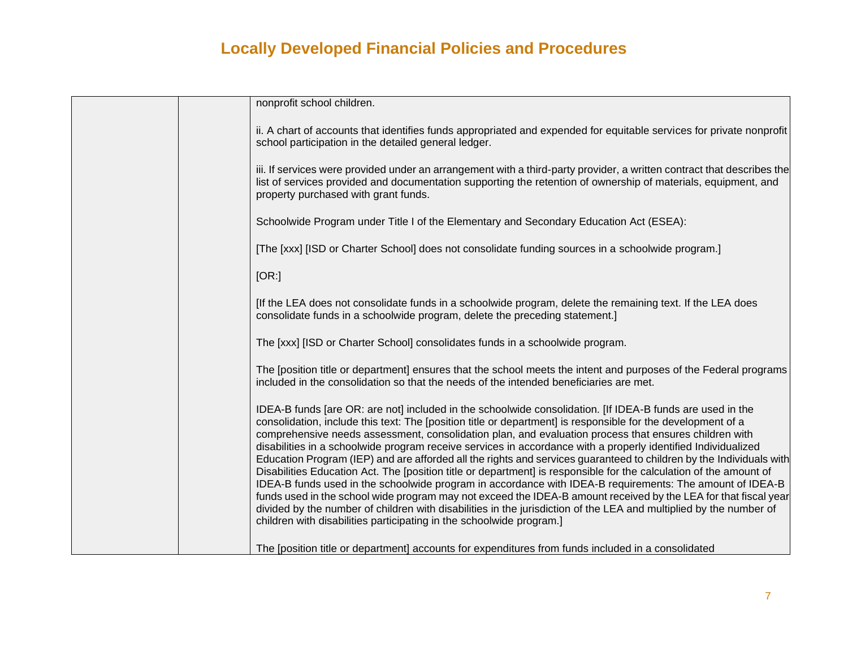| nonprofit school children.                                                                                                                                                                                                                                                                                                                                                                                                                                                                                                                                                                                                                                                                                                                                                                                                                                                                                                                                                                                                                                                                                                    |
|-------------------------------------------------------------------------------------------------------------------------------------------------------------------------------------------------------------------------------------------------------------------------------------------------------------------------------------------------------------------------------------------------------------------------------------------------------------------------------------------------------------------------------------------------------------------------------------------------------------------------------------------------------------------------------------------------------------------------------------------------------------------------------------------------------------------------------------------------------------------------------------------------------------------------------------------------------------------------------------------------------------------------------------------------------------------------------------------------------------------------------|
|                                                                                                                                                                                                                                                                                                                                                                                                                                                                                                                                                                                                                                                                                                                                                                                                                                                                                                                                                                                                                                                                                                                               |
| ii. A chart of accounts that identifies funds appropriated and expended for equitable services for private nonprofit<br>school participation in the detailed general ledger.                                                                                                                                                                                                                                                                                                                                                                                                                                                                                                                                                                                                                                                                                                                                                                                                                                                                                                                                                  |
| iii. If services were provided under an arrangement with a third-party provider, a written contract that describes the<br>list of services provided and documentation supporting the retention of ownership of materials, equipment, and<br>property purchased with grant funds.                                                                                                                                                                                                                                                                                                                                                                                                                                                                                                                                                                                                                                                                                                                                                                                                                                              |
| Schoolwide Program under Title I of the Elementary and Secondary Education Act (ESEA):                                                                                                                                                                                                                                                                                                                                                                                                                                                                                                                                                                                                                                                                                                                                                                                                                                                                                                                                                                                                                                        |
| [The [xxx] [ISD or Charter School] does not consolidate funding sources in a schoolwide program.]                                                                                                                                                                                                                                                                                                                                                                                                                                                                                                                                                                                                                                                                                                                                                                                                                                                                                                                                                                                                                             |
| [OR:]                                                                                                                                                                                                                                                                                                                                                                                                                                                                                                                                                                                                                                                                                                                                                                                                                                                                                                                                                                                                                                                                                                                         |
| [If the LEA does not consolidate funds in a schoolwide program, delete the remaining text. If the LEA does<br>consolidate funds in a schoolwide program, delete the preceding statement.]                                                                                                                                                                                                                                                                                                                                                                                                                                                                                                                                                                                                                                                                                                                                                                                                                                                                                                                                     |
| The [xxx] [ISD or Charter School] consolidates funds in a schoolwide program.                                                                                                                                                                                                                                                                                                                                                                                                                                                                                                                                                                                                                                                                                                                                                                                                                                                                                                                                                                                                                                                 |
| The [position title or department] ensures that the school meets the intent and purposes of the Federal programs<br>included in the consolidation so that the needs of the intended beneficiaries are met.                                                                                                                                                                                                                                                                                                                                                                                                                                                                                                                                                                                                                                                                                                                                                                                                                                                                                                                    |
| IDEA-B funds [are OR: are not] included in the schoolwide consolidation. [If IDEA-B funds are used in the<br>consolidation, include this text: The [position title or department] is responsible for the development of a<br>comprehensive needs assessment, consolidation plan, and evaluation process that ensures children with<br>disabilities in a schoolwide program receive services in accordance with a properly identified Individualized<br>Education Program (IEP) and are afforded all the rights and services guaranteed to children by the Individuals with<br>Disabilities Education Act. The [position title or department] is responsible for the calculation of the amount of<br>IDEA-B funds used in the schoolwide program in accordance with IDEA-B requirements: The amount of IDEA-B<br>funds used in the school wide program may not exceed the IDEA-B amount received by the LEA for that fiscal year<br>divided by the number of children with disabilities in the jurisdiction of the LEA and multiplied by the number of<br>children with disabilities participating in the schoolwide program.] |
| The [position title or department] accounts for expenditures from funds included in a consolidated                                                                                                                                                                                                                                                                                                                                                                                                                                                                                                                                                                                                                                                                                                                                                                                                                                                                                                                                                                                                                            |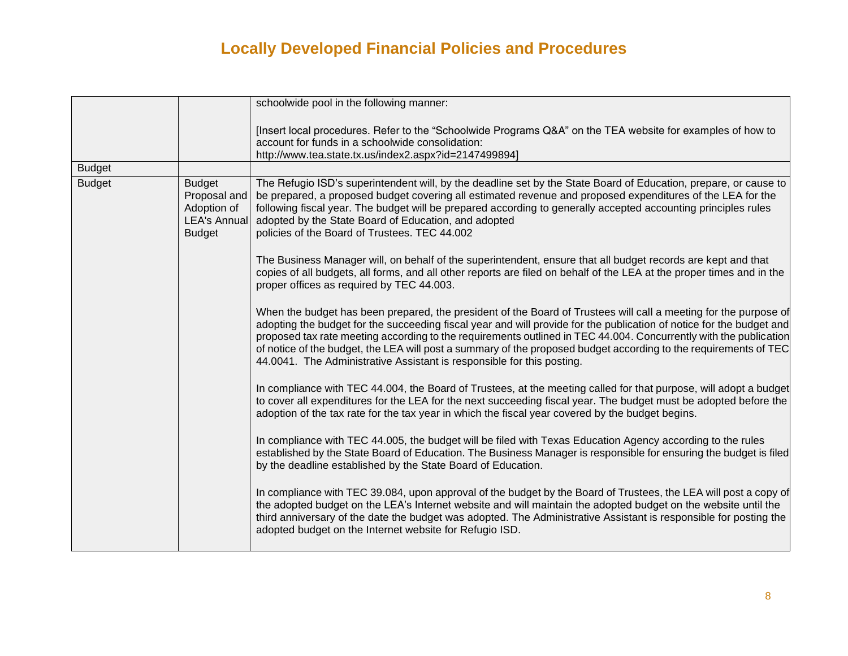|               |                                                                                      | schoolwide pool in the following manner:                                                                                                                                                                                                                                                                                                                                                                                                                                                                                                                    |
|---------------|--------------------------------------------------------------------------------------|-------------------------------------------------------------------------------------------------------------------------------------------------------------------------------------------------------------------------------------------------------------------------------------------------------------------------------------------------------------------------------------------------------------------------------------------------------------------------------------------------------------------------------------------------------------|
|               |                                                                                      | [Insert local procedures. Refer to the "Schoolwide Programs Q&A" on the TEA website for examples of how to<br>account for funds in a schoolwide consolidation:<br>http://www.tea.state.tx.us/index2.aspx?id=2147499894]                                                                                                                                                                                                                                                                                                                                     |
| <b>Budget</b> |                                                                                      |                                                                                                                                                                                                                                                                                                                                                                                                                                                                                                                                                             |
| <b>Budget</b> | <b>Budget</b><br>Proposal and<br>Adoption of<br><b>LEA's Annual</b><br><b>Budget</b> | The Refugio ISD's superintendent will, by the deadline set by the State Board of Education, prepare, or cause to<br>be prepared, a proposed budget covering all estimated revenue and proposed expenditures of the LEA for the<br>following fiscal year. The budget will be prepared according to generally accepted accounting principles rules<br>adopted by the State Board of Education, and adopted<br>policies of the Board of Trustees. TEC 44.002                                                                                                   |
|               |                                                                                      | The Business Manager will, on behalf of the superintendent, ensure that all budget records are kept and that<br>copies of all budgets, all forms, and all other reports are filed on behalf of the LEA at the proper times and in the<br>proper offices as required by TEC 44.003.                                                                                                                                                                                                                                                                          |
|               |                                                                                      | When the budget has been prepared, the president of the Board of Trustees will call a meeting for the purpose of<br>adopting the budget for the succeeding fiscal year and will provide for the publication of notice for the budget and<br>proposed tax rate meeting according to the requirements outlined in TEC 44.004. Concurrently with the publication<br>of notice of the budget, the LEA will post a summary of the proposed budget according to the requirements of TEC<br>44.0041. The Administrative Assistant is responsible for this posting. |
|               |                                                                                      | In compliance with TEC 44.004, the Board of Trustees, at the meeting called for that purpose, will adopt a budget<br>to cover all expenditures for the LEA for the next succeeding fiscal year. The budget must be adopted before the<br>adoption of the tax rate for the tax year in which the fiscal year covered by the budget begins.                                                                                                                                                                                                                   |
|               |                                                                                      | In compliance with TEC 44.005, the budget will be filed with Texas Education Agency according to the rules<br>established by the State Board of Education. The Business Manager is responsible for ensuring the budget is filed<br>by the deadline established by the State Board of Education.                                                                                                                                                                                                                                                             |
|               |                                                                                      | In compliance with TEC 39.084, upon approval of the budget by the Board of Trustees, the LEA will post a copy of<br>the adopted budget on the LEA's Internet website and will maintain the adopted budget on the website until the<br>third anniversary of the date the budget was adopted. The Administrative Assistant is responsible for posting the<br>adopted budget on the Internet website for Refugio ISD.                                                                                                                                          |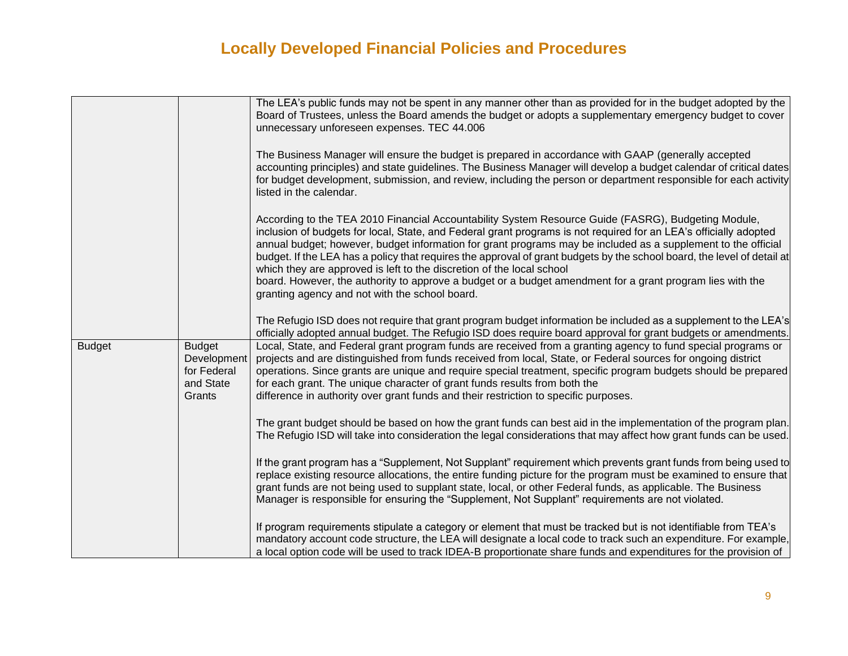|               |                                                                    | The LEA's public funds may not be spent in any manner other than as provided for in the budget adopted by the<br>Board of Trustees, unless the Board amends the budget or adopts a supplementary emergency budget to cover<br>unnecessary unforeseen expenses. TEC 44.006<br>The Business Manager will ensure the budget is prepared in accordance with GAAP (generally accepted<br>accounting principles) and state guidelines. The Business Manager will develop a budget calendar of critical dates<br>for budget development, submission, and review, including the person or department responsible for each activity<br>listed in the calendar.<br>According to the TEA 2010 Financial Accountability System Resource Guide (FASRG), Budgeting Module, |
|---------------|--------------------------------------------------------------------|--------------------------------------------------------------------------------------------------------------------------------------------------------------------------------------------------------------------------------------------------------------------------------------------------------------------------------------------------------------------------------------------------------------------------------------------------------------------------------------------------------------------------------------------------------------------------------------------------------------------------------------------------------------------------------------------------------------------------------------------------------------|
|               |                                                                    | inclusion of budgets for local, State, and Federal grant programs is not required for an LEA's officially adopted<br>annual budget; however, budget information for grant programs may be included as a supplement to the official<br>budget. If the LEA has a policy that requires the approval of grant budgets by the school board, the level of detail at<br>which they are approved is left to the discretion of the local school<br>board. However, the authority to approve a budget or a budget amendment for a grant program lies with the<br>granting agency and not with the school board.                                                                                                                                                        |
|               |                                                                    | The Refugio ISD does not require that grant program budget information be included as a supplement to the LEA's<br>officially adopted annual budget. The Refugio ISD does require board approval for grant budgets or amendments.                                                                                                                                                                                                                                                                                                                                                                                                                                                                                                                            |
| <b>Budget</b> | <b>Budget</b><br>Development<br>for Federal<br>and State<br>Grants | Local, State, and Federal grant program funds are received from a granting agency to fund special programs or<br>projects and are distinguished from funds received from local, State, or Federal sources for ongoing district<br>operations. Since grants are unique and require special treatment, specific program budgets should be prepared<br>for each grant. The unique character of grant funds results from both the<br>difference in authority over grant funds and their restriction to specific purposes.                                                                                                                                                                                                                                        |
|               |                                                                    | The grant budget should be based on how the grant funds can best aid in the implementation of the program plan.<br>The Refugio ISD will take into consideration the legal considerations that may affect how grant funds can be used.                                                                                                                                                                                                                                                                                                                                                                                                                                                                                                                        |
|               |                                                                    | If the grant program has a "Supplement, Not Supplant" requirement which prevents grant funds from being used to<br>replace existing resource allocations, the entire funding picture for the program must be examined to ensure that<br>grant funds are not being used to supplant state, local, or other Federal funds, as applicable. The Business<br>Manager is responsible for ensuring the "Supplement, Not Supplant" requirements are not violated.                                                                                                                                                                                                                                                                                                    |
|               |                                                                    | If program requirements stipulate a category or element that must be tracked but is not identifiable from TEA's<br>mandatory account code structure, the LEA will designate a local code to track such an expenditure. For example,<br>a local option code will be used to track IDEA-B proportionate share funds and expenditures for the provision of                                                                                                                                                                                                                                                                                                                                                                                                      |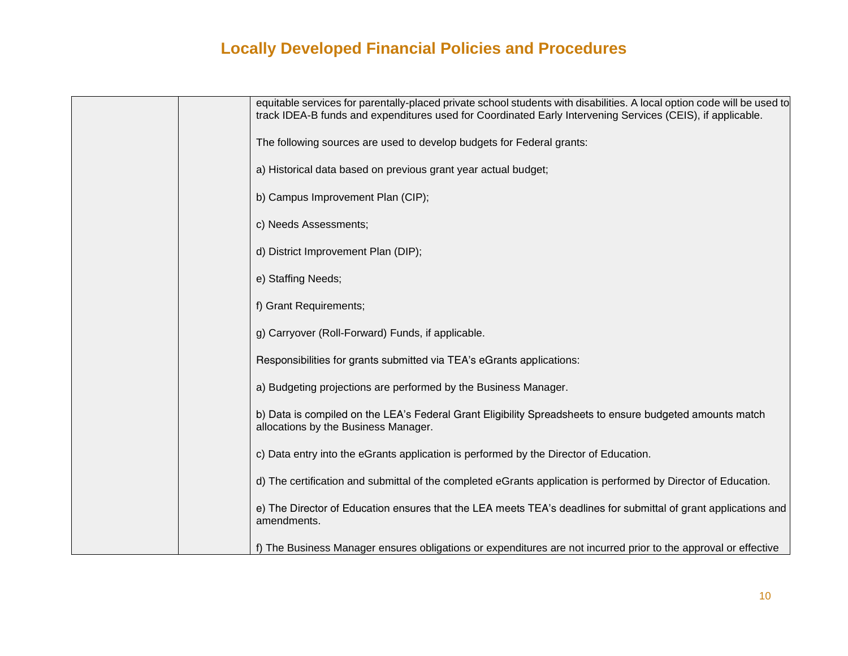| equitable services for parentally-placed private school students with disabilities. A local option code will be used to<br>track IDEA-B funds and expenditures used for Coordinated Early Intervening Services (CEIS), if applicable. |
|---------------------------------------------------------------------------------------------------------------------------------------------------------------------------------------------------------------------------------------|
| The following sources are used to develop budgets for Federal grants:                                                                                                                                                                 |
| a) Historical data based on previous grant year actual budget;                                                                                                                                                                        |
| b) Campus Improvement Plan (CIP);                                                                                                                                                                                                     |
| c) Needs Assessments;                                                                                                                                                                                                                 |
| d) District Improvement Plan (DIP);                                                                                                                                                                                                   |
| e) Staffing Needs;                                                                                                                                                                                                                    |
| f) Grant Requirements;                                                                                                                                                                                                                |
| g) Carryover (Roll-Forward) Funds, if applicable.                                                                                                                                                                                     |
| Responsibilities for grants submitted via TEA's eGrants applications:                                                                                                                                                                 |
| a) Budgeting projections are performed by the Business Manager.                                                                                                                                                                       |
| b) Data is compiled on the LEA's Federal Grant Eligibility Spreadsheets to ensure budgeted amounts match<br>allocations by the Business Manager.                                                                                      |
| c) Data entry into the eGrants application is performed by the Director of Education.                                                                                                                                                 |
| d) The certification and submittal of the completed eGrants application is performed by Director of Education.                                                                                                                        |
| e) The Director of Education ensures that the LEA meets TEA's deadlines for submittal of grant applications and<br>amendments.                                                                                                        |
| f) The Business Manager ensures obligations or expenditures are not incurred prior to the approval or effective                                                                                                                       |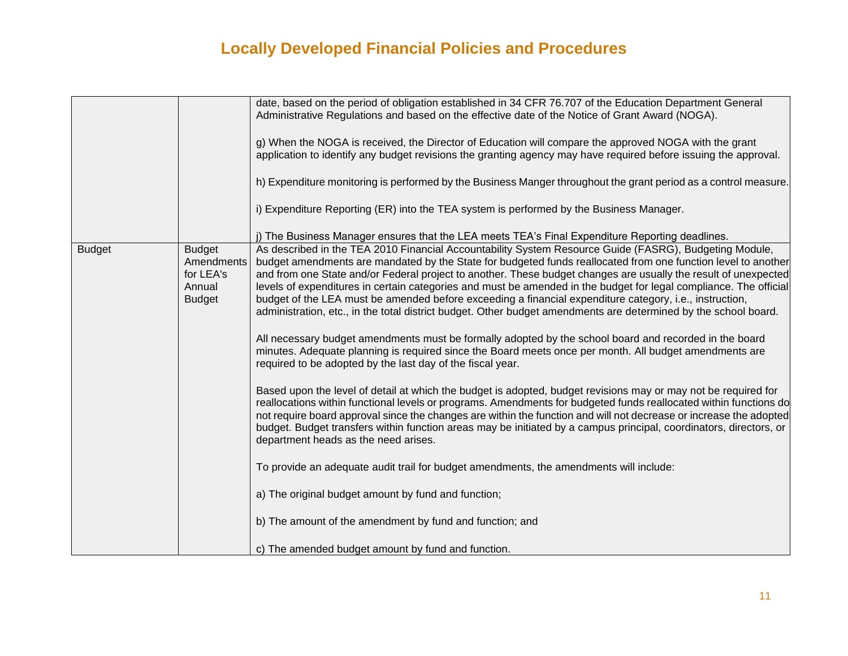|               |                                                                     | date, based on the period of obligation established in 34 CFR 76.707 of the Education Department General<br>Administrative Regulations and based on the effective date of the Notice of Grant Award (NOGA).<br>g) When the NOGA is received, the Director of Education will compare the approved NOGA with the grant<br>application to identify any budget revisions the granting agency may have required before issuing the approval.<br>h) Expenditure monitoring is performed by the Business Manger throughout the grant period as a control measure.<br>i) Expenditure Reporting (ER) into the TEA system is performed by the Business Manager.                                         |
|---------------|---------------------------------------------------------------------|-----------------------------------------------------------------------------------------------------------------------------------------------------------------------------------------------------------------------------------------------------------------------------------------------------------------------------------------------------------------------------------------------------------------------------------------------------------------------------------------------------------------------------------------------------------------------------------------------------------------------------------------------------------------------------------------------|
|               |                                                                     | j) The Business Manager ensures that the LEA meets TEA's Final Expenditure Reporting deadlines.                                                                                                                                                                                                                                                                                                                                                                                                                                                                                                                                                                                               |
| <b>Budget</b> | <b>Budget</b><br>Amendments<br>for LEA's<br>Annual<br><b>Budget</b> | As described in the TEA 2010 Financial Accountability System Resource Guide (FASRG), Budgeting Module,<br>budget amendments are mandated by the State for budgeted funds reallocated from one function level to another<br>and from one State and/or Federal project to another. These budget changes are usually the result of unexpected<br>levels of expenditures in certain categories and must be amended in the budget for legal compliance. The official<br>budget of the LEA must be amended before exceeding a financial expenditure category, i.e., instruction,<br>administration, etc., in the total district budget. Other budget amendments are determined by the school board. |
|               |                                                                     | All necessary budget amendments must be formally adopted by the school board and recorded in the board<br>minutes. Adequate planning is required since the Board meets once per month. All budget amendments are<br>required to be adopted by the last day of the fiscal year.                                                                                                                                                                                                                                                                                                                                                                                                                |
|               |                                                                     | Based upon the level of detail at which the budget is adopted, budget revisions may or may not be required for<br>reallocations within functional levels or programs. Amendments for budgeted funds reallocated within functions do<br>not require board approval since the changes are within the function and will not decrease or increase the adopted<br>budget. Budget transfers within function areas may be initiated by a campus principal, coordinators, directors, or<br>department heads as the need arises.                                                                                                                                                                       |
|               |                                                                     | To provide an adequate audit trail for budget amendments, the amendments will include:                                                                                                                                                                                                                                                                                                                                                                                                                                                                                                                                                                                                        |
|               |                                                                     | a) The original budget amount by fund and function;                                                                                                                                                                                                                                                                                                                                                                                                                                                                                                                                                                                                                                           |
|               |                                                                     | b) The amount of the amendment by fund and function; and                                                                                                                                                                                                                                                                                                                                                                                                                                                                                                                                                                                                                                      |
|               |                                                                     | c) The amended budget amount by fund and function.                                                                                                                                                                                                                                                                                                                                                                                                                                                                                                                                                                                                                                            |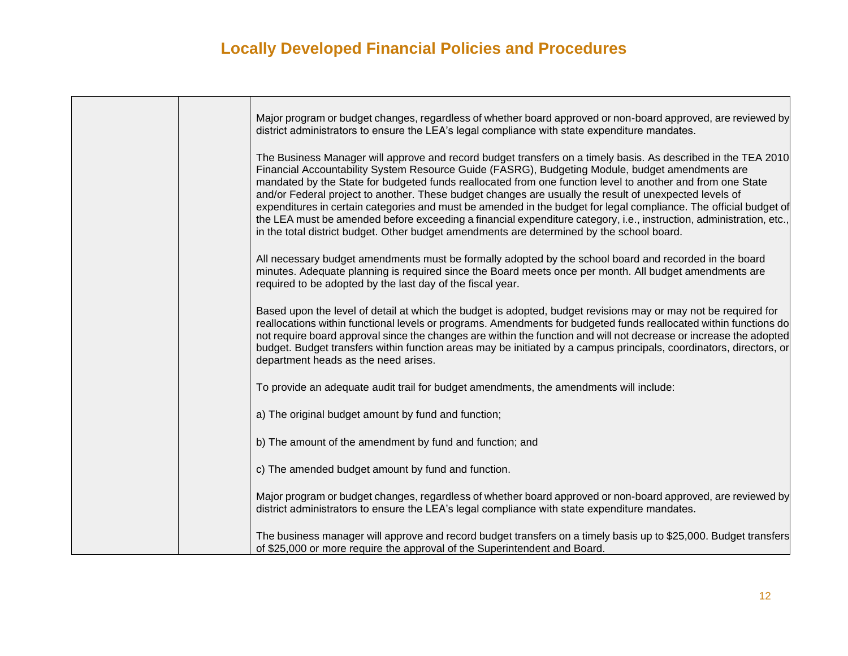|  | Major program or budget changes, regardless of whether board approved or non-board approved, are reviewed by<br>district administrators to ensure the LEA's legal compliance with state expenditure mandates.                                                                                                                                                                                                                                                                                                                                                                                                                                                                                                                                                                     |
|--|-----------------------------------------------------------------------------------------------------------------------------------------------------------------------------------------------------------------------------------------------------------------------------------------------------------------------------------------------------------------------------------------------------------------------------------------------------------------------------------------------------------------------------------------------------------------------------------------------------------------------------------------------------------------------------------------------------------------------------------------------------------------------------------|
|  | The Business Manager will approve and record budget transfers on a timely basis. As described in the TEA 2010<br>Financial Accountability System Resource Guide (FASRG), Budgeting Module, budget amendments are<br>mandated by the State for budgeted funds reallocated from one function level to another and from one State<br>and/or Federal project to another. These budget changes are usually the result of unexpected levels of<br>expenditures in certain categories and must be amended in the budget for legal compliance. The official budget of<br>the LEA must be amended before exceeding a financial expenditure category, i.e., instruction, administration, etc.,<br>in the total district budget. Other budget amendments are determined by the school board. |
|  | All necessary budget amendments must be formally adopted by the school board and recorded in the board<br>minutes. Adequate planning is required since the Board meets once per month. All budget amendments are<br>required to be adopted by the last day of the fiscal year.                                                                                                                                                                                                                                                                                                                                                                                                                                                                                                    |
|  | Based upon the level of detail at which the budget is adopted, budget revisions may or may not be required for<br>reallocations within functional levels or programs. Amendments for budgeted funds reallocated within functions do<br>not require board approval since the changes are within the function and will not decrease or increase the adopted<br>budget. Budget transfers within function areas may be initiated by a campus principals, coordinators, directors, or<br>department heads as the need arises.                                                                                                                                                                                                                                                          |
|  | To provide an adequate audit trail for budget amendments, the amendments will include:                                                                                                                                                                                                                                                                                                                                                                                                                                                                                                                                                                                                                                                                                            |
|  | a) The original budget amount by fund and function;                                                                                                                                                                                                                                                                                                                                                                                                                                                                                                                                                                                                                                                                                                                               |
|  | b) The amount of the amendment by fund and function; and                                                                                                                                                                                                                                                                                                                                                                                                                                                                                                                                                                                                                                                                                                                          |
|  | c) The amended budget amount by fund and function.                                                                                                                                                                                                                                                                                                                                                                                                                                                                                                                                                                                                                                                                                                                                |
|  | Major program or budget changes, regardless of whether board approved or non-board approved, are reviewed by<br>district administrators to ensure the LEA's legal compliance with state expenditure mandates.                                                                                                                                                                                                                                                                                                                                                                                                                                                                                                                                                                     |
|  | The business manager will approve and record budget transfers on a timely basis up to \$25,000. Budget transfers<br>of \$25,000 or more require the approval of the Superintendent and Board.                                                                                                                                                                                                                                                                                                                                                                                                                                                                                                                                                                                     |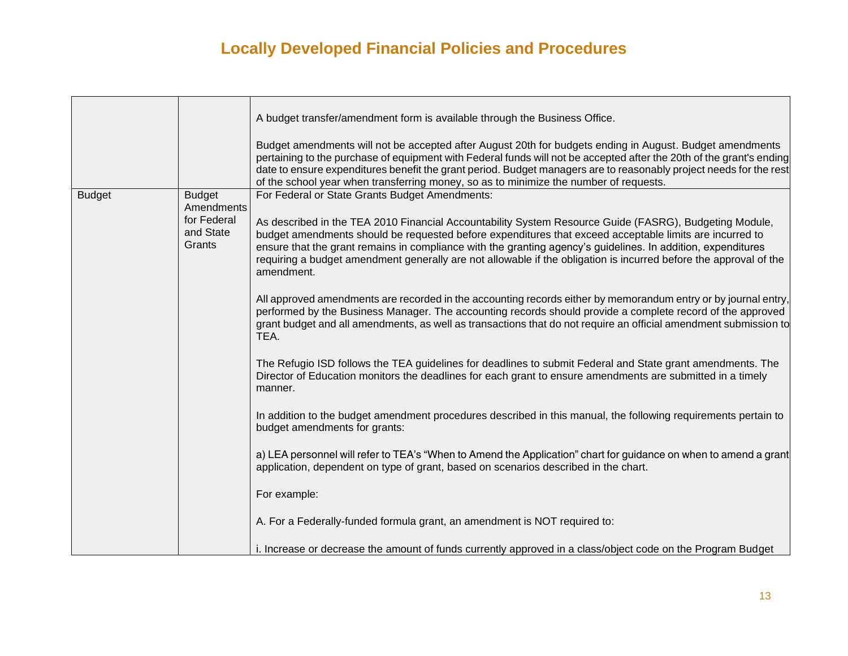|               |                                                  | A budget transfer/amendment form is available through the Business Office.                                                                                                                                                                                                                                                                                                                                                                                           |
|---------------|--------------------------------------------------|----------------------------------------------------------------------------------------------------------------------------------------------------------------------------------------------------------------------------------------------------------------------------------------------------------------------------------------------------------------------------------------------------------------------------------------------------------------------|
|               |                                                  | Budget amendments will not be accepted after August 20th for budgets ending in August. Budget amendments<br>pertaining to the purchase of equipment with Federal funds will not be accepted after the 20th of the grant's ending<br>date to ensure expenditures benefit the grant period. Budget managers are to reasonably project needs for the rest<br>of the school year when transferring money, so as to minimize the number of requests.                      |
| <b>Budget</b> | <b>Budget</b>                                    | For Federal or State Grants Budget Amendments:                                                                                                                                                                                                                                                                                                                                                                                                                       |
|               | Amendments<br>for Federal<br>and State<br>Grants | As described in the TEA 2010 Financial Accountability System Resource Guide (FASRG), Budgeting Module,<br>budget amendments should be requested before expenditures that exceed acceptable limits are incurred to<br>ensure that the grant remains in compliance with the granting agency's guidelines. In addition, expenditures<br>requiring a budget amendment generally are not allowable if the obligation is incurred before the approval of the<br>amendment. |
|               |                                                  | All approved amendments are recorded in the accounting records either by memorandum entry or by journal entry,<br>performed by the Business Manager. The accounting records should provide a complete record of the approved<br>grant budget and all amendments, as well as transactions that do not require an official amendment submission to<br>TEA.                                                                                                             |
|               |                                                  | The Refugio ISD follows the TEA guidelines for deadlines to submit Federal and State grant amendments. The<br>Director of Education monitors the deadlines for each grant to ensure amendments are submitted in a timely<br>manner.                                                                                                                                                                                                                                  |
|               |                                                  | In addition to the budget amendment procedures described in this manual, the following requirements pertain to<br>budget amendments for grants:                                                                                                                                                                                                                                                                                                                      |
|               |                                                  | a) LEA personnel will refer to TEA's "When to Amend the Application" chart for guidance on when to amend a grant<br>application, dependent on type of grant, based on scenarios described in the chart.                                                                                                                                                                                                                                                              |
|               |                                                  | For example:                                                                                                                                                                                                                                                                                                                                                                                                                                                         |
|               |                                                  | A. For a Federally-funded formula grant, an amendment is NOT required to:                                                                                                                                                                                                                                                                                                                                                                                            |
|               |                                                  | i. Increase or decrease the amount of funds currently approved in a class/object code on the Program Budget                                                                                                                                                                                                                                                                                                                                                          |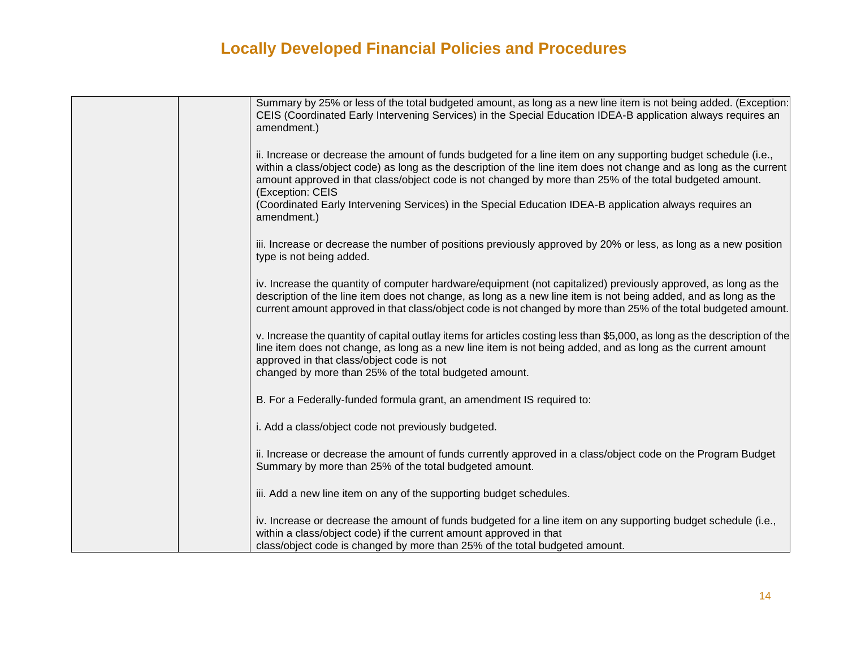| Summary by 25% or less of the total budgeted amount, as long as a new line item is not being added. (Exception:<br>CEIS (Coordinated Early Intervening Services) in the Special Education IDEA-B application always requires an<br>amendment.)                                                                                                                      |
|---------------------------------------------------------------------------------------------------------------------------------------------------------------------------------------------------------------------------------------------------------------------------------------------------------------------------------------------------------------------|
| ii. Increase or decrease the amount of funds budgeted for a line item on any supporting budget schedule (i.e.,<br>within a class/object code) as long as the description of the line item does not change and as long as the current<br>amount approved in that class/object code is not changed by more than 25% of the total budgeted amount.<br>(Exception: CEIS |
| (Coordinated Early Intervening Services) in the Special Education IDEA-B application always requires an<br>amendment.)                                                                                                                                                                                                                                              |
| iii. Increase or decrease the number of positions previously approved by 20% or less, as long as a new position<br>type is not being added.                                                                                                                                                                                                                         |
| iv. Increase the quantity of computer hardware/equipment (not capitalized) previously approved, as long as the<br>description of the line item does not change, as long as a new line item is not being added, and as long as the<br>current amount approved in that class/object code is not changed by more than 25% of the total budgeted amount.                |
| v. Increase the quantity of capital outlay items for articles costing less than \$5,000, as long as the description of the<br>line item does not change, as long as a new line item is not being added, and as long as the current amount<br>approved in that class/object code is not<br>changed by more than 25% of the total budgeted amount.                    |
| B. For a Federally-funded formula grant, an amendment IS required to:                                                                                                                                                                                                                                                                                               |
| i. Add a class/object code not previously budgeted.                                                                                                                                                                                                                                                                                                                 |
| ii. Increase or decrease the amount of funds currently approved in a class/object code on the Program Budget<br>Summary by more than 25% of the total budgeted amount.                                                                                                                                                                                              |
| iii. Add a new line item on any of the supporting budget schedules.                                                                                                                                                                                                                                                                                                 |
| iv. Increase or decrease the amount of funds budgeted for a line item on any supporting budget schedule (i.e.,<br>within a class/object code) if the current amount approved in that<br>class/object code is changed by more than 25% of the total budgeted amount.                                                                                                 |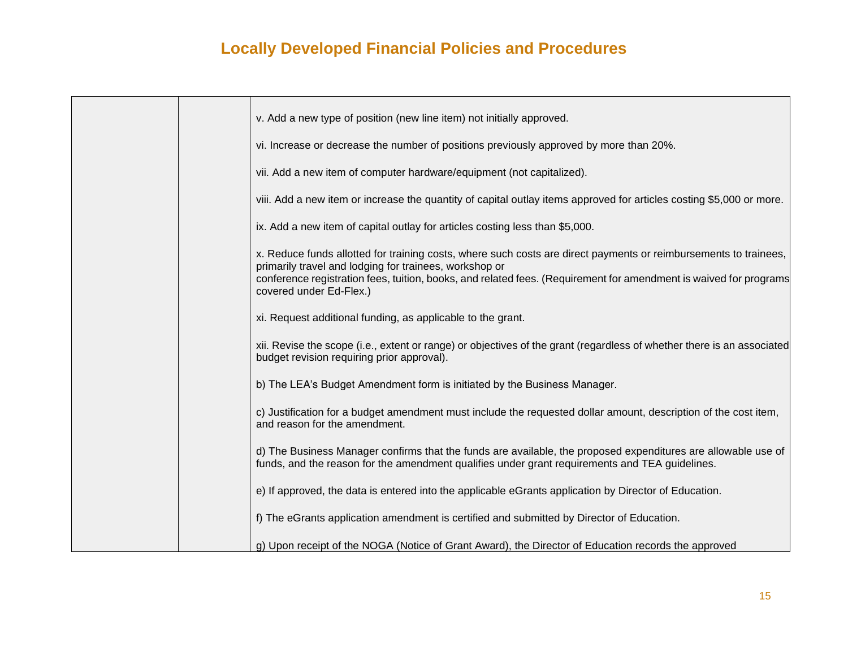|  | v. Add a new type of position (new line item) not initially approved.                                                                                                                                           |
|--|-----------------------------------------------------------------------------------------------------------------------------------------------------------------------------------------------------------------|
|  | vi. Increase or decrease the number of positions previously approved by more than 20%.                                                                                                                          |
|  | vii. Add a new item of computer hardware/equipment (not capitalized).                                                                                                                                           |
|  | viii. Add a new item or increase the quantity of capital outlay items approved for articles costing \$5,000 or more.                                                                                            |
|  | ix. Add a new item of capital outlay for articles costing less than \$5,000.                                                                                                                                    |
|  | x. Reduce funds allotted for training costs, where such costs are direct payments or reimbursements to trainees,<br>primarily travel and lodging for trainees, workshop or                                      |
|  | conference registration fees, tuition, books, and related fees. (Requirement for amendment is waived for programs<br>covered under Ed-Flex.)                                                                    |
|  | xi. Request additional funding, as applicable to the grant.                                                                                                                                                     |
|  | xii. Revise the scope (i.e., extent or range) or objectives of the grant (regardless of whether there is an associated<br>budget revision requiring prior approval).                                            |
|  | b) The LEA's Budget Amendment form is initiated by the Business Manager.                                                                                                                                        |
|  | c) Justification for a budget amendment must include the requested dollar amount, description of the cost item,<br>and reason for the amendment.                                                                |
|  | d) The Business Manager confirms that the funds are available, the proposed expenditures are allowable use of<br>funds, and the reason for the amendment qualifies under grant requirements and TEA guidelines. |
|  | e) If approved, the data is entered into the applicable eGrants application by Director of Education.                                                                                                           |
|  | f) The eGrants application amendment is certified and submitted by Director of Education.                                                                                                                       |
|  | g) Upon receipt of the NOGA (Notice of Grant Award), the Director of Education records the approved                                                                                                             |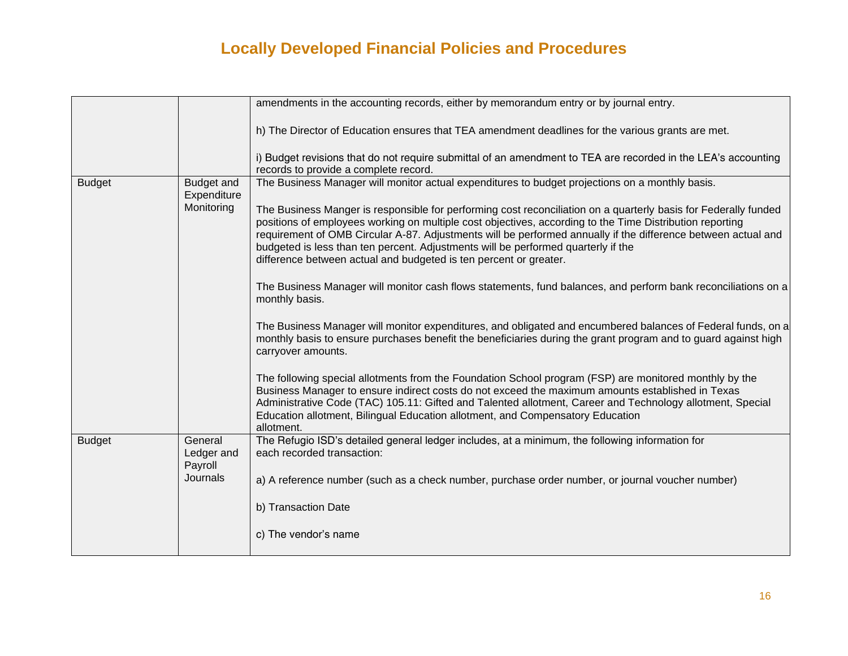|               |                                  | amendments in the accounting records, either by memorandum entry or by journal entry.                                                                                                                                                                                                                                                                                                                                                                                                                  |
|---------------|----------------------------------|--------------------------------------------------------------------------------------------------------------------------------------------------------------------------------------------------------------------------------------------------------------------------------------------------------------------------------------------------------------------------------------------------------------------------------------------------------------------------------------------------------|
|               |                                  | h) The Director of Education ensures that TEA amendment deadlines for the various grants are met.                                                                                                                                                                                                                                                                                                                                                                                                      |
|               |                                  | i) Budget revisions that do not require submittal of an amendment to TEA are recorded in the LEA's accounting<br>records to provide a complete record.                                                                                                                                                                                                                                                                                                                                                 |
| <b>Budget</b> | <b>Budget and</b><br>Expenditure | The Business Manager will monitor actual expenditures to budget projections on a monthly basis.                                                                                                                                                                                                                                                                                                                                                                                                        |
|               | Monitoring                       | The Business Manger is responsible for performing cost reconciliation on a quarterly basis for Federally funded<br>positions of employees working on multiple cost objectives, according to the Time Distribution reporting<br>requirement of OMB Circular A-87. Adjustments will be performed annually if the difference between actual and<br>budgeted is less than ten percent. Adjustments will be performed quarterly if the<br>difference between actual and budgeted is ten percent or greater. |
|               |                                  | The Business Manager will monitor cash flows statements, fund balances, and perform bank reconciliations on a<br>monthly basis.                                                                                                                                                                                                                                                                                                                                                                        |
|               |                                  | The Business Manager will monitor expenditures, and obligated and encumbered balances of Federal funds, on a<br>monthly basis to ensure purchases benefit the beneficiaries during the grant program and to guard against high<br>carryover amounts.                                                                                                                                                                                                                                                   |
|               |                                  | The following special allotments from the Foundation School program (FSP) are monitored monthly by the<br>Business Manager to ensure indirect costs do not exceed the maximum amounts established in Texas<br>Administrative Code (TAC) 105.11: Gifted and Talented allotment, Career and Technology allotment, Special<br>Education allotment, Bilingual Education allotment, and Compensatory Education<br>allotment.                                                                                |
| <b>Budget</b> | General<br>Ledger and<br>Payroll | The Refugio ISD's detailed general ledger includes, at a minimum, the following information for<br>each recorded transaction:                                                                                                                                                                                                                                                                                                                                                                          |
|               | Journals                         | a) A reference number (such as a check number, purchase order number, or journal voucher number)                                                                                                                                                                                                                                                                                                                                                                                                       |
|               |                                  | b) Transaction Date                                                                                                                                                                                                                                                                                                                                                                                                                                                                                    |
|               |                                  | c) The vendor's name                                                                                                                                                                                                                                                                                                                                                                                                                                                                                   |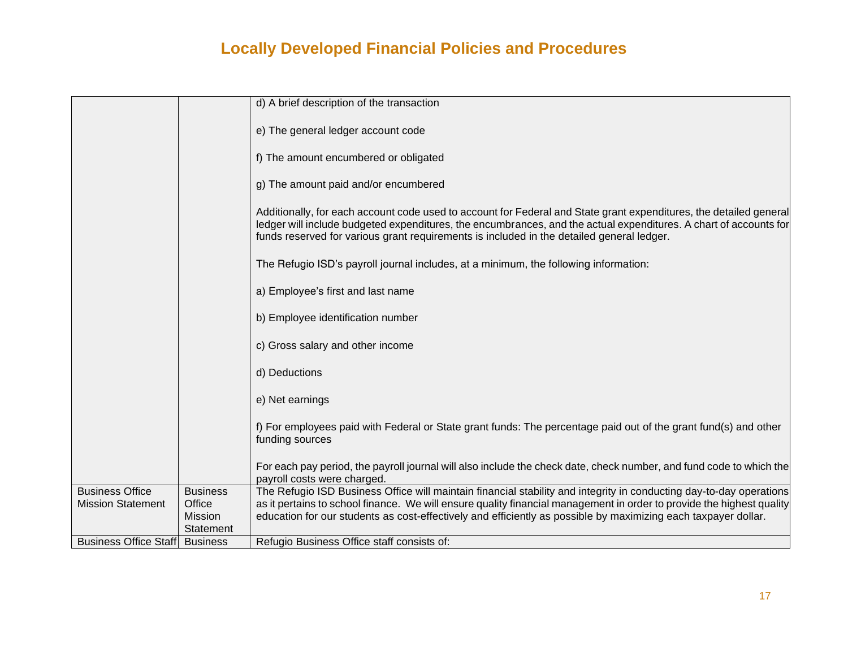|                                       |                             | d) A brief description of the transaction                                                                                                                                                                                                                                                                                            |
|---------------------------------------|-----------------------------|--------------------------------------------------------------------------------------------------------------------------------------------------------------------------------------------------------------------------------------------------------------------------------------------------------------------------------------|
|                                       |                             |                                                                                                                                                                                                                                                                                                                                      |
|                                       |                             | e) The general ledger account code                                                                                                                                                                                                                                                                                                   |
|                                       |                             |                                                                                                                                                                                                                                                                                                                                      |
|                                       |                             | f) The amount encumbered or obligated                                                                                                                                                                                                                                                                                                |
|                                       |                             | g) The amount paid and/or encumbered                                                                                                                                                                                                                                                                                                 |
|                                       |                             | Additionally, for each account code used to account for Federal and State grant expenditures, the detailed general<br>ledger will include budgeted expenditures, the encumbrances, and the actual expenditures. A chart of accounts for<br>funds reserved for various grant requirements is included in the detailed general ledger. |
|                                       |                             | The Refugio ISD's payroll journal includes, at a minimum, the following information:                                                                                                                                                                                                                                                 |
|                                       |                             | a) Employee's first and last name                                                                                                                                                                                                                                                                                                    |
|                                       |                             | b) Employee identification number                                                                                                                                                                                                                                                                                                    |
|                                       |                             | c) Gross salary and other income                                                                                                                                                                                                                                                                                                     |
|                                       |                             | d) Deductions                                                                                                                                                                                                                                                                                                                        |
|                                       |                             | e) Net earnings                                                                                                                                                                                                                                                                                                                      |
|                                       |                             | f) For employees paid with Federal or State grant funds: The percentage paid out of the grant fund(s) and other<br>funding sources                                                                                                                                                                                                   |
|                                       |                             | For each pay period, the payroll journal will also include the check date, check number, and fund code to which the<br>payroll costs were charged.                                                                                                                                                                                   |
| <b>Business Office</b>                | <b>Business</b>             | The Refugio ISD Business Office will maintain financial stability and integrity in conducting day-to-day operations                                                                                                                                                                                                                  |
| <b>Mission Statement</b>              | Office                      | as it pertains to school finance. We will ensure quality financial management in order to provide the highest quality                                                                                                                                                                                                                |
|                                       | <b>Mission</b><br>Statement | education for our students as cost-effectively and efficiently as possible by maximizing each taxpayer dollar.                                                                                                                                                                                                                       |
| <b>Business Office Staff Business</b> |                             | Refugio Business Office staff consists of:                                                                                                                                                                                                                                                                                           |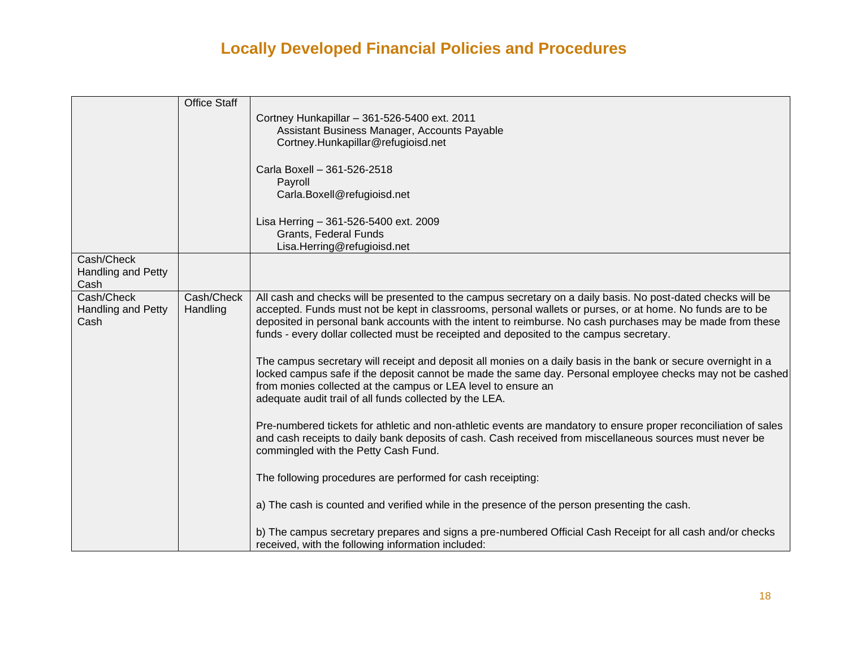|                                  | <b>Office Staff</b> |                                                                                                                  |
|----------------------------------|---------------------|------------------------------------------------------------------------------------------------------------------|
|                                  |                     | Cortney Hunkapillar - 361-526-5400 ext. 2011                                                                     |
|                                  |                     | Assistant Business Manager, Accounts Payable                                                                     |
|                                  |                     | Cortney.Hunkapillar@refugioisd.net                                                                               |
|                                  |                     | Carla Boxell - 361-526-2518                                                                                      |
|                                  |                     | Payroll                                                                                                          |
|                                  |                     | Carla.Boxell@refugioisd.net                                                                                      |
|                                  |                     | Lisa Herring - 361-526-5400 ext. 2009                                                                            |
|                                  |                     | Grants, Federal Funds                                                                                            |
|                                  |                     | Lisa.Herring@refugioisd.net                                                                                      |
| Cash/Check<br>Handling and Petty |                     |                                                                                                                  |
| Cash                             |                     |                                                                                                                  |
| Cash/Check                       | Cash/Check          | All cash and checks will be presented to the campus secretary on a daily basis. No post-dated checks will be     |
| Handling and Petty               | Handling            | accepted. Funds must not be kept in classrooms, personal wallets or purses, or at home. No funds are to be       |
| Cash                             |                     | deposited in personal bank accounts with the intent to reimburse. No cash purchases may be made from these       |
|                                  |                     | funds - every dollar collected must be receipted and deposited to the campus secretary.                          |
|                                  |                     | The campus secretary will receipt and deposit all monies on a daily basis in the bank or secure overnight in a   |
|                                  |                     | locked campus safe if the deposit cannot be made the same day. Personal employee checks may not be cashed        |
|                                  |                     | from monies collected at the campus or LEA level to ensure an                                                    |
|                                  |                     | adequate audit trail of all funds collected by the LEA.                                                          |
|                                  |                     | Pre-numbered tickets for athletic and non-athletic events are mandatory to ensure proper reconciliation of sales |
|                                  |                     | and cash receipts to daily bank deposits of cash. Cash received from miscellaneous sources must never be         |
|                                  |                     | commingled with the Petty Cash Fund.                                                                             |
|                                  |                     | The following procedures are performed for cash receipting:                                                      |
|                                  |                     |                                                                                                                  |
|                                  |                     | a) The cash is counted and verified while in the presence of the person presenting the cash.                     |
|                                  |                     | b) The campus secretary prepares and signs a pre-numbered Official Cash Receipt for all cash and/or checks       |
|                                  |                     | received, with the following information included:                                                               |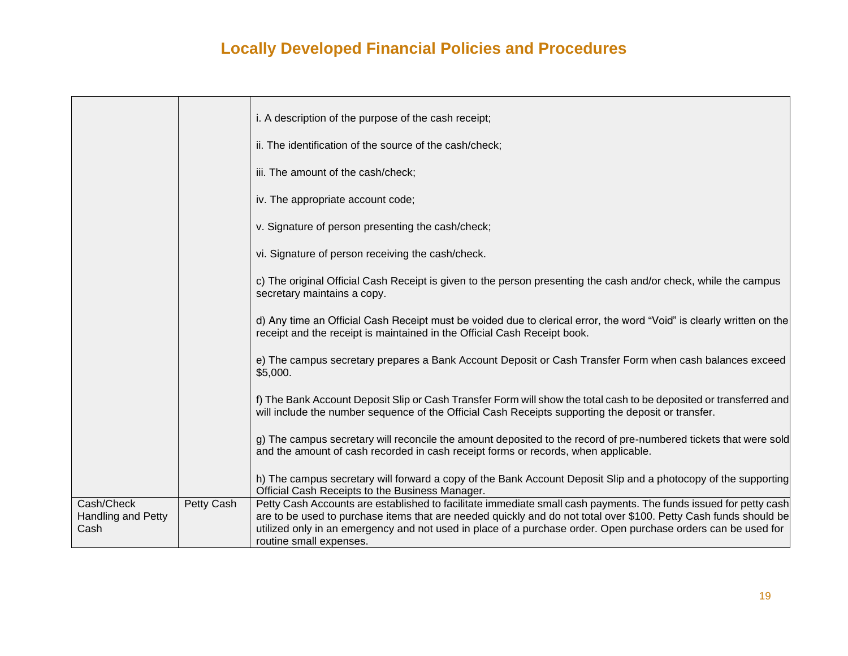|                                          |            | i. A description of the purpose of the cash receipt;                                                                                                                                                                                                                                                                                                                             |
|------------------------------------------|------------|----------------------------------------------------------------------------------------------------------------------------------------------------------------------------------------------------------------------------------------------------------------------------------------------------------------------------------------------------------------------------------|
|                                          |            | ii. The identification of the source of the cash/check;                                                                                                                                                                                                                                                                                                                          |
|                                          |            | iii. The amount of the cash/check;                                                                                                                                                                                                                                                                                                                                               |
|                                          |            | iv. The appropriate account code;                                                                                                                                                                                                                                                                                                                                                |
|                                          |            | v. Signature of person presenting the cash/check;                                                                                                                                                                                                                                                                                                                                |
|                                          |            | vi. Signature of person receiving the cash/check.                                                                                                                                                                                                                                                                                                                                |
|                                          |            | c) The original Official Cash Receipt is given to the person presenting the cash and/or check, while the campus<br>secretary maintains a copy.                                                                                                                                                                                                                                   |
|                                          |            | d) Any time an Official Cash Receipt must be voided due to clerical error, the word "Void" is clearly written on the<br>receipt and the receipt is maintained in the Official Cash Receipt book.                                                                                                                                                                                 |
|                                          |            | e) The campus secretary prepares a Bank Account Deposit or Cash Transfer Form when cash balances exceed<br>\$5,000.                                                                                                                                                                                                                                                              |
|                                          |            | f) The Bank Account Deposit Slip or Cash Transfer Form will show the total cash to be deposited or transferred and<br>will include the number sequence of the Official Cash Receipts supporting the deposit or transfer.                                                                                                                                                         |
|                                          |            | g) The campus secretary will reconcile the amount deposited to the record of pre-numbered tickets that were sold<br>and the amount of cash recorded in cash receipt forms or records, when applicable.                                                                                                                                                                           |
|                                          |            | h) The campus secretary will forward a copy of the Bank Account Deposit Slip and a photocopy of the supporting<br>Official Cash Receipts to the Business Manager.                                                                                                                                                                                                                |
| Cash/Check<br>Handling and Petty<br>Cash | Petty Cash | Petty Cash Accounts are established to facilitate immediate small cash payments. The funds issued for petty cash<br>are to be used to purchase items that are needed quickly and do not total over \$100. Petty Cash funds should be<br>utilized only in an emergency and not used in place of a purchase order. Open purchase orders can be used for<br>routine small expenses. |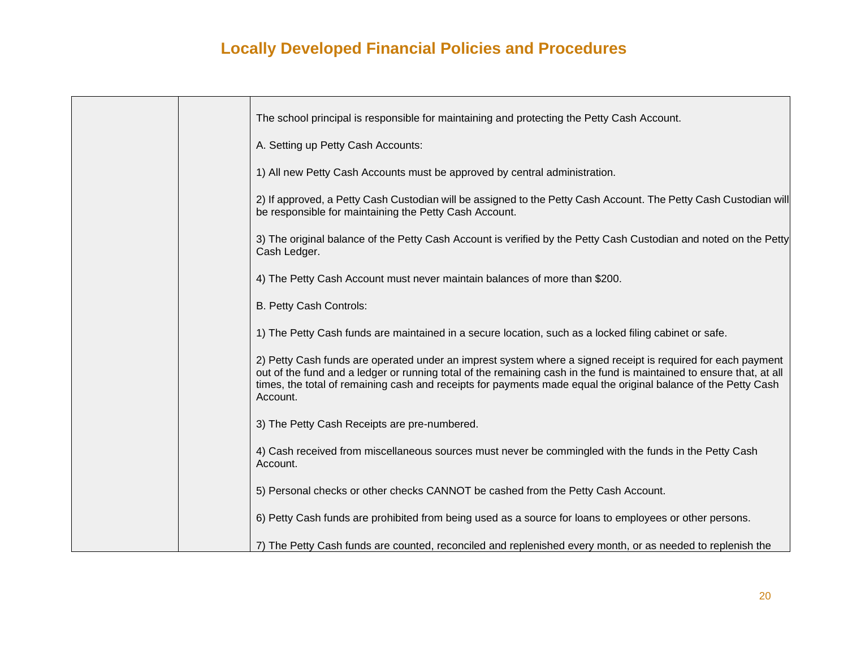|  | The school principal is responsible for maintaining and protecting the Petty Cash Account.                                                                                                                                                                                                                                                                         |
|--|--------------------------------------------------------------------------------------------------------------------------------------------------------------------------------------------------------------------------------------------------------------------------------------------------------------------------------------------------------------------|
|  | A. Setting up Petty Cash Accounts:                                                                                                                                                                                                                                                                                                                                 |
|  | 1) All new Petty Cash Accounts must be approved by central administration.                                                                                                                                                                                                                                                                                         |
|  | 2) If approved, a Petty Cash Custodian will be assigned to the Petty Cash Account. The Petty Cash Custodian will<br>be responsible for maintaining the Petty Cash Account.                                                                                                                                                                                         |
|  | 3) The original balance of the Petty Cash Account is verified by the Petty Cash Custodian and noted on the Petty<br>Cash Ledger.                                                                                                                                                                                                                                   |
|  | 4) The Petty Cash Account must never maintain balances of more than \$200.                                                                                                                                                                                                                                                                                         |
|  | B. Petty Cash Controls:                                                                                                                                                                                                                                                                                                                                            |
|  | 1) The Petty Cash funds are maintained in a secure location, such as a locked filing cabinet or safe.                                                                                                                                                                                                                                                              |
|  | 2) Petty Cash funds are operated under an imprest system where a signed receipt is required for each payment<br>out of the fund and a ledger or running total of the remaining cash in the fund is maintained to ensure that, at all<br>times, the total of remaining cash and receipts for payments made equal the original balance of the Petty Cash<br>Account. |
|  | 3) The Petty Cash Receipts are pre-numbered.                                                                                                                                                                                                                                                                                                                       |
|  | 4) Cash received from miscellaneous sources must never be commingled with the funds in the Petty Cash<br>Account.                                                                                                                                                                                                                                                  |
|  | 5) Personal checks or other checks CANNOT be cashed from the Petty Cash Account.                                                                                                                                                                                                                                                                                   |
|  | 6) Petty Cash funds are prohibited from being used as a source for loans to employees or other persons.                                                                                                                                                                                                                                                            |
|  | 7) The Petty Cash funds are counted, reconciled and replenished every month, or as needed to replenish the                                                                                                                                                                                                                                                         |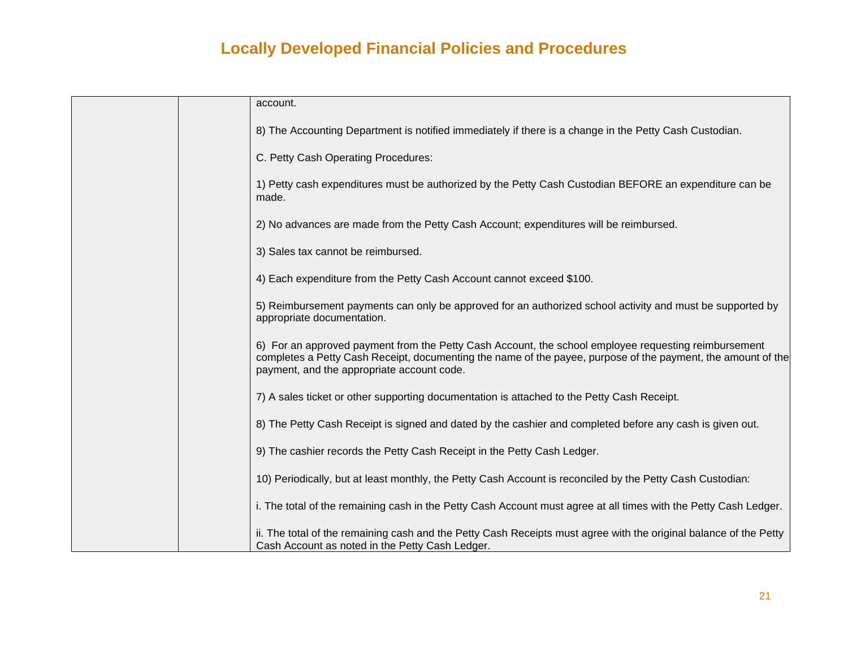| account.                                                                                                                                                                                                                                                           |
|--------------------------------------------------------------------------------------------------------------------------------------------------------------------------------------------------------------------------------------------------------------------|
| 8) The Accounting Department is notified immediately if there is a change in the Petty Cash Custodian.                                                                                                                                                             |
| C. Petty Cash Operating Procedures:                                                                                                                                                                                                                                |
| 1) Petty cash expenditures must be authorized by the Petty Cash Custodian BEFORE an expenditure can be<br>made.                                                                                                                                                    |
| 2) No advances are made from the Petty Cash Account; expenditures will be reimbursed.                                                                                                                                                                              |
| 3) Sales tax cannot be reimbursed.                                                                                                                                                                                                                                 |
| 4) Each expenditure from the Petty Cash Account cannot exceed \$100.                                                                                                                                                                                               |
| 5) Reimbursement payments can only be approved for an authorized school activity and must be supported by<br>appropriate documentation.                                                                                                                            |
| 6) For an approved payment from the Petty Cash Account, the school employee requesting reimbursement<br>completes a Petty Cash Receipt, documenting the name of the payee, purpose of the payment, the amount of the<br>payment, and the appropriate account code. |
| 7) A sales ticket or other supporting documentation is attached to the Petty Cash Receipt.                                                                                                                                                                         |
| 8) The Petty Cash Receipt is signed and dated by the cashier and completed before any cash is given out.                                                                                                                                                           |
| 9) The cashier records the Petty Cash Receipt in the Petty Cash Ledger.                                                                                                                                                                                            |
| 10) Periodically, but at least monthly, the Petty Cash Account is reconciled by the Petty Cash Custodian:                                                                                                                                                          |
| i. The total of the remaining cash in the Petty Cash Account must agree at all times with the Petty Cash Ledger.                                                                                                                                                   |
| ii. The total of the remaining cash and the Petty Cash Receipts must agree with the original balance of the Petty<br>Cash Account as noted in the Petty Cash Ledger.                                                                                               |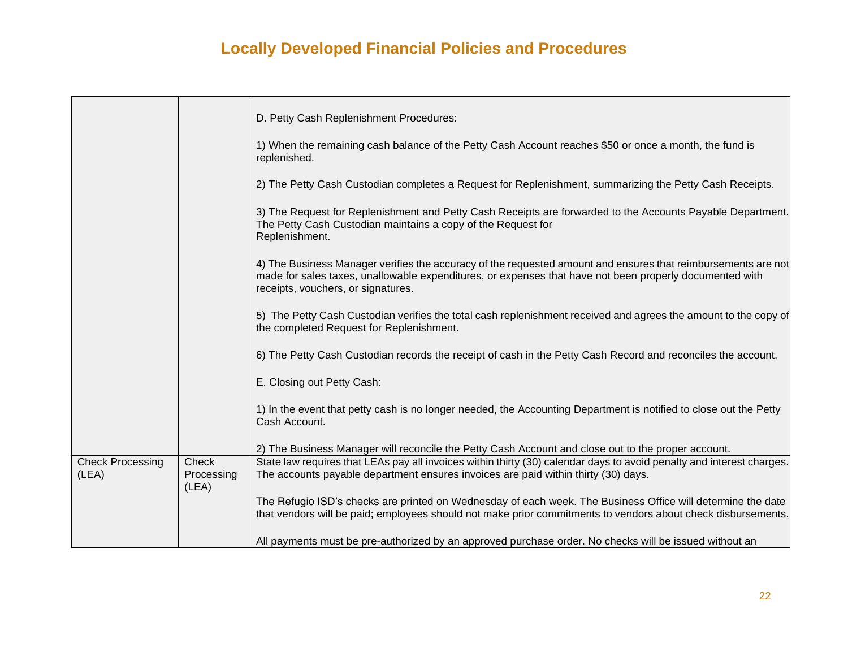|                         |                     | D. Petty Cash Replenishment Procedures:                                                                                                                                                                                                                        |
|-------------------------|---------------------|----------------------------------------------------------------------------------------------------------------------------------------------------------------------------------------------------------------------------------------------------------------|
|                         |                     |                                                                                                                                                                                                                                                                |
|                         |                     | 1) When the remaining cash balance of the Petty Cash Account reaches \$50 or once a month, the fund is<br>replenished.                                                                                                                                         |
|                         |                     | 2) The Petty Cash Custodian completes a Request for Replenishment, summarizing the Petty Cash Receipts.                                                                                                                                                        |
|                         |                     | 3) The Request for Replenishment and Petty Cash Receipts are forwarded to the Accounts Payable Department.<br>The Petty Cash Custodian maintains a copy of the Request for<br>Replenishment.                                                                   |
|                         |                     | 4) The Business Manager verifies the accuracy of the requested amount and ensures that reimbursements are not<br>made for sales taxes, unallowable expenditures, or expenses that have not been properly documented with<br>receipts, vouchers, or signatures. |
|                         |                     | 5) The Petty Cash Custodian verifies the total cash replenishment received and agrees the amount to the copy of<br>the completed Request for Replenishment.                                                                                                    |
|                         |                     | 6) The Petty Cash Custodian records the receipt of cash in the Petty Cash Record and reconciles the account.                                                                                                                                                   |
|                         |                     | E. Closing out Petty Cash:                                                                                                                                                                                                                                     |
|                         |                     | 1) In the event that petty cash is no longer needed, the Accounting Department is notified to close out the Petty<br>Cash Account.                                                                                                                             |
|                         |                     | 2) The Business Manager will reconcile the Petty Cash Account and close out to the proper account.                                                                                                                                                             |
| <b>Check Processing</b> | Check               | State law requires that LEAs pay all invoices within thirty (30) calendar days to avoid penalty and interest charges.                                                                                                                                          |
| (LEA)                   | Processing<br>(LEA) | The accounts payable department ensures invoices are paid within thirty (30) days.                                                                                                                                                                             |
|                         |                     | The Refugio ISD's checks are printed on Wednesday of each week. The Business Office will determine the date                                                                                                                                                    |
|                         |                     | that vendors will be paid; employees should not make prior commitments to vendors about check disbursements.                                                                                                                                                   |
|                         |                     | All payments must be pre-authorized by an approved purchase order. No checks will be issued without an                                                                                                                                                         |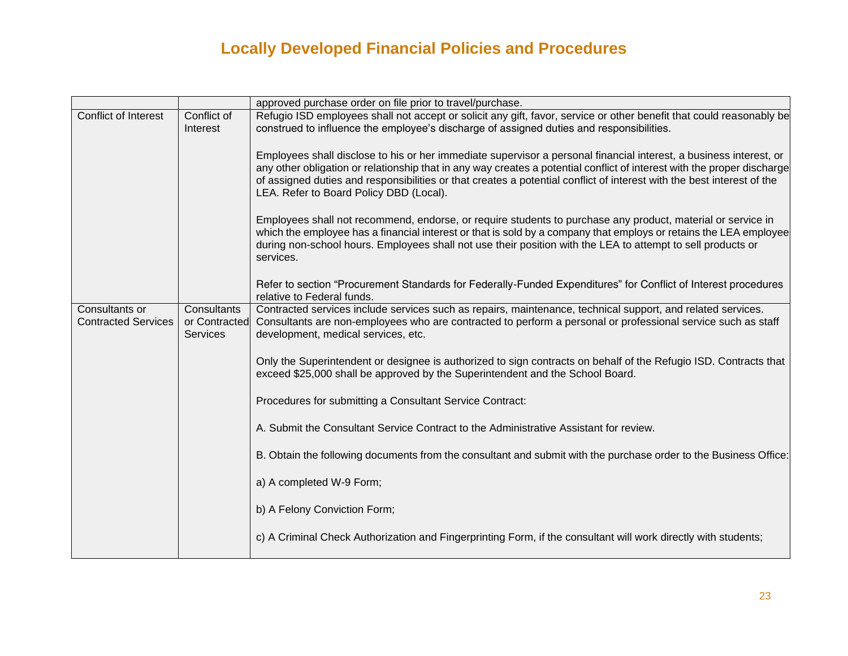|                                              |                                                 | approved purchase order on file prior to travel/purchase.                                                                                                                                                                                                                                                                                                                                                          |
|----------------------------------------------|-------------------------------------------------|--------------------------------------------------------------------------------------------------------------------------------------------------------------------------------------------------------------------------------------------------------------------------------------------------------------------------------------------------------------------------------------------------------------------|
| Conflict of Interest                         | Conflict of<br>Interest                         | Refugio ISD employees shall not accept or solicit any gift, favor, service or other benefit that could reasonably be<br>construed to influence the employee's discharge of assigned duties and responsibilities.                                                                                                                                                                                                   |
|                                              |                                                 | Employees shall disclose to his or her immediate supervisor a personal financial interest, a business interest, or<br>any other obligation or relationship that in any way creates a potential conflict of interest with the proper discharge<br>of assigned duties and responsibilities or that creates a potential conflict of interest with the best interest of the<br>LEA. Refer to Board Policy DBD (Local). |
|                                              |                                                 | Employees shall not recommend, endorse, or require students to purchase any product, material or service in<br>which the employee has a financial interest or that is sold by a company that employs or retains the LEA employee<br>during non-school hours. Employees shall not use their position with the LEA to attempt to sell products or<br>services.                                                       |
|                                              |                                                 | Refer to section "Procurement Standards for Federally-Funded Expenditures" for Conflict of Interest procedures<br>relative to Federal funds.                                                                                                                                                                                                                                                                       |
| Consultants or<br><b>Contracted Services</b> | Consultants<br>or Contracted<br><b>Services</b> | Contracted services include services such as repairs, maintenance, technical support, and related services.<br>Consultants are non-employees who are contracted to perform a personal or professional service such as staff<br>development, medical services, etc.                                                                                                                                                 |
|                                              |                                                 | Only the Superintendent or designee is authorized to sign contracts on behalf of the Refugio ISD. Contracts that<br>exceed \$25,000 shall be approved by the Superintendent and the School Board.                                                                                                                                                                                                                  |
|                                              |                                                 | Procedures for submitting a Consultant Service Contract:                                                                                                                                                                                                                                                                                                                                                           |
|                                              |                                                 | A. Submit the Consultant Service Contract to the Administrative Assistant for review.                                                                                                                                                                                                                                                                                                                              |
|                                              |                                                 | B. Obtain the following documents from the consultant and submit with the purchase order to the Business Office:                                                                                                                                                                                                                                                                                                   |
|                                              |                                                 | a) A completed W-9 Form;                                                                                                                                                                                                                                                                                                                                                                                           |
|                                              |                                                 | b) A Felony Conviction Form;                                                                                                                                                                                                                                                                                                                                                                                       |
|                                              |                                                 | c) A Criminal Check Authorization and Fingerprinting Form, if the consultant will work directly with students;                                                                                                                                                                                                                                                                                                     |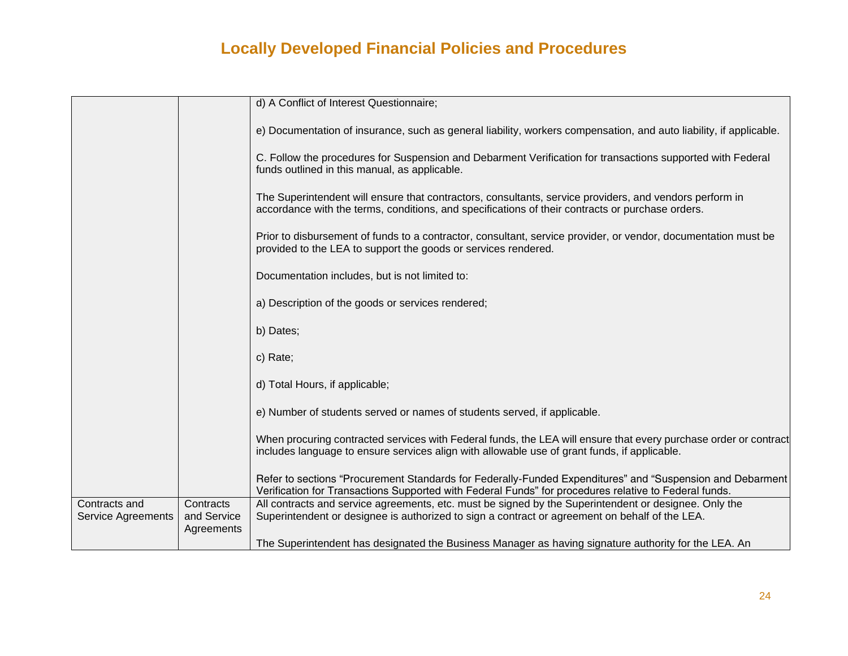|                                            |                                        | d) A Conflict of Interest Questionnaire;                                                                                                                                                                           |
|--------------------------------------------|----------------------------------------|--------------------------------------------------------------------------------------------------------------------------------------------------------------------------------------------------------------------|
|                                            |                                        | e) Documentation of insurance, such as general liability, workers compensation, and auto liability, if applicable.                                                                                                 |
|                                            |                                        | C. Follow the procedures for Suspension and Debarment Verification for transactions supported with Federal<br>funds outlined in this manual, as applicable.                                                        |
|                                            |                                        | The Superintendent will ensure that contractors, consultants, service providers, and vendors perform in<br>accordance with the terms, conditions, and specifications of their contracts or purchase orders.        |
|                                            |                                        | Prior to disbursement of funds to a contractor, consultant, service provider, or vendor, documentation must be<br>provided to the LEA to support the goods or services rendered.                                   |
|                                            |                                        | Documentation includes, but is not limited to:                                                                                                                                                                     |
|                                            |                                        | a) Description of the goods or services rendered;                                                                                                                                                                  |
|                                            |                                        | b) Dates;                                                                                                                                                                                                          |
|                                            |                                        | c) Rate;                                                                                                                                                                                                           |
|                                            |                                        | d) Total Hours, if applicable;                                                                                                                                                                                     |
|                                            |                                        | e) Number of students served or names of students served, if applicable.                                                                                                                                           |
|                                            |                                        | When procuring contracted services with Federal funds, the LEA will ensure that every purchase order or contract<br>includes language to ensure services align with allowable use of grant funds, if applicable.   |
|                                            |                                        | Refer to sections "Procurement Standards for Federally-Funded Expenditures" and "Suspension and Debarment<br>Verification for Transactions Supported with Federal Funds" for procedures relative to Federal funds. |
| Contracts and<br><b>Service Agreements</b> | Contracts<br>and Service<br>Agreements | All contracts and service agreements, etc. must be signed by the Superintendent or designee. Only the<br>Superintendent or designee is authorized to sign a contract or agreement on behalf of the LEA.            |
|                                            |                                        | The Superintendent has designated the Business Manager as having signature authority for the LEA. An                                                                                                               |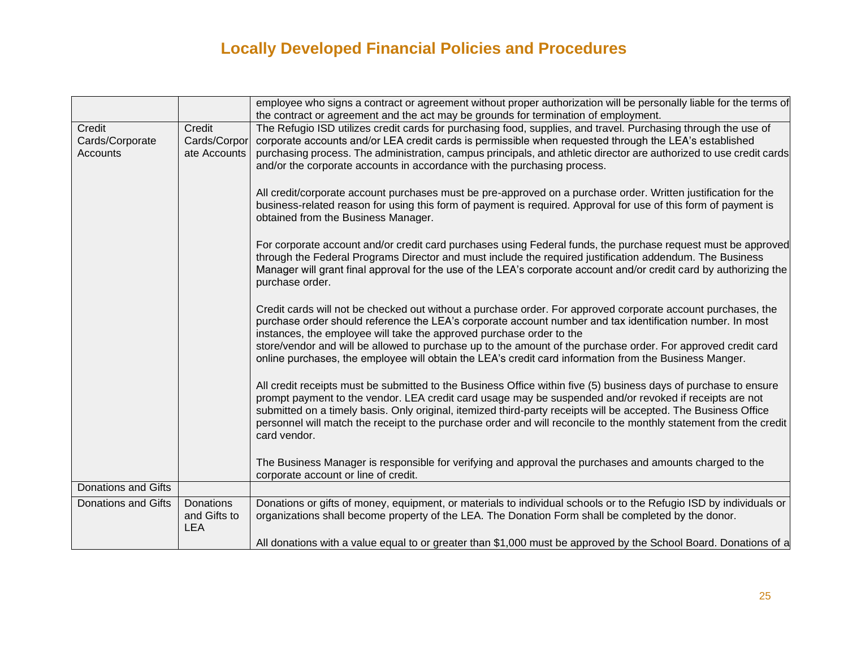|                            |                                         | employee who signs a contract or agreement without proper authorization will be personally liable for the terms of                                                                                                                                                                                                                                                                                                                                                                                                           |
|----------------------------|-----------------------------------------|------------------------------------------------------------------------------------------------------------------------------------------------------------------------------------------------------------------------------------------------------------------------------------------------------------------------------------------------------------------------------------------------------------------------------------------------------------------------------------------------------------------------------|
|                            |                                         | the contract or agreement and the act may be grounds for termination of employment.                                                                                                                                                                                                                                                                                                                                                                                                                                          |
| Credit<br>Cards/Corporate  | Credit<br>Cards/Corpor                  | The Refugio ISD utilizes credit cards for purchasing food, supplies, and travel. Purchasing through the use of<br>corporate accounts and/or LEA credit cards is permissible when requested through the LEA's established                                                                                                                                                                                                                                                                                                     |
| Accounts                   | ate Accounts                            | purchasing process. The administration, campus principals, and athletic director are authorized to use credit cards<br>and/or the corporate accounts in accordance with the purchasing process.                                                                                                                                                                                                                                                                                                                              |
|                            |                                         | All credit/corporate account purchases must be pre-approved on a purchase order. Written justification for the<br>business-related reason for using this form of payment is required. Approval for use of this form of payment is<br>obtained from the Business Manager.                                                                                                                                                                                                                                                     |
|                            |                                         | For corporate account and/or credit card purchases using Federal funds, the purchase request must be approved<br>through the Federal Programs Director and must include the required justification addendum. The Business<br>Manager will grant final approval for the use of the LEA's corporate account and/or credit card by authorizing the<br>purchase order.                                                                                                                                                           |
|                            |                                         | Credit cards will not be checked out without a purchase order. For approved corporate account purchases, the<br>purchase order should reference the LEA's corporate account number and tax identification number. In most<br>instances, the employee will take the approved purchase order to the<br>store/vendor and will be allowed to purchase up to the amount of the purchase order. For approved credit card<br>online purchases, the employee will obtain the LEA's credit card information from the Business Manger. |
|                            |                                         | All credit receipts must be submitted to the Business Office within five (5) business days of purchase to ensure<br>prompt payment to the vendor. LEA credit card usage may be suspended and/or revoked if receipts are not<br>submitted on a timely basis. Only original, itemized third-party receipts will be accepted. The Business Office<br>personnel will match the receipt to the purchase order and will reconcile to the monthly statement from the credit<br>card vendor.                                         |
|                            |                                         | The Business Manager is responsible for verifying and approval the purchases and amounts charged to the<br>corporate account or line of credit.                                                                                                                                                                                                                                                                                                                                                                              |
| <b>Donations and Gifts</b> |                                         |                                                                                                                                                                                                                                                                                                                                                                                                                                                                                                                              |
| <b>Donations and Gifts</b> | Donations<br>and Gifts to<br><b>LEA</b> | Donations or gifts of money, equipment, or materials to individual schools or to the Refugio ISD by individuals or<br>organizations shall become property of the LEA. The Donation Form shall be completed by the donor.                                                                                                                                                                                                                                                                                                     |
|                            |                                         | All donations with a value equal to or greater than \$1,000 must be approved by the School Board. Donations of a                                                                                                                                                                                                                                                                                                                                                                                                             |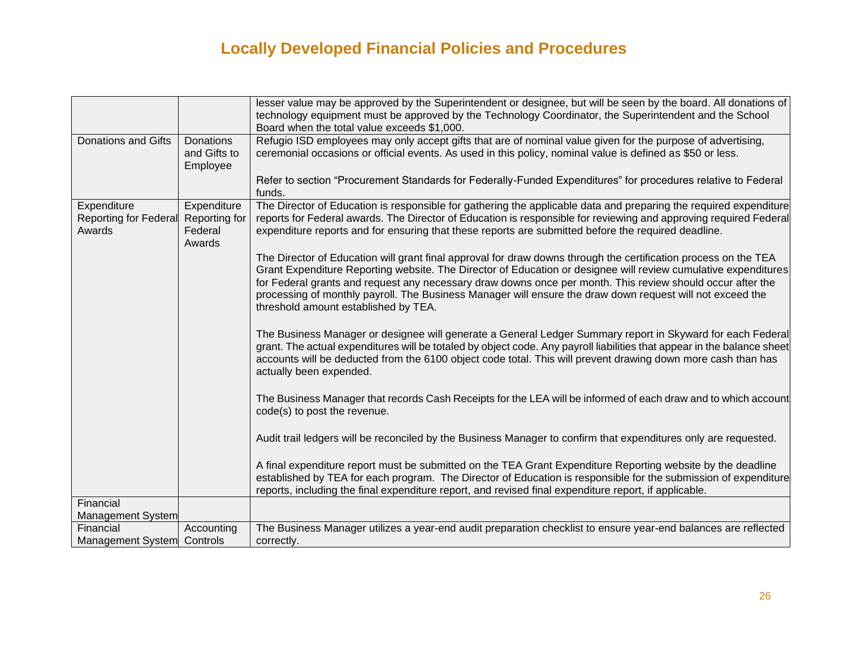|                            |               | lesser value may be approved by the Superintendent or designee, but will be seen by the board. All donations of         |
|----------------------------|---------------|-------------------------------------------------------------------------------------------------------------------------|
|                            |               | technology equipment must be approved by the Technology Coordinator, the Superintendent and the School                  |
|                            |               | Board when the total value exceeds \$1,000.                                                                             |
| <b>Donations and Gifts</b> | Donations     | Refugio ISD employees may only accept gifts that are of nominal value given for the purpose of advertising,             |
|                            | and Gifts to  | ceremonial occasions or official events. As used in this policy, nominal value is defined as \$50 or less.              |
|                            | Employee      |                                                                                                                         |
|                            |               | Refer to section "Procurement Standards for Federally-Funded Expenditures" for procedures relative to Federal           |
|                            |               | funds.                                                                                                                  |
| Expenditure                | Expenditure   | The Director of Education is responsible for gathering the applicable data and preparing the required expenditure       |
| Reporting for Federal      | Reporting for | reports for Federal awards. The Director of Education is responsible for reviewing and approving required Federal       |
| Awards                     | Federal       | expenditure reports and for ensuring that these reports are submitted before the required deadline.                     |
|                            | Awards        |                                                                                                                         |
|                            |               | The Director of Education will grant final approval for draw downs through the certification process on the TEA         |
|                            |               | Grant Expenditure Reporting website. The Director of Education or designee will review cumulative expenditures          |
|                            |               | for Federal grants and request any necessary draw downs once per month. This review should occur after the              |
|                            |               | processing of monthly payroll. The Business Manager will ensure the draw down request will not exceed the               |
|                            |               | threshold amount established by TEA.                                                                                    |
|                            |               |                                                                                                                         |
|                            |               | The Business Manager or designee will generate a General Ledger Summary report in Skyward for each Federal              |
|                            |               | grant. The actual expenditures will be totaled by object code. Any payroll liabilities that appear in the balance sheet |
|                            |               | accounts will be deducted from the 6100 object code total. This will prevent drawing down more cash than has            |
|                            |               | actually been expended.                                                                                                 |
|                            |               |                                                                                                                         |
|                            |               | The Business Manager that records Cash Receipts for the LEA will be informed of each draw and to which account          |
|                            |               | code(s) to post the revenue.                                                                                            |
|                            |               |                                                                                                                         |
|                            |               | Audit trail ledgers will be reconciled by the Business Manager to confirm that expenditures only are requested.         |
|                            |               |                                                                                                                         |
|                            |               | A final expenditure report must be submitted on the TEA Grant Expenditure Reporting website by the deadline             |
|                            |               | established by TEA for each program. The Director of Education is responsible for the submission of expenditure         |
|                            |               | reports, including the final expenditure report, and revised final expenditure report, if applicable.                   |
| Financial                  |               |                                                                                                                         |
| Management System          |               |                                                                                                                         |
| Financial                  | Accounting    | The Business Manager utilizes a year-end audit preparation checklist to ensure year-end balances are reflected          |
| Management System Controls |               | correctly.                                                                                                              |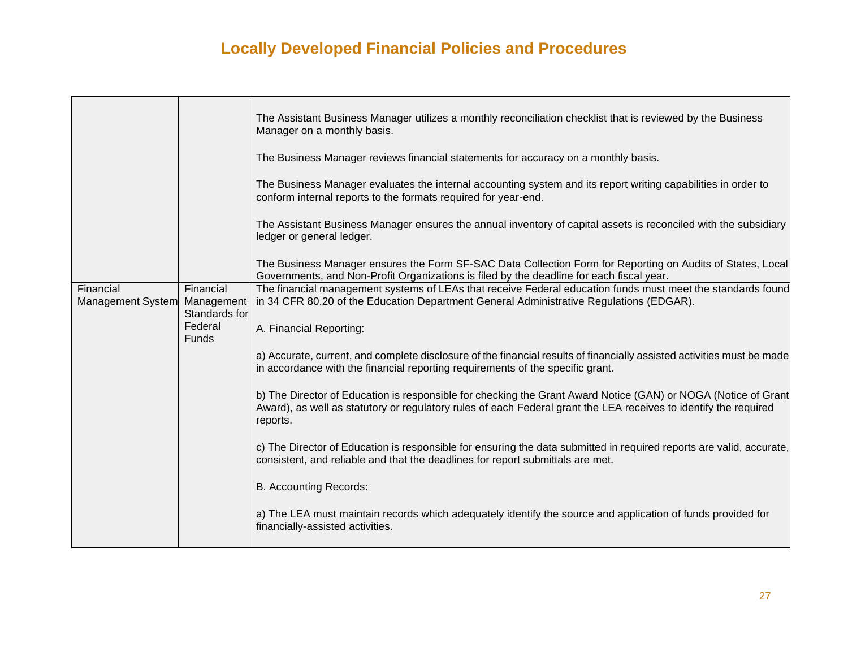|                                |                                   | The Assistant Business Manager utilizes a monthly reconciliation checklist that is reviewed by the Business<br>Manager on a monthly basis.                                                                                                     |
|--------------------------------|-----------------------------------|------------------------------------------------------------------------------------------------------------------------------------------------------------------------------------------------------------------------------------------------|
|                                |                                   | The Business Manager reviews financial statements for accuracy on a monthly basis.                                                                                                                                                             |
|                                |                                   | The Business Manager evaluates the internal accounting system and its report writing capabilities in order to<br>conform internal reports to the formats required for year-end.                                                                |
|                                |                                   | The Assistant Business Manager ensures the annual inventory of capital assets is reconciled with the subsidiary<br>ledger or general ledger.                                                                                                   |
|                                |                                   | The Business Manager ensures the Form SF-SAC Data Collection Form for Reporting on Audits of States, Local<br>Governments, and Non-Profit Organizations is filed by the deadline for each fiscal year.                                         |
| Financial<br>Management System | Financial<br>Management           | The financial management systems of LEAs that receive Federal education funds must meet the standards found<br>in 34 CFR 80.20 of the Education Department General Administrative Regulations (EDGAR).                                         |
|                                | Standards for<br>Federal<br>Funds | A. Financial Reporting:                                                                                                                                                                                                                        |
|                                |                                   | a) Accurate, current, and complete disclosure of the financial results of financially assisted activities must be made<br>in accordance with the financial reporting requirements of the specific grant.                                       |
|                                |                                   | b) The Director of Education is responsible for checking the Grant Award Notice (GAN) or NOGA (Notice of Grant<br>Award), as well as statutory or regulatory rules of each Federal grant the LEA receives to identify the required<br>reports. |
|                                |                                   | c) The Director of Education is responsible for ensuring the data submitted in required reports are valid, accurate,<br>consistent, and reliable and that the deadlines for report submittals are met.                                         |
|                                |                                   | <b>B. Accounting Records:</b>                                                                                                                                                                                                                  |
|                                |                                   | a) The LEA must maintain records which adequately identify the source and application of funds provided for<br>financially-assisted activities.                                                                                                |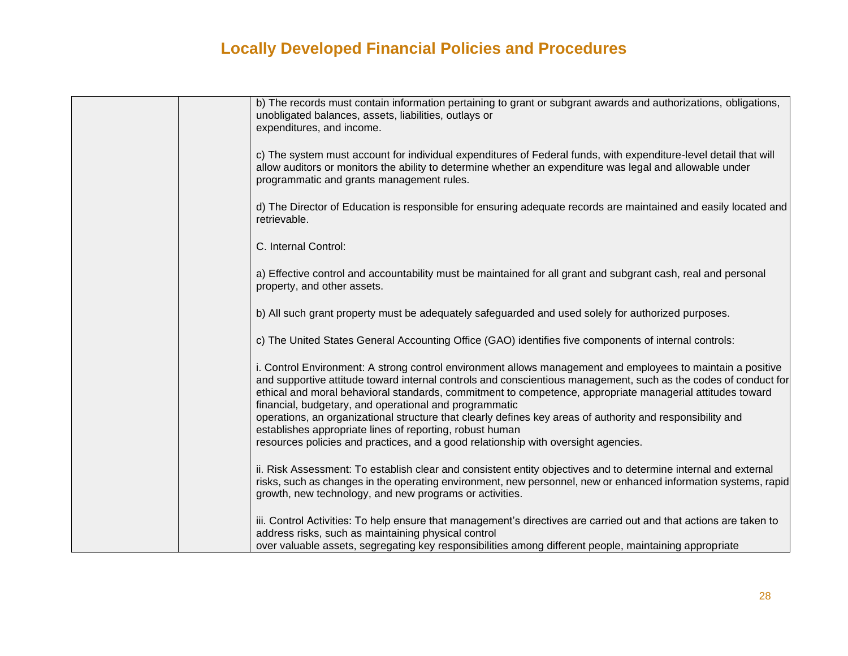| b) The records must contain information pertaining to grant or subgrant awards and authorizations, obligations,<br>unobligated balances, assets, liabilities, outlays or<br>expenditures, and income.                                                                                                                                                                                                                                                                                                                                                                                                                                                                 |
|-----------------------------------------------------------------------------------------------------------------------------------------------------------------------------------------------------------------------------------------------------------------------------------------------------------------------------------------------------------------------------------------------------------------------------------------------------------------------------------------------------------------------------------------------------------------------------------------------------------------------------------------------------------------------|
| c) The system must account for individual expenditures of Federal funds, with expenditure-level detail that will<br>allow auditors or monitors the ability to determine whether an expenditure was legal and allowable under<br>programmatic and grants management rules.                                                                                                                                                                                                                                                                                                                                                                                             |
| d) The Director of Education is responsible for ensuring adequate records are maintained and easily located and<br>retrievable.                                                                                                                                                                                                                                                                                                                                                                                                                                                                                                                                       |
| C. Internal Control:                                                                                                                                                                                                                                                                                                                                                                                                                                                                                                                                                                                                                                                  |
| a) Effective control and accountability must be maintained for all grant and subgrant cash, real and personal<br>property, and other assets.                                                                                                                                                                                                                                                                                                                                                                                                                                                                                                                          |
| b) All such grant property must be adequately safeguarded and used solely for authorized purposes.                                                                                                                                                                                                                                                                                                                                                                                                                                                                                                                                                                    |
| c) The United States General Accounting Office (GAO) identifies five components of internal controls:                                                                                                                                                                                                                                                                                                                                                                                                                                                                                                                                                                 |
| i. Control Environment: A strong control environment allows management and employees to maintain a positive<br>and supportive attitude toward internal controls and conscientious management, such as the codes of conduct for<br>ethical and moral behavioral standards, commitment to competence, appropriate managerial attitudes toward<br>financial, budgetary, and operational and programmatic<br>operations, an organizational structure that clearly defines key areas of authority and responsibility and<br>establishes appropriate lines of reporting, robust human<br>resources policies and practices, and a good relationship with oversight agencies. |
| ii. Risk Assessment: To establish clear and consistent entity objectives and to determine internal and external<br>risks, such as changes in the operating environment, new personnel, new or enhanced information systems, rapid<br>growth, new technology, and new programs or activities.                                                                                                                                                                                                                                                                                                                                                                          |
| iii. Control Activities: To help ensure that management's directives are carried out and that actions are taken to<br>address risks, such as maintaining physical control<br>over valuable assets, segregating key responsibilities among different people, maintaining appropriate                                                                                                                                                                                                                                                                                                                                                                                   |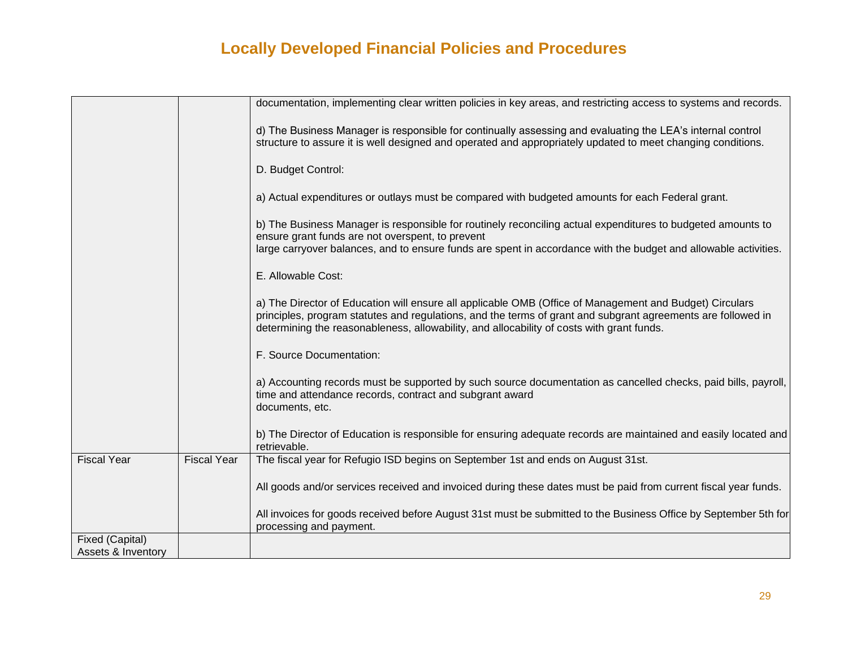|                    |                    | documentation, implementing clear written policies in key areas, and restricting access to systems and records.                                                                                                                                                                                                      |
|--------------------|--------------------|----------------------------------------------------------------------------------------------------------------------------------------------------------------------------------------------------------------------------------------------------------------------------------------------------------------------|
|                    |                    | d) The Business Manager is responsible for continually assessing and evaluating the LEA's internal control<br>structure to assure it is well designed and operated and appropriately updated to meet changing conditions.                                                                                            |
|                    |                    | D. Budget Control:                                                                                                                                                                                                                                                                                                   |
|                    |                    | a) Actual expenditures or outlays must be compared with budgeted amounts for each Federal grant.                                                                                                                                                                                                                     |
|                    |                    | b) The Business Manager is responsible for routinely reconciling actual expenditures to budgeted amounts to<br>ensure grant funds are not overspent, to prevent                                                                                                                                                      |
|                    |                    | large carryover balances, and to ensure funds are spent in accordance with the budget and allowable activities.                                                                                                                                                                                                      |
|                    |                    | E. Allowable Cost:                                                                                                                                                                                                                                                                                                   |
|                    |                    | a) The Director of Education will ensure all applicable OMB (Office of Management and Budget) Circulars<br>principles, program statutes and regulations, and the terms of grant and subgrant agreements are followed in<br>determining the reasonableness, allowability, and allocability of costs with grant funds. |
|                    |                    | F. Source Documentation:                                                                                                                                                                                                                                                                                             |
|                    |                    | a) Accounting records must be supported by such source documentation as cancelled checks, paid bills, payroll,<br>time and attendance records, contract and subgrant award<br>documents, etc.                                                                                                                        |
|                    |                    | b) The Director of Education is responsible for ensuring adequate records are maintained and easily located and<br>retrievable.                                                                                                                                                                                      |
| <b>Fiscal Year</b> | <b>Fiscal Year</b> | The fiscal year for Refugio ISD begins on September 1st and ends on August 31st.                                                                                                                                                                                                                                     |
|                    |                    | All goods and/or services received and invoiced during these dates must be paid from current fiscal year funds.                                                                                                                                                                                                      |
|                    |                    | All invoices for goods received before August 31st must be submitted to the Business Office by September 5th for<br>processing and payment.                                                                                                                                                                          |
| Fixed (Capital)    |                    |                                                                                                                                                                                                                                                                                                                      |
| Assets & Inventory |                    |                                                                                                                                                                                                                                                                                                                      |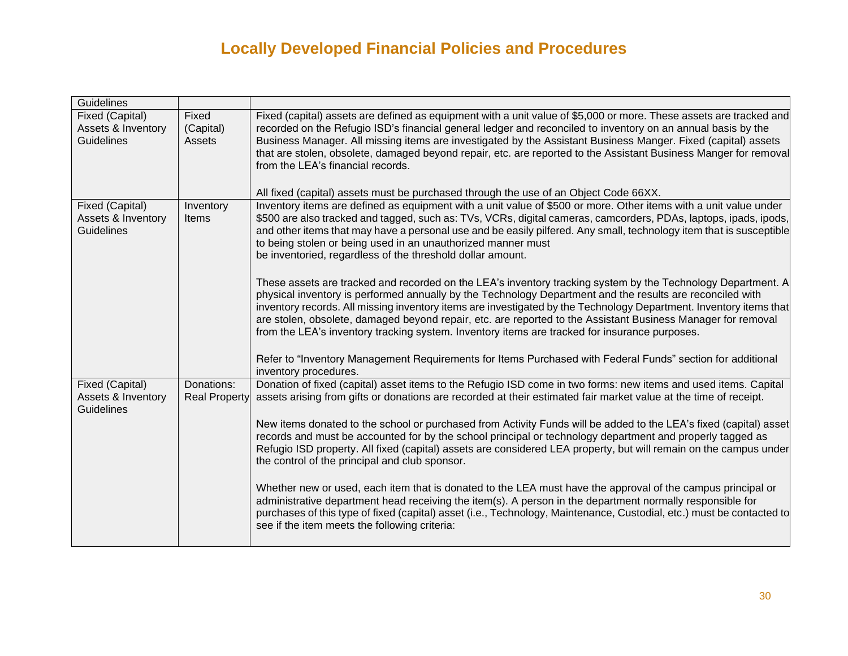| Guidelines                    |                      |                                                                                                                                                                                                                                    |
|-------------------------------|----------------------|------------------------------------------------------------------------------------------------------------------------------------------------------------------------------------------------------------------------------------|
| Fixed (Capital)               | Fixed                | Fixed (capital) assets are defined as equipment with a unit value of \$5,000 or more. These assets are tracked and                                                                                                                 |
| Assets & Inventory            | (Capital)            | recorded on the Refugio ISD's financial general ledger and reconciled to inventory on an annual basis by the                                                                                                                       |
| Guidelines                    | Assets               | Business Manager. All missing items are investigated by the Assistant Business Manger. Fixed (capital) assets                                                                                                                      |
|                               |                      | that are stolen, obsolete, damaged beyond repair, etc. are reported to the Assistant Business Manger for removal                                                                                                                   |
|                               |                      | from the LEA's financial records.                                                                                                                                                                                                  |
|                               |                      |                                                                                                                                                                                                                                    |
| Fixed (Capital)               | Inventory            | All fixed (capital) assets must be purchased through the use of an Object Code 66XX.<br>Inventory items are defined as equipment with a unit value of \$500 or more. Other items with a unit value under                           |
| Assets & Inventory            | <b>Items</b>         | \$500 are also tracked and tagged, such as: TVs, VCRs, digital cameras, camcorders, PDAs, laptops, ipads, ipods,                                                                                                                   |
| <b>Guidelines</b>             |                      | and other items that may have a personal use and be easily pilfered. Any small, technology item that is susceptible                                                                                                                |
|                               |                      | to being stolen or being used in an unauthorized manner must                                                                                                                                                                       |
|                               |                      | be inventoried, regardless of the threshold dollar amount.                                                                                                                                                                         |
|                               |                      |                                                                                                                                                                                                                                    |
|                               |                      | These assets are tracked and recorded on the LEA's inventory tracking system by the Technology Department. A                                                                                                                       |
|                               |                      | physical inventory is performed annually by the Technology Department and the results are reconciled with                                                                                                                          |
|                               |                      | inventory records. All missing inventory items are investigated by the Technology Department. Inventory items that<br>are stolen, obsolete, damaged beyond repair, etc. are reported to the Assistant Business Manager for removal |
|                               |                      | from the LEA's inventory tracking system. Inventory items are tracked for insurance purposes.                                                                                                                                      |
|                               |                      |                                                                                                                                                                                                                                    |
|                               |                      | Refer to "Inventory Management Requirements for Items Purchased with Federal Funds" section for additional                                                                                                                         |
|                               |                      | inventory procedures.                                                                                                                                                                                                              |
| Fixed (Capital)               | Donations:           | Donation of fixed (capital) asset items to the Refugio ISD come in two forms: new items and used items. Capital                                                                                                                    |
| <b>Assets &amp; Inventory</b> | <b>Real Property</b> | assets arising from gifts or donations are recorded at their estimated fair market value at the time of receipt.                                                                                                                   |
| Guidelines                    |                      |                                                                                                                                                                                                                                    |
|                               |                      | New items donated to the school or purchased from Activity Funds will be added to the LEA's fixed (capital) asset                                                                                                                  |
|                               |                      | records and must be accounted for by the school principal or technology department and properly tagged as<br>Refugio ISD property. All fixed (capital) assets are considered LEA property, but will remain on the campus under     |
|                               |                      | the control of the principal and club sponsor.                                                                                                                                                                                     |
|                               |                      |                                                                                                                                                                                                                                    |
|                               |                      | Whether new or used, each item that is donated to the LEA must have the approval of the campus principal or                                                                                                                        |
|                               |                      | administrative department head receiving the item(s). A person in the department normally responsible for                                                                                                                          |
|                               |                      | purchases of this type of fixed (capital) asset (i.e., Technology, Maintenance, Custodial, etc.) must be contacted to                                                                                                              |
|                               |                      | see if the item meets the following criteria:                                                                                                                                                                                      |
|                               |                      |                                                                                                                                                                                                                                    |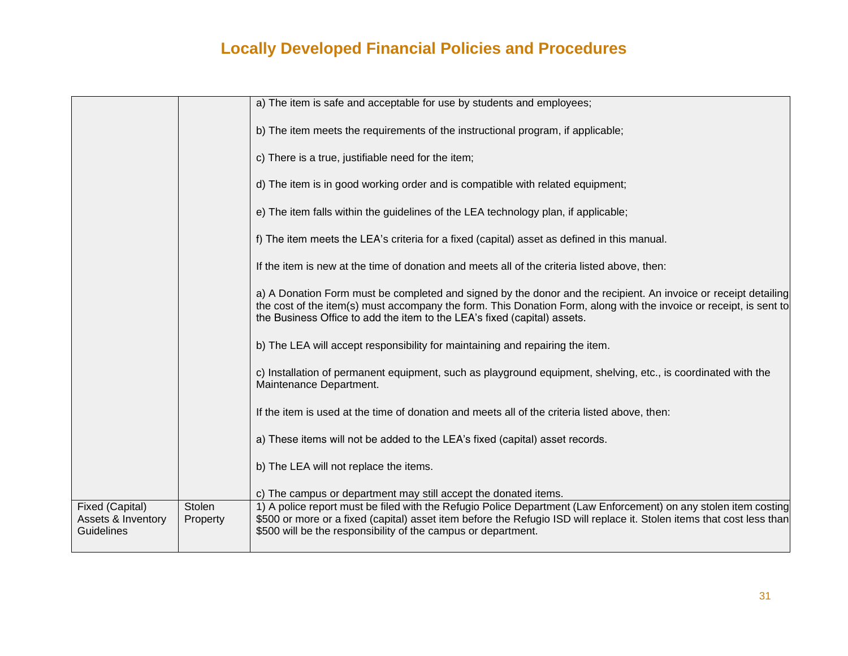|                                                     |                    | a) The item is safe and acceptable for use by students and employees;                                                                                                                                                                                                                                             |
|-----------------------------------------------------|--------------------|-------------------------------------------------------------------------------------------------------------------------------------------------------------------------------------------------------------------------------------------------------------------------------------------------------------------|
|                                                     |                    | b) The item meets the requirements of the instructional program, if applicable;                                                                                                                                                                                                                                   |
|                                                     |                    | c) There is a true, justifiable need for the item;                                                                                                                                                                                                                                                                |
|                                                     |                    | d) The item is in good working order and is compatible with related equipment;                                                                                                                                                                                                                                    |
|                                                     |                    | e) The item falls within the guidelines of the LEA technology plan, if applicable;                                                                                                                                                                                                                                |
|                                                     |                    | f) The item meets the LEA's criteria for a fixed (capital) asset as defined in this manual.                                                                                                                                                                                                                       |
|                                                     |                    | If the item is new at the time of donation and meets all of the criteria listed above, then:                                                                                                                                                                                                                      |
|                                                     |                    | a) A Donation Form must be completed and signed by the donor and the recipient. An invoice or receipt detailing<br>the cost of the item(s) must accompany the form. This Donation Form, along with the invoice or receipt, is sent to<br>the Business Office to add the item to the LEA's fixed (capital) assets. |
|                                                     |                    | b) The LEA will accept responsibility for maintaining and repairing the item.                                                                                                                                                                                                                                     |
|                                                     |                    | c) Installation of permanent equipment, such as playground equipment, shelving, etc., is coordinated with the<br>Maintenance Department.                                                                                                                                                                          |
|                                                     |                    | If the item is used at the time of donation and meets all of the criteria listed above, then:                                                                                                                                                                                                                     |
|                                                     |                    | a) These items will not be added to the LEA's fixed (capital) asset records.                                                                                                                                                                                                                                      |
|                                                     |                    | b) The LEA will not replace the items.                                                                                                                                                                                                                                                                            |
|                                                     |                    | c) The campus or department may still accept the donated items.                                                                                                                                                                                                                                                   |
| Fixed (Capital)<br>Assets & Inventory<br>Guidelines | Stolen<br>Property | 1) A police report must be filed with the Refugio Police Department (Law Enforcement) on any stolen item costing<br>\$500 or more or a fixed (capital) asset item before the Refugio ISD will replace it. Stolen items that cost less than<br>\$500 will be the responsibility of the campus or department.       |
|                                                     |                    |                                                                                                                                                                                                                                                                                                                   |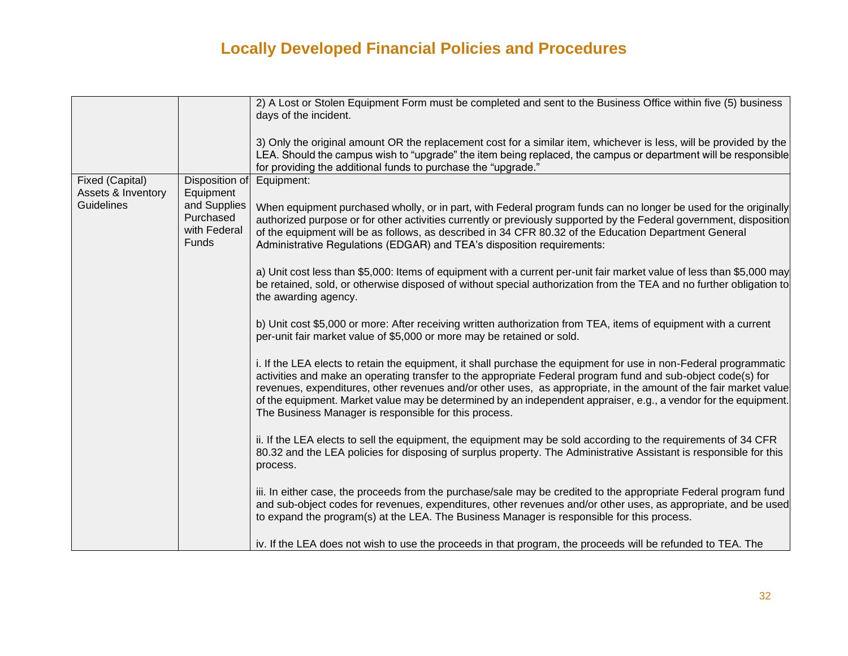|                    |                | 2) A Lost or Stolen Equipment Form must be completed and sent to the Business Office within five (5) business         |
|--------------------|----------------|-----------------------------------------------------------------------------------------------------------------------|
|                    |                | days of the incident.                                                                                                 |
|                    |                |                                                                                                                       |
|                    |                | 3) Only the original amount OR the replacement cost for a similar item, whichever is less, will be provided by the    |
|                    |                | LEA. Should the campus wish to "upgrade" the item being replaced, the campus or department will be responsible        |
|                    |                | for providing the additional funds to purchase the "upgrade."                                                         |
| Fixed (Capital)    | Disposition of | Equipment:                                                                                                            |
| Assets & Inventory | Equipment      |                                                                                                                       |
| Guidelines         | and Supplies   | When equipment purchased wholly, or in part, with Federal program funds can no longer be used for the originally      |
|                    | Purchased      | authorized purpose or for other activities currently or previously supported by the Federal government, disposition   |
|                    | with Federal   | of the equipment will be as follows, as described in 34 CFR 80.32 of the Education Department General                 |
|                    | <b>Funds</b>   | Administrative Regulations (EDGAR) and TEA's disposition requirements:                                                |
|                    |                |                                                                                                                       |
|                    |                | a) Unit cost less than \$5,000: Items of equipment with a current per-unit fair market value of less than \$5,000 may |
|                    |                | be retained, sold, or otherwise disposed of without special authorization from the TEA and no further obligation to   |
|                    |                | the awarding agency.                                                                                                  |
|                    |                |                                                                                                                       |
|                    |                | b) Unit cost \$5,000 or more: After receiving written authorization from TEA, items of equipment with a current       |
|                    |                | per-unit fair market value of \$5,000 or more may be retained or sold.                                                |
|                    |                |                                                                                                                       |
|                    |                | i. If the LEA elects to retain the equipment, it shall purchase the equipment for use in non-Federal programmatic     |
|                    |                | activities and make an operating transfer to the appropriate Federal program fund and sub-object code(s) for          |
|                    |                | revenues, expenditures, other revenues and/or other uses, as appropriate, in the amount of the fair market value      |
|                    |                | of the equipment. Market value may be determined by an independent appraiser, e.g., a vendor for the equipment.       |
|                    |                | The Business Manager is responsible for this process.                                                                 |
|                    |                |                                                                                                                       |
|                    |                | ii. If the LEA elects to sell the equipment, the equipment may be sold according to the requirements of 34 CFR        |
|                    |                | 80.32 and the LEA policies for disposing of surplus property. The Administrative Assistant is responsible for this    |
|                    |                | process.                                                                                                              |
|                    |                |                                                                                                                       |
|                    |                | iii. In either case, the proceeds from the purchase/sale may be credited to the appropriate Federal program fund      |
|                    |                | and sub-object codes for revenues, expenditures, other revenues and/or other uses, as appropriate, and be used        |
|                    |                | to expand the program(s) at the LEA. The Business Manager is responsible for this process.                            |
|                    |                |                                                                                                                       |
|                    |                | iv. If the LEA does not wish to use the proceeds in that program, the proceeds will be refunded to TEA. The           |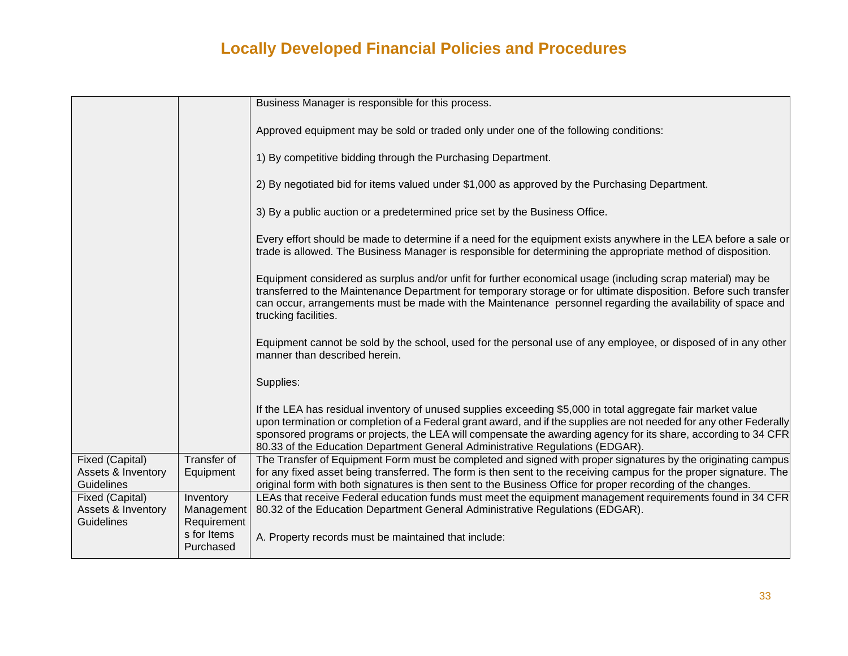|                                                            |                                         | Business Manager is responsible for this process.                                                                                                                                                                                                                                                                                                                                                                                     |
|------------------------------------------------------------|-----------------------------------------|---------------------------------------------------------------------------------------------------------------------------------------------------------------------------------------------------------------------------------------------------------------------------------------------------------------------------------------------------------------------------------------------------------------------------------------|
|                                                            |                                         | Approved equipment may be sold or traded only under one of the following conditions:                                                                                                                                                                                                                                                                                                                                                  |
|                                                            |                                         | 1) By competitive bidding through the Purchasing Department.                                                                                                                                                                                                                                                                                                                                                                          |
|                                                            |                                         | 2) By negotiated bid for items valued under \$1,000 as approved by the Purchasing Department.                                                                                                                                                                                                                                                                                                                                         |
|                                                            |                                         | 3) By a public auction or a predetermined price set by the Business Office.                                                                                                                                                                                                                                                                                                                                                           |
|                                                            |                                         | Every effort should be made to determine if a need for the equipment exists anywhere in the LEA before a sale or<br>trade is allowed. The Business Manager is responsible for determining the appropriate method of disposition.                                                                                                                                                                                                      |
|                                                            |                                         | Equipment considered as surplus and/or unfit for further economical usage (including scrap material) may be<br>transferred to the Maintenance Department for temporary storage or for ultimate disposition. Before such transfer<br>can occur, arrangements must be made with the Maintenance personnel regarding the availability of space and<br>trucking facilities.                                                               |
|                                                            |                                         | Equipment cannot be sold by the school, used for the personal use of any employee, or disposed of in any other<br>manner than described herein.                                                                                                                                                                                                                                                                                       |
|                                                            |                                         | Supplies:                                                                                                                                                                                                                                                                                                                                                                                                                             |
|                                                            |                                         | If the LEA has residual inventory of unused supplies exceeding \$5,000 in total aggregate fair market value<br>upon termination or completion of a Federal grant award, and if the supplies are not needed for any other Federally<br>sponsored programs or projects, the LEA will compensate the awarding agency for its share, according to 34 CFR<br>80.33 of the Education Department General Administrative Regulations (EDGAR). |
| Fixed (Capital)<br>Assets & Inventory<br><b>Guidelines</b> | Transfer of<br>Equipment                | The Transfer of Equipment Form must be completed and signed with proper signatures by the originating campus<br>for any fixed asset being transferred. The form is then sent to the receiving campus for the proper signature. The<br>original form with both signatures is then sent to the Business Office for proper recording of the changes.                                                                                     |
| Fixed (Capital)<br>Assets & Inventory                      | Inventory<br>Management                 | LEAs that receive Federal education funds must meet the equipment management requirements found in 34 CFR<br>80.32 of the Education Department General Administrative Regulations (EDGAR).                                                                                                                                                                                                                                            |
| <b>Guidelines</b>                                          | Requirement<br>s for Items<br>Purchased | A. Property records must be maintained that include:                                                                                                                                                                                                                                                                                                                                                                                  |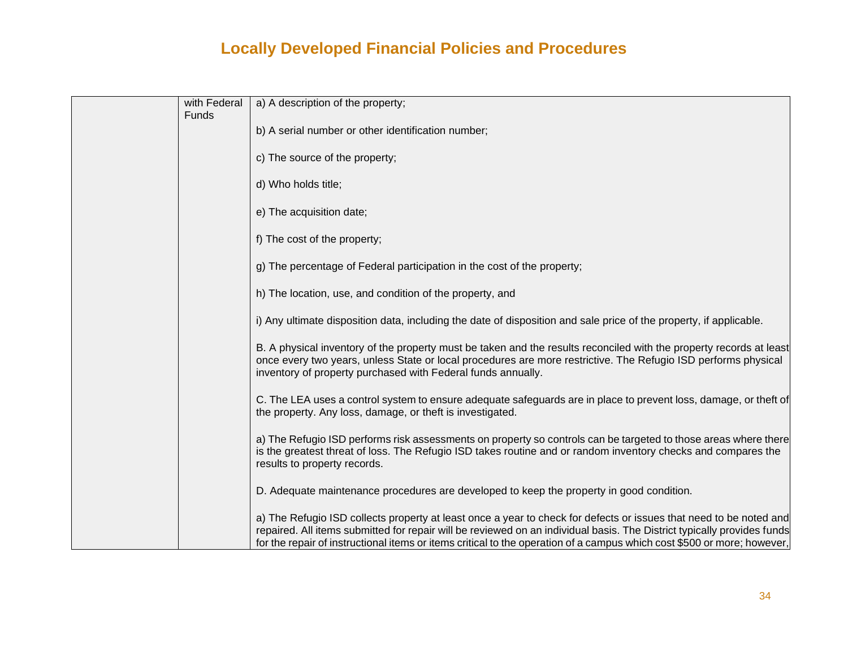| with Federal<br>Funds | a) A description of the property;                                                                                                                                                                                                                                                                                                                                        |
|-----------------------|--------------------------------------------------------------------------------------------------------------------------------------------------------------------------------------------------------------------------------------------------------------------------------------------------------------------------------------------------------------------------|
|                       | b) A serial number or other identification number;                                                                                                                                                                                                                                                                                                                       |
|                       | c) The source of the property;                                                                                                                                                                                                                                                                                                                                           |
|                       | d) Who holds title;                                                                                                                                                                                                                                                                                                                                                      |
|                       | e) The acquisition date;                                                                                                                                                                                                                                                                                                                                                 |
|                       | f) The cost of the property;                                                                                                                                                                                                                                                                                                                                             |
|                       | g) The percentage of Federal participation in the cost of the property;                                                                                                                                                                                                                                                                                                  |
|                       | h) The location, use, and condition of the property, and                                                                                                                                                                                                                                                                                                                 |
|                       | i) Any ultimate disposition data, including the date of disposition and sale price of the property, if applicable.                                                                                                                                                                                                                                                       |
|                       | B. A physical inventory of the property must be taken and the results reconciled with the property records at least<br>once every two years, unless State or local procedures are more restrictive. The Refugio ISD performs physical<br>inventory of property purchased with Federal funds annually.                                                                    |
|                       | C. The LEA uses a control system to ensure adequate safeguards are in place to prevent loss, damage, or theft of<br>the property. Any loss, damage, or theft is investigated.                                                                                                                                                                                            |
|                       | a) The Refugio ISD performs risk assessments on property so controls can be targeted to those areas where there<br>is the greatest threat of loss. The Refugio ISD takes routine and or random inventory checks and compares the<br>results to property records.                                                                                                         |
|                       | D. Adequate maintenance procedures are developed to keep the property in good condition.                                                                                                                                                                                                                                                                                 |
|                       | a) The Refugio ISD collects property at least once a year to check for defects or issues that need to be noted and<br>repaired. All items submitted for repair will be reviewed on an individual basis. The District typically provides funds<br>for the repair of instructional items or items critical to the operation of a campus which cost \$500 or more; however, |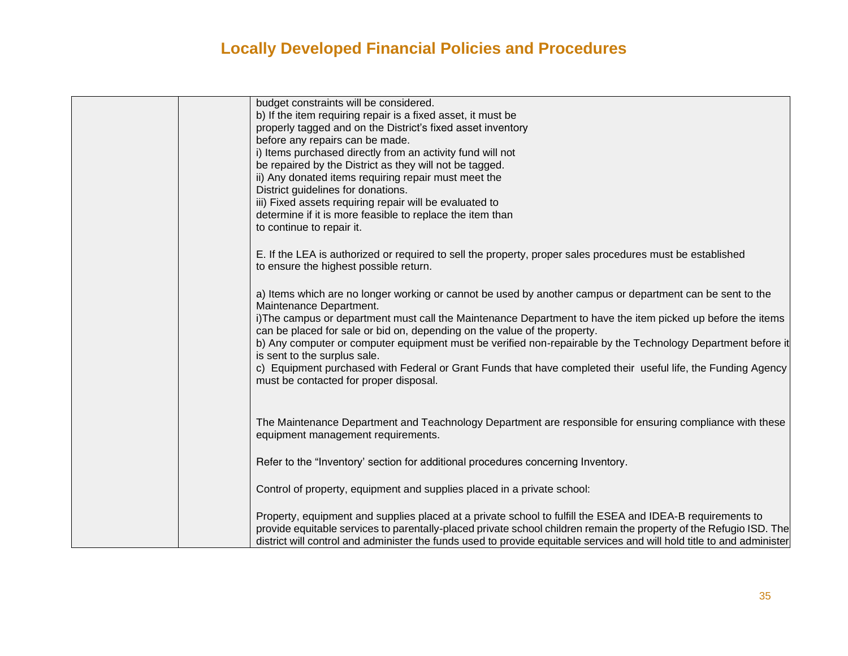| budget constraints will be considered.                                                                                                                                                    |
|-------------------------------------------------------------------------------------------------------------------------------------------------------------------------------------------|
| b) If the item requiring repair is a fixed asset, it must be                                                                                                                              |
| properly tagged and on the District's fixed asset inventory                                                                                                                               |
| before any repairs can be made.                                                                                                                                                           |
| i) Items purchased directly from an activity fund will not                                                                                                                                |
| be repaired by the District as they will not be tagged.                                                                                                                                   |
| ii) Any donated items requiring repair must meet the                                                                                                                                      |
| District guidelines for donations.                                                                                                                                                        |
| iii) Fixed assets requiring repair will be evaluated to                                                                                                                                   |
| determine if it is more feasible to replace the item than                                                                                                                                 |
| to continue to repair it.                                                                                                                                                                 |
| E. If the LEA is authorized or required to sell the property, proper sales procedures must be established                                                                                 |
| to ensure the highest possible return.                                                                                                                                                    |
|                                                                                                                                                                                           |
| a) Items which are no longer working or cannot be used by another campus or department can be sent to the<br>Maintenance Department.                                                      |
| i)The campus or department must call the Maintenance Department to have the item picked up before the items                                                                               |
| can be placed for sale or bid on, depending on the value of the property.<br>b) Any computer or computer equipment must be verified non-repairable by the Technology Department before it |
| is sent to the surplus sale.                                                                                                                                                              |
| c) Equipment purchased with Federal or Grant Funds that have completed their useful life, the Funding Agency                                                                              |
| must be contacted for proper disposal.                                                                                                                                                    |
|                                                                                                                                                                                           |
|                                                                                                                                                                                           |
| The Maintenance Department and Teachnology Department are responsible for ensuring compliance with these<br>equipment management requirements.                                            |
|                                                                                                                                                                                           |
| Refer to the "Inventory' section for additional procedures concerning Inventory.                                                                                                          |
|                                                                                                                                                                                           |
| Control of property, equipment and supplies placed in a private school:                                                                                                                   |
| Property, equipment and supplies placed at a private school to fulfill the ESEA and IDEA-B requirements to                                                                                |
| provide equitable services to parentally-placed private school children remain the property of the Refugio ISD. The                                                                       |
| district will control and administer the funds used to provide equitable services and will hold title to and administer                                                                   |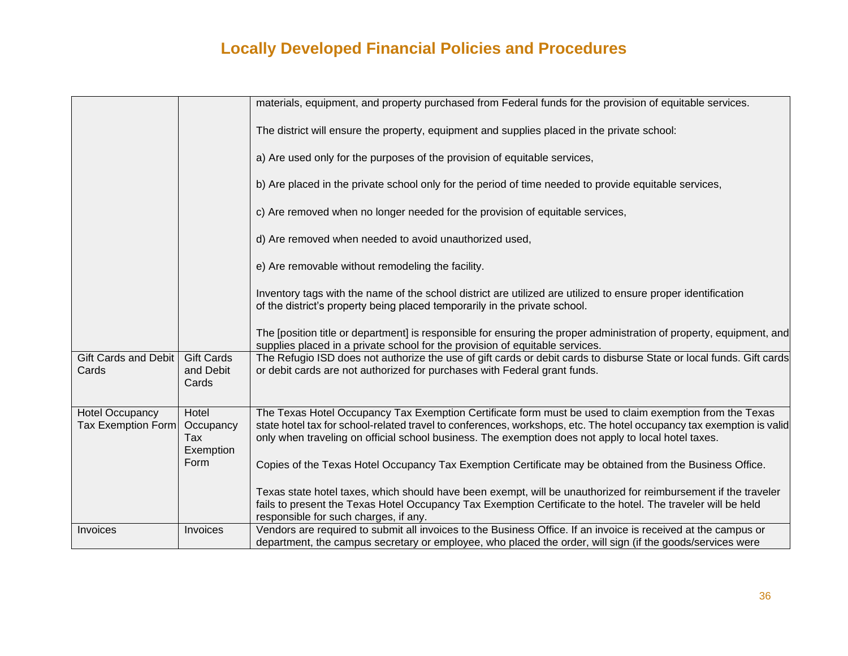|                                                     |                                         | materials, equipment, and property purchased from Federal funds for the provision of equitable services.                                                                                                                                                                                                                               |
|-----------------------------------------------------|-----------------------------------------|----------------------------------------------------------------------------------------------------------------------------------------------------------------------------------------------------------------------------------------------------------------------------------------------------------------------------------------|
|                                                     |                                         | The district will ensure the property, equipment and supplies placed in the private school:                                                                                                                                                                                                                                            |
|                                                     |                                         | a) Are used only for the purposes of the provision of equitable services,                                                                                                                                                                                                                                                              |
|                                                     |                                         | b) Are placed in the private school only for the period of time needed to provide equitable services,                                                                                                                                                                                                                                  |
|                                                     |                                         | c) Are removed when no longer needed for the provision of equitable services,                                                                                                                                                                                                                                                          |
|                                                     |                                         | d) Are removed when needed to avoid unauthorized used,                                                                                                                                                                                                                                                                                 |
|                                                     |                                         | e) Are removable without remodeling the facility.                                                                                                                                                                                                                                                                                      |
|                                                     |                                         | Inventory tags with the name of the school district are utilized are utilized to ensure proper identification<br>of the district's property being placed temporarily in the private school.                                                                                                                                            |
|                                                     |                                         | The [position title or department] is responsible for ensuring the proper administration of property, equipment, and<br>supplies placed in a private school for the provision of equitable services.                                                                                                                                   |
| Gift Cards and Debit<br>Cards                       | <b>Gift Cards</b><br>and Debit<br>Cards | The Refugio ISD does not authorize the use of gift cards or debit cards to disburse State or local funds. Gift cards<br>or debit cards are not authorized for purchases with Federal grant funds.                                                                                                                                      |
| <b>Hotel Occupancy</b><br><b>Tax Exemption Form</b> | Hotel<br>Occupancy<br>Tax<br>Exemption  | The Texas Hotel Occupancy Tax Exemption Certificate form must be used to claim exemption from the Texas<br>state hotel tax for school-related travel to conferences, workshops, etc. The hotel occupancy tax exemption is valid<br>only when traveling on official school business. The exemption does not apply to local hotel taxes. |
|                                                     | Form                                    | Copies of the Texas Hotel Occupancy Tax Exemption Certificate may be obtained from the Business Office.                                                                                                                                                                                                                                |
|                                                     |                                         | Texas state hotel taxes, which should have been exempt, will be unauthorized for reimbursement if the traveler<br>fails to present the Texas Hotel Occupancy Tax Exemption Certificate to the hotel. The traveler will be held<br>responsible for such charges, if any.                                                                |
| Invoices                                            | Invoices                                | Vendors are required to submit all invoices to the Business Office. If an invoice is received at the campus or<br>department, the campus secretary or employee, who placed the order, will sign (if the goods/services were                                                                                                            |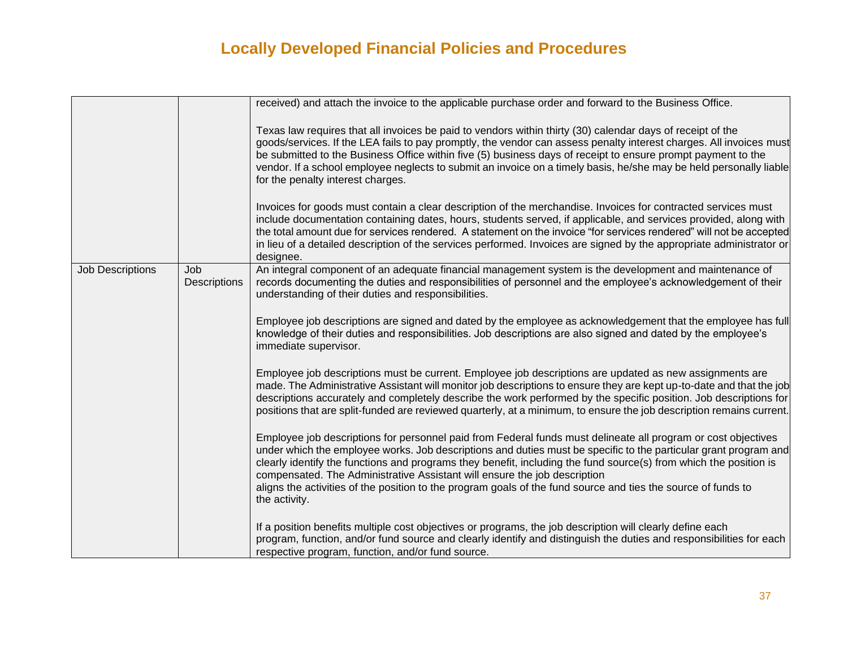|                         |                     | received) and attach the invoice to the applicable purchase order and forward to the Business Office.                                                                                                                                                                                                                                                                                                                                                                                                                                                                 |
|-------------------------|---------------------|-----------------------------------------------------------------------------------------------------------------------------------------------------------------------------------------------------------------------------------------------------------------------------------------------------------------------------------------------------------------------------------------------------------------------------------------------------------------------------------------------------------------------------------------------------------------------|
|                         |                     | Texas law requires that all invoices be paid to vendors within thirty (30) calendar days of receipt of the<br>goods/services. If the LEA fails to pay promptly, the vendor can assess penalty interest charges. All invoices must<br>be submitted to the Business Office within five (5) business days of receipt to ensure prompt payment to the<br>vendor. If a school employee neglects to submit an invoice on a timely basis, he/she may be held personally liable<br>for the penalty interest charges.                                                          |
|                         |                     | Invoices for goods must contain a clear description of the merchandise. Invoices for contracted services must<br>include documentation containing dates, hours, students served, if applicable, and services provided, along with<br>the total amount due for services rendered. A statement on the invoice "for services rendered" will not be accepted<br>in lieu of a detailed description of the services performed. Invoices are signed by the appropriate administrator or<br>designee.                                                                         |
| <b>Job Descriptions</b> | Job<br>Descriptions | An integral component of an adequate financial management system is the development and maintenance of<br>records documenting the duties and responsibilities of personnel and the employee's acknowledgement of their<br>understanding of their duties and responsibilities.                                                                                                                                                                                                                                                                                         |
|                         |                     | Employee job descriptions are signed and dated by the employee as acknowledgement that the employee has full<br>knowledge of their duties and responsibilities. Job descriptions are also signed and dated by the employee's<br>immediate supervisor.                                                                                                                                                                                                                                                                                                                 |
|                         |                     | Employee job descriptions must be current. Employee job descriptions are updated as new assignments are<br>made. The Administrative Assistant will monitor job descriptions to ensure they are kept up-to-date and that the job<br>descriptions accurately and completely describe the work performed by the specific position. Job descriptions for<br>positions that are split-funded are reviewed quarterly, at a minimum, to ensure the job description remains current.                                                                                          |
|                         |                     | Employee job descriptions for personnel paid from Federal funds must delineate all program or cost objectives<br>under which the employee works. Job descriptions and duties must be specific to the particular grant program and<br>clearly identify the functions and programs they benefit, including the fund source(s) from which the position is<br>compensated. The Administrative Assistant will ensure the job description<br>aligns the activities of the position to the program goals of the fund source and ties the source of funds to<br>the activity. |
|                         |                     | If a position benefits multiple cost objectives or programs, the job description will clearly define each<br>program, function, and/or fund source and clearly identify and distinguish the duties and responsibilities for each<br>respective program, function, and/or fund source.                                                                                                                                                                                                                                                                                 |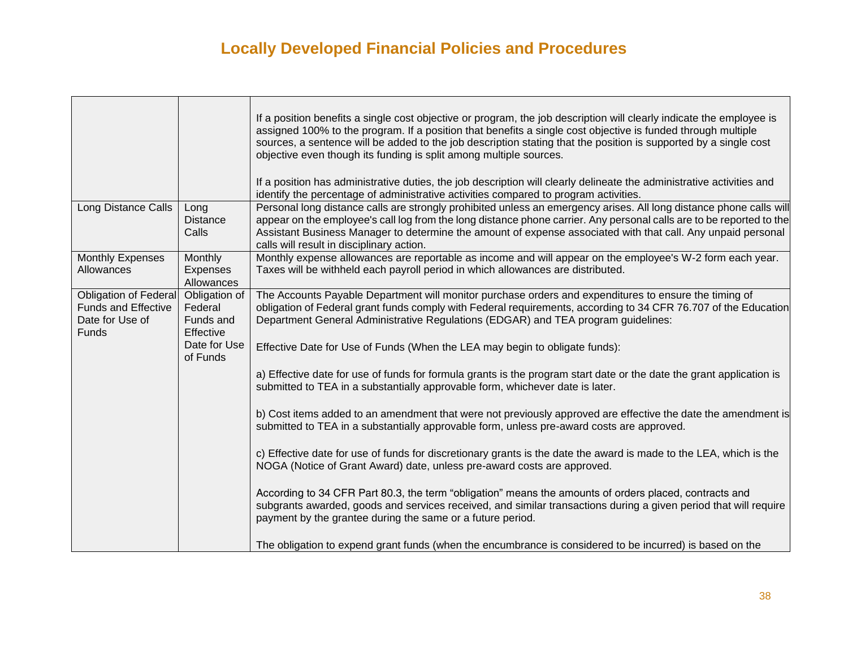Г

|                                                                                        |                                                    | If a position benefits a single cost objective or program, the job description will clearly indicate the employee is<br>assigned 100% to the program. If a position that benefits a single cost objective is funded through multiple<br>sources, a sentence will be added to the job description stating that the position is supported by a single cost<br>objective even though its funding is split among multiple sources.<br>If a position has administrative duties, the job description will clearly delineate the administrative activities and |
|----------------------------------------------------------------------------------------|----------------------------------------------------|---------------------------------------------------------------------------------------------------------------------------------------------------------------------------------------------------------------------------------------------------------------------------------------------------------------------------------------------------------------------------------------------------------------------------------------------------------------------------------------------------------------------------------------------------------|
| Long Distance Calls                                                                    | Long                                               | identify the percentage of administrative activities compared to program activities.<br>Personal long distance calls are strongly prohibited unless an emergency arises. All long distance phone calls will                                                                                                                                                                                                                                                                                                                                             |
|                                                                                        | <b>Distance</b><br>Calls                           | appear on the employee's call log from the long distance phone carrier. Any personal calls are to be reported to the<br>Assistant Business Manager to determine the amount of expense associated with that call. Any unpaid personal<br>calls will result in disciplinary action.                                                                                                                                                                                                                                                                       |
| <b>Monthly Expenses</b><br>Allowances                                                  | Monthly<br>Expenses<br>Allowances                  | Monthly expense allowances are reportable as income and will appear on the employee's W-2 form each year.<br>Taxes will be withheld each payroll period in which allowances are distributed.                                                                                                                                                                                                                                                                                                                                                            |
| Obligation of Federal<br><b>Funds and Effective</b><br>Date for Use of<br><b>Funds</b> | Obligation of<br>Federal<br>Funds and<br>Effective | The Accounts Payable Department will monitor purchase orders and expenditures to ensure the timing of<br>obligation of Federal grant funds comply with Federal requirements, according to 34 CFR 76.707 of the Education<br>Department General Administrative Regulations (EDGAR) and TEA program guidelines:                                                                                                                                                                                                                                           |
|                                                                                        | Date for Use<br>of Funds                           | Effective Date for Use of Funds (When the LEA may begin to obligate funds):                                                                                                                                                                                                                                                                                                                                                                                                                                                                             |
|                                                                                        |                                                    | a) Effective date for use of funds for formula grants is the program start date or the date the grant application is<br>submitted to TEA in a substantially approvable form, whichever date is later.                                                                                                                                                                                                                                                                                                                                                   |
|                                                                                        |                                                    | b) Cost items added to an amendment that were not previously approved are effective the date the amendment is<br>submitted to TEA in a substantially approvable form, unless pre-award costs are approved.                                                                                                                                                                                                                                                                                                                                              |
|                                                                                        |                                                    | c) Effective date for use of funds for discretionary grants is the date the award is made to the LEA, which is the<br>NOGA (Notice of Grant Award) date, unless pre-award costs are approved.                                                                                                                                                                                                                                                                                                                                                           |
|                                                                                        |                                                    | According to 34 CFR Part 80.3, the term "obligation" means the amounts of orders placed, contracts and<br>subgrants awarded, goods and services received, and similar transactions during a given period that will require<br>payment by the grantee during the same or a future period.                                                                                                                                                                                                                                                                |
|                                                                                        |                                                    | The obligation to expend grant funds (when the encumbrance is considered to be incurred) is based on the                                                                                                                                                                                                                                                                                                                                                                                                                                                |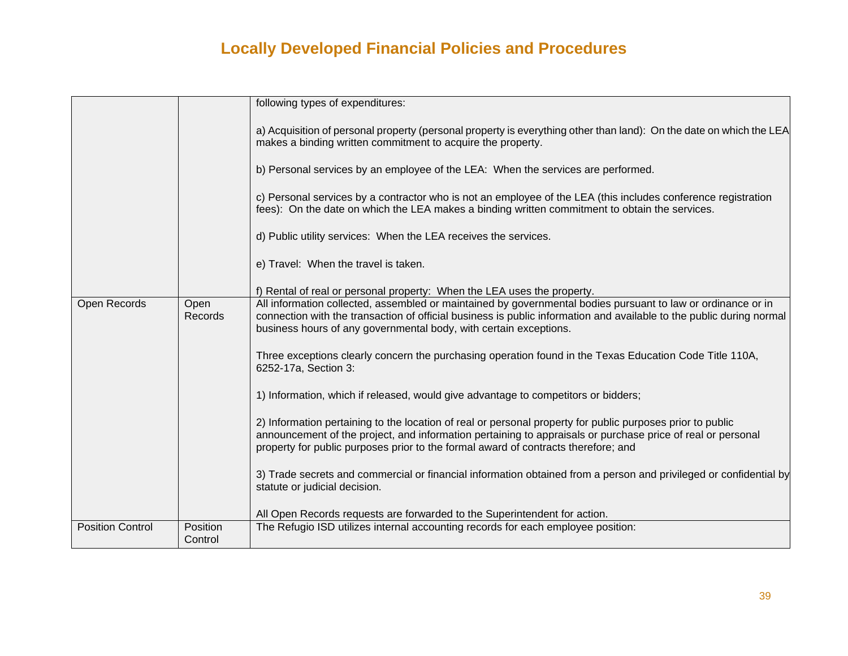|                         |                     | following types of expenditures:                                                                                                                                                                                                                                                                                |
|-------------------------|---------------------|-----------------------------------------------------------------------------------------------------------------------------------------------------------------------------------------------------------------------------------------------------------------------------------------------------------------|
|                         |                     | a) Acquisition of personal property (personal property is everything other than land): On the date on which the LEA<br>makes a binding written commitment to acquire the property.                                                                                                                              |
|                         |                     | b) Personal services by an employee of the LEA: When the services are performed.                                                                                                                                                                                                                                |
|                         |                     | c) Personal services by a contractor who is not an employee of the LEA (this includes conference registration<br>fees): On the date on which the LEA makes a binding written commitment to obtain the services.                                                                                                 |
|                         |                     | d) Public utility services: When the LEA receives the services.                                                                                                                                                                                                                                                 |
|                         |                     | e) Travel: When the travel is taken.                                                                                                                                                                                                                                                                            |
|                         |                     | f) Rental of real or personal property: When the LEA uses the property.                                                                                                                                                                                                                                         |
| Open Records            | Open<br>Records     | All information collected, assembled or maintained by governmental bodies pursuant to law or ordinance or in<br>connection with the transaction of official business is public information and available to the public during normal<br>business hours of any governmental body, with certain exceptions.       |
|                         |                     | Three exceptions clearly concern the purchasing operation found in the Texas Education Code Title 110A,<br>6252-17a, Section 3:                                                                                                                                                                                 |
|                         |                     | 1) Information, which if released, would give advantage to competitors or bidders;                                                                                                                                                                                                                              |
|                         |                     | 2) Information pertaining to the location of real or personal property for public purposes prior to public<br>announcement of the project, and information pertaining to appraisals or purchase price of real or personal<br>property for public purposes prior to the formal award of contracts therefore; and |
|                         |                     | 3) Trade secrets and commercial or financial information obtained from a person and privileged or confidential by<br>statute or judicial decision.                                                                                                                                                              |
|                         |                     | All Open Records requests are forwarded to the Superintendent for action.                                                                                                                                                                                                                                       |
| <b>Position Control</b> | Position<br>Control | The Refugio ISD utilizes internal accounting records for each employee position:                                                                                                                                                                                                                                |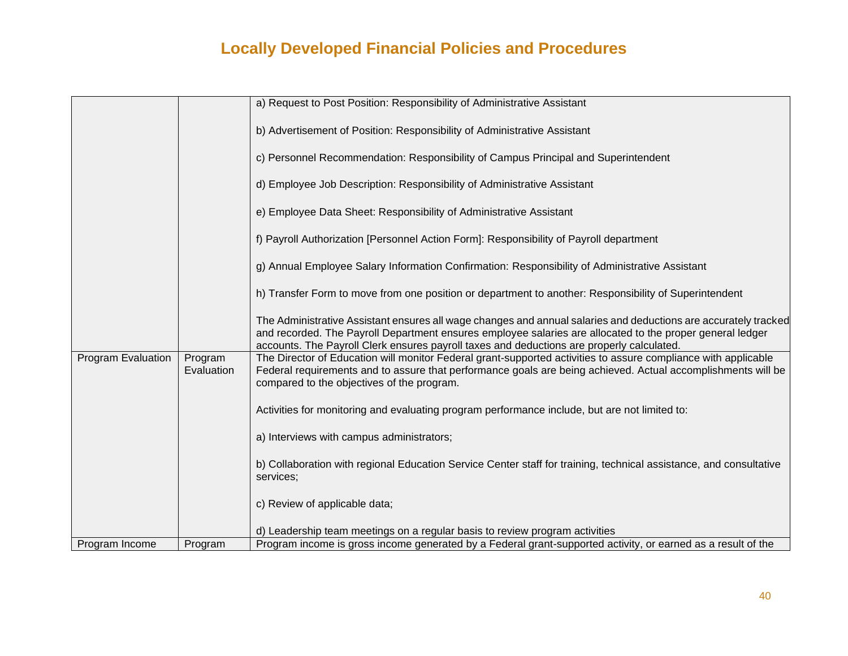|                    |                       | a) Request to Post Position: Responsibility of Administrative Assistant                                                                                                                                                                                                                                                   |
|--------------------|-----------------------|---------------------------------------------------------------------------------------------------------------------------------------------------------------------------------------------------------------------------------------------------------------------------------------------------------------------------|
|                    |                       |                                                                                                                                                                                                                                                                                                                           |
|                    |                       | b) Advertisement of Position: Responsibility of Administrative Assistant                                                                                                                                                                                                                                                  |
|                    |                       |                                                                                                                                                                                                                                                                                                                           |
|                    |                       | c) Personnel Recommendation: Responsibility of Campus Principal and Superintendent                                                                                                                                                                                                                                        |
|                    |                       | d) Employee Job Description: Responsibility of Administrative Assistant                                                                                                                                                                                                                                                   |
|                    |                       | e) Employee Data Sheet: Responsibility of Administrative Assistant                                                                                                                                                                                                                                                        |
|                    |                       | f) Payroll Authorization [Personnel Action Form]: Responsibility of Payroll department                                                                                                                                                                                                                                    |
|                    |                       | g) Annual Employee Salary Information Confirmation: Responsibility of Administrative Assistant                                                                                                                                                                                                                            |
|                    |                       | h) Transfer Form to move from one position or department to another: Responsibility of Superintendent                                                                                                                                                                                                                     |
|                    |                       | The Administrative Assistant ensures all wage changes and annual salaries and deductions are accurately tracked<br>and recorded. The Payroll Department ensures employee salaries are allocated to the proper general ledger<br>accounts. The Payroll Clerk ensures payroll taxes and deductions are properly calculated. |
| Program Evaluation | Program<br>Evaluation | The Director of Education will monitor Federal grant-supported activities to assure compliance with applicable<br>Federal requirements and to assure that performance goals are being achieved. Actual accomplishments will be<br>compared to the objectives of the program.                                              |
|                    |                       | Activities for monitoring and evaluating program performance include, but are not limited to:                                                                                                                                                                                                                             |
|                    |                       | a) Interviews with campus administrators;                                                                                                                                                                                                                                                                                 |
|                    |                       | b) Collaboration with regional Education Service Center staff for training, technical assistance, and consultative<br>services;                                                                                                                                                                                           |
|                    |                       | c) Review of applicable data;                                                                                                                                                                                                                                                                                             |
|                    |                       | d) Leadership team meetings on a regular basis to review program activities                                                                                                                                                                                                                                               |
| Program Income     | Program               | Program income is gross income generated by a Federal grant-supported activity, or earned as a result of the                                                                                                                                                                                                              |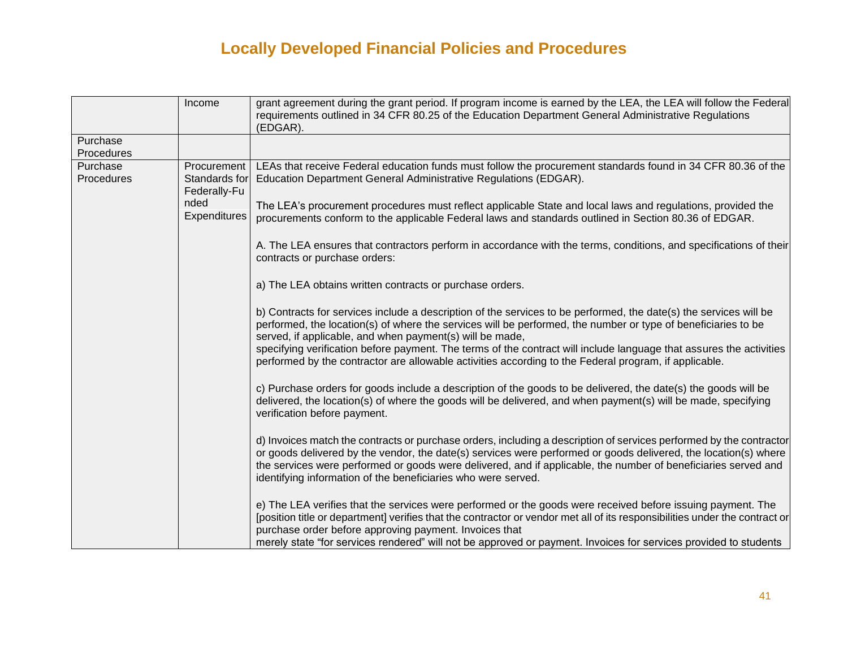|                        | Income                                       | grant agreement during the grant period. If program income is earned by the LEA, the LEA will follow the Federal<br>requirements outlined in 34 CFR 80.25 of the Education Department General Administrative Regulations<br>(EDGAR).                                                                                                                                                                                      |
|------------------------|----------------------------------------------|---------------------------------------------------------------------------------------------------------------------------------------------------------------------------------------------------------------------------------------------------------------------------------------------------------------------------------------------------------------------------------------------------------------------------|
| Purchase<br>Procedures |                                              |                                                                                                                                                                                                                                                                                                                                                                                                                           |
| Purchase<br>Procedures | Procurement<br>Standards for<br>Federally-Fu | LEAs that receive Federal education funds must follow the procurement standards found in 34 CFR 80.36 of the<br>Education Department General Administrative Regulations (EDGAR).                                                                                                                                                                                                                                          |
|                        | nded<br>Expenditures                         | The LEA's procurement procedures must reflect applicable State and local laws and regulations, provided the<br>procurements conform to the applicable Federal laws and standards outlined in Section 80.36 of EDGAR.                                                                                                                                                                                                      |
|                        |                                              | A. The LEA ensures that contractors perform in accordance with the terms, conditions, and specifications of their<br>contracts or purchase orders:                                                                                                                                                                                                                                                                        |
|                        |                                              | a) The LEA obtains written contracts or purchase orders.                                                                                                                                                                                                                                                                                                                                                                  |
|                        |                                              | b) Contracts for services include a description of the services to be performed, the date(s) the services will be<br>performed, the location(s) of where the services will be performed, the number or type of beneficiaries to be<br>served, if applicable, and when payment(s) will be made,<br>specifying verification before payment. The terms of the contract will include language that assures the activities     |
|                        |                                              | performed by the contractor are allowable activities according to the Federal program, if applicable.                                                                                                                                                                                                                                                                                                                     |
|                        |                                              | c) Purchase orders for goods include a description of the goods to be delivered, the date(s) the goods will be<br>delivered, the location(s) of where the goods will be delivered, and when payment(s) will be made, specifying<br>verification before payment.                                                                                                                                                           |
|                        |                                              | d) Invoices match the contracts or purchase orders, including a description of services performed by the contractor<br>or goods delivered by the vendor, the date(s) services were performed or goods delivered, the location(s) where<br>the services were performed or goods were delivered, and if applicable, the number of beneficiaries served and<br>identifying information of the beneficiaries who were served. |
|                        |                                              | e) The LEA verifies that the services were performed or the goods were received before issuing payment. The<br>[position title or department] verifies that the contractor or vendor met all of its responsibilities under the contract or<br>purchase order before approving payment. Invoices that<br>merely state "for services rendered" will not be approved or payment. Invoices for services provided to students  |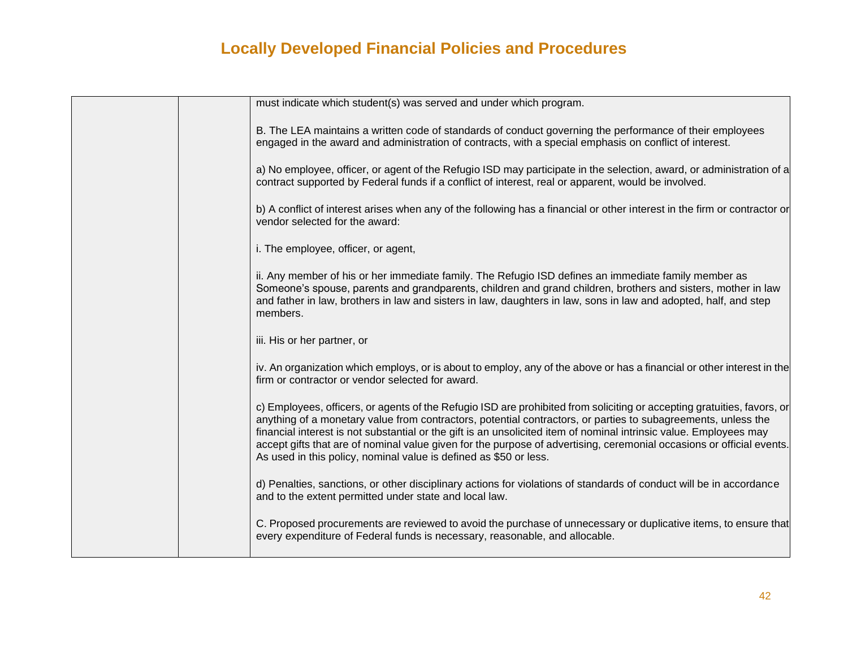|  | must indicate which student(s) was served and under which program.                                                                                                                                                                                                                                                                                                                                                                                                                                                                                           |
|--|--------------------------------------------------------------------------------------------------------------------------------------------------------------------------------------------------------------------------------------------------------------------------------------------------------------------------------------------------------------------------------------------------------------------------------------------------------------------------------------------------------------------------------------------------------------|
|  | B. The LEA maintains a written code of standards of conduct governing the performance of their employees<br>engaged in the award and administration of contracts, with a special emphasis on conflict of interest.                                                                                                                                                                                                                                                                                                                                           |
|  | a) No employee, officer, or agent of the Refugio ISD may participate in the selection, award, or administration of a<br>contract supported by Federal funds if a conflict of interest, real or apparent, would be involved.                                                                                                                                                                                                                                                                                                                                  |
|  | b) A conflict of interest arises when any of the following has a financial or other interest in the firm or contractor or<br>vendor selected for the award:                                                                                                                                                                                                                                                                                                                                                                                                  |
|  | i. The employee, officer, or agent,                                                                                                                                                                                                                                                                                                                                                                                                                                                                                                                          |
|  | ii. Any member of his or her immediate family. The Refugio ISD defines an immediate family member as<br>Someone's spouse, parents and grandparents, children and grand children, brothers and sisters, mother in law<br>and father in law, brothers in law and sisters in law, daughters in law, sons in law and adopted, half, and step<br>members.                                                                                                                                                                                                         |
|  | iii. His or her partner, or                                                                                                                                                                                                                                                                                                                                                                                                                                                                                                                                  |
|  | iv. An organization which employs, or is about to employ, any of the above or has a financial or other interest in the<br>firm or contractor or vendor selected for award.                                                                                                                                                                                                                                                                                                                                                                                   |
|  | c) Employees, officers, or agents of the Refugio ISD are prohibited from soliciting or accepting gratuities, favors, or<br>anything of a monetary value from contractors, potential contractors, or parties to subagreements, unless the<br>financial interest is not substantial or the gift is an unsolicited item of nominal intrinsic value. Employees may<br>accept gifts that are of nominal value given for the purpose of advertising, ceremonial occasions or official events.<br>As used in this policy, nominal value is defined as \$50 or less. |
|  | d) Penalties, sanctions, or other disciplinary actions for violations of standards of conduct will be in accordance<br>and to the extent permitted under state and local law.                                                                                                                                                                                                                                                                                                                                                                                |
|  | C. Proposed procurements are reviewed to avoid the purchase of unnecessary or duplicative items, to ensure that<br>every expenditure of Federal funds is necessary, reasonable, and allocable.                                                                                                                                                                                                                                                                                                                                                               |
|  |                                                                                                                                                                                                                                                                                                                                                                                                                                                                                                                                                              |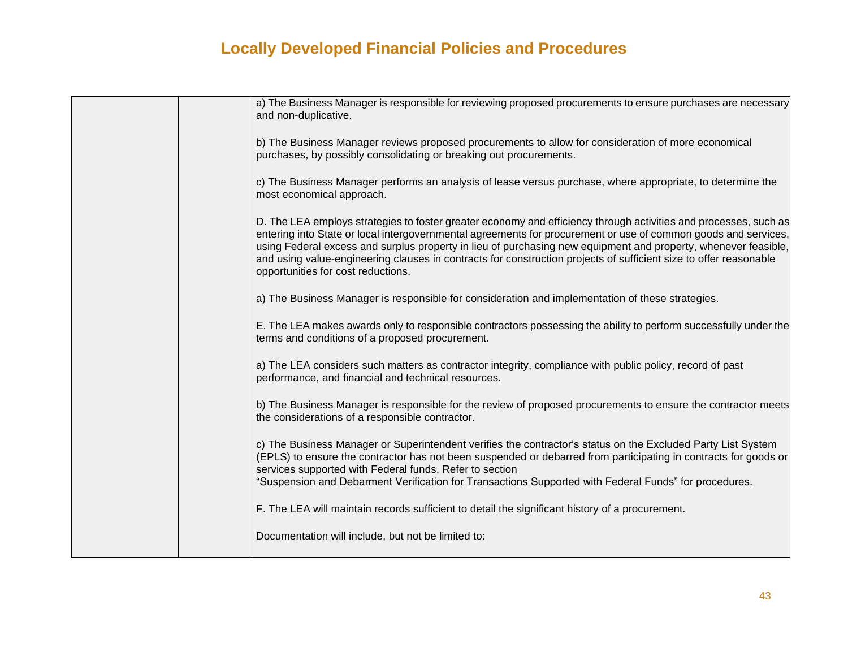| a) The Business Manager is responsible for reviewing proposed procurements to ensure purchases are necessary<br>and non-duplicative.                                                                                                                                                                                                                                                                                                                                                                            |
|-----------------------------------------------------------------------------------------------------------------------------------------------------------------------------------------------------------------------------------------------------------------------------------------------------------------------------------------------------------------------------------------------------------------------------------------------------------------------------------------------------------------|
| b) The Business Manager reviews proposed procurements to allow for consideration of more economical<br>purchases, by possibly consolidating or breaking out procurements.                                                                                                                                                                                                                                                                                                                                       |
| c) The Business Manager performs an analysis of lease versus purchase, where appropriate, to determine the<br>most economical approach.                                                                                                                                                                                                                                                                                                                                                                         |
| D. The LEA employs strategies to foster greater economy and efficiency through activities and processes, such as<br>entering into State or local intergovernmental agreements for procurement or use of common goods and services,<br>using Federal excess and surplus property in lieu of purchasing new equipment and property, whenever feasible,<br>and using value-engineering clauses in contracts for construction projects of sufficient size to offer reasonable<br>opportunities for cost reductions. |
| a) The Business Manager is responsible for consideration and implementation of these strategies.                                                                                                                                                                                                                                                                                                                                                                                                                |
| E. The LEA makes awards only to responsible contractors possessing the ability to perform successfully under the<br>terms and conditions of a proposed procurement.                                                                                                                                                                                                                                                                                                                                             |
| a) The LEA considers such matters as contractor integrity, compliance with public policy, record of past<br>performance, and financial and technical resources.                                                                                                                                                                                                                                                                                                                                                 |
| b) The Business Manager is responsible for the review of proposed procurements to ensure the contractor meets<br>the considerations of a responsible contractor.                                                                                                                                                                                                                                                                                                                                                |
| c) The Business Manager or Superintendent verifies the contractor's status on the Excluded Party List System<br>(EPLS) to ensure the contractor has not been suspended or debarred from participating in contracts for goods or<br>services supported with Federal funds. Refer to section<br>"Suspension and Debarment Verification for Transactions Supported with Federal Funds" for procedures.                                                                                                             |
| F. The LEA will maintain records sufficient to detail the significant history of a procurement.                                                                                                                                                                                                                                                                                                                                                                                                                 |
| Documentation will include, but not be limited to:                                                                                                                                                                                                                                                                                                                                                                                                                                                              |
|                                                                                                                                                                                                                                                                                                                                                                                                                                                                                                                 |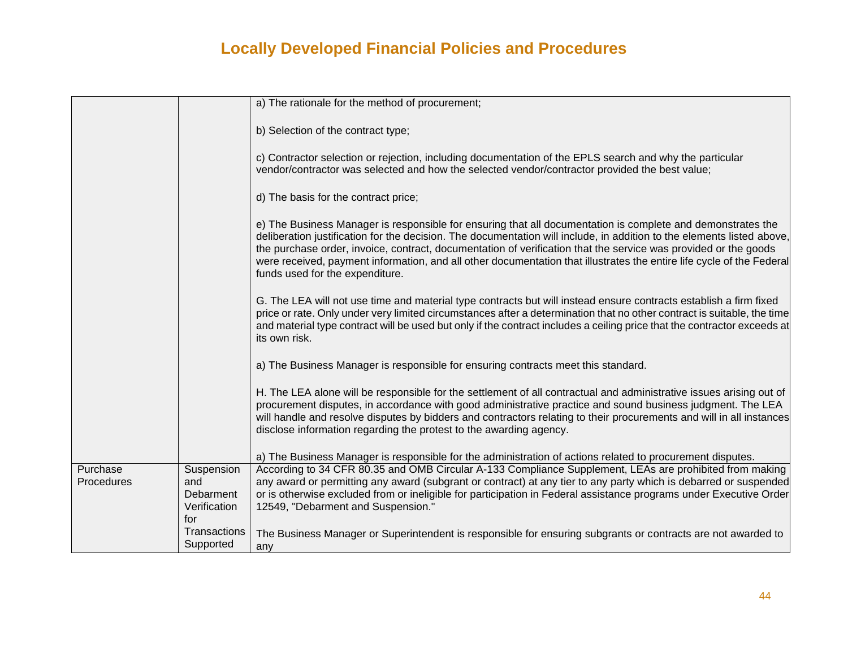|                        |                                                       | a) The rationale for the method of procurement;                                                                                                                                                                                                                                                                                                                                                                                                                                                                      |
|------------------------|-------------------------------------------------------|----------------------------------------------------------------------------------------------------------------------------------------------------------------------------------------------------------------------------------------------------------------------------------------------------------------------------------------------------------------------------------------------------------------------------------------------------------------------------------------------------------------------|
|                        |                                                       | b) Selection of the contract type;                                                                                                                                                                                                                                                                                                                                                                                                                                                                                   |
|                        |                                                       | c) Contractor selection or rejection, including documentation of the EPLS search and why the particular<br>vendor/contractor was selected and how the selected vendor/contractor provided the best value;                                                                                                                                                                                                                                                                                                            |
|                        |                                                       | d) The basis for the contract price;                                                                                                                                                                                                                                                                                                                                                                                                                                                                                 |
|                        |                                                       | e) The Business Manager is responsible for ensuring that all documentation is complete and demonstrates the<br>deliberation justification for the decision. The documentation will include, in addition to the elements listed above,<br>the purchase order, invoice, contract, documentation of verification that the service was provided or the goods<br>were received, payment information, and all other documentation that illustrates the entire life cycle of the Federal<br>funds used for the expenditure. |
|                        |                                                       | G. The LEA will not use time and material type contracts but will instead ensure contracts establish a firm fixed<br>price or rate. Only under very limited circumstances after a determination that no other contract is suitable, the time<br>and material type contract will be used but only if the contract includes a ceiling price that the contractor exceeds at<br>its own risk.                                                                                                                            |
|                        |                                                       | a) The Business Manager is responsible for ensuring contracts meet this standard.                                                                                                                                                                                                                                                                                                                                                                                                                                    |
|                        |                                                       | H. The LEA alone will be responsible for the settlement of all contractual and administrative issues arising out of<br>procurement disputes, in accordance with good administrative practice and sound business judgment. The LEA<br>will handle and resolve disputes by bidders and contractors relating to their procurements and will in all instances<br>disclose information regarding the protest to the awarding agency.                                                                                      |
|                        |                                                       | a) The Business Manager is responsible for the administration of actions related to procurement disputes.                                                                                                                                                                                                                                                                                                                                                                                                            |
| Purchase<br>Procedures | Suspension<br>and<br>Debarment<br>Verification<br>for | According to 34 CFR 80.35 and OMB Circular A-133 Compliance Supplement, LEAs are prohibited from making<br>any award or permitting any award (subgrant or contract) at any tier to any party which is debarred or suspended<br>or is otherwise excluded from or ineligible for participation in Federal assistance programs under Executive Order<br>12549, "Debarment and Suspension."                                                                                                                              |
|                        | Transactions<br>Supported                             | The Business Manager or Superintendent is responsible for ensuring subgrants or contracts are not awarded to<br>any                                                                                                                                                                                                                                                                                                                                                                                                  |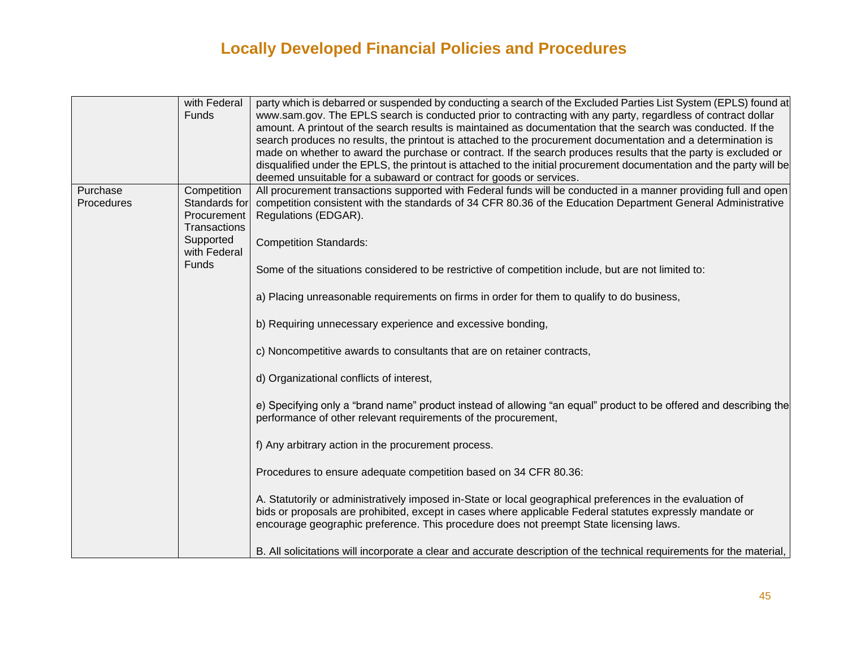|            | with Federal  | party which is debarred or suspended by conducting a search of the Excluded Parties List System (EPLS) found at        |
|------------|---------------|------------------------------------------------------------------------------------------------------------------------|
|            | Funds         | www.sam.gov. The EPLS search is conducted prior to contracting with any party, regardless of contract dollar           |
|            |               | amount. A printout of the search results is maintained as documentation that the search was conducted. If the          |
|            |               | search produces no results, the printout is attached to the procurement documentation and a determination is           |
|            |               | made on whether to award the purchase or contract. If the search produces results that the party is excluded or        |
|            |               | disqualified under the EPLS, the printout is attached to the initial procurement documentation and the party will be   |
|            |               | deemed unsuitable for a subaward or contract for goods or services.                                                    |
| Purchase   | Competition   | All procurement transactions supported with Federal funds will be conducted in a manner providing full and open        |
| Procedures | Standards for | competition consistent with the standards of 34 CFR 80.36 of the Education Department General Administrative           |
|            | Procurement   | Regulations (EDGAR).                                                                                                   |
|            | Transactions  |                                                                                                                        |
|            | Supported     | <b>Competition Standards:</b>                                                                                          |
|            | with Federal  |                                                                                                                        |
|            | Funds         | Some of the situations considered to be restrictive of competition include, but are not limited to:                    |
|            |               |                                                                                                                        |
|            |               | a) Placing unreasonable requirements on firms in order for them to qualify to do business,                             |
|            |               |                                                                                                                        |
|            |               |                                                                                                                        |
|            |               | b) Requiring unnecessary experience and excessive bonding,                                                             |
|            |               |                                                                                                                        |
|            |               | c) Noncompetitive awards to consultants that are on retainer contracts,                                                |
|            |               | d) Organizational conflicts of interest,                                                                               |
|            |               |                                                                                                                        |
|            |               |                                                                                                                        |
|            |               | e) Specifying only a "brand name" product instead of allowing "an equal" product to be offered and describing the      |
|            |               | performance of other relevant requirements of the procurement,                                                         |
|            |               |                                                                                                                        |
|            |               | f) Any arbitrary action in the procurement process.                                                                    |
|            |               |                                                                                                                        |
|            |               | Procedures to ensure adequate competition based on 34 CFR 80.36:                                                       |
|            |               |                                                                                                                        |
|            |               | A. Statutorily or administratively imposed in-State or local geographical preferences in the evaluation of             |
|            |               | bids or proposals are prohibited, except in cases where applicable Federal statutes expressly mandate or               |
|            |               | encourage geographic preference. This procedure does not preempt State licensing laws.                                 |
|            |               |                                                                                                                        |
|            |               | B. All solicitations will incorporate a clear and accurate description of the technical requirements for the material, |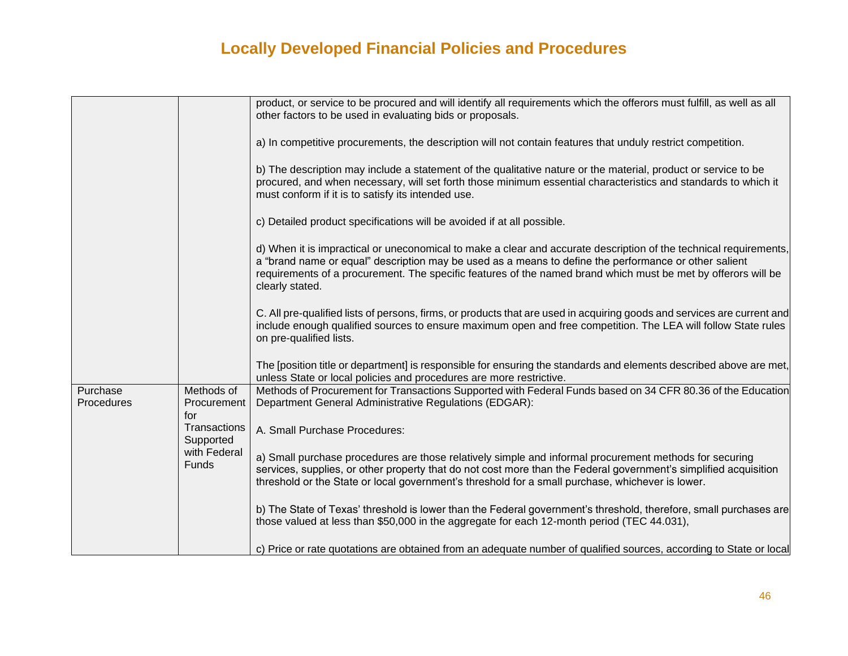|                        |                                                           | product, or service to be procured and will identify all requirements which the offerors must fulfill, as well as all<br>other factors to be used in evaluating bids or proposals.                                                                                                                                                                             |
|------------------------|-----------------------------------------------------------|----------------------------------------------------------------------------------------------------------------------------------------------------------------------------------------------------------------------------------------------------------------------------------------------------------------------------------------------------------------|
|                        |                                                           | a) In competitive procurements, the description will not contain features that unduly restrict competition.                                                                                                                                                                                                                                                    |
|                        |                                                           | b) The description may include a statement of the qualitative nature or the material, product or service to be<br>procured, and when necessary, will set forth those minimum essential characteristics and standards to which it<br>must conform if it is to satisfy its intended use.                                                                         |
|                        |                                                           | c) Detailed product specifications will be avoided if at all possible.                                                                                                                                                                                                                                                                                         |
|                        |                                                           | d) When it is impractical or uneconomical to make a clear and accurate description of the technical requirements,<br>a "brand name or equal" description may be used as a means to define the performance or other salient<br>requirements of a procurement. The specific features of the named brand which must be met by offerors will be<br>clearly stated. |
|                        |                                                           | C. All pre-qualified lists of persons, firms, or products that are used in acquiring goods and services are current and<br>include enough qualified sources to ensure maximum open and free competition. The LEA will follow State rules<br>on pre-qualified lists.                                                                                            |
|                        |                                                           | The [position title or department] is responsible for ensuring the standards and elements described above are met,<br>unless State or local policies and procedures are more restrictive.                                                                                                                                                                      |
| Purchase<br>Procedures | Methods of<br>Procurement<br>for                          | Methods of Procurement for Transactions Supported with Federal Funds based on 34 CFR 80.36 of the Education<br>Department General Administrative Regulations (EDGAR):                                                                                                                                                                                          |
|                        | Transactions<br>Supported<br>with Federal<br><b>Funds</b> | A. Small Purchase Procedures:                                                                                                                                                                                                                                                                                                                                  |
|                        |                                                           | a) Small purchase procedures are those relatively simple and informal procurement methods for securing<br>services, supplies, or other property that do not cost more than the Federal government's simplified acquisition<br>threshold or the State or local government's threshold for a small purchase, whichever is lower.                                 |
|                        |                                                           | b) The State of Texas' threshold is lower than the Federal government's threshold, therefore, small purchases are<br>those valued at less than \$50,000 in the aggregate for each 12-month period (TEC 44.031),                                                                                                                                                |
|                        |                                                           | c) Price or rate quotations are obtained from an adequate number of qualified sources, according to State or local                                                                                                                                                                                                                                             |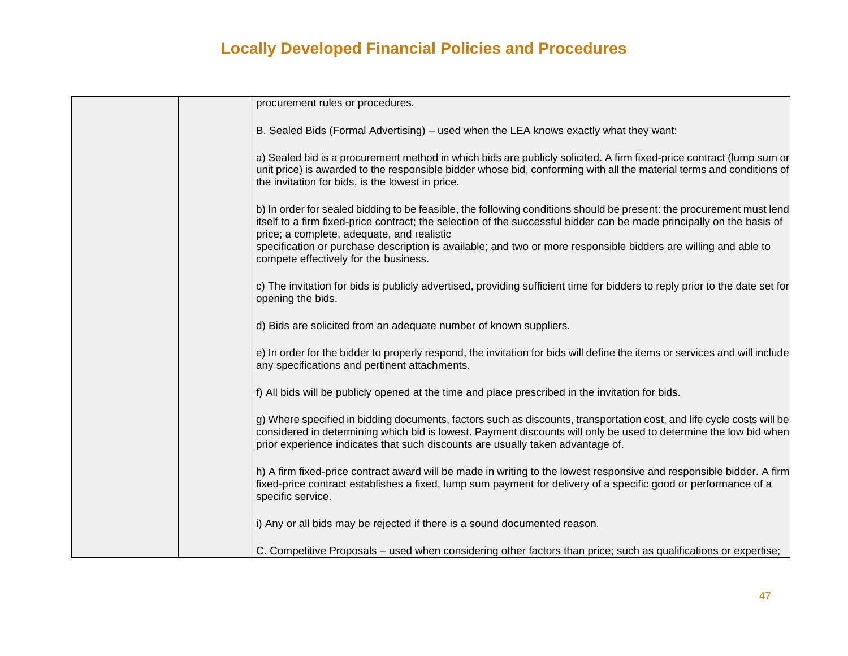| procurement rules or procedures.                                                                                                                                                                                                                                                                                            |
|-----------------------------------------------------------------------------------------------------------------------------------------------------------------------------------------------------------------------------------------------------------------------------------------------------------------------------|
| B. Sealed Bids (Formal Advertising) – used when the LEA knows exactly what they want:                                                                                                                                                                                                                                       |
| a) Sealed bid is a procurement method in which bids are publicly solicited. A firm fixed-price contract (lump sum or<br>unit price) is awarded to the responsible bidder whose bid, conforming with all the material terms and conditions of<br>the invitation for bids, is the lowest in price.                            |
| b) In order for sealed bidding to be feasible, the following conditions should be present: the procurement must lend<br>itself to a firm fixed-price contract; the selection of the successful bidder can be made principally on the basis of<br>price; a complete, adequate, and realistic                                 |
| specification or purchase description is available; and two or more responsible bidders are willing and able to<br>compete effectively for the business.                                                                                                                                                                    |
| c) The invitation for bids is publicly advertised, providing sufficient time for bidders to reply prior to the date set for<br>opening the bids.                                                                                                                                                                            |
| d) Bids are solicited from an adequate number of known suppliers.                                                                                                                                                                                                                                                           |
| e) In order for the bidder to properly respond, the invitation for bids will define the items or services and will include<br>any specifications and pertinent attachments.                                                                                                                                                 |
| f) All bids will be publicly opened at the time and place prescribed in the invitation for bids.                                                                                                                                                                                                                            |
| g) Where specified in bidding documents, factors such as discounts, transportation cost, and life cycle costs will be<br>considered in determining which bid is lowest. Payment discounts will only be used to determine the low bid when<br>prior experience indicates that such discounts are usually taken advantage of. |
| h) A firm fixed-price contract award will be made in writing to the lowest responsive and responsible bidder. A firm<br>fixed-price contract establishes a fixed, lump sum payment for delivery of a specific good or performance of a<br>specific service.                                                                 |
| i) Any or all bids may be rejected if there is a sound documented reason.                                                                                                                                                                                                                                                   |
| C. Competitive Proposals – used when considering other factors than price; such as qualifications or expertise;                                                                                                                                                                                                             |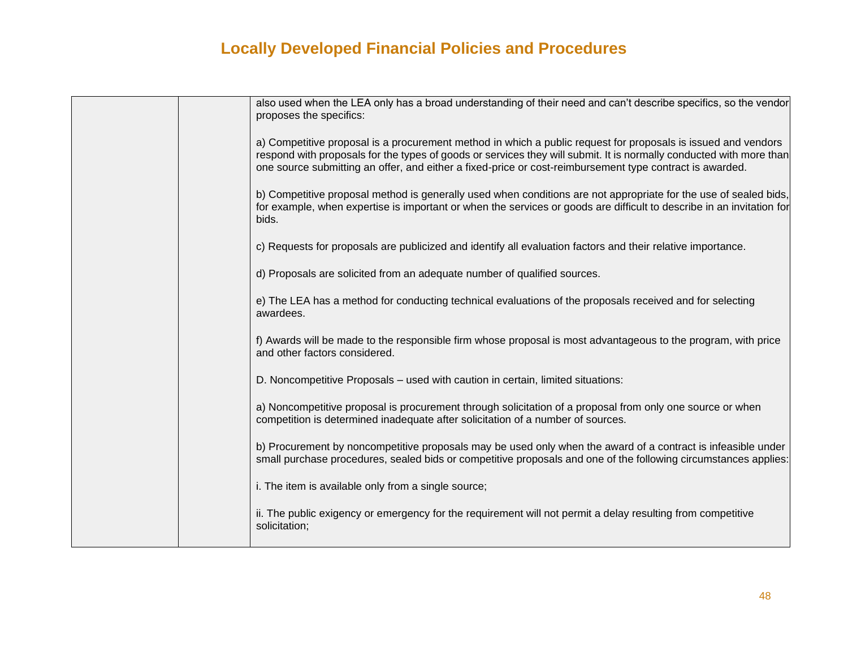|  | also used when the LEA only has a broad understanding of their need and can't describe specifics, so the vendor<br>proposes the specifics:                                                                                                                                                                                                       |
|--|--------------------------------------------------------------------------------------------------------------------------------------------------------------------------------------------------------------------------------------------------------------------------------------------------------------------------------------------------|
|  | a) Competitive proposal is a procurement method in which a public request for proposals is issued and vendors<br>respond with proposals for the types of goods or services they will submit. It is normally conducted with more than<br>one source submitting an offer, and either a fixed-price or cost-reimbursement type contract is awarded. |
|  | b) Competitive proposal method is generally used when conditions are not appropriate for the use of sealed bids,<br>for example, when expertise is important or when the services or goods are difficult to describe in an invitation for<br>bids.                                                                                               |
|  | c) Requests for proposals are publicized and identify all evaluation factors and their relative importance.                                                                                                                                                                                                                                      |
|  | d) Proposals are solicited from an adequate number of qualified sources.                                                                                                                                                                                                                                                                         |
|  | e) The LEA has a method for conducting technical evaluations of the proposals received and for selecting<br>awardees.                                                                                                                                                                                                                            |
|  | f) Awards will be made to the responsible firm whose proposal is most advantageous to the program, with price<br>and other factors considered.                                                                                                                                                                                                   |
|  | D. Noncompetitive Proposals – used with caution in certain, limited situations:                                                                                                                                                                                                                                                                  |
|  | a) Noncompetitive proposal is procurement through solicitation of a proposal from only one source or when<br>competition is determined inadequate after solicitation of a number of sources.                                                                                                                                                     |
|  | b) Procurement by noncompetitive proposals may be used only when the award of a contract is infeasible under<br>small purchase procedures, sealed bids or competitive proposals and one of the following circumstances applies:                                                                                                                  |
|  | i. The item is available only from a single source;                                                                                                                                                                                                                                                                                              |
|  | ii. The public exigency or emergency for the requirement will not permit a delay resulting from competitive<br>solicitation;                                                                                                                                                                                                                     |
|  |                                                                                                                                                                                                                                                                                                                                                  |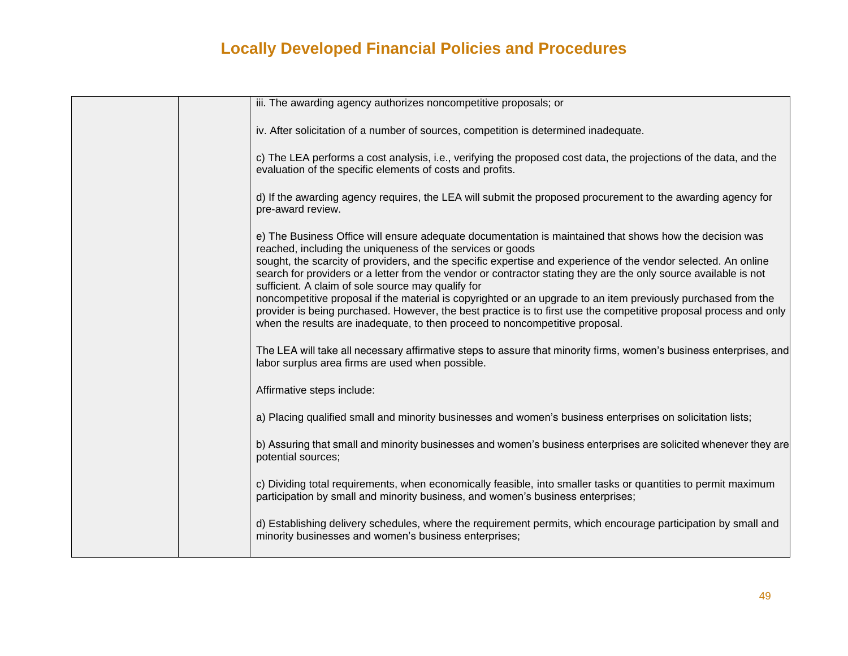|  | iii. The awarding agency authorizes noncompetitive proposals; or                                                                                                                                                                                                                                                   |  |
|--|--------------------------------------------------------------------------------------------------------------------------------------------------------------------------------------------------------------------------------------------------------------------------------------------------------------------|--|
|  | iv. After solicitation of a number of sources, competition is determined inadequate.                                                                                                                                                                                                                               |  |
|  | c) The LEA performs a cost analysis, i.e., verifying the proposed cost data, the projections of the data, and the<br>evaluation of the specific elements of costs and profits.                                                                                                                                     |  |
|  | d) If the awarding agency requires, the LEA will submit the proposed procurement to the awarding agency for<br>pre-award review.                                                                                                                                                                                   |  |
|  | e) The Business Office will ensure adequate documentation is maintained that shows how the decision was<br>reached, including the uniqueness of the services or goods                                                                                                                                              |  |
|  | sought, the scarcity of providers, and the specific expertise and experience of the vendor selected. An online<br>search for providers or a letter from the vendor or contractor stating they are the only source available is not<br>sufficient. A claim of sole source may qualify for                           |  |
|  | noncompetitive proposal if the material is copyrighted or an upgrade to an item previously purchased from the<br>provider is being purchased. However, the best practice is to first use the competitive proposal process and only<br>when the results are inadequate, to then proceed to noncompetitive proposal. |  |
|  | The LEA will take all necessary affirmative steps to assure that minority firms, women's business enterprises, and<br>labor surplus area firms are used when possible.                                                                                                                                             |  |
|  | Affirmative steps include:                                                                                                                                                                                                                                                                                         |  |
|  | a) Placing qualified small and minority businesses and women's business enterprises on solicitation lists;                                                                                                                                                                                                         |  |
|  | b) Assuring that small and minority businesses and women's business enterprises are solicited whenever they are<br>potential sources;                                                                                                                                                                              |  |
|  | c) Dividing total requirements, when economically feasible, into smaller tasks or quantities to permit maximum<br>participation by small and minority business, and women's business enterprises;                                                                                                                  |  |
|  | d) Establishing delivery schedules, where the requirement permits, which encourage participation by small and<br>minority businesses and women's business enterprises;                                                                                                                                             |  |
|  |                                                                                                                                                                                                                                                                                                                    |  |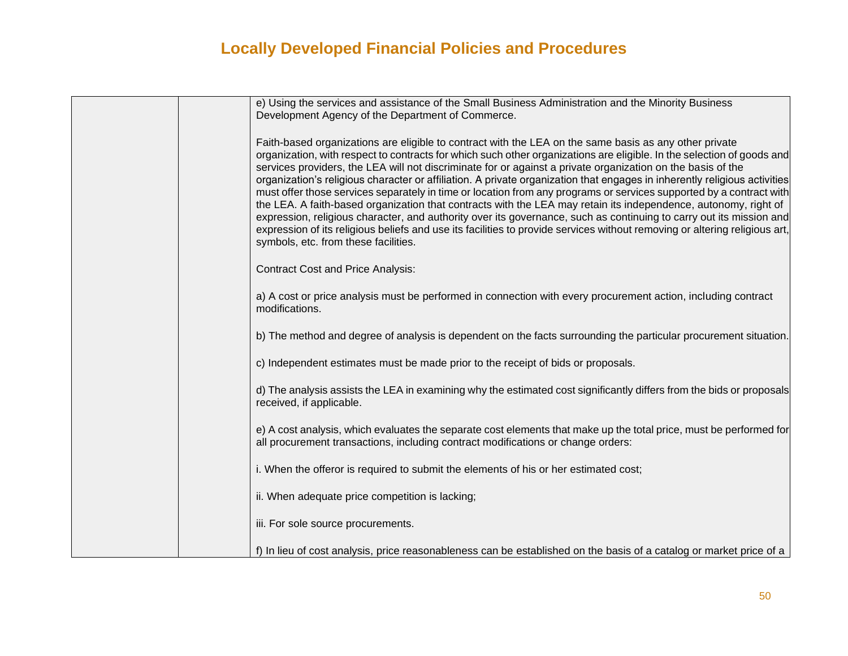| e) Using the services and assistance of the Small Business Administration and the Minority Business<br>Development Agency of the Department of Commerce.                                                                                                                                                                                                                                                                                                                                                                                                                                                                                                                                                                                                                                                                                                                                                                                                                                                            |
|---------------------------------------------------------------------------------------------------------------------------------------------------------------------------------------------------------------------------------------------------------------------------------------------------------------------------------------------------------------------------------------------------------------------------------------------------------------------------------------------------------------------------------------------------------------------------------------------------------------------------------------------------------------------------------------------------------------------------------------------------------------------------------------------------------------------------------------------------------------------------------------------------------------------------------------------------------------------------------------------------------------------|
| Faith-based organizations are eligible to contract with the LEA on the same basis as any other private<br>organization, with respect to contracts for which such other organizations are eligible. In the selection of goods and<br>services providers, the LEA will not discriminate for or against a private organization on the basis of the<br>organization's religious character or affiliation. A private organization that engages in inherently religious activities<br>must offer those services separately in time or location from any programs or services supported by a contract with<br>the LEA. A faith-based organization that contracts with the LEA may retain its independence, autonomy, right of<br>expression, religious character, and authority over its governance, such as continuing to carry out its mission and<br>expression of its religious beliefs and use its facilities to provide services without removing or altering religious art,<br>symbols, etc. from these facilities. |
| <b>Contract Cost and Price Analysis:</b>                                                                                                                                                                                                                                                                                                                                                                                                                                                                                                                                                                                                                                                                                                                                                                                                                                                                                                                                                                            |
| a) A cost or price analysis must be performed in connection with every procurement action, including contract<br>modifications.                                                                                                                                                                                                                                                                                                                                                                                                                                                                                                                                                                                                                                                                                                                                                                                                                                                                                     |
| b) The method and degree of analysis is dependent on the facts surrounding the particular procurement situation.                                                                                                                                                                                                                                                                                                                                                                                                                                                                                                                                                                                                                                                                                                                                                                                                                                                                                                    |
| c) Independent estimates must be made prior to the receipt of bids or proposals.                                                                                                                                                                                                                                                                                                                                                                                                                                                                                                                                                                                                                                                                                                                                                                                                                                                                                                                                    |
| d) The analysis assists the LEA in examining why the estimated cost significantly differs from the bids or proposals<br>received, if applicable.                                                                                                                                                                                                                                                                                                                                                                                                                                                                                                                                                                                                                                                                                                                                                                                                                                                                    |
| e) A cost analysis, which evaluates the separate cost elements that make up the total price, must be performed for<br>all procurement transactions, including contract modifications or change orders:                                                                                                                                                                                                                                                                                                                                                                                                                                                                                                                                                                                                                                                                                                                                                                                                              |
| i. When the offeror is required to submit the elements of his or her estimated cost;                                                                                                                                                                                                                                                                                                                                                                                                                                                                                                                                                                                                                                                                                                                                                                                                                                                                                                                                |
| ii. When adequate price competition is lacking;                                                                                                                                                                                                                                                                                                                                                                                                                                                                                                                                                                                                                                                                                                                                                                                                                                                                                                                                                                     |
| iii. For sole source procurements.                                                                                                                                                                                                                                                                                                                                                                                                                                                                                                                                                                                                                                                                                                                                                                                                                                                                                                                                                                                  |
| f) In lieu of cost analysis, price reasonableness can be established on the basis of a catalog or market price of a                                                                                                                                                                                                                                                                                                                                                                                                                                                                                                                                                                                                                                                                                                                                                                                                                                                                                                 |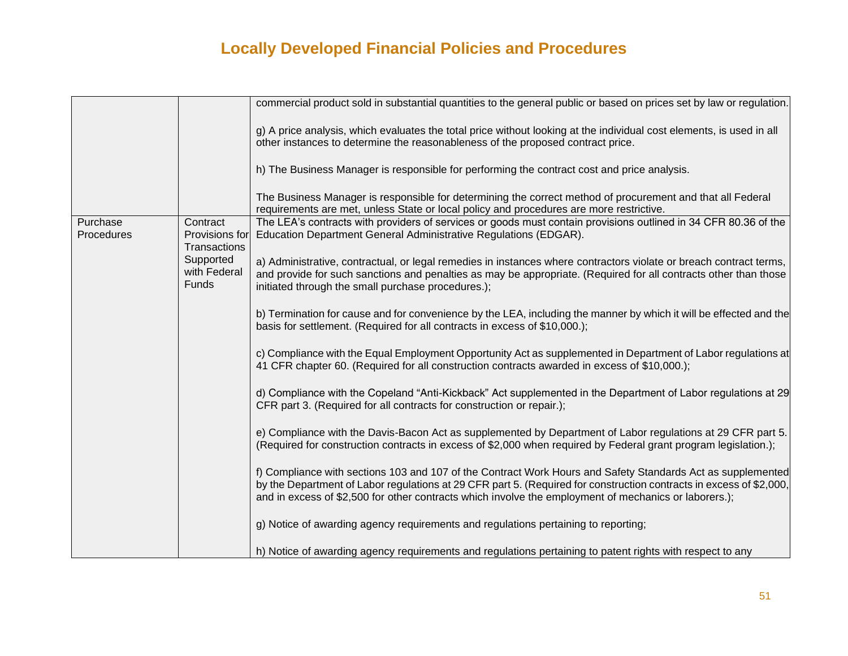|                        |                                            | commercial product sold in substantial quantities to the general public or based on prices set by law or regulation.                                                                                                                                                                                                                        |
|------------------------|--------------------------------------------|---------------------------------------------------------------------------------------------------------------------------------------------------------------------------------------------------------------------------------------------------------------------------------------------------------------------------------------------|
|                        |                                            | g) A price analysis, which evaluates the total price without looking at the individual cost elements, is used in all<br>other instances to determine the reasonableness of the proposed contract price.                                                                                                                                     |
|                        |                                            | h) The Business Manager is responsible for performing the contract cost and price analysis.                                                                                                                                                                                                                                                 |
|                        |                                            | The Business Manager is responsible for determining the correct method of procurement and that all Federal<br>requirements are met, unless State or local policy and procedures are more restrictive.                                                                                                                                       |
| Purchase<br>Procedures | Contract<br>Provisions for<br>Transactions | The LEA's contracts with providers of services or goods must contain provisions outlined in 34 CFR 80.36 of the<br>Education Department General Administrative Regulations (EDGAR).                                                                                                                                                         |
|                        | Supported<br>with Federal<br><b>Funds</b>  | a) Administrative, contractual, or legal remedies in instances where contractors violate or breach contract terms,<br>and provide for such sanctions and penalties as may be appropriate. (Required for all contracts other than those<br>initiated through the small purchase procedures.);                                                |
|                        |                                            | b) Termination for cause and for convenience by the LEA, including the manner by which it will be effected and the<br>basis for settlement. (Required for all contracts in excess of \$10,000.);                                                                                                                                            |
|                        |                                            | c) Compliance with the Equal Employment Opportunity Act as supplemented in Department of Labor regulations at<br>41 CFR chapter 60. (Required for all construction contracts awarded in excess of \$10,000.);                                                                                                                               |
|                        |                                            | d) Compliance with the Copeland "Anti-Kickback" Act supplemented in the Department of Labor regulations at 29<br>CFR part 3. (Required for all contracts for construction or repair.);                                                                                                                                                      |
|                        |                                            | e) Compliance with the Davis-Bacon Act as supplemented by Department of Labor regulations at 29 CFR part 5.<br>(Required for construction contracts in excess of \$2,000 when required by Federal grant program legislation.);                                                                                                              |
|                        |                                            | f) Compliance with sections 103 and 107 of the Contract Work Hours and Safety Standards Act as supplemented<br>by the Department of Labor regulations at 29 CFR part 5. (Required for construction contracts in excess of \$2,000,<br>and in excess of \$2,500 for other contracts which involve the employment of mechanics or laborers.); |
|                        |                                            | g) Notice of awarding agency requirements and regulations pertaining to reporting;                                                                                                                                                                                                                                                          |
|                        |                                            | h) Notice of awarding agency requirements and regulations pertaining to patent rights with respect to any                                                                                                                                                                                                                                   |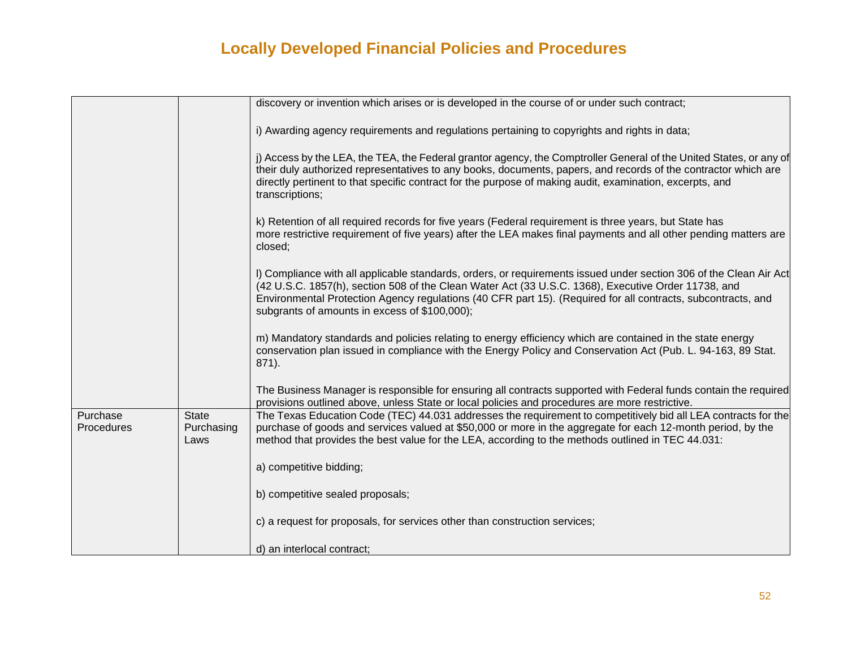|                        |                                    | discovery or invention which arises or is developed in the course of or under such contract;                                                                                                                                                                                                                                                                                               |
|------------------------|------------------------------------|--------------------------------------------------------------------------------------------------------------------------------------------------------------------------------------------------------------------------------------------------------------------------------------------------------------------------------------------------------------------------------------------|
|                        |                                    | i) Awarding agency requirements and regulations pertaining to copyrights and rights in data;                                                                                                                                                                                                                                                                                               |
|                        |                                    | j) Access by the LEA, the TEA, the Federal grantor agency, the Comptroller General of the United States, or any of<br>their duly authorized representatives to any books, documents, papers, and records of the contractor which are<br>directly pertinent to that specific contract for the purpose of making audit, examination, excerpts, and<br>transcriptions;                        |
|                        |                                    | k) Retention of all required records for five years (Federal requirement is three years, but State has<br>more restrictive requirement of five years) after the LEA makes final payments and all other pending matters are<br>closed;                                                                                                                                                      |
|                        |                                    | I) Compliance with all applicable standards, orders, or requirements issued under section 306 of the Clean Air Act<br>(42 U.S.C. 1857(h), section 508 of the Clean Water Act (33 U.S.C. 1368), Executive Order 11738, and<br>Environmental Protection Agency regulations (40 CFR part 15). (Required for all contracts, subcontracts, and<br>subgrants of amounts in excess of \$100,000); |
|                        |                                    | m) Mandatory standards and policies relating to energy efficiency which are contained in the state energy<br>conservation plan issued in compliance with the Energy Policy and Conservation Act (Pub. L. 94-163, 89 Stat.<br>871).                                                                                                                                                         |
|                        |                                    | The Business Manager is responsible for ensuring all contracts supported with Federal funds contain the required<br>provisions outlined above, unless State or local policies and procedures are more restrictive.                                                                                                                                                                         |
| Purchase<br>Procedures | <b>State</b><br>Purchasing<br>Laws | The Texas Education Code (TEC) 44.031 addresses the requirement to competitively bid all LEA contracts for the<br>purchase of goods and services valued at \$50,000 or more in the aggregate for each 12-month period, by the<br>method that provides the best value for the LEA, according to the methods outlined in TEC 44.031:                                                         |
|                        |                                    | a) competitive bidding;                                                                                                                                                                                                                                                                                                                                                                    |
|                        |                                    | b) competitive sealed proposals;                                                                                                                                                                                                                                                                                                                                                           |
|                        |                                    | c) a request for proposals, for services other than construction services;                                                                                                                                                                                                                                                                                                                 |
|                        |                                    | d) an interlocal contract;                                                                                                                                                                                                                                                                                                                                                                 |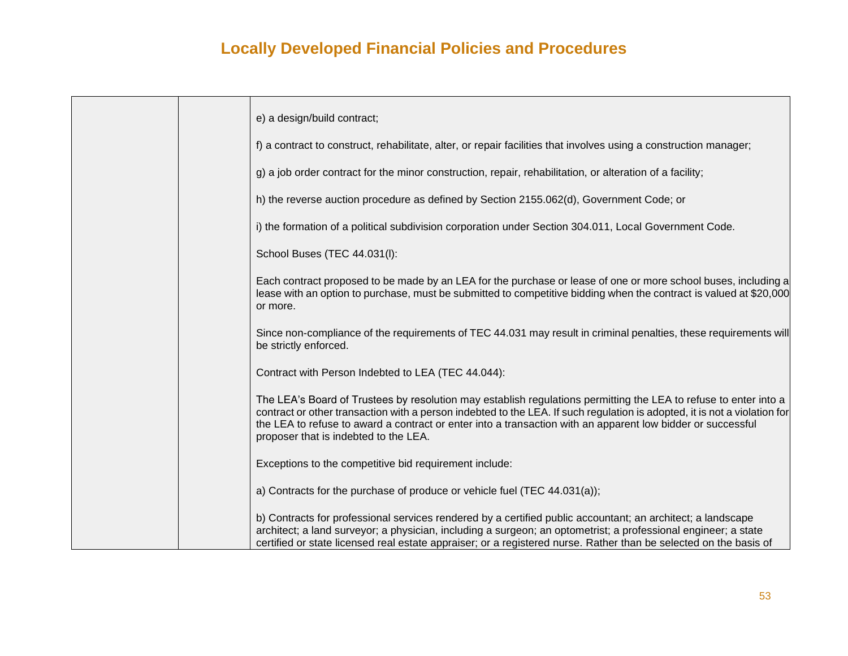| e) a design/build contract;                                                                                                                                                                                                                                                                                                                                                                           |
|-------------------------------------------------------------------------------------------------------------------------------------------------------------------------------------------------------------------------------------------------------------------------------------------------------------------------------------------------------------------------------------------------------|
| f) a contract to construct, rehabilitate, alter, or repair facilities that involves using a construction manager;                                                                                                                                                                                                                                                                                     |
| g) a job order contract for the minor construction, repair, rehabilitation, or alteration of a facility;                                                                                                                                                                                                                                                                                              |
| h) the reverse auction procedure as defined by Section 2155.062(d), Government Code; or                                                                                                                                                                                                                                                                                                               |
| i) the formation of a political subdivision corporation under Section 304.011, Local Government Code.                                                                                                                                                                                                                                                                                                 |
| School Buses (TEC 44.031(I):                                                                                                                                                                                                                                                                                                                                                                          |
| Each contract proposed to be made by an LEA for the purchase or lease of one or more school buses, including a<br>lease with an option to purchase, must be submitted to competitive bidding when the contract is valued at \$20,000<br>or more.                                                                                                                                                      |
| Since non-compliance of the requirements of TEC 44.031 may result in criminal penalties, these requirements will<br>be strictly enforced.                                                                                                                                                                                                                                                             |
| Contract with Person Indebted to LEA (TEC 44.044):                                                                                                                                                                                                                                                                                                                                                    |
| The LEA's Board of Trustees by resolution may establish regulations permitting the LEA to refuse to enter into a<br>contract or other transaction with a person indebted to the LEA. If such regulation is adopted, it is not a violation for<br>the LEA to refuse to award a contract or enter into a transaction with an apparent low bidder or successful<br>proposer that is indebted to the LEA. |
| Exceptions to the competitive bid requirement include:                                                                                                                                                                                                                                                                                                                                                |
| a) Contracts for the purchase of produce or vehicle fuel (TEC 44.031(a));                                                                                                                                                                                                                                                                                                                             |
| b) Contracts for professional services rendered by a certified public accountant; an architect; a landscape<br>architect; a land surveyor; a physician, including a surgeon; an optometrist; a professional engineer; a state<br>certified or state licensed real estate appraiser; or a registered nurse. Rather than be selected on the basis of                                                    |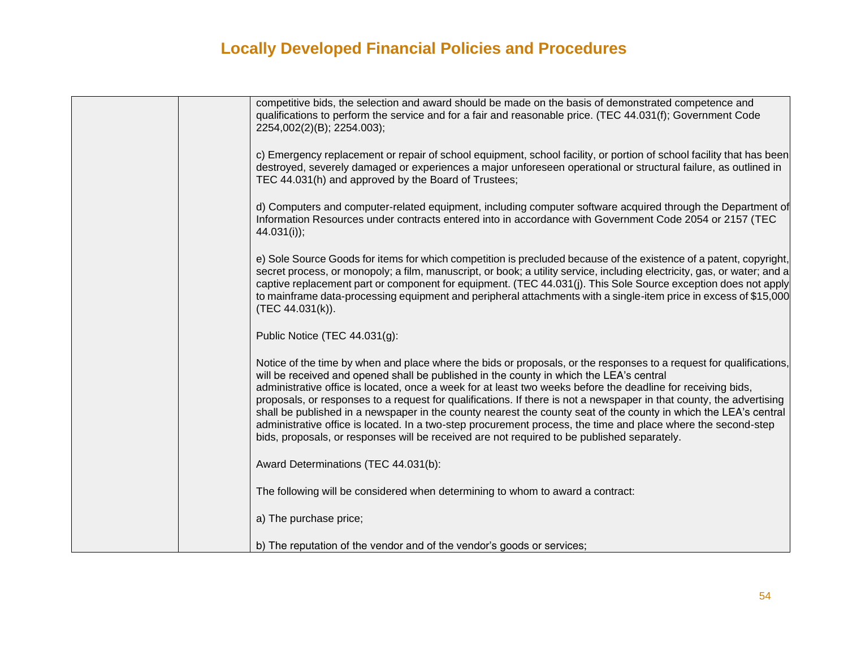| competitive bids, the selection and award should be made on the basis of demonstrated competence and<br>qualifications to perform the service and for a fair and reasonable price. (TEC 44.031(f); Government Code<br>2254,002(2)(B); 2254.003);                                                                                                                                                                                                                                                                                                                                                                                                                                                                                                                                           |
|--------------------------------------------------------------------------------------------------------------------------------------------------------------------------------------------------------------------------------------------------------------------------------------------------------------------------------------------------------------------------------------------------------------------------------------------------------------------------------------------------------------------------------------------------------------------------------------------------------------------------------------------------------------------------------------------------------------------------------------------------------------------------------------------|
| c) Emergency replacement or repair of school equipment, school facility, or portion of school facility that has been<br>destroyed, severely damaged or experiences a major unforeseen operational or structural failure, as outlined in<br>TEC 44.031(h) and approved by the Board of Trustees;                                                                                                                                                                                                                                                                                                                                                                                                                                                                                            |
| d) Computers and computer-related equipment, including computer software acquired through the Department of<br>Information Resources under contracts entered into in accordance with Government Code 2054 or 2157 (TEC<br>$44.031(i)$ ;                                                                                                                                                                                                                                                                                                                                                                                                                                                                                                                                                    |
| e) Sole Source Goods for items for which competition is precluded because of the existence of a patent, copyright,<br>secret process, or monopoly; a film, manuscript, or book; a utility service, including electricity, gas, or water; and a<br>captive replacement part or component for equipment. (TEC 44.031(j). This Sole Source exception does not apply<br>to mainframe data-processing equipment and peripheral attachments with a single-item price in excess of \$15,000<br>(TEC 44.031(k)).                                                                                                                                                                                                                                                                                   |
| Public Notice (TEC 44.031(g):                                                                                                                                                                                                                                                                                                                                                                                                                                                                                                                                                                                                                                                                                                                                                              |
| Notice of the time by when and place where the bids or proposals, or the responses to a request for qualifications,<br>will be received and opened shall be published in the county in which the LEA's central<br>administrative office is located, once a week for at least two weeks before the deadline for receiving bids,<br>proposals, or responses to a request for qualifications. If there is not a newspaper in that county, the advertising<br>shall be published in a newspaper in the county nearest the county seat of the county in which the LEA's central<br>administrative office is located. In a two-step procurement process, the time and place where the second-step<br>bids, proposals, or responses will be received are not required to be published separately. |
| Award Determinations (TEC 44.031(b):                                                                                                                                                                                                                                                                                                                                                                                                                                                                                                                                                                                                                                                                                                                                                       |
| The following will be considered when determining to whom to award a contract:                                                                                                                                                                                                                                                                                                                                                                                                                                                                                                                                                                                                                                                                                                             |
| a) The purchase price;                                                                                                                                                                                                                                                                                                                                                                                                                                                                                                                                                                                                                                                                                                                                                                     |
| b) The reputation of the vendor and of the vendor's goods or services;                                                                                                                                                                                                                                                                                                                                                                                                                                                                                                                                                                                                                                                                                                                     |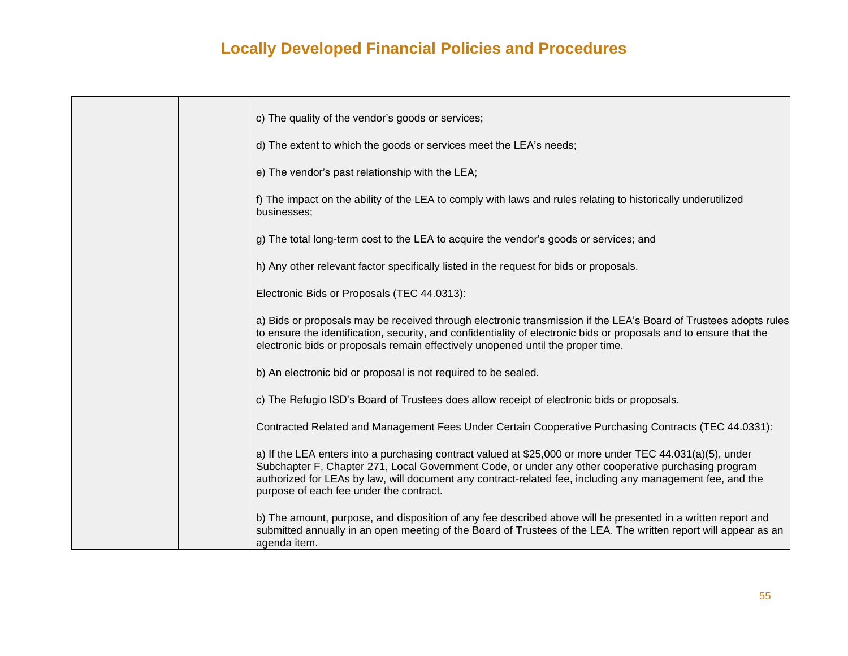|  | c) The quality of the vendor's goods or services;                                                                                                                                                                                                                                                                                                                       |
|--|-------------------------------------------------------------------------------------------------------------------------------------------------------------------------------------------------------------------------------------------------------------------------------------------------------------------------------------------------------------------------|
|  | d) The extent to which the goods or services meet the LEA's needs;                                                                                                                                                                                                                                                                                                      |
|  | e) The vendor's past relationship with the LEA;                                                                                                                                                                                                                                                                                                                         |
|  | f) The impact on the ability of the LEA to comply with laws and rules relating to historically underutilized<br>businesses;                                                                                                                                                                                                                                             |
|  | g) The total long-term cost to the LEA to acquire the vendor's goods or services; and                                                                                                                                                                                                                                                                                   |
|  | h) Any other relevant factor specifically listed in the request for bids or proposals.                                                                                                                                                                                                                                                                                  |
|  | Electronic Bids or Proposals (TEC 44.0313):                                                                                                                                                                                                                                                                                                                             |
|  | a) Bids or proposals may be received through electronic transmission if the LEA's Board of Trustees adopts rules<br>to ensure the identification, security, and confidentiality of electronic bids or proposals and to ensure that the<br>electronic bids or proposals remain effectively unopened until the proper time.                                               |
|  | b) An electronic bid or proposal is not required to be sealed.                                                                                                                                                                                                                                                                                                          |
|  | c) The Refugio ISD's Board of Trustees does allow receipt of electronic bids or proposals.                                                                                                                                                                                                                                                                              |
|  | Contracted Related and Management Fees Under Certain Cooperative Purchasing Contracts (TEC 44.0331):                                                                                                                                                                                                                                                                    |
|  | a) If the LEA enters into a purchasing contract valued at \$25,000 or more under TEC 44.031(a)(5), under<br>Subchapter F, Chapter 271, Local Government Code, or under any other cooperative purchasing program<br>authorized for LEAs by law, will document any contract-related fee, including any management fee, and the<br>purpose of each fee under the contract. |
|  | b) The amount, purpose, and disposition of any fee described above will be presented in a written report and<br>submitted annually in an open meeting of the Board of Trustees of the LEA. The written report will appear as an<br>agenda item.                                                                                                                         |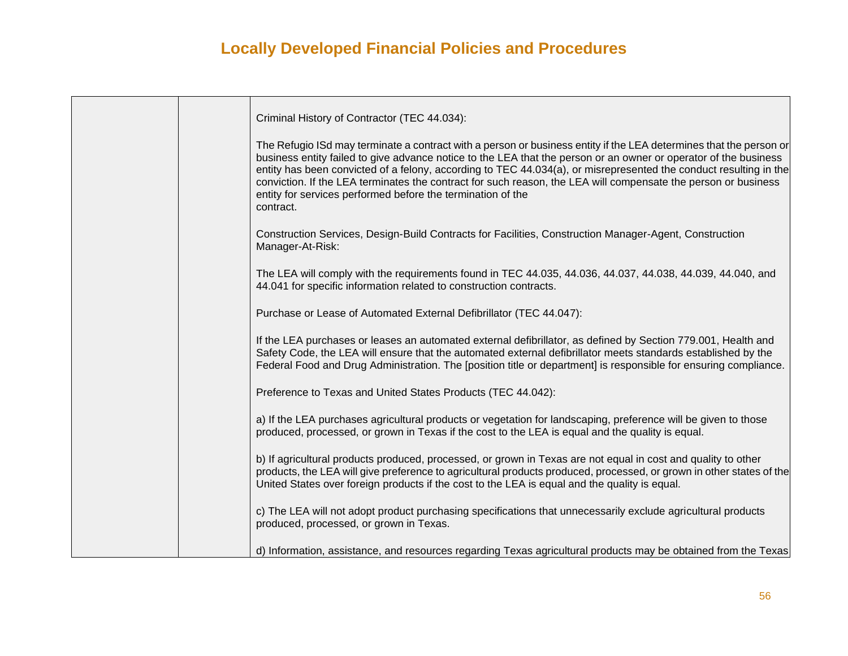| Criminal History of Contractor (TEC 44.034):                                                                                                                                                                                                                                                                                                                                                                                                                                                                                                              |
|-----------------------------------------------------------------------------------------------------------------------------------------------------------------------------------------------------------------------------------------------------------------------------------------------------------------------------------------------------------------------------------------------------------------------------------------------------------------------------------------------------------------------------------------------------------|
| The Refugio ISd may terminate a contract with a person or business entity if the LEA determines that the person or<br>business entity failed to give advance notice to the LEA that the person or an owner or operator of the business<br>entity has been convicted of a felony, according to TEC 44.034(a), or misrepresented the conduct resulting in the<br>conviction. If the LEA terminates the contract for such reason, the LEA will compensate the person or business<br>entity for services performed before the termination of the<br>contract. |
| Construction Services, Design-Build Contracts for Facilities, Construction Manager-Agent, Construction<br>Manager-At-Risk:                                                                                                                                                                                                                                                                                                                                                                                                                                |
| The LEA will comply with the requirements found in TEC 44.035, 44.036, 44.037, 44.038, 44.039, 44.040, and<br>44.041 for specific information related to construction contracts.                                                                                                                                                                                                                                                                                                                                                                          |
| Purchase or Lease of Automated External Defibrillator (TEC 44.047):                                                                                                                                                                                                                                                                                                                                                                                                                                                                                       |
| If the LEA purchases or leases an automated external defibrillator, as defined by Section 779.001, Health and<br>Safety Code, the LEA will ensure that the automated external defibrillator meets standards established by the<br>Federal Food and Drug Administration. The [position title or department] is responsible for ensuring compliance.                                                                                                                                                                                                        |
| Preference to Texas and United States Products (TEC 44.042):                                                                                                                                                                                                                                                                                                                                                                                                                                                                                              |
| a) If the LEA purchases agricultural products or vegetation for landscaping, preference will be given to those<br>produced, processed, or grown in Texas if the cost to the LEA is equal and the quality is equal.                                                                                                                                                                                                                                                                                                                                        |
| b) If agricultural products produced, processed, or grown in Texas are not equal in cost and quality to other<br>products, the LEA will give preference to agricultural products produced, processed, or grown in other states of the<br>United States over foreign products if the cost to the LEA is equal and the quality is equal.                                                                                                                                                                                                                    |
| c) The LEA will not adopt product purchasing specifications that unnecessarily exclude agricultural products<br>produced, processed, or grown in Texas.                                                                                                                                                                                                                                                                                                                                                                                                   |
| d) Information, assistance, and resources regarding Texas agricultural products may be obtained from the Texas                                                                                                                                                                                                                                                                                                                                                                                                                                            |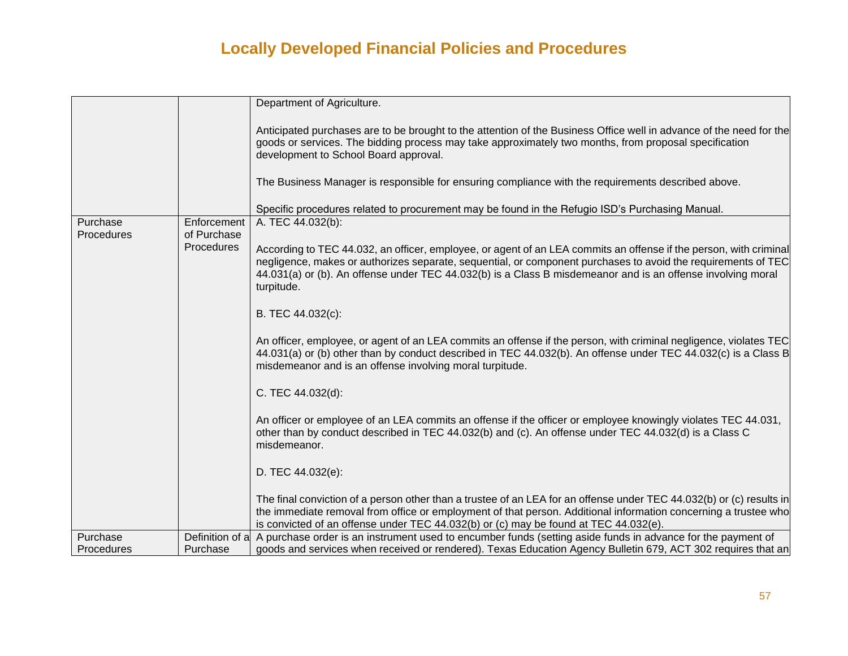|                        |                            | Department of Agriculture.                                                                                                                                                                                                                                                                                                                                      |
|------------------------|----------------------------|-----------------------------------------------------------------------------------------------------------------------------------------------------------------------------------------------------------------------------------------------------------------------------------------------------------------------------------------------------------------|
|                        |                            | Anticipated purchases are to be brought to the attention of the Business Office well in advance of the need for the<br>goods or services. The bidding process may take approximately two months, from proposal specification<br>development to School Board approval.                                                                                           |
|                        |                            | The Business Manager is responsible for ensuring compliance with the requirements described above.                                                                                                                                                                                                                                                              |
|                        |                            | Specific procedures related to procurement may be found in the Refugio ISD's Purchasing Manual.                                                                                                                                                                                                                                                                 |
| Purchase<br>Procedures | Enforcement<br>of Purchase | A. TEC 44.032(b):                                                                                                                                                                                                                                                                                                                                               |
|                        | Procedures                 | According to TEC 44.032, an officer, employee, or agent of an LEA commits an offense if the person, with criminal<br>negligence, makes or authorizes separate, sequential, or component purchases to avoid the requirements of TEC<br>44.031(a) or (b). An offense under TEC 44.032(b) is a Class B misdemeanor and is an offense involving moral<br>turpitude. |
|                        |                            | B. TEC 44.032(c):                                                                                                                                                                                                                                                                                                                                               |
|                        |                            | An officer, employee, or agent of an LEA commits an offense if the person, with criminal negligence, violates TEC<br>44.031(a) or (b) other than by conduct described in TEC 44.032(b). An offense under TEC 44.032(c) is a Class B<br>misdemeanor and is an offense involving moral turpitude.                                                                 |
|                        |                            | C. TEC 44.032(d):                                                                                                                                                                                                                                                                                                                                               |
|                        |                            | An officer or employee of an LEA commits an offense if the officer or employee knowingly violates TEC 44.031,<br>other than by conduct described in TEC 44.032(b) and (c). An offense under TEC 44.032(d) is a Class C<br>misdemeanor.                                                                                                                          |
|                        |                            | D. TEC 44.032(e):                                                                                                                                                                                                                                                                                                                                               |
|                        |                            | The final conviction of a person other than a trustee of an LEA for an offense under TEC 44.032(b) or (c) results in<br>the immediate removal from office or employment of that person. Additional information concerning a trustee who<br>is convicted of an offense under TEC 44.032(b) or (c) may be found at TEC 44.032(e).                                 |
| Purchase               |                            | Definition of a A purchase order is an instrument used to encumber funds (setting aside funds in advance for the payment of                                                                                                                                                                                                                                     |
| Procedures             | Purchase                   | goods and services when received or rendered). Texas Education Agency Bulletin 679, ACT 302 requires that an                                                                                                                                                                                                                                                    |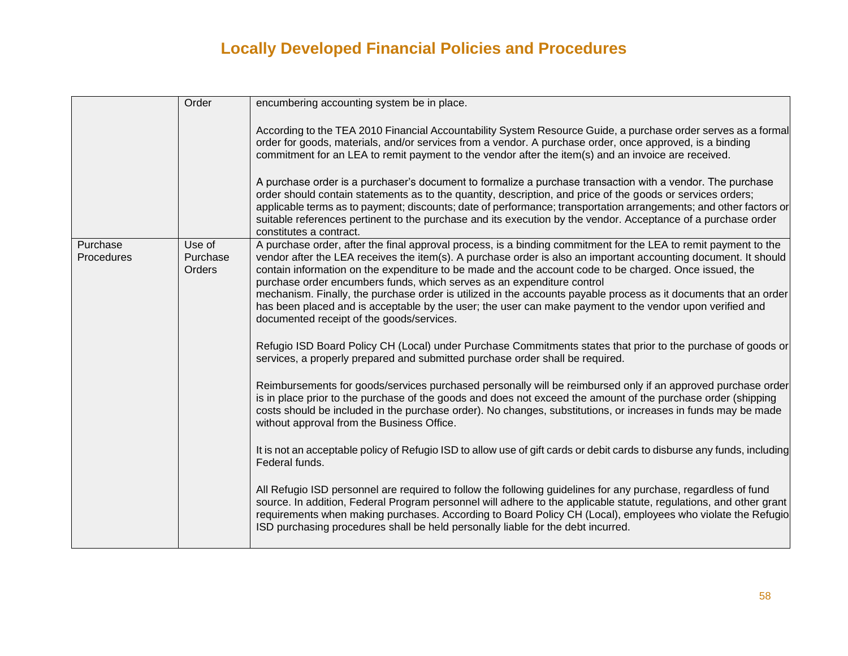|                               | Order                        | encumbering accounting system be in place.                                                                                                                                                                                                                                                                                                                                                                                                                                                                                                                                                                                                                                                          |
|-------------------------------|------------------------------|-----------------------------------------------------------------------------------------------------------------------------------------------------------------------------------------------------------------------------------------------------------------------------------------------------------------------------------------------------------------------------------------------------------------------------------------------------------------------------------------------------------------------------------------------------------------------------------------------------------------------------------------------------------------------------------------------------|
|                               |                              | According to the TEA 2010 Financial Accountability System Resource Guide, a purchase order serves as a formal<br>order for goods, materials, and/or services from a vendor. A purchase order, once approved, is a binding<br>commitment for an LEA to remit payment to the vendor after the item(s) and an invoice are received.                                                                                                                                                                                                                                                                                                                                                                    |
|                               |                              | A purchase order is a purchaser's document to formalize a purchase transaction with a vendor. The purchase<br>order should contain statements as to the quantity, description, and price of the goods or services orders;<br>applicable terms as to payment; discounts; date of performance; transportation arrangements; and other factors or<br>suitable references pertinent to the purchase and its execution by the vendor. Acceptance of a purchase order<br>constitutes a contract.                                                                                                                                                                                                          |
| Purchase<br><b>Procedures</b> | Use of<br>Purchase<br>Orders | A purchase order, after the final approval process, is a binding commitment for the LEA to remit payment to the<br>vendor after the LEA receives the item(s). A purchase order is also an important accounting document. It should<br>contain information on the expenditure to be made and the account code to be charged. Once issued, the<br>purchase order encumbers funds, which serves as an expenditure control<br>mechanism. Finally, the purchase order is utilized in the accounts payable process as it documents that an order<br>has been placed and is acceptable by the user; the user can make payment to the vendor upon verified and<br>documented receipt of the goods/services. |
|                               |                              | Refugio ISD Board Policy CH (Local) under Purchase Commitments states that prior to the purchase of goods or<br>services, a properly prepared and submitted purchase order shall be required.                                                                                                                                                                                                                                                                                                                                                                                                                                                                                                       |
|                               |                              | Reimbursements for goods/services purchased personally will be reimbursed only if an approved purchase order<br>is in place prior to the purchase of the goods and does not exceed the amount of the purchase order (shipping<br>costs should be included in the purchase order). No changes, substitutions, or increases in funds may be made<br>without approval from the Business Office.                                                                                                                                                                                                                                                                                                        |
|                               |                              | It is not an acceptable policy of Refugio ISD to allow use of gift cards or debit cards to disburse any funds, including<br>Federal funds.                                                                                                                                                                                                                                                                                                                                                                                                                                                                                                                                                          |
|                               |                              | All Refugio ISD personnel are required to follow the following guidelines for any purchase, regardless of fund<br>source. In addition, Federal Program personnel will adhere to the applicable statute, regulations, and other grant<br>requirements when making purchases. According to Board Policy CH (Local), employees who violate the Refugio<br>ISD purchasing procedures shall be held personally liable for the debt incurred.                                                                                                                                                                                                                                                             |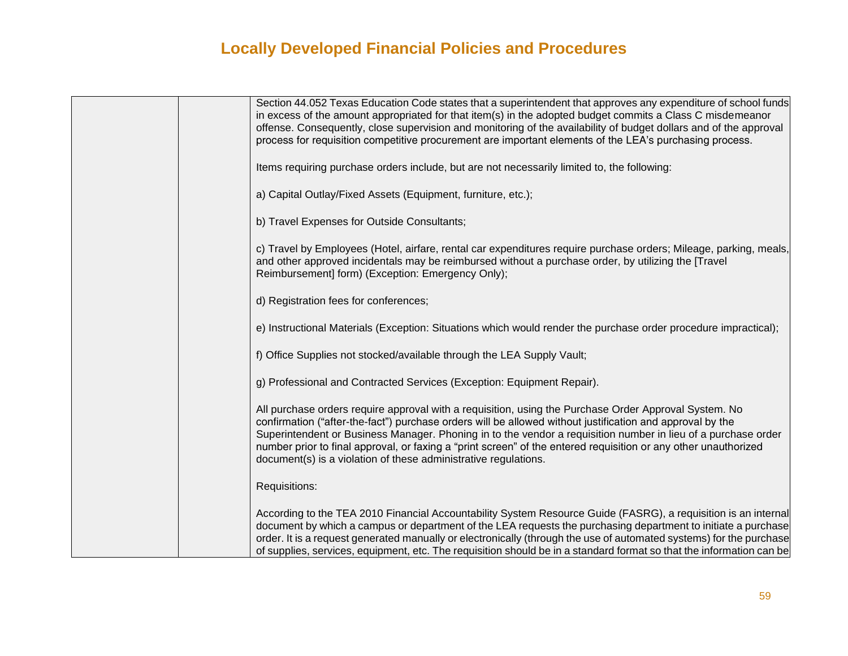| Section 44.052 Texas Education Code states that a superintendent that approves any expenditure of school funds<br>in excess of the amount appropriated for that item(s) in the adopted budget commits a Class C misdemeanor<br>offense. Consequently, close supervision and monitoring of the availability of budget dollars and of the approval<br>process for requisition competitive procurement are important elements of the LEA's purchasing process.                                                               |
|---------------------------------------------------------------------------------------------------------------------------------------------------------------------------------------------------------------------------------------------------------------------------------------------------------------------------------------------------------------------------------------------------------------------------------------------------------------------------------------------------------------------------|
| Items requiring purchase orders include, but are not necessarily limited to, the following:                                                                                                                                                                                                                                                                                                                                                                                                                               |
| a) Capital Outlay/Fixed Assets (Equipment, furniture, etc.);                                                                                                                                                                                                                                                                                                                                                                                                                                                              |
| b) Travel Expenses for Outside Consultants;                                                                                                                                                                                                                                                                                                                                                                                                                                                                               |
| c) Travel by Employees (Hotel, airfare, rental car expenditures require purchase orders; Mileage, parking, meals,<br>and other approved incidentals may be reimbursed without a purchase order, by utilizing the [Travel<br>Reimbursement] form) (Exception: Emergency Only);                                                                                                                                                                                                                                             |
| d) Registration fees for conferences;                                                                                                                                                                                                                                                                                                                                                                                                                                                                                     |
| e) Instructional Materials (Exception: Situations which would render the purchase order procedure impractical);                                                                                                                                                                                                                                                                                                                                                                                                           |
| f) Office Supplies not stocked/available through the LEA Supply Vault;                                                                                                                                                                                                                                                                                                                                                                                                                                                    |
| g) Professional and Contracted Services (Exception: Equipment Repair).                                                                                                                                                                                                                                                                                                                                                                                                                                                    |
| All purchase orders require approval with a requisition, using the Purchase Order Approval System. No<br>confirmation ("after-the-fact") purchase orders will be allowed without justification and approval by the<br>Superintendent or Business Manager. Phoning in to the vendor a requisition number in lieu of a purchase order<br>number prior to final approval, or faxing a "print screen" of the entered requisition or any other unauthorized<br>document(s) is a violation of these administrative regulations. |
| Requisitions:                                                                                                                                                                                                                                                                                                                                                                                                                                                                                                             |
| According to the TEA 2010 Financial Accountability System Resource Guide (FASRG), a requisition is an internal<br>document by which a campus or department of the LEA requests the purchasing department to initiate a purchase<br>order. It is a request generated manually or electronically (through the use of automated systems) for the purchase<br>of supplies, services, equipment, etc. The requisition should be in a standard format so that the information can be                                            |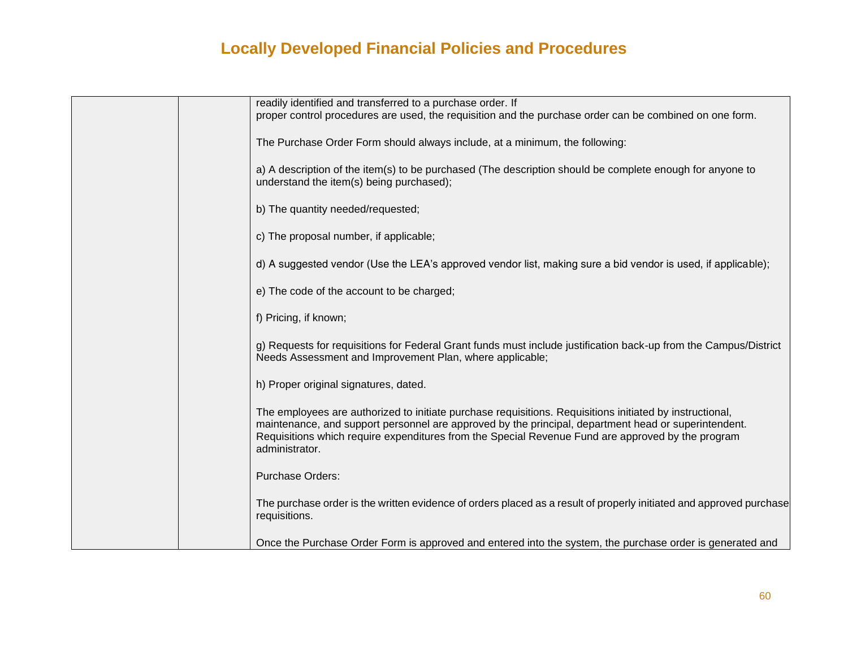| readily identified and transferred to a purchase order. If<br>proper control procedures are used, the requisition and the purchase order can be combined on one form.                                                                                                                                                                   |
|-----------------------------------------------------------------------------------------------------------------------------------------------------------------------------------------------------------------------------------------------------------------------------------------------------------------------------------------|
| The Purchase Order Form should always include, at a minimum, the following:                                                                                                                                                                                                                                                             |
| a) A description of the item(s) to be purchased (The description should be complete enough for anyone to<br>understand the item(s) being purchased);                                                                                                                                                                                    |
| b) The quantity needed/requested;                                                                                                                                                                                                                                                                                                       |
| c) The proposal number, if applicable;                                                                                                                                                                                                                                                                                                  |
| d) A suggested vendor (Use the LEA's approved vendor list, making sure a bid vendor is used, if applicable);                                                                                                                                                                                                                            |
| e) The code of the account to be charged;                                                                                                                                                                                                                                                                                               |
| f) Pricing, if known;                                                                                                                                                                                                                                                                                                                   |
| g) Requests for requisitions for Federal Grant funds must include justification back-up from the Campus/District<br>Needs Assessment and Improvement Plan, where applicable;                                                                                                                                                            |
| h) Proper original signatures, dated.                                                                                                                                                                                                                                                                                                   |
| The employees are authorized to initiate purchase requisitions. Requisitions initiated by instructional,<br>maintenance, and support personnel are approved by the principal, department head or superintendent.<br>Requisitions which require expenditures from the Special Revenue Fund are approved by the program<br>administrator. |
| Purchase Orders:                                                                                                                                                                                                                                                                                                                        |
| The purchase order is the written evidence of orders placed as a result of properly initiated and approved purchase<br>requisitions.                                                                                                                                                                                                    |
| Once the Purchase Order Form is approved and entered into the system, the purchase order is generated and                                                                                                                                                                                                                               |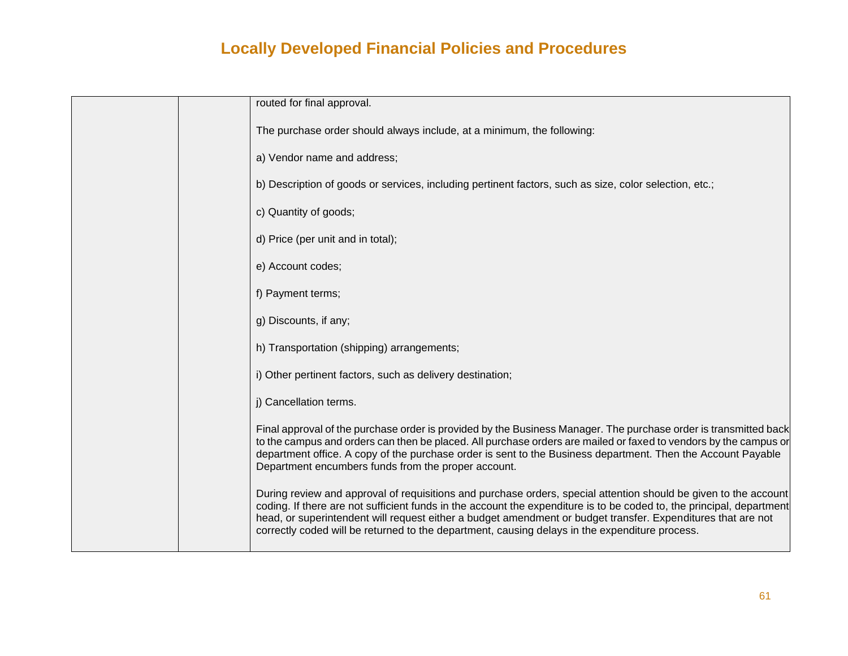| routed for final approval.                                                                                                                                                                                                                                                                                                                                                                                                                                  |
|-------------------------------------------------------------------------------------------------------------------------------------------------------------------------------------------------------------------------------------------------------------------------------------------------------------------------------------------------------------------------------------------------------------------------------------------------------------|
| The purchase order should always include, at a minimum, the following:                                                                                                                                                                                                                                                                                                                                                                                      |
| a) Vendor name and address;                                                                                                                                                                                                                                                                                                                                                                                                                                 |
| b) Description of goods or services, including pertinent factors, such as size, color selection, etc.;                                                                                                                                                                                                                                                                                                                                                      |
| c) Quantity of goods;                                                                                                                                                                                                                                                                                                                                                                                                                                       |
| d) Price (per unit and in total);                                                                                                                                                                                                                                                                                                                                                                                                                           |
| e) Account codes;                                                                                                                                                                                                                                                                                                                                                                                                                                           |
| f) Payment terms;                                                                                                                                                                                                                                                                                                                                                                                                                                           |
| g) Discounts, if any;                                                                                                                                                                                                                                                                                                                                                                                                                                       |
| h) Transportation (shipping) arrangements;                                                                                                                                                                                                                                                                                                                                                                                                                  |
| i) Other pertinent factors, such as delivery destination;                                                                                                                                                                                                                                                                                                                                                                                                   |
| j) Cancellation terms.                                                                                                                                                                                                                                                                                                                                                                                                                                      |
| Final approval of the purchase order is provided by the Business Manager. The purchase order is transmitted back<br>to the campus and orders can then be placed. All purchase orders are mailed or faxed to vendors by the campus or<br>department office. A copy of the purchase order is sent to the Business department. Then the Account Payable<br>Department encumbers funds from the proper account.                                                 |
| During review and approval of requisitions and purchase orders, special attention should be given to the account<br>coding. If there are not sufficient funds in the account the expenditure is to be coded to, the principal, department<br>head, or superintendent will request either a budget amendment or budget transfer. Expenditures that are not<br>correctly coded will be returned to the department, causing delays in the expenditure process. |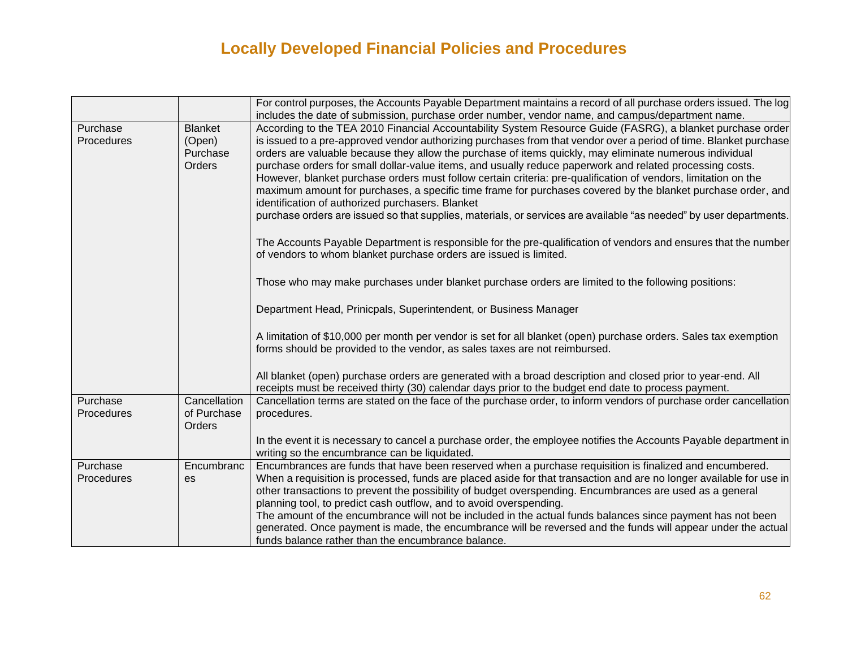|                        |                          | For control purposes, the Accounts Payable Department maintains a record of all purchase orders issued. The log                                                                                                                 |
|------------------------|--------------------------|---------------------------------------------------------------------------------------------------------------------------------------------------------------------------------------------------------------------------------|
|                        |                          | includes the date of submission, purchase order number, vendor name, and campus/department name.                                                                                                                                |
| Purchase<br>Procedures | <b>Blanket</b><br>(Open) | According to the TEA 2010 Financial Accountability System Resource Guide (FASRG), a blanket purchase order<br>is issued to a pre-approved vendor authorizing purchases from that vendor over a period of time. Blanket purchase |
|                        | Purchase<br>Orders       | orders are valuable because they allow the purchase of items quickly, may eliminate numerous individual<br>purchase orders for small dollar-value items, and usually reduce paperwork and related processing costs.             |
|                        |                          | However, blanket purchase orders must follow certain criteria: pre-qualification of vendors, limitation on the                                                                                                                  |
|                        |                          | maximum amount for purchases, a specific time frame for purchases covered by the blanket purchase order, and<br>identification of authorized purchasers. Blanket                                                                |
|                        |                          | purchase orders are issued so that supplies, materials, or services are available "as needed" by user departments.                                                                                                              |
|                        |                          | The Accounts Payable Department is responsible for the pre-qualification of vendors and ensures that the number<br>of vendors to whom blanket purchase orders are issued is limited.                                            |
|                        |                          | Those who may make purchases under blanket purchase orders are limited to the following positions:                                                                                                                              |
|                        |                          | Department Head, Prinicpals, Superintendent, or Business Manager                                                                                                                                                                |
|                        |                          | A limitation of \$10,000 per month per vendor is set for all blanket (open) purchase orders. Sales tax exemption                                                                                                                |
|                        |                          | forms should be provided to the vendor, as sales taxes are not reimbursed.                                                                                                                                                      |
|                        |                          | All blanket (open) purchase orders are generated with a broad description and closed prior to year-end. All<br>receipts must be received thirty (30) calendar days prior to the budget end date to process payment.             |
| Purchase               | Cancellation             | Cancellation terms are stated on the face of the purchase order, to inform vendors of purchase order cancellation                                                                                                               |
| Procedures             | of Purchase<br>Orders    | procedures.                                                                                                                                                                                                                     |
|                        |                          | In the event it is necessary to cancel a purchase order, the employee notifies the Accounts Payable department in                                                                                                               |
|                        |                          | writing so the encumbrance can be liquidated.                                                                                                                                                                                   |
| Purchase               | Encumbranc               | Encumbrances are funds that have been reserved when a purchase requisition is finalized and encumbered.                                                                                                                         |
| Procedures             | es                       | When a requisition is processed, funds are placed aside for that transaction and are no longer available for use in                                                                                                             |
|                        |                          | other transactions to prevent the possibility of budget overspending. Encumbrances are used as a general                                                                                                                        |
|                        |                          | planning tool, to predict cash outflow, and to avoid overspending.                                                                                                                                                              |
|                        |                          | The amount of the encumbrance will not be included in the actual funds balances since payment has not been                                                                                                                      |
|                        |                          | generated. Once payment is made, the encumbrance will be reversed and the funds will appear under the actual                                                                                                                    |
|                        |                          | funds balance rather than the encumbrance balance.                                                                                                                                                                              |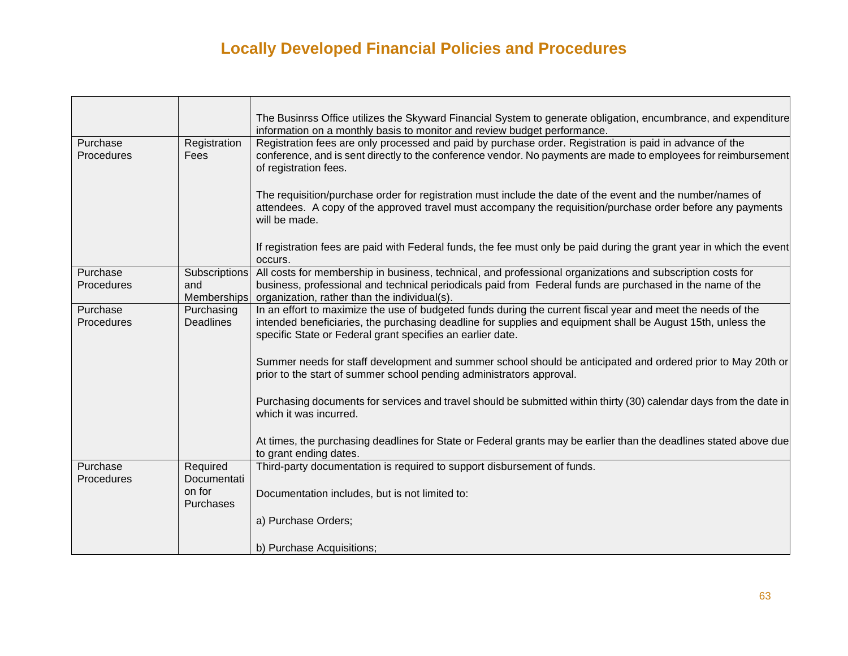|                        |                                     | The Businrss Office utilizes the Skyward Financial System to generate obligation, encumbrance, and expenditure<br>information on a monthly basis to monitor and review budget performance.                                                                                               |
|------------------------|-------------------------------------|------------------------------------------------------------------------------------------------------------------------------------------------------------------------------------------------------------------------------------------------------------------------------------------|
| Purchase<br>Procedures | Registration<br>Fees                | Registration fees are only processed and paid by purchase order. Registration is paid in advance of the<br>conference, and is sent directly to the conference vendor. No payments are made to employees for reimbursement<br>of registration fees.                                       |
|                        |                                     | The requisition/purchase order for registration must include the date of the event and the number/names of<br>attendees. A copy of the approved travel must accompany the requisition/purchase order before any payments<br>will be made.                                                |
|                        |                                     | If registration fees are paid with Federal funds, the fee must only be paid during the grant year in which the event<br>occurs.                                                                                                                                                          |
| Purchase<br>Procedures | Subscriptions<br>and<br>Memberships | All costs for membership in business, technical, and professional organizations and subscription costs for<br>business, professional and technical periodicals paid from Federal funds are purchased in the name of the<br>organization, rather than the individual(s).                  |
| Purchase<br>Procedures | Purchasing<br><b>Deadlines</b>      | In an effort to maximize the use of budgeted funds during the current fiscal year and meet the needs of the<br>intended beneficiaries, the purchasing deadline for supplies and equipment shall be August 15th, unless the<br>specific State or Federal grant specifies an earlier date. |
|                        |                                     | Summer needs for staff development and summer school should be anticipated and ordered prior to May 20th or<br>prior to the start of summer school pending administrators approval.                                                                                                      |
|                        |                                     | Purchasing documents for services and travel should be submitted within thirty (30) calendar days from the date in<br>which it was incurred.                                                                                                                                             |
|                        |                                     | At times, the purchasing deadlines for State or Federal grants may be earlier than the deadlines stated above due<br>to grant ending dates.                                                                                                                                              |
| Purchase<br>Procedures | Required<br>Documentati             | Third-party documentation is required to support disbursement of funds.                                                                                                                                                                                                                  |
|                        | on for<br><b>Purchases</b>          | Documentation includes, but is not limited to:                                                                                                                                                                                                                                           |
|                        |                                     | a) Purchase Orders;                                                                                                                                                                                                                                                                      |
|                        |                                     | b) Purchase Acquisitions;                                                                                                                                                                                                                                                                |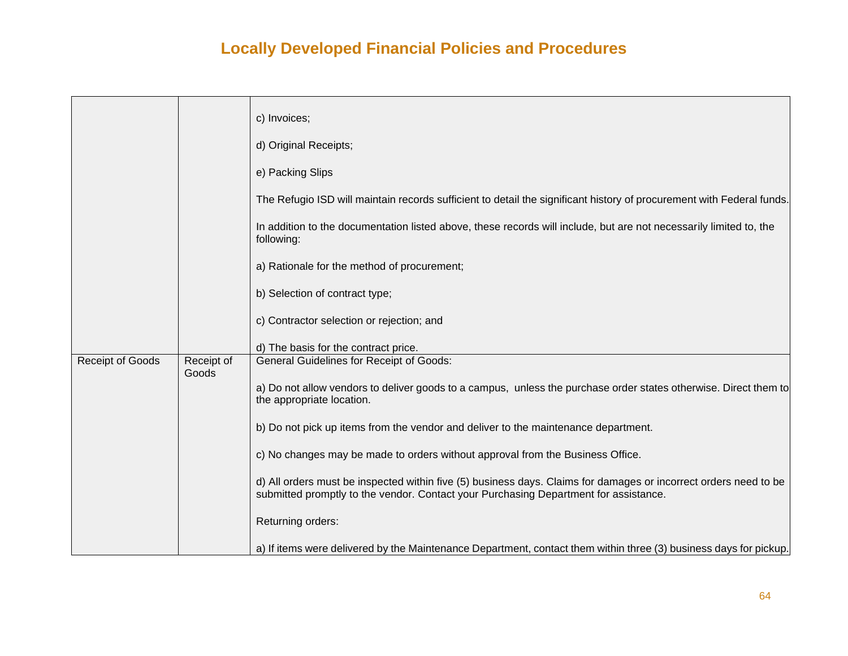|                         |            | c) Invoices;                                                                                                                                                                                             |
|-------------------------|------------|----------------------------------------------------------------------------------------------------------------------------------------------------------------------------------------------------------|
|                         |            |                                                                                                                                                                                                          |
|                         |            | d) Original Receipts;                                                                                                                                                                                    |
|                         |            | e) Packing Slips                                                                                                                                                                                         |
|                         |            | The Refugio ISD will maintain records sufficient to detail the significant history of procurement with Federal funds.                                                                                    |
|                         |            | In addition to the documentation listed above, these records will include, but are not necessarily limited to, the<br>following:                                                                         |
|                         |            | a) Rationale for the method of procurement;                                                                                                                                                              |
|                         |            | b) Selection of contract type;                                                                                                                                                                           |
|                         |            | c) Contractor selection or rejection; and                                                                                                                                                                |
|                         |            | d) The basis for the contract price.                                                                                                                                                                     |
| <b>Receipt of Goods</b> | Receipt of | <b>General Guidelines for Receipt of Goods:</b>                                                                                                                                                          |
|                         | Goods      | a) Do not allow vendors to deliver goods to a campus, unless the purchase order states otherwise. Direct them to<br>the appropriate location.                                                            |
|                         |            | b) Do not pick up items from the vendor and deliver to the maintenance department.                                                                                                                       |
|                         |            | c) No changes may be made to orders without approval from the Business Office.                                                                                                                           |
|                         |            | d) All orders must be inspected within five (5) business days. Claims for damages or incorrect orders need to be<br>submitted promptly to the vendor. Contact your Purchasing Department for assistance. |
|                         |            | Returning orders:                                                                                                                                                                                        |
|                         |            | a) If items were delivered by the Maintenance Department, contact them within three (3) business days for pickup.                                                                                        |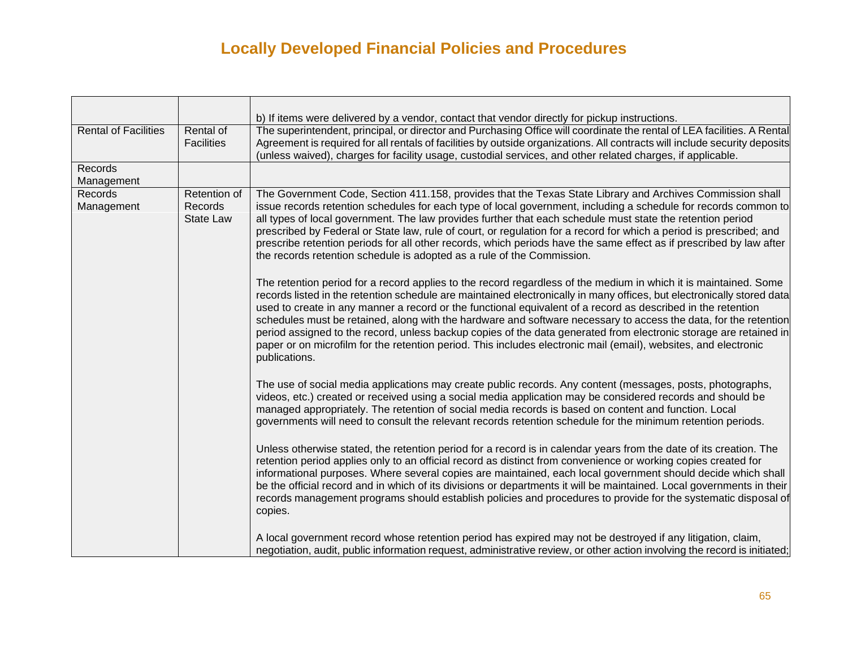|                             |                                             | b) If items were delivered by a vendor, contact that vendor directly for pickup instructions.                                                                                                                                                                                                                                                                                                                                                                                                                                                                                                                                                                                                                                           |
|-----------------------------|---------------------------------------------|-----------------------------------------------------------------------------------------------------------------------------------------------------------------------------------------------------------------------------------------------------------------------------------------------------------------------------------------------------------------------------------------------------------------------------------------------------------------------------------------------------------------------------------------------------------------------------------------------------------------------------------------------------------------------------------------------------------------------------------------|
| <b>Rental of Facilities</b> | Rental of<br><b>Facilities</b>              | The superintendent, principal, or director and Purchasing Office will coordinate the rental of LEA facilities. A Rental<br>Agreement is required for all rentals of facilities by outside organizations. All contracts will include security deposits<br>(unless waived), charges for facility usage, custodial services, and other related charges, if applicable.                                                                                                                                                                                                                                                                                                                                                                     |
| Records                     |                                             |                                                                                                                                                                                                                                                                                                                                                                                                                                                                                                                                                                                                                                                                                                                                         |
| Management                  |                                             |                                                                                                                                                                                                                                                                                                                                                                                                                                                                                                                                                                                                                                                                                                                                         |
| Records<br>Management       | Retention of<br>Records<br><b>State Law</b> | The Government Code, Section 411.158, provides that the Texas State Library and Archives Commission shall<br>issue records retention schedules for each type of local government, including a schedule for records common to<br>all types of local government. The law provides further that each schedule must state the retention period<br>prescribed by Federal or State law, rule of court, or regulation for a record for which a period is prescribed; and<br>prescribe retention periods for all other records, which periods have the same effect as if prescribed by law after<br>the records retention schedule is adopted as a rule of the Commission.                                                                      |
|                             |                                             | The retention period for a record applies to the record regardless of the medium in which it is maintained. Some<br>records listed in the retention schedule are maintained electronically in many offices, but electronically stored data<br>used to create in any manner a record or the functional equivalent of a record as described in the retention<br>schedules must be retained, along with the hardware and software necessary to access the data, for the retention<br>period assigned to the record, unless backup copies of the data generated from electronic storage are retained in<br>paper or on microfilm for the retention period. This includes electronic mail (email), websites, and electronic<br>publications. |
|                             |                                             | The use of social media applications may create public records. Any content (messages, posts, photographs,<br>videos, etc.) created or received using a social media application may be considered records and should be<br>managed appropriately. The retention of social media records is based on content and function. Local<br>governments will need to consult the relevant records retention schedule for the minimum retention periods.                                                                                                                                                                                                                                                                                         |
|                             |                                             | Unless otherwise stated, the retention period for a record is in calendar years from the date of its creation. The<br>retention period applies only to an official record as distinct from convenience or working copies created for<br>informational purposes. Where several copies are maintained, each local government should decide which shall<br>be the official record and in which of its divisions or departments it will be maintained. Local governments in their<br>records management programs should establish policies and procedures to provide for the systematic disposal of<br>copies.                                                                                                                              |
|                             |                                             | A local government record whose retention period has expired may not be destroyed if any litigation, claim,<br>negotiation, audit, public information request, administrative review, or other action involving the record is initiated;                                                                                                                                                                                                                                                                                                                                                                                                                                                                                                |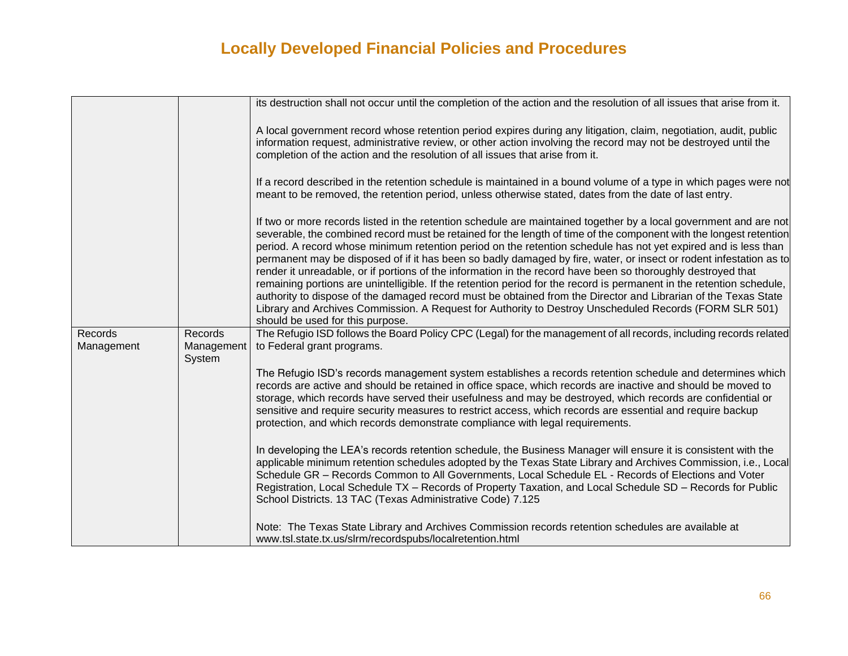|                       |                                 | its destruction shall not occur until the completion of the action and the resolution of all issues that arise from it.                                                                                                                                                                                                                                                                                                                                                                                                                                                                                                                                                                                                                                                                                                                                                                                                                                                                  |
|-----------------------|---------------------------------|------------------------------------------------------------------------------------------------------------------------------------------------------------------------------------------------------------------------------------------------------------------------------------------------------------------------------------------------------------------------------------------------------------------------------------------------------------------------------------------------------------------------------------------------------------------------------------------------------------------------------------------------------------------------------------------------------------------------------------------------------------------------------------------------------------------------------------------------------------------------------------------------------------------------------------------------------------------------------------------|
|                       |                                 | A local government record whose retention period expires during any litigation, claim, negotiation, audit, public<br>information request, administrative review, or other action involving the record may not be destroyed until the<br>completion of the action and the resolution of all issues that arise from it.                                                                                                                                                                                                                                                                                                                                                                                                                                                                                                                                                                                                                                                                    |
|                       |                                 | If a record described in the retention schedule is maintained in a bound volume of a type in which pages were not<br>meant to be removed, the retention period, unless otherwise stated, dates from the date of last entry.                                                                                                                                                                                                                                                                                                                                                                                                                                                                                                                                                                                                                                                                                                                                                              |
|                       |                                 | If two or more records listed in the retention schedule are maintained together by a local government and are not<br>severable, the combined record must be retained for the length of time of the component with the longest retention<br>period. A record whose minimum retention period on the retention schedule has not yet expired and is less than<br>permanent may be disposed of if it has been so badly damaged by fire, water, or insect or rodent infestation as to<br>render it unreadable, or if portions of the information in the record have been so thoroughly destroyed that<br>remaining portions are unintelligible. If the retention period for the record is permanent in the retention schedule,<br>authority to dispose of the damaged record must be obtained from the Director and Librarian of the Texas State<br>Library and Archives Commission. A Request for Authority to Destroy Unscheduled Records (FORM SLR 501)<br>should be used for this purpose. |
| Records<br>Management | Records<br>Management<br>System | The Refugio ISD follows the Board Policy CPC (Legal) for the management of all records, including records related<br>to Federal grant programs.                                                                                                                                                                                                                                                                                                                                                                                                                                                                                                                                                                                                                                                                                                                                                                                                                                          |
|                       |                                 | The Refugio ISD's records management system establishes a records retention schedule and determines which<br>records are active and should be retained in office space, which records are inactive and should be moved to<br>storage, which records have served their usefulness and may be destroyed, which records are confidential or<br>sensitive and require security measures to restrict access, which records are essential and require backup<br>protection, and which records demonstrate compliance with legal requirements.                                                                                                                                                                                                                                                                                                                                                                                                                                                  |
|                       |                                 | In developing the LEA's records retention schedule, the Business Manager will ensure it is consistent with the<br>applicable minimum retention schedules adopted by the Texas State Library and Archives Commission, i.e., Local<br>Schedule GR - Records Common to All Governments, Local Schedule EL - Records of Elections and Voter<br>Registration, Local Schedule TX - Records of Property Taxation, and Local Schedule SD - Records for Public<br>School Districts. 13 TAC (Texas Administrative Code) 7.125                                                                                                                                                                                                                                                                                                                                                                                                                                                                      |
|                       |                                 | Note: The Texas State Library and Archives Commission records retention schedules are available at<br>www.tsl.state.tx.us/slrm/recordspubs/localretention.html                                                                                                                                                                                                                                                                                                                                                                                                                                                                                                                                                                                                                                                                                                                                                                                                                           |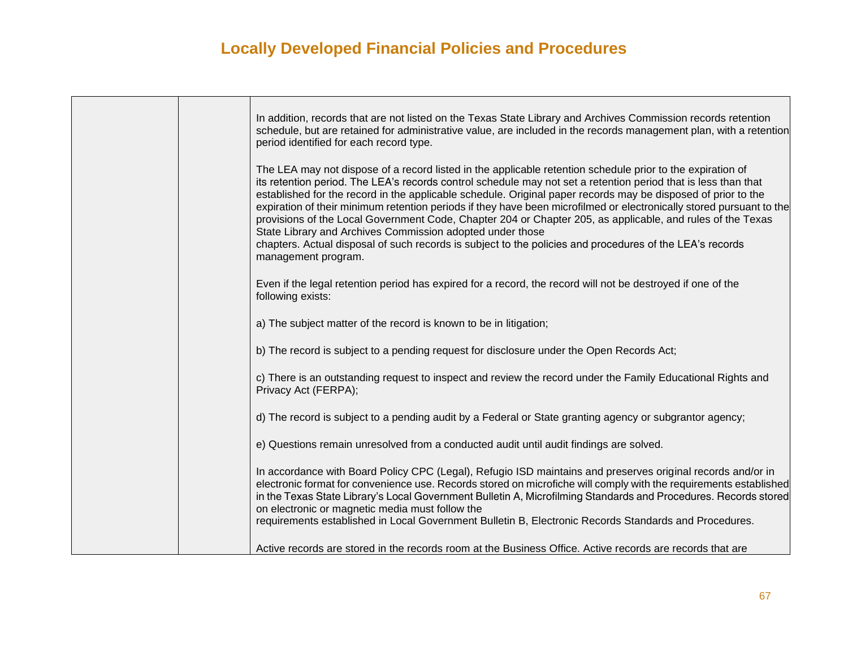|  | In addition, records that are not listed on the Texas State Library and Archives Commission records retention<br>schedule, but are retained for administrative value, are included in the records management plan, with a retention<br>period identified for each record type.                                                                                                                                                                                                                                                                                                                                                                                                                                                                                                      |
|--|-------------------------------------------------------------------------------------------------------------------------------------------------------------------------------------------------------------------------------------------------------------------------------------------------------------------------------------------------------------------------------------------------------------------------------------------------------------------------------------------------------------------------------------------------------------------------------------------------------------------------------------------------------------------------------------------------------------------------------------------------------------------------------------|
|  | The LEA may not dispose of a record listed in the applicable retention schedule prior to the expiration of<br>its retention period. The LEA's records control schedule may not set a retention period that is less than that<br>established for the record in the applicable schedule. Original paper records may be disposed of prior to the<br>expiration of their minimum retention periods if they have been microfilmed or electronically stored pursuant to the<br>provisions of the Local Government Code, Chapter 204 or Chapter 205, as applicable, and rules of the Texas<br>State Library and Archives Commission adopted under those<br>chapters. Actual disposal of such records is subject to the policies and procedures of the LEA's records<br>management program. |
|  | Even if the legal retention period has expired for a record, the record will not be destroyed if one of the<br>following exists:                                                                                                                                                                                                                                                                                                                                                                                                                                                                                                                                                                                                                                                    |
|  | a) The subject matter of the record is known to be in litigation;                                                                                                                                                                                                                                                                                                                                                                                                                                                                                                                                                                                                                                                                                                                   |
|  | b) The record is subject to a pending request for disclosure under the Open Records Act;                                                                                                                                                                                                                                                                                                                                                                                                                                                                                                                                                                                                                                                                                            |
|  | c) There is an outstanding request to inspect and review the record under the Family Educational Rights and<br>Privacy Act (FERPA);                                                                                                                                                                                                                                                                                                                                                                                                                                                                                                                                                                                                                                                 |
|  | d) The record is subject to a pending audit by a Federal or State granting agency or subgrantor agency;                                                                                                                                                                                                                                                                                                                                                                                                                                                                                                                                                                                                                                                                             |
|  | e) Questions remain unresolved from a conducted audit until audit findings are solved.                                                                                                                                                                                                                                                                                                                                                                                                                                                                                                                                                                                                                                                                                              |
|  | In accordance with Board Policy CPC (Legal), Refugio ISD maintains and preserves original records and/or in<br>electronic format for convenience use. Records stored on microfiche will comply with the requirements established<br>in the Texas State Library's Local Government Bulletin A, Microfilming Standards and Procedures. Records stored<br>on electronic or magnetic media must follow the<br>requirements established in Local Government Bulletin B, Electronic Records Standards and Procedures.                                                                                                                                                                                                                                                                     |
|  | Active records are stored in the records room at the Business Office. Active records are records that are                                                                                                                                                                                                                                                                                                                                                                                                                                                                                                                                                                                                                                                                           |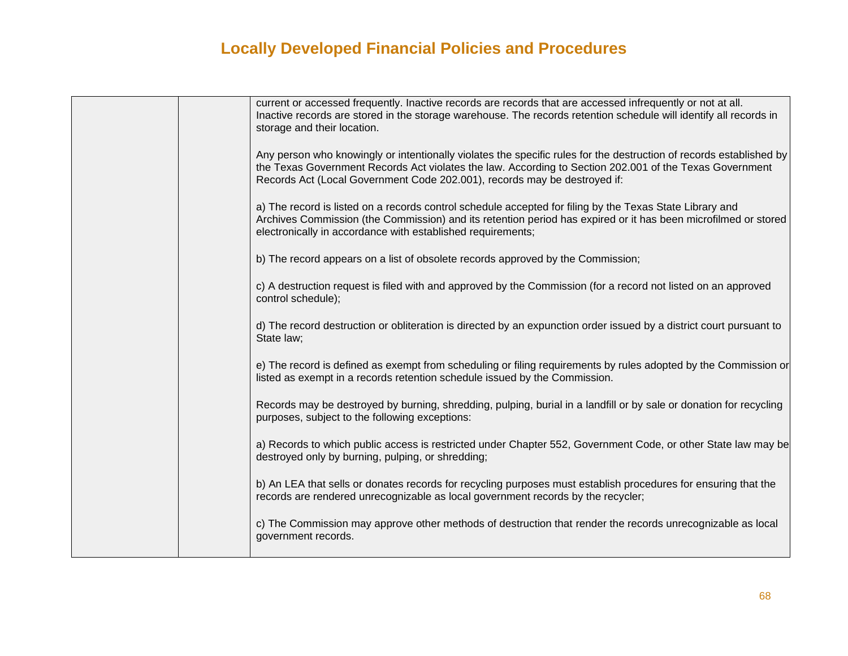|  | current or accessed frequently. Inactive records are records that are accessed infrequently or not at all.<br>Inactive records are stored in the storage warehouse. The records retention schedule will identify all records in<br>storage and their location.                                              |
|--|-------------------------------------------------------------------------------------------------------------------------------------------------------------------------------------------------------------------------------------------------------------------------------------------------------------|
|  | Any person who knowingly or intentionally violates the specific rules for the destruction of records established by<br>the Texas Government Records Act violates the law. According to Section 202.001 of the Texas Government<br>Records Act (Local Government Code 202.001), records may be destroyed if: |
|  | a) The record is listed on a records control schedule accepted for filing by the Texas State Library and<br>Archives Commission (the Commission) and its retention period has expired or it has been microfilmed or stored<br>electronically in accordance with established requirements;                   |
|  | b) The record appears on a list of obsolete records approved by the Commission;                                                                                                                                                                                                                             |
|  | c) A destruction request is filed with and approved by the Commission (for a record not listed on an approved<br>control schedule);                                                                                                                                                                         |
|  | d) The record destruction or obliteration is directed by an expunction order issued by a district court pursuant to<br>State law;                                                                                                                                                                           |
|  | e) The record is defined as exempt from scheduling or filing requirements by rules adopted by the Commission or<br>listed as exempt in a records retention schedule issued by the Commission.                                                                                                               |
|  | Records may be destroyed by burning, shredding, pulping, burial in a landfill or by sale or donation for recycling<br>purposes, subject to the following exceptions:                                                                                                                                        |
|  | a) Records to which public access is restricted under Chapter 552, Government Code, or other State law may be<br>destroyed only by burning, pulping, or shredding;                                                                                                                                          |
|  | b) An LEA that sells or donates records for recycling purposes must establish procedures for ensuring that the<br>records are rendered unrecognizable as local government records by the recycler;                                                                                                          |
|  | c) The Commission may approve other methods of destruction that render the records unrecognizable as local<br>government records.                                                                                                                                                                           |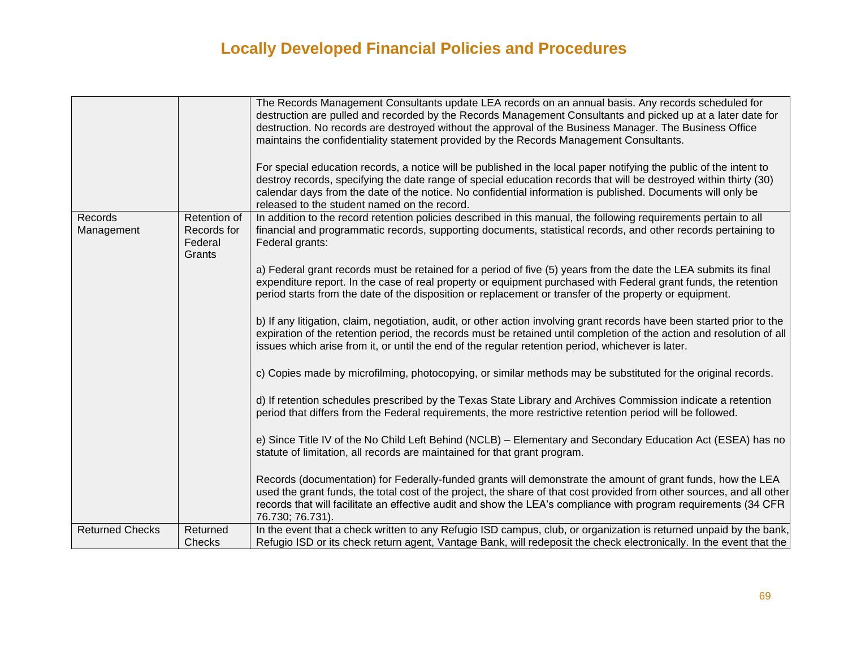|                        |                                  | The Records Management Consultants update LEA records on an annual basis. Any records scheduled for<br>destruction are pulled and recorded by the Records Management Consultants and picked up at a later date for<br>destruction. No records are destroyed without the approval of the Business Manager. The Business Office<br>maintains the confidentiality statement provided by the Records Management Consultants.<br>For special education records, a notice will be published in the local paper notifying the public of the intent to<br>destroy records, specifying the date range of special education records that will be destroyed within thirty (30)<br>calendar days from the date of the notice. No confidential information is published. Documents will only be<br>released to the student named on the record. |
|------------------------|----------------------------------|------------------------------------------------------------------------------------------------------------------------------------------------------------------------------------------------------------------------------------------------------------------------------------------------------------------------------------------------------------------------------------------------------------------------------------------------------------------------------------------------------------------------------------------------------------------------------------------------------------------------------------------------------------------------------------------------------------------------------------------------------------------------------------------------------------------------------------|
| Records                | Retention of                     | In addition to the record retention policies described in this manual, the following requirements pertain to all                                                                                                                                                                                                                                                                                                                                                                                                                                                                                                                                                                                                                                                                                                                   |
| Management             | Records for<br>Federal<br>Grants | financial and programmatic records, supporting documents, statistical records, and other records pertaining to<br>Federal grants:                                                                                                                                                                                                                                                                                                                                                                                                                                                                                                                                                                                                                                                                                                  |
|                        |                                  | a) Federal grant records must be retained for a period of five (5) years from the date the LEA submits its final<br>expenditure report. In the case of real property or equipment purchased with Federal grant funds, the retention<br>period starts from the date of the disposition or replacement or transfer of the property or equipment.                                                                                                                                                                                                                                                                                                                                                                                                                                                                                     |
|                        |                                  | b) If any litigation, claim, negotiation, audit, or other action involving grant records have been started prior to the<br>expiration of the retention period, the records must be retained until completion of the action and resolution of all<br>issues which arise from it, or until the end of the regular retention period, whichever is later.                                                                                                                                                                                                                                                                                                                                                                                                                                                                              |
|                        |                                  | c) Copies made by microfilming, photocopying, or similar methods may be substituted for the original records.                                                                                                                                                                                                                                                                                                                                                                                                                                                                                                                                                                                                                                                                                                                      |
|                        |                                  | d) If retention schedules prescribed by the Texas State Library and Archives Commission indicate a retention<br>period that differs from the Federal requirements, the more restrictive retention period will be followed.                                                                                                                                                                                                                                                                                                                                                                                                                                                                                                                                                                                                         |
|                        |                                  | e) Since Title IV of the No Child Left Behind (NCLB) - Elementary and Secondary Education Act (ESEA) has no<br>statute of limitation, all records are maintained for that grant program.                                                                                                                                                                                                                                                                                                                                                                                                                                                                                                                                                                                                                                           |
|                        |                                  | Records (documentation) for Federally-funded grants will demonstrate the amount of grant funds, how the LEA<br>used the grant funds, the total cost of the project, the share of that cost provided from other sources, and all other<br>records that will facilitate an effective audit and show the LEA's compliance with program requirements (34 CFR<br>76.730; 76.731).                                                                                                                                                                                                                                                                                                                                                                                                                                                       |
| <b>Returned Checks</b> | Returned                         | In the event that a check written to any Refugio ISD campus, club, or organization is returned unpaid by the bank,                                                                                                                                                                                                                                                                                                                                                                                                                                                                                                                                                                                                                                                                                                                 |
|                        | Checks                           | Refugio ISD or its check return agent, Vantage Bank, will redeposit the check electronically. In the event that the                                                                                                                                                                                                                                                                                                                                                                                                                                                                                                                                                                                                                                                                                                                |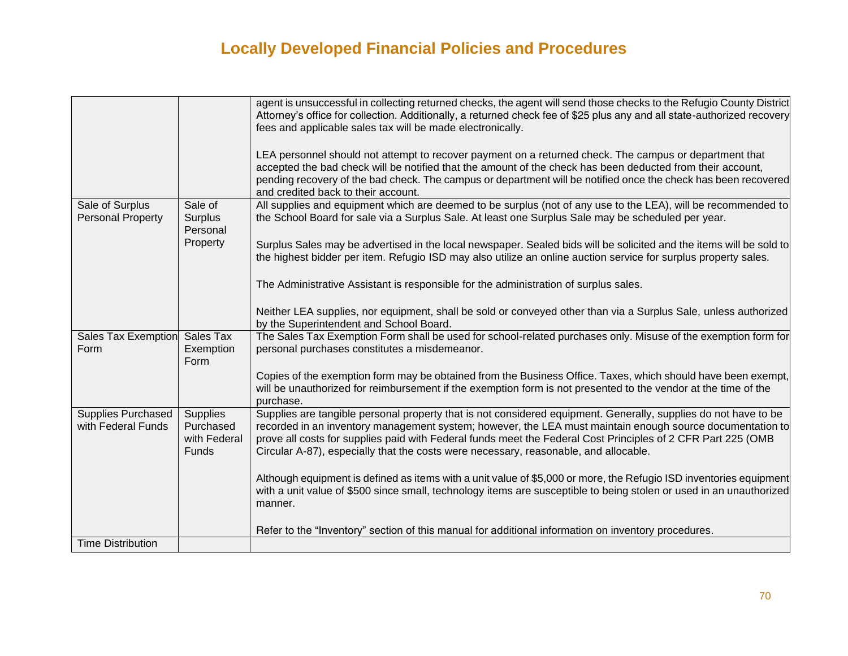|                                                 |                                                              | agent is unsuccessful in collecting returned checks, the agent will send those checks to the Refugio County District<br>Attorney's office for collection. Additionally, a returned check fee of \$25 plus any and all state-authorized recovery<br>fees and applicable sales tax will be made electronically.<br>LEA personnel should not attempt to recover payment on a returned check. The campus or department that<br>accepted the bad check will be notified that the amount of the check has been deducted from their account, |
|-------------------------------------------------|--------------------------------------------------------------|---------------------------------------------------------------------------------------------------------------------------------------------------------------------------------------------------------------------------------------------------------------------------------------------------------------------------------------------------------------------------------------------------------------------------------------------------------------------------------------------------------------------------------------|
|                                                 |                                                              | pending recovery of the bad check. The campus or department will be notified once the check has been recovered<br>and credited back to their account.                                                                                                                                                                                                                                                                                                                                                                                 |
| Sale of Surplus<br><b>Personal Property</b>     | Sale of<br>Surplus<br>Personal                               | All supplies and equipment which are deemed to be surplus (not of any use to the LEA), will be recommended to<br>the School Board for sale via a Surplus Sale. At least one Surplus Sale may be scheduled per year.                                                                                                                                                                                                                                                                                                                   |
|                                                 | Property                                                     | Surplus Sales may be advertised in the local newspaper. Sealed bids will be solicited and the items will be sold to<br>the highest bidder per item. Refugio ISD may also utilize an online auction service for surplus property sales.                                                                                                                                                                                                                                                                                                |
|                                                 |                                                              | The Administrative Assistant is responsible for the administration of surplus sales.                                                                                                                                                                                                                                                                                                                                                                                                                                                  |
|                                                 |                                                              | Neither LEA supplies, nor equipment, shall be sold or conveyed other than via a Surplus Sale, unless authorized<br>by the Superintendent and School Board.                                                                                                                                                                                                                                                                                                                                                                            |
| Sales Tax Exemption<br>Form                     | Sales Tax<br>Exemption<br>Form                               | The Sales Tax Exemption Form shall be used for school-related purchases only. Misuse of the exemption form for<br>personal purchases constitutes a misdemeanor.                                                                                                                                                                                                                                                                                                                                                                       |
|                                                 |                                                              | Copies of the exemption form may be obtained from the Business Office. Taxes, which should have been exempt,<br>will be unauthorized for reimbursement if the exemption form is not presented to the vendor at the time of the<br>purchase.                                                                                                                                                                                                                                                                                           |
| <b>Supplies Purchased</b><br>with Federal Funds | <b>Supplies</b><br>Purchased<br>with Federal<br><b>Funds</b> | Supplies are tangible personal property that is not considered equipment. Generally, supplies do not have to be<br>recorded in an inventory management system; however, the LEA must maintain enough source documentation to<br>prove all costs for supplies paid with Federal funds meet the Federal Cost Principles of 2 CFR Part 225 (OMB<br>Circular A-87), especially that the costs were necessary, reasonable, and allocable.                                                                                                  |
|                                                 |                                                              | Although equipment is defined as items with a unit value of \$5,000 or more, the Refugio ISD inventories equipment<br>with a unit value of \$500 since small, technology items are susceptible to being stolen or used in an unauthorized<br>manner.                                                                                                                                                                                                                                                                                  |
| <b>Time Distribution</b>                        |                                                              | Refer to the "Inventory" section of this manual for additional information on inventory procedures.                                                                                                                                                                                                                                                                                                                                                                                                                                   |
|                                                 |                                                              |                                                                                                                                                                                                                                                                                                                                                                                                                                                                                                                                       |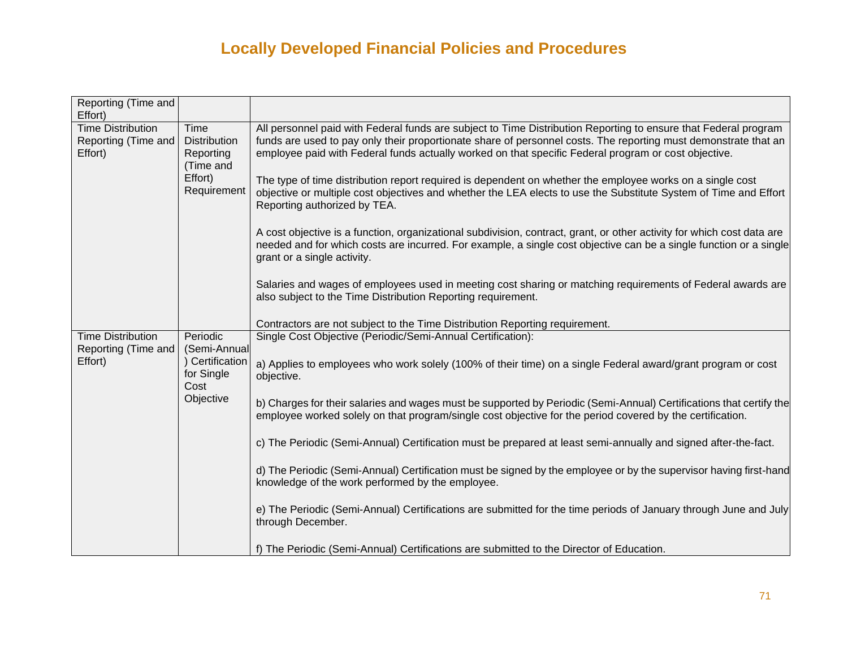| Reporting (Time and<br>Effort)                             |                                                                                 |                                                                                                                                                                                                                                                                                                                                                                                                                                                                                                                                                                                                                                                                                                                                                                                                                                                                                                                                                                                                                                                                           |
|------------------------------------------------------------|---------------------------------------------------------------------------------|---------------------------------------------------------------------------------------------------------------------------------------------------------------------------------------------------------------------------------------------------------------------------------------------------------------------------------------------------------------------------------------------------------------------------------------------------------------------------------------------------------------------------------------------------------------------------------------------------------------------------------------------------------------------------------------------------------------------------------------------------------------------------------------------------------------------------------------------------------------------------------------------------------------------------------------------------------------------------------------------------------------------------------------------------------------------------|
| <b>Time Distribution</b><br>Reporting (Time and<br>Effort) | Time<br><b>Distribution</b><br>Reporting<br>(Time and<br>Effort)<br>Requirement | All personnel paid with Federal funds are subject to Time Distribution Reporting to ensure that Federal program<br>funds are used to pay only their proportionate share of personnel costs. The reporting must demonstrate that an<br>employee paid with Federal funds actually worked on that specific Federal program or cost objective.<br>The type of time distribution report required is dependent on whether the employee works on a single cost<br>objective or multiple cost objectives and whether the LEA elects to use the Substitute System of Time and Effort<br>Reporting authorized by TEA.<br>A cost objective is a function, organizational subdivision, contract, grant, or other activity for which cost data are<br>needed and for which costs are incurred. For example, a single cost objective can be a single function or a single<br>grant or a single activity.<br>Salaries and wages of employees used in meeting cost sharing or matching requirements of Federal awards are<br>also subject to the Time Distribution Reporting requirement. |
| <b>Time Distribution</b>                                   | Periodic                                                                        | Contractors are not subject to the Time Distribution Reporting requirement.<br>Single Cost Objective (Periodic/Semi-Annual Certification):                                                                                                                                                                                                                                                                                                                                                                                                                                                                                                                                                                                                                                                                                                                                                                                                                                                                                                                                |
| Reporting (Time and<br>Effort)                             | (Semi-Annual<br>) Certification<br>for Single<br>Cost<br>Objective              | a) Applies to employees who work solely (100% of their time) on a single Federal award/grant program or cost<br>objective.                                                                                                                                                                                                                                                                                                                                                                                                                                                                                                                                                                                                                                                                                                                                                                                                                                                                                                                                                |
|                                                            |                                                                                 | b) Charges for their salaries and wages must be supported by Periodic (Semi-Annual) Certifications that certify the<br>employee worked solely on that program/single cost objective for the period covered by the certification.                                                                                                                                                                                                                                                                                                                                                                                                                                                                                                                                                                                                                                                                                                                                                                                                                                          |
|                                                            |                                                                                 | c) The Periodic (Semi-Annual) Certification must be prepared at least semi-annually and signed after-the-fact.                                                                                                                                                                                                                                                                                                                                                                                                                                                                                                                                                                                                                                                                                                                                                                                                                                                                                                                                                            |
|                                                            |                                                                                 | d) The Periodic (Semi-Annual) Certification must be signed by the employee or by the supervisor having first-hand<br>knowledge of the work performed by the employee.                                                                                                                                                                                                                                                                                                                                                                                                                                                                                                                                                                                                                                                                                                                                                                                                                                                                                                     |
|                                                            |                                                                                 | e) The Periodic (Semi-Annual) Certifications are submitted for the time periods of January through June and July<br>through December.                                                                                                                                                                                                                                                                                                                                                                                                                                                                                                                                                                                                                                                                                                                                                                                                                                                                                                                                     |
|                                                            |                                                                                 | f) The Periodic (Semi-Annual) Certifications are submitted to the Director of Education.                                                                                                                                                                                                                                                                                                                                                                                                                                                                                                                                                                                                                                                                                                                                                                                                                                                                                                                                                                                  |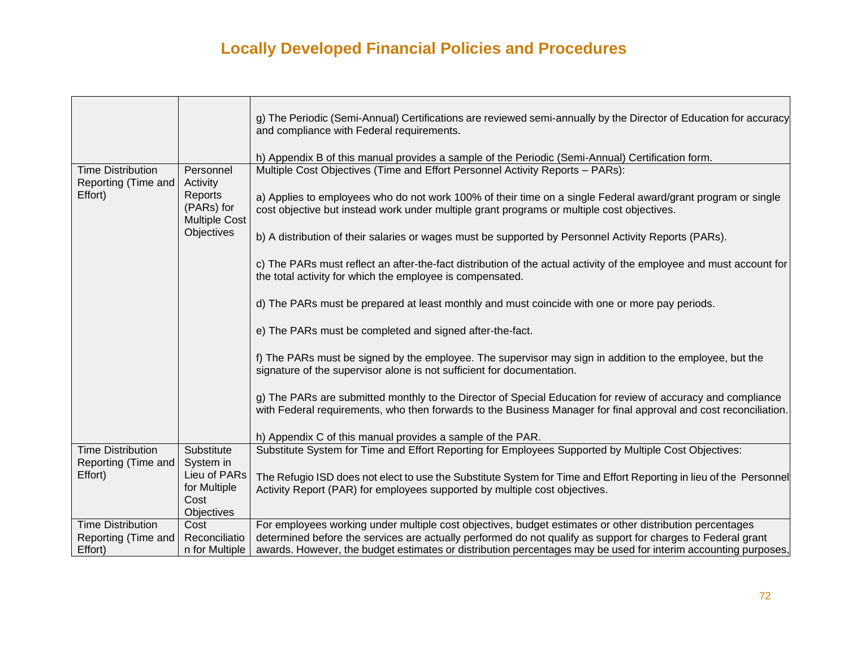|                                                 |                                                    | g) The Periodic (Semi-Annual) Certifications are reviewed semi-annually by the Director of Education for accuracy<br>and compliance with Federal requirements.                                                                   |
|-------------------------------------------------|----------------------------------------------------|----------------------------------------------------------------------------------------------------------------------------------------------------------------------------------------------------------------------------------|
|                                                 |                                                    | h) Appendix B of this manual provides a sample of the Periodic (Semi-Annual) Certification form.                                                                                                                                 |
| <b>Time Distribution</b><br>Reporting (Time and | Personnel<br>Activity                              | Multiple Cost Objectives (Time and Effort Personnel Activity Reports - PARs):                                                                                                                                                    |
| Effort)                                         | Reports<br>(PARs) for<br><b>Multiple Cost</b>      | a) Applies to employees who do not work 100% of their time on a single Federal award/grant program or single<br>cost objective but instead work under multiple grant programs or multiple cost objectives.                       |
|                                                 | Objectives                                         | b) A distribution of their salaries or wages must be supported by Personnel Activity Reports (PARs).                                                                                                                             |
|                                                 |                                                    | c) The PARs must reflect an after-the-fact distribution of the actual activity of the employee and must account for<br>the total activity for which the employee is compensated.                                                 |
|                                                 |                                                    | d) The PARs must be prepared at least monthly and must coincide with one or more pay periods.                                                                                                                                    |
|                                                 |                                                    | e) The PARs must be completed and signed after-the-fact.                                                                                                                                                                         |
|                                                 |                                                    | f) The PARs must be signed by the employee. The supervisor may sign in addition to the employee, but the<br>signature of the supervisor alone is not sufficient for documentation.                                               |
|                                                 |                                                    | g) The PARs are submitted monthly to the Director of Special Education for review of accuracy and compliance<br>with Federal requirements, who then forwards to the Business Manager for final approval and cost reconciliation. |
|                                                 |                                                    | h) Appendix C of this manual provides a sample of the PAR.                                                                                                                                                                       |
| <b>Time Distribution</b><br>Reporting (Time and | Substitute<br>System in                            | Substitute System for Time and Effort Reporting for Employees Supported by Multiple Cost Objectives:                                                                                                                             |
| Effort)                                         | Lieu of PARs<br>for Multiple<br>Cost<br>Objectives | The Refugio ISD does not elect to use the Substitute System for Time and Effort Reporting in lieu of the Personnel<br>Activity Report (PAR) for employees supported by multiple cost objectives.                                 |
| <b>Time Distribution</b>                        | Cost                                               | For employees working under multiple cost objectives, budget estimates or other distribution percentages                                                                                                                         |
| Reporting (Time and<br>Effort)                  | Reconciliatio<br>n for Multiple                    | determined before the services are actually performed do not qualify as support for charges to Federal grant<br>awards. However, the budget estimates or distribution percentages may be used for interim accounting purposes,   |
|                                                 |                                                    |                                                                                                                                                                                                                                  |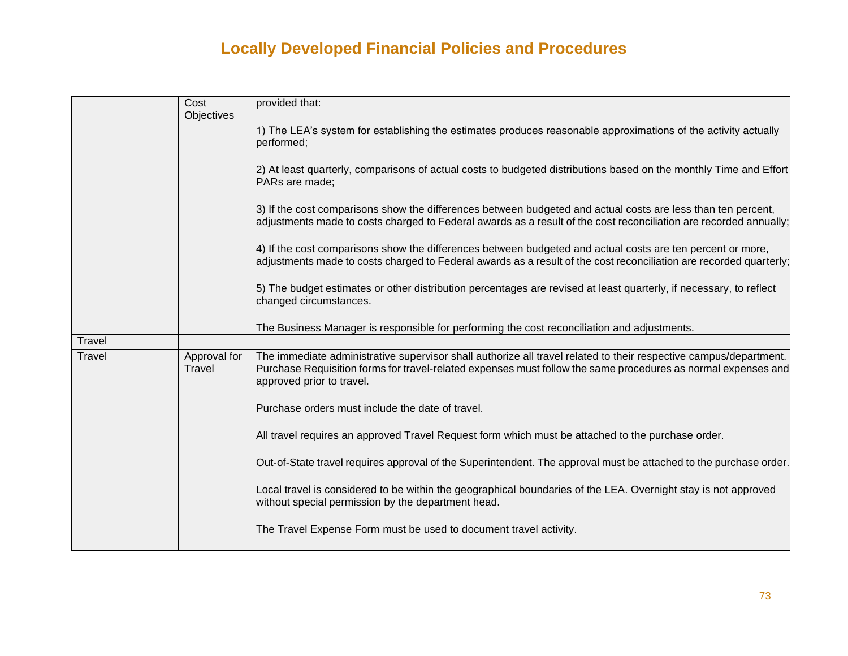|        | Cost                   | provided that:                                                                                                                                                                                                                                                  |
|--------|------------------------|-----------------------------------------------------------------------------------------------------------------------------------------------------------------------------------------------------------------------------------------------------------------|
|        | Objectives             |                                                                                                                                                                                                                                                                 |
|        |                        | 1) The LEA's system for establishing the estimates produces reasonable approximations of the activity actually<br>performed;                                                                                                                                    |
|        |                        | 2) At least quarterly, comparisons of actual costs to budgeted distributions based on the monthly Time and Effort<br>PARs are made;                                                                                                                             |
|        |                        | 3) If the cost comparisons show the differences between budgeted and actual costs are less than ten percent,<br>adjustments made to costs charged to Federal awards as a result of the cost reconciliation are recorded annually;                               |
|        |                        | 4) If the cost comparisons show the differences between budgeted and actual costs are ten percent or more,<br>adjustments made to costs charged to Federal awards as a result of the cost reconciliation are recorded quarterly;                                |
|        |                        | 5) The budget estimates or other distribution percentages are revised at least quarterly, if necessary, to reflect<br>changed circumstances.                                                                                                                    |
|        |                        | The Business Manager is responsible for performing the cost reconciliation and adjustments.                                                                                                                                                                     |
| Travel |                        |                                                                                                                                                                                                                                                                 |
| Travel | Approval for<br>Travel | The immediate administrative supervisor shall authorize all travel related to their respective campus/department.<br>Purchase Requisition forms for travel-related expenses must follow the same procedures as normal expenses and<br>approved prior to travel. |
|        |                        | Purchase orders must include the date of travel.                                                                                                                                                                                                                |
|        |                        | All travel requires an approved Travel Request form which must be attached to the purchase order.                                                                                                                                                               |
|        |                        | Out-of-State travel requires approval of the Superintendent. The approval must be attached to the purchase order.                                                                                                                                               |
|        |                        | Local travel is considered to be within the geographical boundaries of the LEA. Overnight stay is not approved<br>without special permission by the department head.                                                                                            |
|        |                        | The Travel Expense Form must be used to document travel activity.                                                                                                                                                                                               |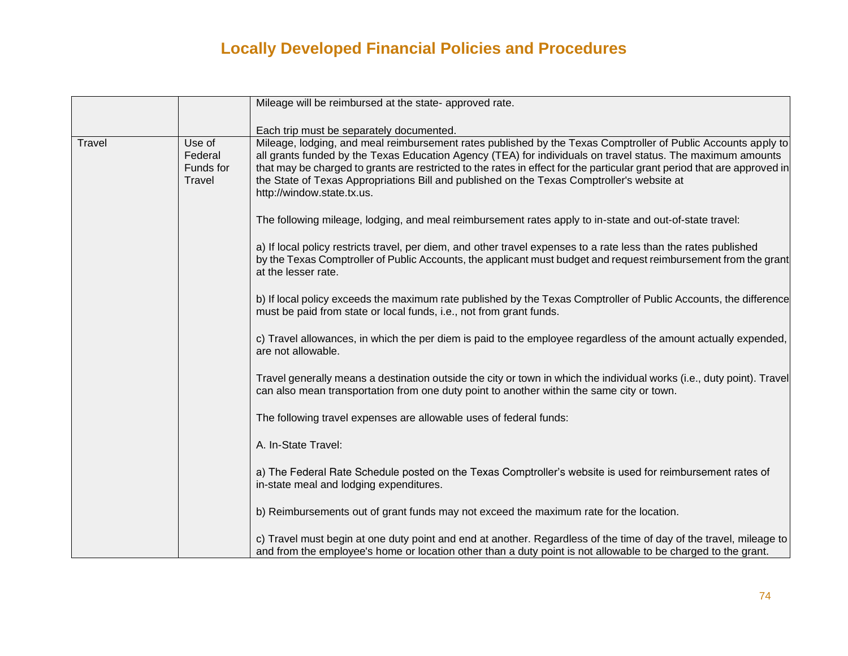|        |                                          | Mileage will be reimbursed at the state- approved rate.                                                                                                                                                                                                                                                                                                                                                                                                                              |
|--------|------------------------------------------|--------------------------------------------------------------------------------------------------------------------------------------------------------------------------------------------------------------------------------------------------------------------------------------------------------------------------------------------------------------------------------------------------------------------------------------------------------------------------------------|
|        |                                          | Each trip must be separately documented.                                                                                                                                                                                                                                                                                                                                                                                                                                             |
| Travel | Use of<br>Federal<br>Funds for<br>Travel | Mileage, lodging, and meal reimbursement rates published by the Texas Comptroller of Public Accounts apply to<br>all grants funded by the Texas Education Agency (TEA) for individuals on travel status. The maximum amounts<br>that may be charged to grants are restricted to the rates in effect for the particular grant period that are approved in<br>the State of Texas Appropriations Bill and published on the Texas Comptroller's website at<br>http://window.state.tx.us. |
|        |                                          | The following mileage, lodging, and meal reimbursement rates apply to in-state and out-of-state travel:                                                                                                                                                                                                                                                                                                                                                                              |
|        |                                          | a) If local policy restricts travel, per diem, and other travel expenses to a rate less than the rates published<br>by the Texas Comptroller of Public Accounts, the applicant must budget and request reimbursement from the grant<br>at the lesser rate.                                                                                                                                                                                                                           |
|        |                                          | b) If local policy exceeds the maximum rate published by the Texas Comptroller of Public Accounts, the difference<br>must be paid from state or local funds, i.e., not from grant funds.                                                                                                                                                                                                                                                                                             |
|        |                                          | c) Travel allowances, in which the per diem is paid to the employee regardless of the amount actually expended,<br>are not allowable.                                                                                                                                                                                                                                                                                                                                                |
|        |                                          | Travel generally means a destination outside the city or town in which the individual works (i.e., duty point). Travel<br>can also mean transportation from one duty point to another within the same city or town.                                                                                                                                                                                                                                                                  |
|        |                                          | The following travel expenses are allowable uses of federal funds:                                                                                                                                                                                                                                                                                                                                                                                                                   |
|        |                                          | A. In-State Travel:                                                                                                                                                                                                                                                                                                                                                                                                                                                                  |
|        |                                          | a) The Federal Rate Schedule posted on the Texas Comptroller's website is used for reimbursement rates of<br>in-state meal and lodging expenditures.                                                                                                                                                                                                                                                                                                                                 |
|        |                                          | b) Reimbursements out of grant funds may not exceed the maximum rate for the location.                                                                                                                                                                                                                                                                                                                                                                                               |
|        |                                          | c) Travel must begin at one duty point and end at another. Regardless of the time of day of the travel, mileage to<br>and from the employee's home or location other than a duty point is not allowable to be charged to the grant.                                                                                                                                                                                                                                                  |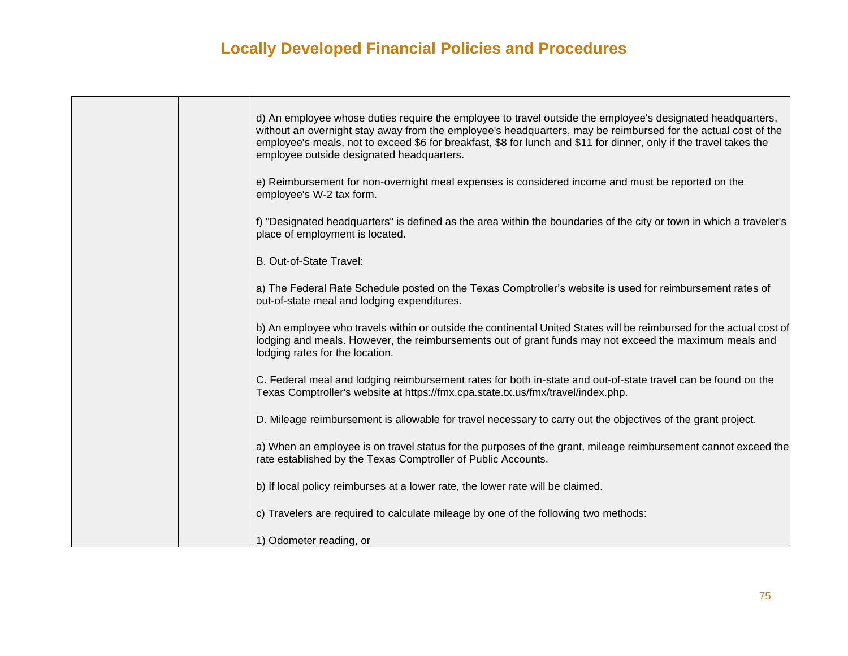| d) An employee whose duties require the employee to travel outside the employee's designated headquarters,<br>without an overnight stay away from the employee's headquarters, may be reimbursed for the actual cost of the<br>employee's meals, not to exceed \$6 for breakfast, \$8 for lunch and \$11 for dinner, only if the travel takes the<br>employee outside designated headquarters. |
|------------------------------------------------------------------------------------------------------------------------------------------------------------------------------------------------------------------------------------------------------------------------------------------------------------------------------------------------------------------------------------------------|
| e) Reimbursement for non-overnight meal expenses is considered income and must be reported on the<br>employee's W-2 tax form.                                                                                                                                                                                                                                                                  |
| f) "Designated headquarters" is defined as the area within the boundaries of the city or town in which a traveler's<br>place of employment is located.                                                                                                                                                                                                                                         |
| B. Out-of-State Travel:                                                                                                                                                                                                                                                                                                                                                                        |
| a) The Federal Rate Schedule posted on the Texas Comptroller's website is used for reimbursement rates of<br>out-of-state meal and lodging expenditures.                                                                                                                                                                                                                                       |
| b) An employee who travels within or outside the continental United States will be reimbursed for the actual cost of<br>lodging and meals. However, the reimbursements out of grant funds may not exceed the maximum meals and<br>lodging rates for the location.                                                                                                                              |
| C. Federal meal and lodging reimbursement rates for both in-state and out-of-state travel can be found on the<br>Texas Comptroller's website at https://fmx.cpa.state.tx.us/fmx/travel/index.php.                                                                                                                                                                                              |
| D. Mileage reimbursement is allowable for travel necessary to carry out the objectives of the grant project.                                                                                                                                                                                                                                                                                   |
| a) When an employee is on travel status for the purposes of the grant, mileage reimbursement cannot exceed the<br>rate established by the Texas Comptroller of Public Accounts.                                                                                                                                                                                                                |
| b) If local policy reimburses at a lower rate, the lower rate will be claimed.                                                                                                                                                                                                                                                                                                                 |
| c) Travelers are required to calculate mileage by one of the following two methods:                                                                                                                                                                                                                                                                                                            |
| 1) Odometer reading, or                                                                                                                                                                                                                                                                                                                                                                        |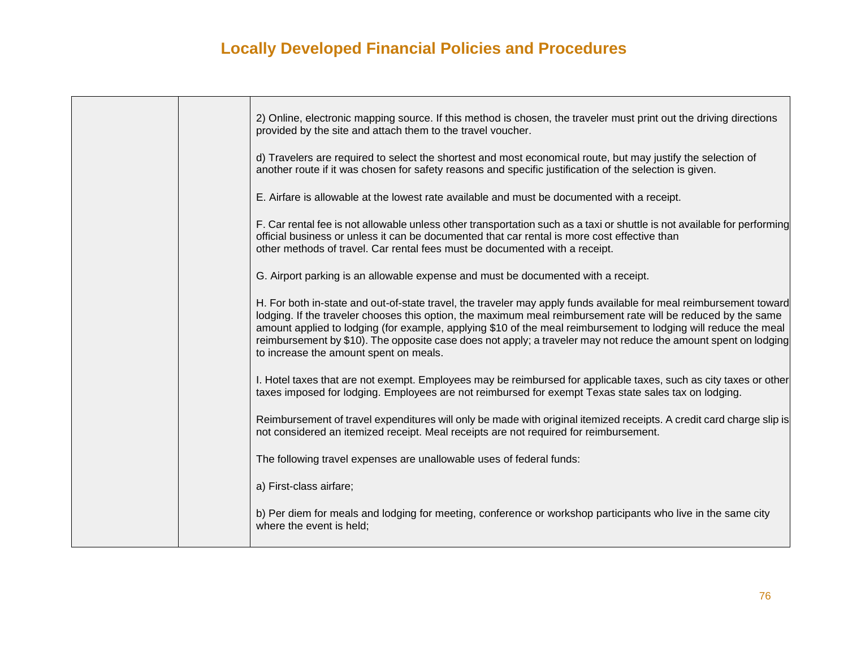|  | 2) Online, electronic mapping source. If this method is chosen, the traveler must print out the driving directions<br>provided by the site and attach them to the travel voucher.                                                                                                                                                                                                                                                                                                                                   |
|--|---------------------------------------------------------------------------------------------------------------------------------------------------------------------------------------------------------------------------------------------------------------------------------------------------------------------------------------------------------------------------------------------------------------------------------------------------------------------------------------------------------------------|
|  | d) Travelers are required to select the shortest and most economical route, but may justify the selection of<br>another route if it was chosen for safety reasons and specific justification of the selection is given.                                                                                                                                                                                                                                                                                             |
|  | E. Airfare is allowable at the lowest rate available and must be documented with a receipt.                                                                                                                                                                                                                                                                                                                                                                                                                         |
|  | F. Car rental fee is not allowable unless other transportation such as a taxi or shuttle is not available for performing<br>official business or unless it can be documented that car rental is more cost effective than<br>other methods of travel. Car rental fees must be documented with a receipt.                                                                                                                                                                                                             |
|  | G. Airport parking is an allowable expense and must be documented with a receipt.                                                                                                                                                                                                                                                                                                                                                                                                                                   |
|  | H. For both in-state and out-of-state travel, the traveler may apply funds available for meal reimbursement toward<br>lodging. If the traveler chooses this option, the maximum meal reimbursement rate will be reduced by the same<br>amount applied to lodging (for example, applying \$10 of the meal reimbursement to lodging will reduce the meal<br>reimbursement by \$10). The opposite case does not apply; a traveler may not reduce the amount spent on lodging<br>to increase the amount spent on meals. |
|  | I. Hotel taxes that are not exempt. Employees may be reimbursed for applicable taxes, such as city taxes or other<br>taxes imposed for lodging. Employees are not reimbursed for exempt Texas state sales tax on lodging.                                                                                                                                                                                                                                                                                           |
|  | Reimbursement of travel expenditures will only be made with original itemized receipts. A credit card charge slip is<br>not considered an itemized receipt. Meal receipts are not required for reimbursement.                                                                                                                                                                                                                                                                                                       |
|  | The following travel expenses are unallowable uses of federal funds:                                                                                                                                                                                                                                                                                                                                                                                                                                                |
|  | a) First-class airfare;                                                                                                                                                                                                                                                                                                                                                                                                                                                                                             |
|  | b) Per diem for meals and lodging for meeting, conference or workshop participants who live in the same city<br>where the event is held;                                                                                                                                                                                                                                                                                                                                                                            |
|  |                                                                                                                                                                                                                                                                                                                                                                                                                                                                                                                     |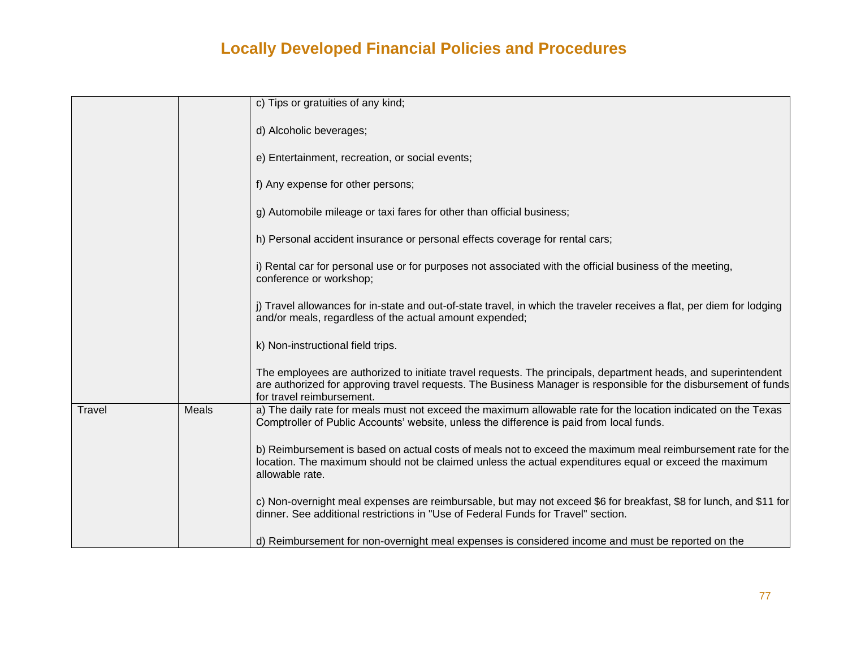|        |       | c) Tips or gratuities of any kind;                                                                                                                                                                                                                             |
|--------|-------|----------------------------------------------------------------------------------------------------------------------------------------------------------------------------------------------------------------------------------------------------------------|
|        |       | d) Alcoholic beverages;                                                                                                                                                                                                                                        |
|        |       | e) Entertainment, recreation, or social events;                                                                                                                                                                                                                |
|        |       | f) Any expense for other persons;                                                                                                                                                                                                                              |
|        |       | g) Automobile mileage or taxi fares for other than official business;                                                                                                                                                                                          |
|        |       | h) Personal accident insurance or personal effects coverage for rental cars;                                                                                                                                                                                   |
|        |       | i) Rental car for personal use or for purposes not associated with the official business of the meeting,<br>conference or workshop;                                                                                                                            |
|        |       | j) Travel allowances for in-state and out-of-state travel, in which the traveler receives a flat, per diem for lodging<br>and/or meals, regardless of the actual amount expended;                                                                              |
|        |       | k) Non-instructional field trips.                                                                                                                                                                                                                              |
|        |       | The employees are authorized to initiate travel requests. The principals, department heads, and superintendent<br>are authorized for approving travel requests. The Business Manager is responsible for the disbursement of funds<br>for travel reimbursement. |
| Travel | Meals | a) The daily rate for meals must not exceed the maximum allowable rate for the location indicated on the Texas<br>Comptroller of Public Accounts' website, unless the difference is paid from local funds.                                                     |
|        |       | b) Reimbursement is based on actual costs of meals not to exceed the maximum meal reimbursement rate for the<br>location. The maximum should not be claimed unless the actual expenditures equal or exceed the maximum<br>allowable rate.                      |
|        |       | c) Non-overnight meal expenses are reimbursable, but may not exceed \$6 for breakfast, \$8 for lunch, and \$11 for<br>dinner. See additional restrictions in "Use of Federal Funds for Travel" section.                                                        |
|        |       | d) Reimbursement for non-overnight meal expenses is considered income and must be reported on the                                                                                                                                                              |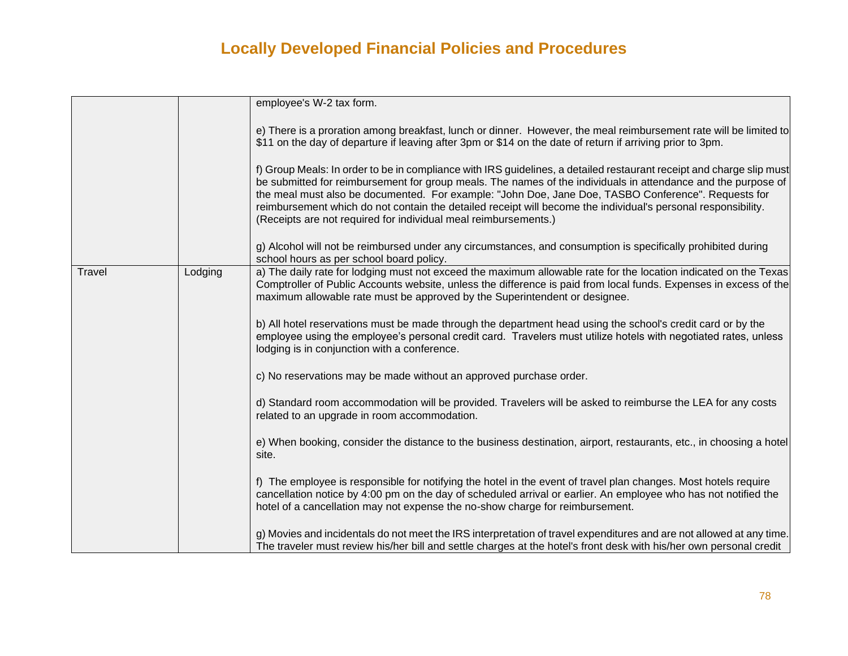|        |         | employee's W-2 tax form.                                                                                                                                                                                                                                                                                                                                                                                                                                                                                                         |
|--------|---------|----------------------------------------------------------------------------------------------------------------------------------------------------------------------------------------------------------------------------------------------------------------------------------------------------------------------------------------------------------------------------------------------------------------------------------------------------------------------------------------------------------------------------------|
|        |         | e) There is a proration among breakfast, lunch or dinner. However, the meal reimbursement rate will be limited to<br>\$11 on the day of departure if leaving after 3pm or \$14 on the date of return if arriving prior to 3pm.                                                                                                                                                                                                                                                                                                   |
|        |         | f) Group Meals: In order to be in compliance with IRS guidelines, a detailed restaurant receipt and charge slip must<br>be submitted for reimbursement for group meals. The names of the individuals in attendance and the purpose of<br>the meal must also be documented. For example: "John Doe, Jane Doe, TASBO Conference". Requests for<br>reimbursement which do not contain the detailed receipt will become the individual's personal responsibility.<br>(Receipts are not required for individual meal reimbursements.) |
|        |         | g) Alcohol will not be reimbursed under any circumstances, and consumption is specifically prohibited during<br>school hours as per school board policy.                                                                                                                                                                                                                                                                                                                                                                         |
| Travel | Lodging | a) The daily rate for lodging must not exceed the maximum allowable rate for the location indicated on the Texas<br>Comptroller of Public Accounts website, unless the difference is paid from local funds. Expenses in excess of the<br>maximum allowable rate must be approved by the Superintendent or designee.                                                                                                                                                                                                              |
|        |         | b) All hotel reservations must be made through the department head using the school's credit card or by the<br>employee using the employee's personal credit card. Travelers must utilize hotels with negotiated rates, unless<br>lodging is in conjunction with a conference.                                                                                                                                                                                                                                                   |
|        |         | c) No reservations may be made without an approved purchase order.                                                                                                                                                                                                                                                                                                                                                                                                                                                               |
|        |         | d) Standard room accommodation will be provided. Travelers will be asked to reimburse the LEA for any costs<br>related to an upgrade in room accommodation.                                                                                                                                                                                                                                                                                                                                                                      |
|        |         | e) When booking, consider the distance to the business destination, airport, restaurants, etc., in choosing a hotel<br>site.                                                                                                                                                                                                                                                                                                                                                                                                     |
|        |         | f) The employee is responsible for notifying the hotel in the event of travel plan changes. Most hotels require<br>cancellation notice by 4:00 pm on the day of scheduled arrival or earlier. An employee who has not notified the<br>hotel of a cancellation may not expense the no-show charge for reimbursement.                                                                                                                                                                                                              |
|        |         | g) Movies and incidentals do not meet the IRS interpretation of travel expenditures and are not allowed at any time.<br>The traveler must review his/her bill and settle charges at the hotel's front desk with his/her own personal credit                                                                                                                                                                                                                                                                                      |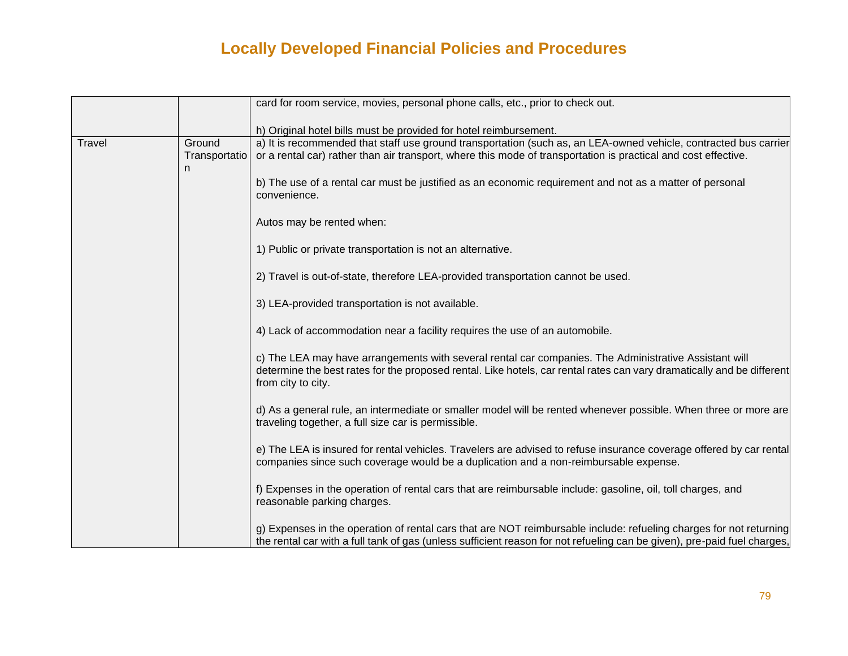|        |                              | card for room service, movies, personal phone calls, etc., prior to check out.                                                                                                                                                                        |
|--------|------------------------------|-------------------------------------------------------------------------------------------------------------------------------------------------------------------------------------------------------------------------------------------------------|
|        |                              | h) Original hotel bills must be provided for hotel reimbursement.                                                                                                                                                                                     |
| Travel | Ground<br>Transportatio<br>n | a) It is recommended that staff use ground transportation (such as, an LEA-owned vehicle, contracted bus carrier<br>or a rental car) rather than air transport, where this mode of transportation is practical and cost effective.                    |
|        |                              | b) The use of a rental car must be justified as an economic requirement and not as a matter of personal<br>convenience.                                                                                                                               |
|        |                              | Autos may be rented when:                                                                                                                                                                                                                             |
|        |                              | 1) Public or private transportation is not an alternative.                                                                                                                                                                                            |
|        |                              | 2) Travel is out-of-state, therefore LEA-provided transportation cannot be used.                                                                                                                                                                      |
|        |                              | 3) LEA-provided transportation is not available.                                                                                                                                                                                                      |
|        |                              | 4) Lack of accommodation near a facility requires the use of an automobile.                                                                                                                                                                           |
|        |                              | c) The LEA may have arrangements with several rental car companies. The Administrative Assistant will<br>determine the best rates for the proposed rental. Like hotels, car rental rates can vary dramatically and be different<br>from city to city. |
|        |                              | d) As a general rule, an intermediate or smaller model will be rented whenever possible. When three or more are<br>traveling together, a full size car is permissible.                                                                                |
|        |                              | e) The LEA is insured for rental vehicles. Travelers are advised to refuse insurance coverage offered by car rental<br>companies since such coverage would be a duplication and a non-reimbursable expense.                                           |
|        |                              | f) Expenses in the operation of rental cars that are reimbursable include: gasoline, oil, toll charges, and<br>reasonable parking charges.                                                                                                            |
|        |                              | g) Expenses in the operation of rental cars that are NOT reimbursable include: refueling charges for not returning<br>the rental car with a full tank of gas (unless sufficient reason for not refueling can be given), pre-paid fuel charges,        |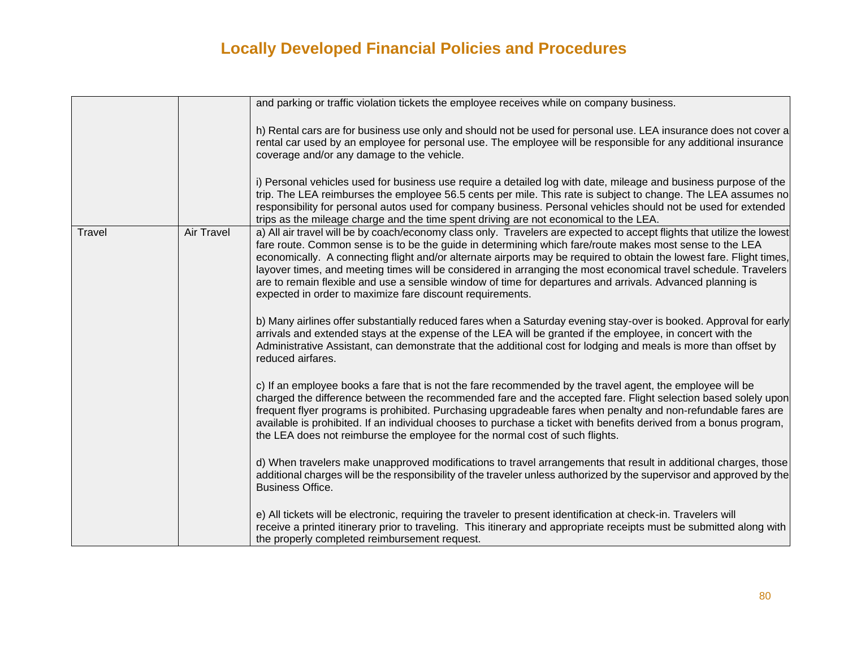|        |            | and parking or traffic violation tickets the employee receives while on company business.                                                                                                                                                                                                                                                                                                                                                                                                                                                                                                                                                                |
|--------|------------|----------------------------------------------------------------------------------------------------------------------------------------------------------------------------------------------------------------------------------------------------------------------------------------------------------------------------------------------------------------------------------------------------------------------------------------------------------------------------------------------------------------------------------------------------------------------------------------------------------------------------------------------------------|
|        |            | h) Rental cars are for business use only and should not be used for personal use. LEA insurance does not cover a<br>rental car used by an employee for personal use. The employee will be responsible for any additional insurance<br>coverage and/or any damage to the vehicle.                                                                                                                                                                                                                                                                                                                                                                         |
|        |            | i) Personal vehicles used for business use require a detailed log with date, mileage and business purpose of the<br>trip. The LEA reimburses the employee 56.5 cents per mile. This rate is subject to change. The LEA assumes no<br>responsibility for personal autos used for company business. Personal vehicles should not be used for extended<br>trips as the mileage charge and the time spent driving are not economical to the LEA.                                                                                                                                                                                                             |
| Travel | Air Travel | a) All air travel will be by coach/economy class only. Travelers are expected to accept flights that utilize the lowest<br>fare route. Common sense is to be the guide in determining which fare/route makes most sense to the LEA<br>economically. A connecting flight and/or alternate airports may be required to obtain the lowest fare. Flight times,<br>layover times, and meeting times will be considered in arranging the most economical travel schedule. Travelers<br>are to remain flexible and use a sensible window of time for departures and arrivals. Advanced planning is<br>expected in order to maximize fare discount requirements. |
|        |            | b) Many airlines offer substantially reduced fares when a Saturday evening stay-over is booked. Approval for early<br>arrivals and extended stays at the expense of the LEA will be granted if the employee, in concert with the<br>Administrative Assistant, can demonstrate that the additional cost for lodging and meals is more than offset by<br>reduced airfares.                                                                                                                                                                                                                                                                                 |
|        |            | c) If an employee books a fare that is not the fare recommended by the travel agent, the employee will be<br>charged the difference between the recommended fare and the accepted fare. Flight selection based solely upon<br>frequent flyer programs is prohibited. Purchasing upgradeable fares when penalty and non-refundable fares are<br>available is prohibited. If an individual chooses to purchase a ticket with benefits derived from a bonus program,<br>the LEA does not reimburse the employee for the normal cost of such flights.                                                                                                        |
|        |            | d) When travelers make unapproved modifications to travel arrangements that result in additional charges, those<br>additional charges will be the responsibility of the traveler unless authorized by the supervisor and approved by the<br><b>Business Office.</b>                                                                                                                                                                                                                                                                                                                                                                                      |
|        |            | e) All tickets will be electronic, requiring the traveler to present identification at check-in. Travelers will<br>receive a printed itinerary prior to traveling. This itinerary and appropriate receipts must be submitted along with<br>the properly completed reimbursement request.                                                                                                                                                                                                                                                                                                                                                                 |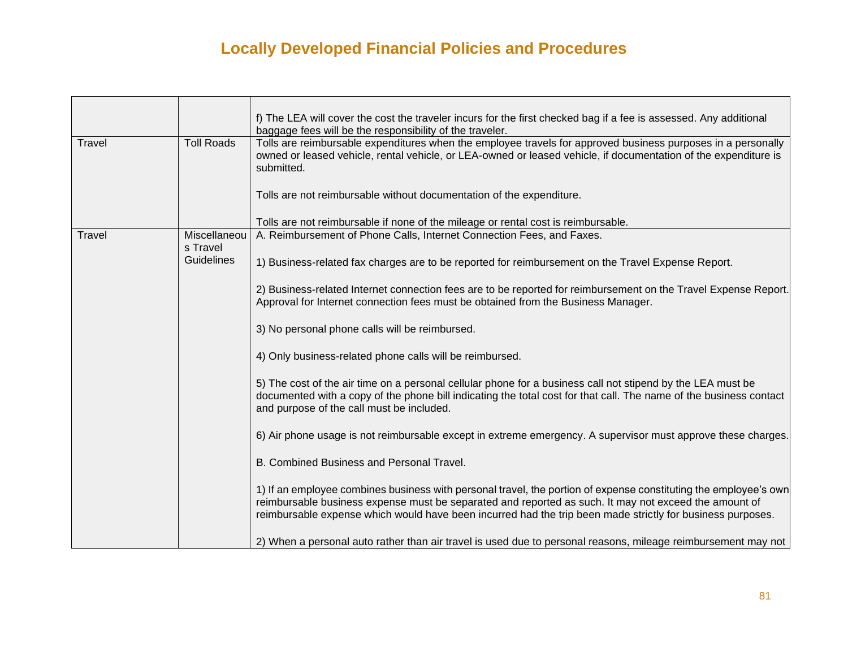|        |                   | f) The LEA will cover the cost the traveler incurs for the first checked bag if a fee is assessed. Any additional<br>baggage fees will be the responsibility of the traveler. |
|--------|-------------------|-------------------------------------------------------------------------------------------------------------------------------------------------------------------------------|
|        | <b>Toll Roads</b> | Tolls are reimbursable expenditures when the employee travels for approved business purposes in a personally                                                                  |
| Travel |                   |                                                                                                                                                                               |
|        |                   | owned or leased vehicle, rental vehicle, or LEA-owned or leased vehicle, if documentation of the expenditure is                                                               |
|        |                   | submitted.                                                                                                                                                                    |
|        |                   |                                                                                                                                                                               |
|        |                   | Tolls are not reimbursable without documentation of the expenditure.                                                                                                          |
|        |                   |                                                                                                                                                                               |
|        |                   | Tolls are not reimbursable if none of the mileage or rental cost is reimbursable.                                                                                             |
| Travel | Miscellaneou      | A. Reimbursement of Phone Calls, Internet Connection Fees, and Faxes.                                                                                                         |
|        | s Travel          |                                                                                                                                                                               |
|        | Guidelines        |                                                                                                                                                                               |
|        |                   | 1) Business-related fax charges are to be reported for reimbursement on the Travel Expense Report.                                                                            |
|        |                   |                                                                                                                                                                               |
|        |                   | 2) Business-related Internet connection fees are to be reported for reimbursement on the Travel Expense Report.                                                               |
|        |                   | Approval for Internet connection fees must be obtained from the Business Manager.                                                                                             |
|        |                   |                                                                                                                                                                               |
|        |                   | 3) No personal phone calls will be reimbursed.                                                                                                                                |
|        |                   |                                                                                                                                                                               |
|        |                   | 4) Only business-related phone calls will be reimbursed.                                                                                                                      |
|        |                   |                                                                                                                                                                               |
|        |                   | 5) The cost of the air time on a personal cellular phone for a business call not stipend by the LEA must be                                                                   |
|        |                   |                                                                                                                                                                               |
|        |                   | documented with a copy of the phone bill indicating the total cost for that call. The name of the business contact                                                            |
|        |                   | and purpose of the call must be included.                                                                                                                                     |
|        |                   |                                                                                                                                                                               |
|        |                   | 6) Air phone usage is not reimbursable except in extreme emergency. A supervisor must approve these charges.                                                                  |
|        |                   |                                                                                                                                                                               |
|        |                   | B. Combined Business and Personal Travel.                                                                                                                                     |
|        |                   |                                                                                                                                                                               |
|        |                   | 1) If an employee combines business with personal travel, the portion of expense constituting the employee's own                                                              |
|        |                   | reimbursable business expense must be separated and reported as such. It may not exceed the amount of                                                                         |
|        |                   | reimbursable expense which would have been incurred had the trip been made strictly for business purposes.                                                                    |
|        |                   |                                                                                                                                                                               |
|        |                   |                                                                                                                                                                               |
|        |                   | 2) When a personal auto rather than air travel is used due to personal reasons, mileage reimbursement may not                                                                 |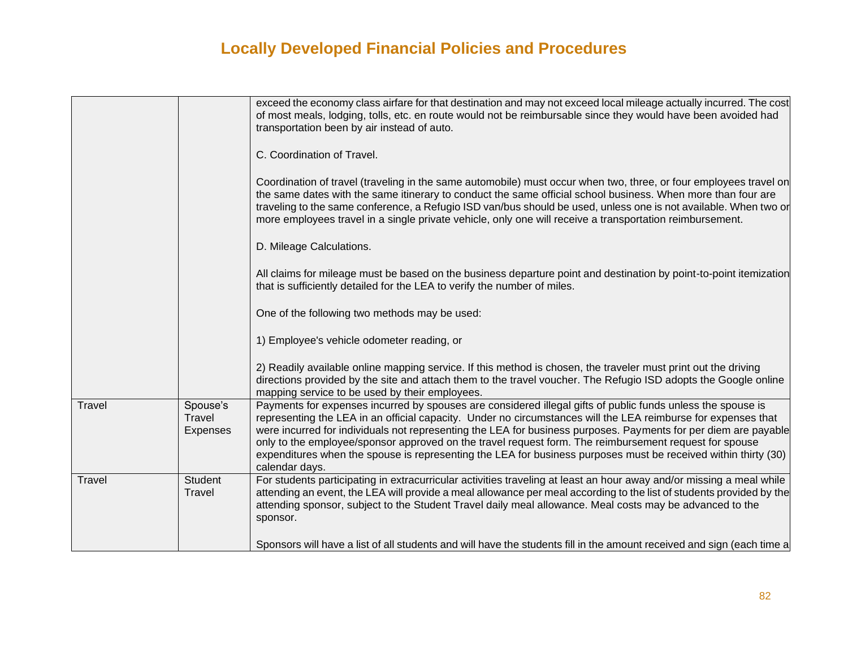|        |                                | exceed the economy class airfare for that destination and may not exceed local mileage actually incurred. The cost<br>of most meals, lodging, tolls, etc. en route would not be reimbursable since they would have been avoided had<br>transportation been by air instead of auto.                                                                                                                                                                                                                                                                                                            |
|--------|--------------------------------|-----------------------------------------------------------------------------------------------------------------------------------------------------------------------------------------------------------------------------------------------------------------------------------------------------------------------------------------------------------------------------------------------------------------------------------------------------------------------------------------------------------------------------------------------------------------------------------------------|
|        |                                | C. Coordination of Travel.                                                                                                                                                                                                                                                                                                                                                                                                                                                                                                                                                                    |
|        |                                | Coordination of travel (traveling in the same automobile) must occur when two, three, or four employees travel on<br>the same dates with the same itinerary to conduct the same official school business. When more than four are<br>traveling to the same conference, a Refugio ISD van/bus should be used, unless one is not available. When two or<br>more employees travel in a single private vehicle, only one will receive a transportation reimbursement.                                                                                                                             |
|        |                                | D. Mileage Calculations.                                                                                                                                                                                                                                                                                                                                                                                                                                                                                                                                                                      |
|        |                                | All claims for mileage must be based on the business departure point and destination by point-to-point itemization<br>that is sufficiently detailed for the LEA to verify the number of miles.                                                                                                                                                                                                                                                                                                                                                                                                |
|        |                                | One of the following two methods may be used:                                                                                                                                                                                                                                                                                                                                                                                                                                                                                                                                                 |
|        |                                | 1) Employee's vehicle odometer reading, or                                                                                                                                                                                                                                                                                                                                                                                                                                                                                                                                                    |
|        |                                | 2) Readily available online mapping service. If this method is chosen, the traveler must print out the driving<br>directions provided by the site and attach them to the travel voucher. The Refugio ISD adopts the Google online<br>mapping service to be used by their employees.                                                                                                                                                                                                                                                                                                           |
| Travel | Spouse's<br>Travel<br>Expenses | Payments for expenses incurred by spouses are considered illegal gifts of public funds unless the spouse is<br>representing the LEA in an official capacity. Under no circumstances will the LEA reimburse for expenses that<br>were incurred for individuals not representing the LEA for business purposes. Payments for per diem are payable<br>only to the employee/sponsor approved on the travel request form. The reimbursement request for spouse<br>expenditures when the spouse is representing the LEA for business purposes must be received within thirty (30)<br>calendar days. |
| Travel | Student<br>Travel              | For students participating in extracurricular activities traveling at least an hour away and/or missing a meal while<br>attending an event, the LEA will provide a meal allowance per meal according to the list of students provided by the<br>attending sponsor, subject to the Student Travel daily meal allowance. Meal costs may be advanced to the<br>sponsor.                                                                                                                                                                                                                          |
|        |                                | Sponsors will have a list of all students and will have the students fill in the amount received and sign (each time a                                                                                                                                                                                                                                                                                                                                                                                                                                                                        |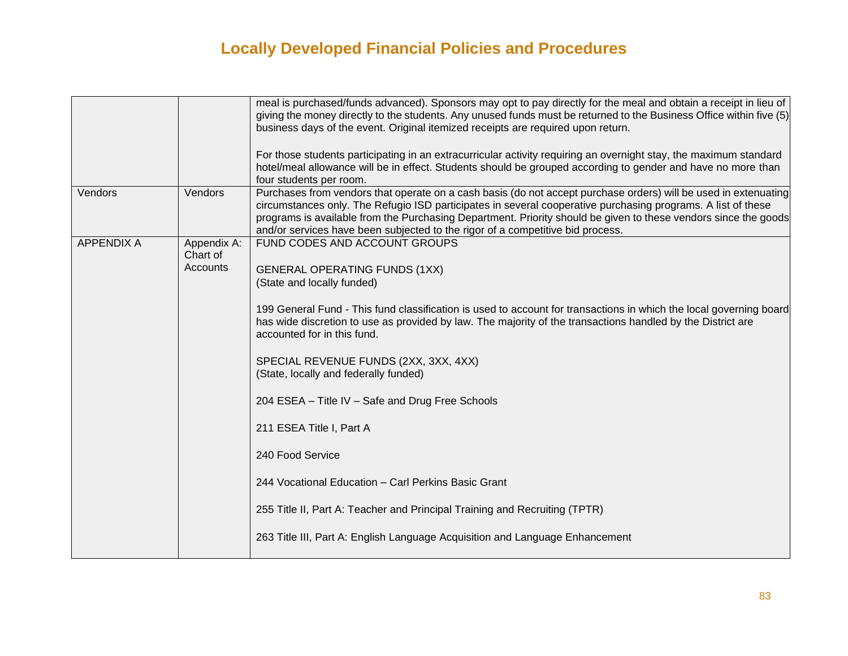|                   |                                     | meal is purchased/funds advanced). Sponsors may opt to pay directly for the meal and obtain a receipt in lieu of<br>giving the money directly to the students. Any unused funds must be returned to the Business Office within five (5)<br>business days of the event. Original itemized receipts are required upon return.<br>For those students participating in an extracurricular activity requiring an overnight stay, the maximum standard<br>hotel/meal allowance will be in effect. Students should be grouped according to gender and have no more than<br>four students per room.                                                                                                                                                                                        |
|-------------------|-------------------------------------|------------------------------------------------------------------------------------------------------------------------------------------------------------------------------------------------------------------------------------------------------------------------------------------------------------------------------------------------------------------------------------------------------------------------------------------------------------------------------------------------------------------------------------------------------------------------------------------------------------------------------------------------------------------------------------------------------------------------------------------------------------------------------------|
| Vendors           | Vendors                             | Purchases from vendors that operate on a cash basis (do not accept purchase orders) will be used in extenuating<br>circumstances only. The Refugio ISD participates in several cooperative purchasing programs. A list of these<br>programs is available from the Purchasing Department. Priority should be given to these vendors since the goods<br>and/or services have been subjected to the rigor of a competitive bid process.                                                                                                                                                                                                                                                                                                                                               |
| <b>APPENDIX A</b> | Appendix A:<br>Chart of<br>Accounts | FUND CODES AND ACCOUNT GROUPS<br><b>GENERAL OPERATING FUNDS (1XX)</b><br>(State and locally funded)<br>199 General Fund - This fund classification is used to account for transactions in which the local governing board<br>has wide discretion to use as provided by law. The majority of the transactions handled by the District are<br>accounted for in this fund.<br>SPECIAL REVENUE FUNDS (2XX, 3XX, 4XX)<br>(State, locally and federally funded)<br>204 ESEA - Title IV - Safe and Drug Free Schools<br>211 ESEA Title I, Part A<br>240 Food Service<br>244 Vocational Education - Carl Perkins Basic Grant<br>255 Title II, Part A: Teacher and Principal Training and Recruiting (TPTR)<br>263 Title III, Part A: English Language Acquisition and Language Enhancement |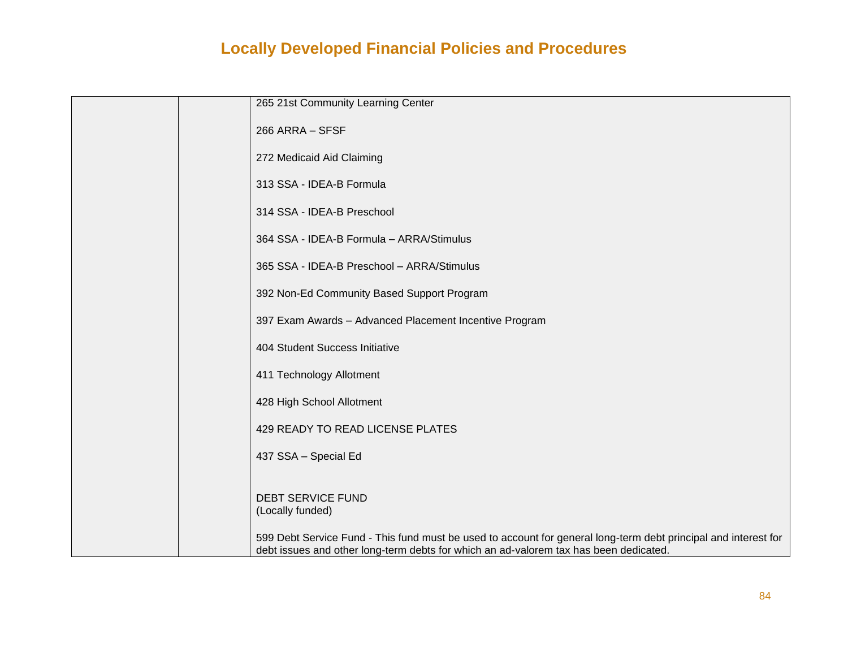| 265 21st Community Learning Center                                                                                                                                                                       |
|----------------------------------------------------------------------------------------------------------------------------------------------------------------------------------------------------------|
| 266 ARRA - SFSF                                                                                                                                                                                          |
| 272 Medicaid Aid Claiming                                                                                                                                                                                |
| 313 SSA - IDEA-B Formula                                                                                                                                                                                 |
| 314 SSA - IDEA-B Preschool                                                                                                                                                                               |
| 364 SSA - IDEA-B Formula - ARRA/Stimulus                                                                                                                                                                 |
| 365 SSA - IDEA-B Preschool - ARRA/Stimulus                                                                                                                                                               |
| 392 Non-Ed Community Based Support Program                                                                                                                                                               |
| 397 Exam Awards - Advanced Placement Incentive Program                                                                                                                                                   |
| 404 Student Success Initiative                                                                                                                                                                           |
| 411 Technology Allotment                                                                                                                                                                                 |
| 428 High School Allotment                                                                                                                                                                                |
| 429 READY TO READ LICENSE PLATES                                                                                                                                                                         |
| 437 SSA - Special Ed                                                                                                                                                                                     |
|                                                                                                                                                                                                          |
| <b>DEBT SERVICE FUND</b><br>(Locally funded)                                                                                                                                                             |
| 599 Debt Service Fund - This fund must be used to account for general long-term debt principal and interest for<br>debt issues and other long-term debts for which an ad-valorem tax has been dedicated. |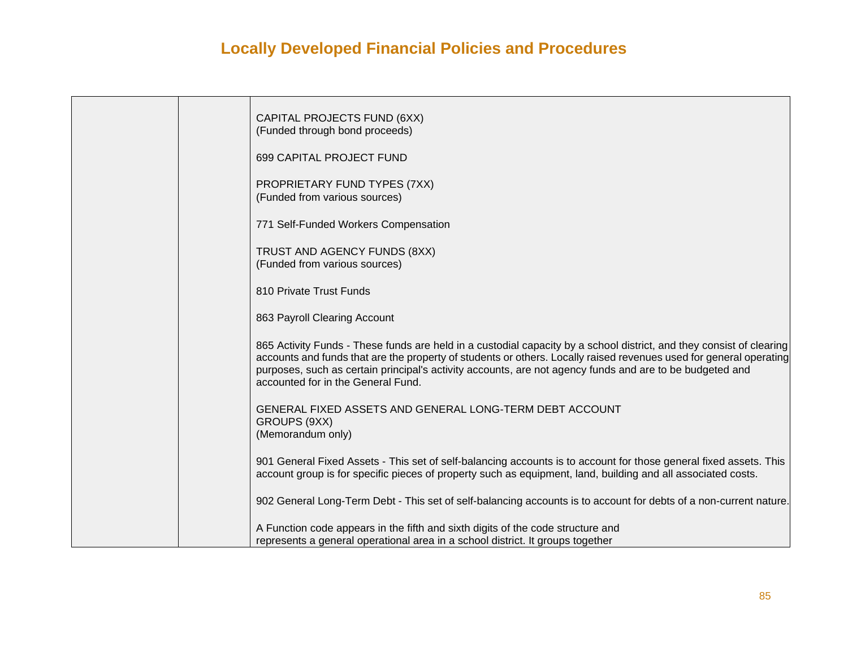|  | CAPITAL PROJECTS FUND (6XX)<br>(Funded through bond proceeds)                                                                                                                                                                                                                                                                                                                                |
|--|----------------------------------------------------------------------------------------------------------------------------------------------------------------------------------------------------------------------------------------------------------------------------------------------------------------------------------------------------------------------------------------------|
|  | 699 CAPITAL PROJECT FUND                                                                                                                                                                                                                                                                                                                                                                     |
|  | PROPRIETARY FUND TYPES (7XX)<br>(Funded from various sources)                                                                                                                                                                                                                                                                                                                                |
|  | 771 Self-Funded Workers Compensation                                                                                                                                                                                                                                                                                                                                                         |
|  | TRUST AND AGENCY FUNDS (8XX)<br>(Funded from various sources)                                                                                                                                                                                                                                                                                                                                |
|  | 810 Private Trust Funds                                                                                                                                                                                                                                                                                                                                                                      |
|  | 863 Payroll Clearing Account                                                                                                                                                                                                                                                                                                                                                                 |
|  | 865 Activity Funds - These funds are held in a custodial capacity by a school district, and they consist of clearing<br>accounts and funds that are the property of students or others. Locally raised revenues used for general operating<br>purposes, such as certain principal's activity accounts, are not agency funds and are to be budgeted and<br>accounted for in the General Fund. |
|  | GENERAL FIXED ASSETS AND GENERAL LONG-TERM DEBT ACCOUNT<br>GROUPS (9XX)<br>(Memorandum only)                                                                                                                                                                                                                                                                                                 |
|  | 901 General Fixed Assets - This set of self-balancing accounts is to account for those general fixed assets. This<br>account group is for specific pieces of property such as equipment, land, building and all associated costs.                                                                                                                                                            |
|  | 902 General Long-Term Debt - This set of self-balancing accounts is to account for debts of a non-current nature.                                                                                                                                                                                                                                                                            |
|  | A Function code appears in the fifth and sixth digits of the code structure and<br>represents a general operational area in a school district. It groups together                                                                                                                                                                                                                            |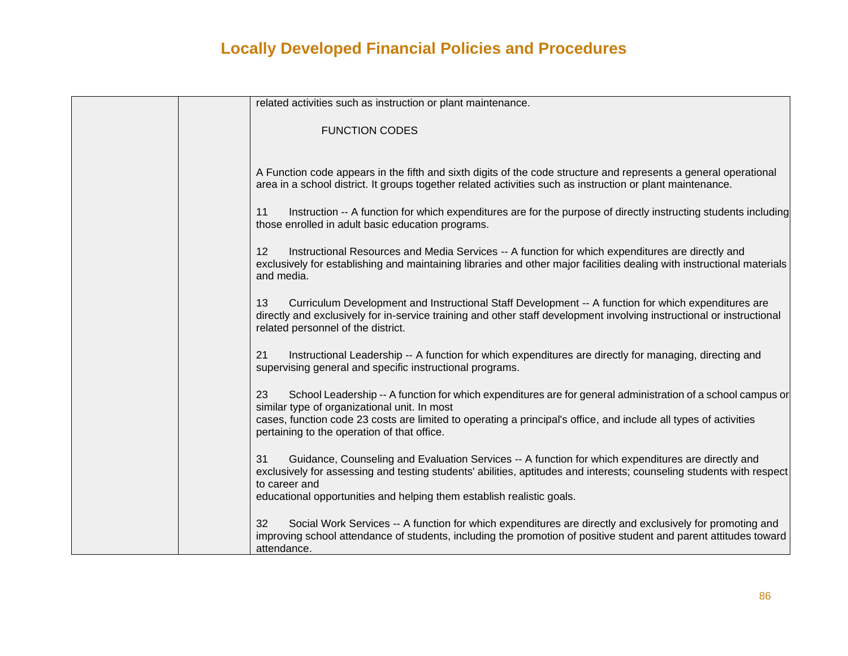| related activities such as instruction or plant maintenance.                                                                                                                                                                                                             |
|--------------------------------------------------------------------------------------------------------------------------------------------------------------------------------------------------------------------------------------------------------------------------|
| <b>FUNCTION CODES</b>                                                                                                                                                                                                                                                    |
|                                                                                                                                                                                                                                                                          |
| A Function code appears in the fifth and sixth digits of the code structure and represents a general operational<br>area in a school district. It groups together related activities such as instruction or plant maintenance.                                           |
| Instruction -- A function for which expenditures are for the purpose of directly instructing students including<br>11<br>those enrolled in adult basic education programs.                                                                                               |
| 12<br>Instructional Resources and Media Services -- A function for which expenditures are directly and<br>exclusively for establishing and maintaining libraries and other major facilities dealing with instructional materials<br>and media.                           |
| Curriculum Development and Instructional Staff Development -- A function for which expenditures are<br>13<br>directly and exclusively for in-service training and other staff development involving instructional or instructional<br>related personnel of the district. |
| Instructional Leadership -- A function for which expenditures are directly for managing, directing and<br>21<br>supervising general and specific instructional programs.                                                                                                 |
| School Leadership -- A function for which expenditures are for general administration of a school campus or<br>23<br>similar type of organizational unit. In most                                                                                                        |
| cases, function code 23 costs are limited to operating a principal's office, and include all types of activities<br>pertaining to the operation of that office.                                                                                                          |
| Guidance, Counseling and Evaluation Services -- A function for which expenditures are directly and<br>31<br>exclusively for assessing and testing students' abilities, aptitudes and interests; counseling students with respect<br>to career and                        |
| educational opportunities and helping them establish realistic goals.                                                                                                                                                                                                    |
| Social Work Services -- A function for which expenditures are directly and exclusively for promoting and<br>32<br>improving school attendance of students, including the promotion of positive student and parent attitudes toward<br>attendance.                        |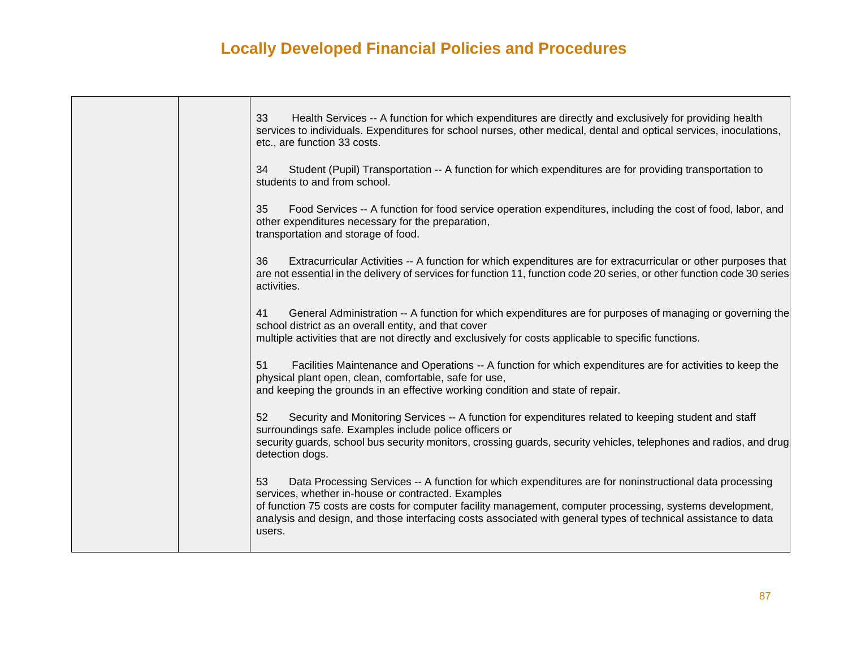| 33<br>Health Services -- A function for which expenditures are directly and exclusively for providing health<br>services to individuals. Expenditures for school nurses, other medical, dental and optical services, inoculations,<br>etc., are function 33 costs.                                                                                                                                           |
|--------------------------------------------------------------------------------------------------------------------------------------------------------------------------------------------------------------------------------------------------------------------------------------------------------------------------------------------------------------------------------------------------------------|
| Student (Pupil) Transportation -- A function for which expenditures are for providing transportation to<br>34<br>students to and from school.                                                                                                                                                                                                                                                                |
| 35<br>Food Services -- A function for food service operation expenditures, including the cost of food, labor, and<br>other expenditures necessary for the preparation,<br>transportation and storage of food.                                                                                                                                                                                                |
| Extracurricular Activities -- A function for which expenditures are for extracurricular or other purposes that<br>36<br>are not essential in the delivery of services for function 11, function code 20 series, or other function code 30 series<br>activities.                                                                                                                                              |
| General Administration -- A function for which expenditures are for purposes of managing or governing the<br>41<br>school district as an overall entity, and that cover<br>multiple activities that are not directly and exclusively for costs applicable to specific functions.                                                                                                                             |
| 51<br>Facilities Maintenance and Operations -- A function for which expenditures are for activities to keep the<br>physical plant open, clean, comfortable, safe for use,<br>and keeping the grounds in an effective working condition and state of repair.                                                                                                                                                  |
| 52<br>Security and Monitoring Services -- A function for expenditures related to keeping student and staff<br>surroundings safe. Examples include police officers or<br>security guards, school bus security monitors, crossing guards, security vehicles, telephones and radios, and drug<br>detection dogs.                                                                                                |
| Data Processing Services -- A function for which expenditures are for noninstructional data processing<br>53<br>services, whether in-house or contracted. Examples<br>of function 75 costs are costs for computer facility management, computer processing, systems development,<br>analysis and design, and those interfacing costs associated with general types of technical assistance to data<br>users. |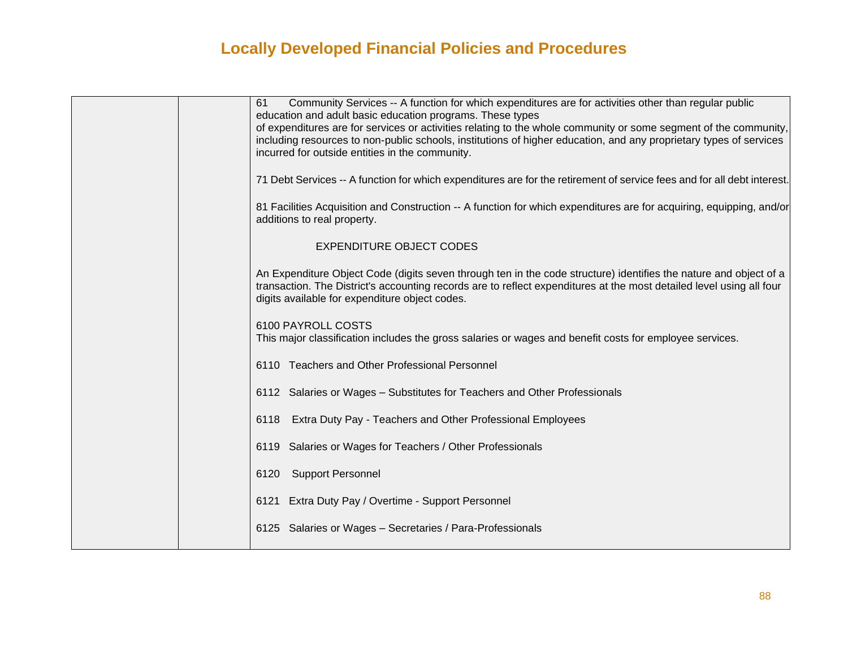| Community Services -- A function for which expenditures are for activities other than regular public<br>61<br>education and adult basic education programs. These types                                                                                                                     |
|---------------------------------------------------------------------------------------------------------------------------------------------------------------------------------------------------------------------------------------------------------------------------------------------|
| of expenditures are for services or activities relating to the whole community or some segment of the community,<br>including resources to non-public schools, institutions of higher education, and any proprietary types of services<br>incurred for outside entities in the community.   |
| 71 Debt Services -- A function for which expenditures are for the retirement of service fees and for all debt interest.                                                                                                                                                                     |
| 81 Facilities Acquisition and Construction -- A function for which expenditures are for acquiring, equipping, and/or<br>additions to real property.                                                                                                                                         |
| <b>EXPENDITURE OBJECT CODES</b>                                                                                                                                                                                                                                                             |
| An Expenditure Object Code (digits seven through ten in the code structure) identifies the nature and object of a<br>transaction. The District's accounting records are to reflect expenditures at the most detailed level using all four<br>digits available for expenditure object codes. |
| 6100 PAYROLL COSTS<br>This major classification includes the gross salaries or wages and benefit costs for employee services.                                                                                                                                                               |
| 6110 Teachers and Other Professional Personnel                                                                                                                                                                                                                                              |
| 6112 Salaries or Wages - Substitutes for Teachers and Other Professionals                                                                                                                                                                                                                   |
| Extra Duty Pay - Teachers and Other Professional Employees<br>6118                                                                                                                                                                                                                          |
| 6119 Salaries or Wages for Teachers / Other Professionals                                                                                                                                                                                                                                   |
| 6120 Support Personnel                                                                                                                                                                                                                                                                      |
| 6121 Extra Duty Pay / Overtime - Support Personnel                                                                                                                                                                                                                                          |
| 6125 Salaries or Wages - Secretaries / Para-Professionals                                                                                                                                                                                                                                   |
|                                                                                                                                                                                                                                                                                             |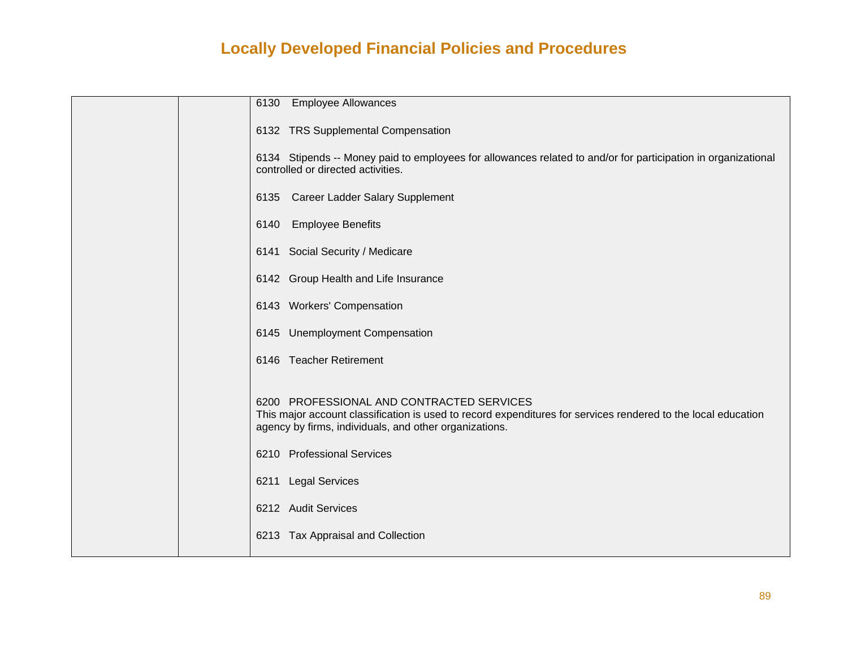|  | 6130<br><b>Employee Allowances</b>                                                                                                                                                                                   |
|--|----------------------------------------------------------------------------------------------------------------------------------------------------------------------------------------------------------------------|
|  | 6132 TRS Supplemental Compensation                                                                                                                                                                                   |
|  | 6134 Stipends -- Money paid to employees for allowances related to and/or for participation in organizational<br>controlled or directed activities.                                                                  |
|  | <b>Career Ladder Salary Supplement</b><br>6135                                                                                                                                                                       |
|  | <b>Employee Benefits</b><br>6140                                                                                                                                                                                     |
|  | 6141 Social Security / Medicare                                                                                                                                                                                      |
|  | 6142 Group Health and Life Insurance                                                                                                                                                                                 |
|  | 6143 Workers' Compensation                                                                                                                                                                                           |
|  | 6145 Unemployment Compensation                                                                                                                                                                                       |
|  | 6146 Teacher Retirement                                                                                                                                                                                              |
|  | 6200 PROFESSIONAL AND CONTRACTED SERVICES<br>This major account classification is used to record expenditures for services rendered to the local education<br>agency by firms, individuals, and other organizations. |
|  | 6210 Professional Services                                                                                                                                                                                           |
|  | 6211 Legal Services                                                                                                                                                                                                  |
|  | 6212 Audit Services                                                                                                                                                                                                  |
|  | 6213 Tax Appraisal and Collection                                                                                                                                                                                    |
|  |                                                                                                                                                                                                                      |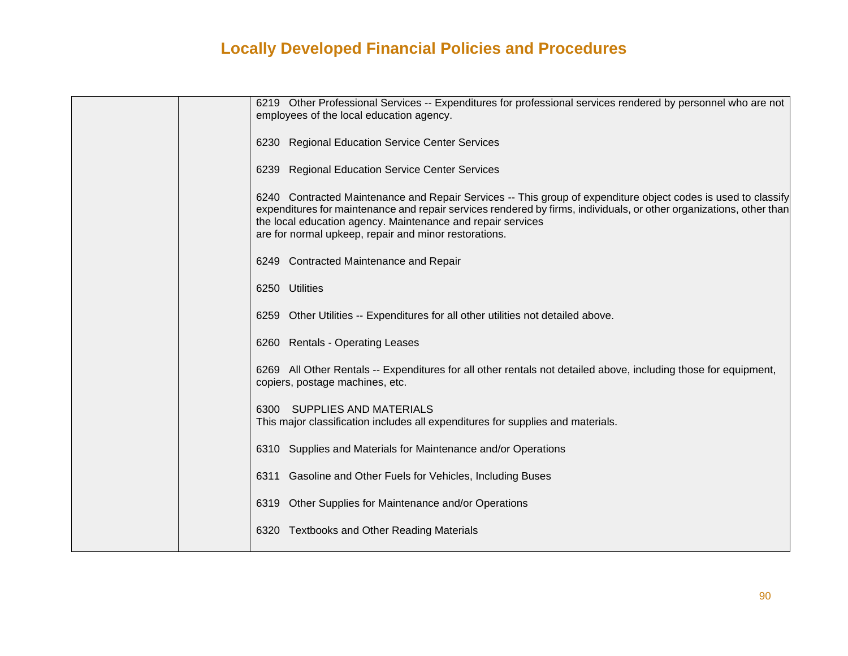| 6219 Other Professional Services -- Expenditures for professional services rendered by personnel who are not<br>employees of the local education agency.                                                                                                                                                                                                     |
|--------------------------------------------------------------------------------------------------------------------------------------------------------------------------------------------------------------------------------------------------------------------------------------------------------------------------------------------------------------|
| 6230 Regional Education Service Center Services                                                                                                                                                                                                                                                                                                              |
| 6239 Regional Education Service Center Services                                                                                                                                                                                                                                                                                                              |
| 6240 Contracted Maintenance and Repair Services -- This group of expenditure object codes is used to classify<br>expenditures for maintenance and repair services rendered by firms, individuals, or other organizations, other than<br>the local education agency. Maintenance and repair services<br>are for normal upkeep, repair and minor restorations. |
| 6249 Contracted Maintenance and Repair                                                                                                                                                                                                                                                                                                                       |
| 6250 Utilities                                                                                                                                                                                                                                                                                                                                               |
| 6259 Other Utilities -- Expenditures for all other utilities not detailed above.                                                                                                                                                                                                                                                                             |
| 6260 Rentals - Operating Leases                                                                                                                                                                                                                                                                                                                              |
| 6269 All Other Rentals -- Expenditures for all other rentals not detailed above, including those for equipment,<br>copiers, postage machines, etc.                                                                                                                                                                                                           |
| 6300 SUPPLIES AND MATERIALS<br>This major classification includes all expenditures for supplies and materials.                                                                                                                                                                                                                                               |
| 6310 Supplies and Materials for Maintenance and/or Operations                                                                                                                                                                                                                                                                                                |
| 6311 Gasoline and Other Fuels for Vehicles, Including Buses                                                                                                                                                                                                                                                                                                  |
| 6319 Other Supplies for Maintenance and/or Operations                                                                                                                                                                                                                                                                                                        |
| 6320 Textbooks and Other Reading Materials                                                                                                                                                                                                                                                                                                                   |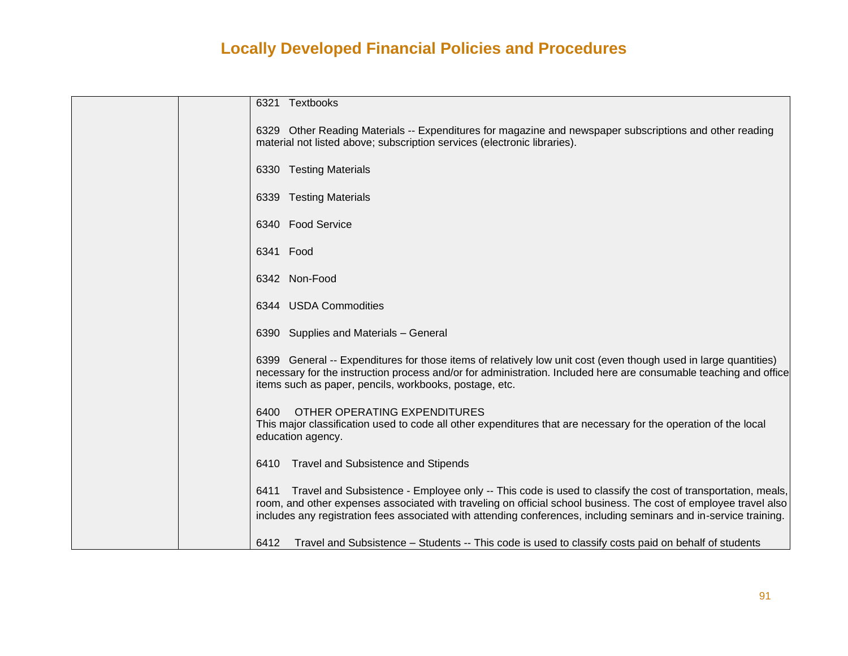| 6321 Textbooks                                                                                                                                                                                                                                                                                                                                              |
|-------------------------------------------------------------------------------------------------------------------------------------------------------------------------------------------------------------------------------------------------------------------------------------------------------------------------------------------------------------|
| 6329 Other Reading Materials -- Expenditures for magazine and newspaper subscriptions and other reading<br>material not listed above; subscription services (electronic libraries).                                                                                                                                                                         |
| 6330 Testing Materials                                                                                                                                                                                                                                                                                                                                      |
| 6339 Testing Materials                                                                                                                                                                                                                                                                                                                                      |
| 6340 Food Service                                                                                                                                                                                                                                                                                                                                           |
| 6341 Food                                                                                                                                                                                                                                                                                                                                                   |
| 6342 Non-Food                                                                                                                                                                                                                                                                                                                                               |
| 6344 USDA Commodities                                                                                                                                                                                                                                                                                                                                       |
| 6390 Supplies and Materials - General                                                                                                                                                                                                                                                                                                                       |
| 6399 General -- Expenditures for those items of relatively low unit cost (even though used in large quantities)<br>necessary for the instruction process and/or for administration. Included here are consumable teaching and office<br>items such as paper, pencils, workbooks, postage, etc.                                                              |
| 6400<br>OTHER OPERATING EXPENDITURES<br>This major classification used to code all other expenditures that are necessary for the operation of the local<br>education agency.                                                                                                                                                                                |
| <b>Travel and Subsistence and Stipends</b><br>6410                                                                                                                                                                                                                                                                                                          |
| Travel and Subsistence - Employee only -- This code is used to classify the cost of transportation, meals,<br>6411<br>room, and other expenses associated with traveling on official school business. The cost of employee travel also<br>includes any registration fees associated with attending conferences, including seminars and in-service training. |
| 6412<br>Travel and Subsistence – Students -- This code is used to classify costs paid on behalf of students                                                                                                                                                                                                                                                 |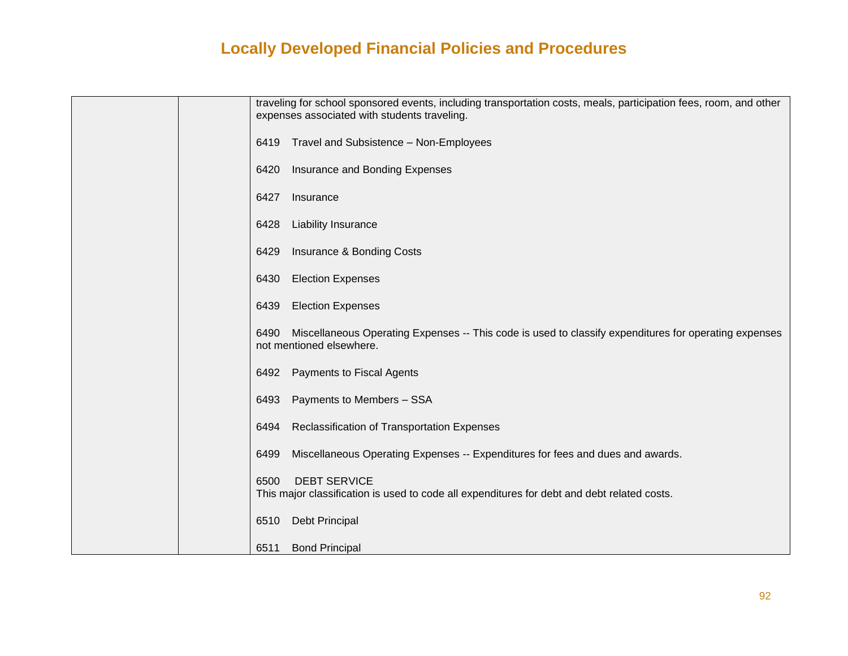| traveling for school sponsored events, including transportation costs, meals, participation fees, room, and other<br>expenses associated with students traveling. |
|-------------------------------------------------------------------------------------------------------------------------------------------------------------------|
| Travel and Subsistence - Non-Employees<br>6419                                                                                                                    |
| Insurance and Bonding Expenses<br>6420                                                                                                                            |
| 6427<br>Insurance                                                                                                                                                 |
| <b>Liability Insurance</b><br>6428                                                                                                                                |
| Insurance & Bonding Costs<br>6429                                                                                                                                 |
| <b>Election Expenses</b><br>6430                                                                                                                                  |
| <b>Election Expenses</b><br>6439                                                                                                                                  |
| Miscellaneous Operating Expenses -- This code is used to classify expenditures for operating expenses<br>6490<br>not mentioned elsewhere.                         |
| <b>Payments to Fiscal Agents</b><br>6492                                                                                                                          |
| Payments to Members - SSA<br>6493                                                                                                                                 |
| Reclassification of Transportation Expenses<br>6494                                                                                                               |
| Miscellaneous Operating Expenses -- Expenditures for fees and dues and awards.<br>6499                                                                            |
| <b>DEBT SERVICE</b><br>6500<br>This major classification is used to code all expenditures for debt and debt related costs.                                        |
| <b>Debt Principal</b><br>6510                                                                                                                                     |
| <b>Bond Principal</b><br>6511                                                                                                                                     |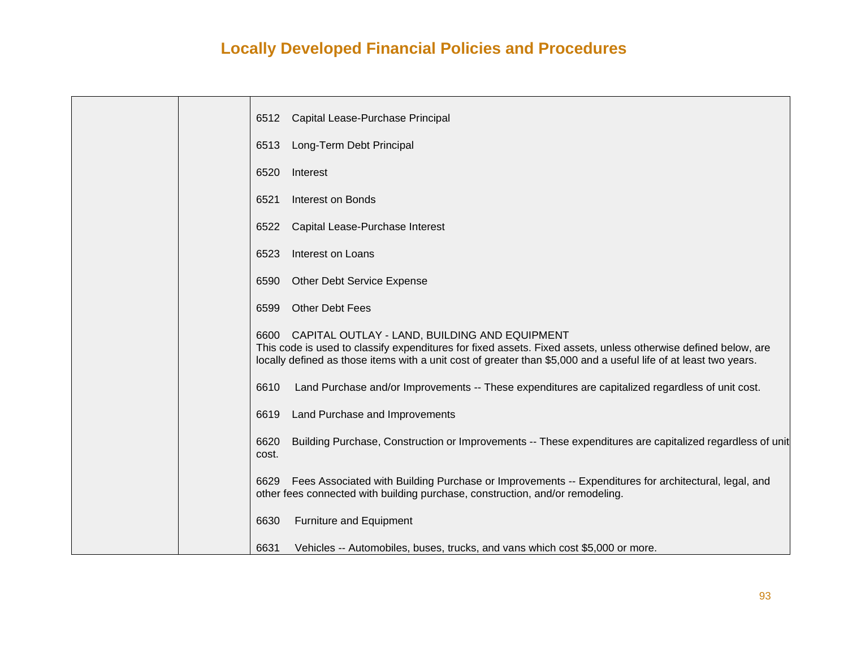|  | Capital Lease-Purchase Principal<br>6512                                                                                                                                                                                                                                                 |
|--|------------------------------------------------------------------------------------------------------------------------------------------------------------------------------------------------------------------------------------------------------------------------------------------|
|  | Long-Term Debt Principal<br>6513                                                                                                                                                                                                                                                         |
|  | 6520<br>Interest                                                                                                                                                                                                                                                                         |
|  | 6521<br>Interest on Bonds                                                                                                                                                                                                                                                                |
|  | Capital Lease-Purchase Interest<br>6522                                                                                                                                                                                                                                                  |
|  | <b>Interest on Loans</b><br>6523                                                                                                                                                                                                                                                         |
|  | Other Debt Service Expense<br>6590                                                                                                                                                                                                                                                       |
|  | Other Debt Fees<br>6599                                                                                                                                                                                                                                                                  |
|  | 6600 CAPITAL OUTLAY - LAND, BUILDING AND EQUIPMENT<br>This code is used to classify expenditures for fixed assets. Fixed assets, unless otherwise defined below, are<br>locally defined as those items with a unit cost of greater than \$5,000 and a useful life of at least two years. |
|  | 6610<br>Land Purchase and/or Improvements -- These expenditures are capitalized regardless of unit cost.                                                                                                                                                                                 |
|  | Land Purchase and Improvements<br>6619                                                                                                                                                                                                                                                   |
|  | Building Purchase, Construction or Improvements -- These expenditures are capitalized regardless of unit<br>6620<br>cost.                                                                                                                                                                |
|  | Fees Associated with Building Purchase or Improvements -- Expenditures for architectural, legal, and<br>6629<br>other fees connected with building purchase, construction, and/or remodeling.                                                                                            |
|  | 6630<br><b>Furniture and Equipment</b>                                                                                                                                                                                                                                                   |
|  | 6631<br>Vehicles -- Automobiles, buses, trucks, and vans which cost \$5,000 or more.                                                                                                                                                                                                     |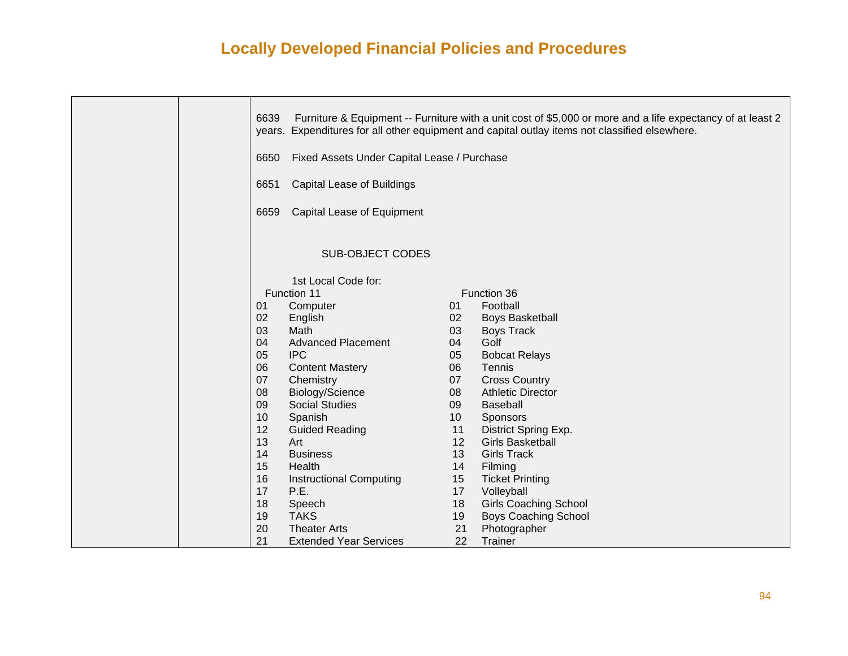|  | 6639<br>6650<br>6651 | Fixed Assets Under Capital Lease / Purchase<br><b>Capital Lease of Buildings</b> |    | Furniture & Equipment -- Furniture with a unit cost of \$5,000 or more and a life expectancy of at least 2<br>years. Expenditures for all other equipment and capital outlay items not classified elsewhere. |
|--|----------------------|----------------------------------------------------------------------------------|----|--------------------------------------------------------------------------------------------------------------------------------------------------------------------------------------------------------------|
|  | 6659                 | Capital Lease of Equipment                                                       |    |                                                                                                                                                                                                              |
|  |                      |                                                                                  |    |                                                                                                                                                                                                              |
|  |                      | <b>SUB-OBJECT CODES</b>                                                          |    |                                                                                                                                                                                                              |
|  |                      | 1st Local Code for:                                                              |    |                                                                                                                                                                                                              |
|  |                      | Function 11                                                                      |    | Function 36                                                                                                                                                                                                  |
|  | 01                   | Computer                                                                         | 01 | Football                                                                                                                                                                                                     |
|  | 02                   | English                                                                          | 02 | <b>Boys Basketball</b>                                                                                                                                                                                       |
|  | 03                   | Math                                                                             | 03 | <b>Boys Track</b>                                                                                                                                                                                            |
|  | 04                   | <b>Advanced Placement</b>                                                        | 04 | Golf                                                                                                                                                                                                         |
|  | 05                   | <b>IPC</b>                                                                       | 05 | <b>Bobcat Relays</b>                                                                                                                                                                                         |
|  | 06                   | <b>Content Mastery</b>                                                           | 06 | Tennis                                                                                                                                                                                                       |
|  | 07                   | Chemistry                                                                        | 07 | <b>Cross Country</b>                                                                                                                                                                                         |
|  | 08                   | Biology/Science                                                                  | 08 | <b>Athletic Director</b>                                                                                                                                                                                     |
|  | 09                   | <b>Social Studies</b>                                                            | 09 | <b>Baseball</b>                                                                                                                                                                                              |
|  | 10                   | Spanish                                                                          | 10 | Sponsors                                                                                                                                                                                                     |
|  | 12                   | <b>Guided Reading</b>                                                            | 11 | District Spring Exp.                                                                                                                                                                                         |
|  | 13                   | Art                                                                              | 12 | <b>Girls Basketball</b>                                                                                                                                                                                      |
|  | 14                   | <b>Business</b>                                                                  | 13 | <b>Girls Track</b>                                                                                                                                                                                           |
|  | 15                   | Health                                                                           | 14 | Filming                                                                                                                                                                                                      |
|  | 16                   | <b>Instructional Computing</b>                                                   | 15 | <b>Ticket Printing</b>                                                                                                                                                                                       |
|  | 17                   | P.E.                                                                             | 17 | Volleyball                                                                                                                                                                                                   |
|  | 18                   | Speech                                                                           | 18 | <b>Girls Coaching School</b>                                                                                                                                                                                 |
|  | 19                   | <b>TAKS</b>                                                                      | 19 | <b>Boys Coaching School</b>                                                                                                                                                                                  |
|  | 20                   | <b>Theater Arts</b>                                                              | 21 | Photographer                                                                                                                                                                                                 |
|  | 21                   | <b>Extended Year Services</b>                                                    | 22 | Trainer                                                                                                                                                                                                      |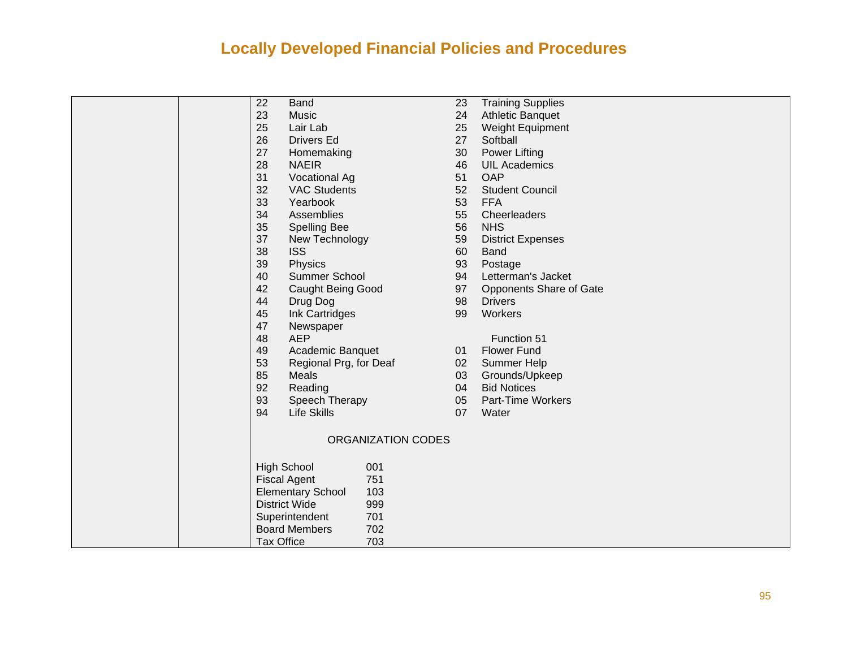|  | 22                | <b>Band</b>                     | 23 | <b>Training Supplies</b> |
|--|-------------------|---------------------------------|----|--------------------------|
|  | 23                | Music                           | 24 | <b>Athletic Banquet</b>  |
|  | 25                | Lair Lab                        | 25 | Weight Equipment         |
|  | 26                | <b>Drivers Ed</b>               | 27 | Softball                 |
|  | 27                | Homemaking                      | 30 | <b>Power Lifting</b>     |
|  | 28                | <b>NAEIR</b>                    | 46 | <b>UIL Academics</b>     |
|  | 31                | <b>Vocational Ag</b>            | 51 | OAP                      |
|  | 32                | <b>VAC Students</b>             | 52 | <b>Student Council</b>   |
|  | 33                | Yearbook                        | 53 | <b>FFA</b>               |
|  | 34                | Assemblies                      | 55 | Cheerleaders             |
|  | 35                | <b>Spelling Bee</b>             | 56 | <b>NHS</b>               |
|  | 37                | New Technology                  | 59 | <b>District Expenses</b> |
|  | 38                | <b>ISS</b>                      | 60 | <b>Band</b>              |
|  | 39                | Physics                         | 93 | Postage                  |
|  | 40                | Summer School                   | 94 | Letterman's Jacket       |
|  | 42                | <b>Caught Being Good</b>        | 97 | Opponents Share of Gate  |
|  | 44                | Drug Dog                        | 98 | <b>Drivers</b>           |
|  | 45                | Ink Cartridges                  | 99 | Workers                  |
|  | 47                | Newspaper                       |    |                          |
|  | 48                | <b>AEP</b>                      |    | Function 51              |
|  | 49                | Academic Banquet                | 01 | <b>Flower Fund</b>       |
|  | 53                | Regional Prg, for Deaf          | 02 | Summer Help              |
|  | 85                | Meals                           | 03 | Grounds/Upkeep           |
|  | 92                | Reading                         | 04 | <b>Bid Notices</b>       |
|  | 93                | Speech Therapy                  | 05 | Part-Time Workers        |
|  | 94                | <b>Life Skills</b>              | 07 | Water                    |
|  |                   |                                 |    |                          |
|  |                   | ORGANIZATION CODES              |    |                          |
|  |                   | <b>High School</b><br>001       |    |                          |
|  |                   | 751<br><b>Fiscal Agent</b>      |    |                          |
|  |                   | <b>Elementary School</b><br>103 |    |                          |
|  |                   | 999<br><b>District Wide</b>     |    |                          |
|  |                   | Superintendent<br>701           |    |                          |
|  |                   | <b>Board Members</b><br>702     |    |                          |
|  | <b>Tax Office</b> | 703                             |    |                          |
|  |                   |                                 |    |                          |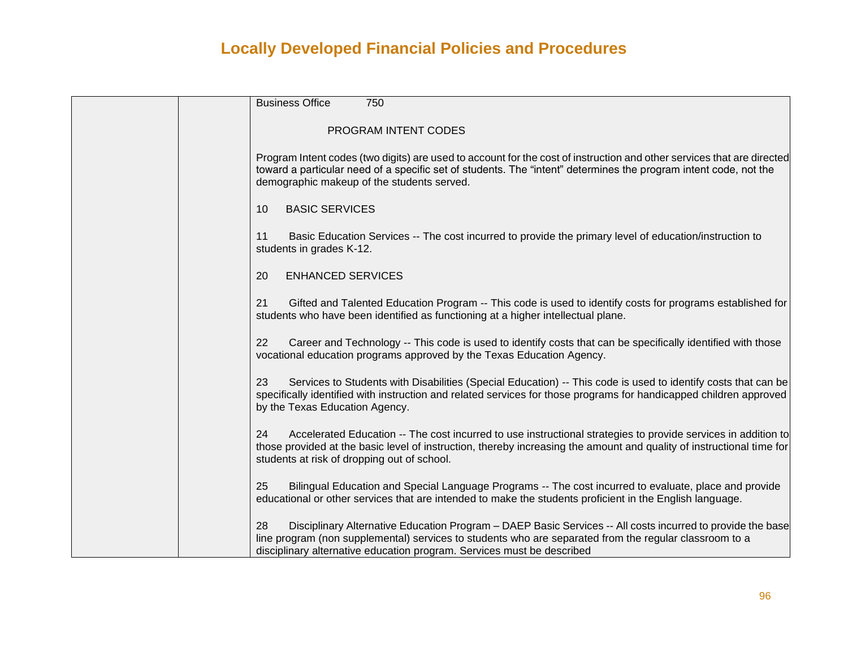| <b>Business Office</b><br>750                                                                                                                                                                                                                                                                        |
|------------------------------------------------------------------------------------------------------------------------------------------------------------------------------------------------------------------------------------------------------------------------------------------------------|
| PROGRAM INTENT CODES                                                                                                                                                                                                                                                                                 |
| Program Intent codes (two digits) are used to account for the cost of instruction and other services that are directed<br>toward a particular need of a specific set of students. The "intent" determines the program intent code, not the<br>demographic makeup of the students served.             |
| <b>BASIC SERVICES</b><br>10                                                                                                                                                                                                                                                                          |
| Basic Education Services -- The cost incurred to provide the primary level of education/instruction to<br>11<br>students in grades K-12.                                                                                                                                                             |
| <b>ENHANCED SERVICES</b><br>20                                                                                                                                                                                                                                                                       |
| Gifted and Talented Education Program -- This code is used to identify costs for programs established for<br>21<br>students who have been identified as functioning at a higher intellectual plane.                                                                                                  |
| Career and Technology -- This code is used to identify costs that can be specifically identified with those<br>22<br>vocational education programs approved by the Texas Education Agency.                                                                                                           |
| Services to Students with Disabilities (Special Education) -- This code is used to identify costs that can be<br>23<br>specifically identified with instruction and related services for those programs for handicapped children approved<br>by the Texas Education Agency.                          |
| Accelerated Education -- The cost incurred to use instructional strategies to provide services in addition to<br>24<br>those provided at the basic level of instruction, thereby increasing the amount and quality of instructional time for<br>students at risk of dropping out of school.          |
| Bilingual Education and Special Language Programs -- The cost incurred to evaluate, place and provide<br>25<br>educational or other services that are intended to make the students proficient in the English language.                                                                              |
| Disciplinary Alternative Education Program – DAEP Basic Services -- All costs incurred to provide the base<br>28<br>line program (non supplemental) services to students who are separated from the regular classroom to a<br>disciplinary alternative education program. Services must be described |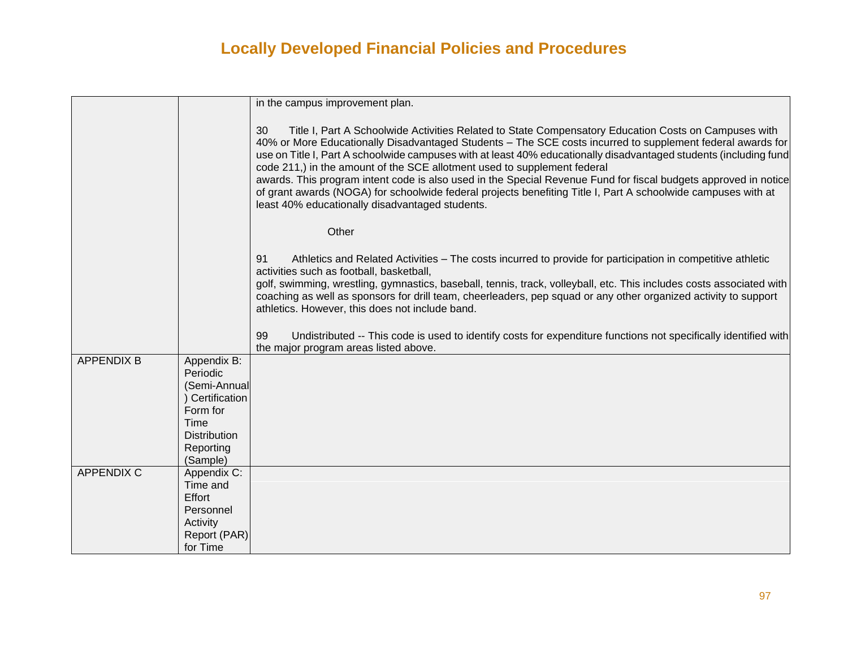|                   |                                                            | in the campus improvement plan.                                                                                                                                                                                                                                                                                                                                                                                                                                                                                                                                                                                                                                                                                  |
|-------------------|------------------------------------------------------------|------------------------------------------------------------------------------------------------------------------------------------------------------------------------------------------------------------------------------------------------------------------------------------------------------------------------------------------------------------------------------------------------------------------------------------------------------------------------------------------------------------------------------------------------------------------------------------------------------------------------------------------------------------------------------------------------------------------|
|                   |                                                            |                                                                                                                                                                                                                                                                                                                                                                                                                                                                                                                                                                                                                                                                                                                  |
|                   |                                                            | 30<br>Title I, Part A Schoolwide Activities Related to State Compensatory Education Costs on Campuses with<br>40% or More Educationally Disadvantaged Students - The SCE costs incurred to supplement federal awards for<br>use on Title I, Part A schoolwide campuses with at least 40% educationally disadvantaged students (including fund<br>code 211,) in the amount of the SCE allotment used to supplement federal<br>awards. This program intent code is also used in the Special Revenue Fund for fiscal budgets approved in notice<br>of grant awards (NOGA) for schoolwide federal projects benefiting Title I, Part A schoolwide campuses with at<br>least 40% educationally disadvantaged students. |
|                   |                                                            | Other                                                                                                                                                                                                                                                                                                                                                                                                                                                                                                                                                                                                                                                                                                            |
|                   |                                                            | 91<br>Athletics and Related Activities – The costs incurred to provide for participation in competitive athletic<br>activities such as football, basketball,                                                                                                                                                                                                                                                                                                                                                                                                                                                                                                                                                     |
|                   |                                                            | golf, swimming, wrestling, gymnastics, baseball, tennis, track, volleyball, etc. This includes costs associated with<br>coaching as well as sponsors for drill team, cheerleaders, pep squad or any other organized activity to support<br>athletics. However, this does not include band.                                                                                                                                                                                                                                                                                                                                                                                                                       |
|                   |                                                            | 99<br>Undistributed -- This code is used to identify costs for expenditure functions not specifically identified with<br>the major program areas listed above.                                                                                                                                                                                                                                                                                                                                                                                                                                                                                                                                                   |
| <b>APPENDIX B</b> | Appendix B:<br>Periodic<br>(Semi-Annual<br>) Certification |                                                                                                                                                                                                                                                                                                                                                                                                                                                                                                                                                                                                                                                                                                                  |
|                   | Form for<br>Time<br><b>Distribution</b>                    |                                                                                                                                                                                                                                                                                                                                                                                                                                                                                                                                                                                                                                                                                                                  |
|                   | Reporting<br>(Sample)                                      |                                                                                                                                                                                                                                                                                                                                                                                                                                                                                                                                                                                                                                                                                                                  |
| <b>APPENDIX C</b> | Appendix C:<br>Time and<br>Effort                          |                                                                                                                                                                                                                                                                                                                                                                                                                                                                                                                                                                                                                                                                                                                  |
|                   | Personnel                                                  |                                                                                                                                                                                                                                                                                                                                                                                                                                                                                                                                                                                                                                                                                                                  |
|                   | Activity                                                   |                                                                                                                                                                                                                                                                                                                                                                                                                                                                                                                                                                                                                                                                                                                  |
|                   | Report (PAR)                                               |                                                                                                                                                                                                                                                                                                                                                                                                                                                                                                                                                                                                                                                                                                                  |
|                   | for Time                                                   |                                                                                                                                                                                                                                                                                                                                                                                                                                                                                                                                                                                                                                                                                                                  |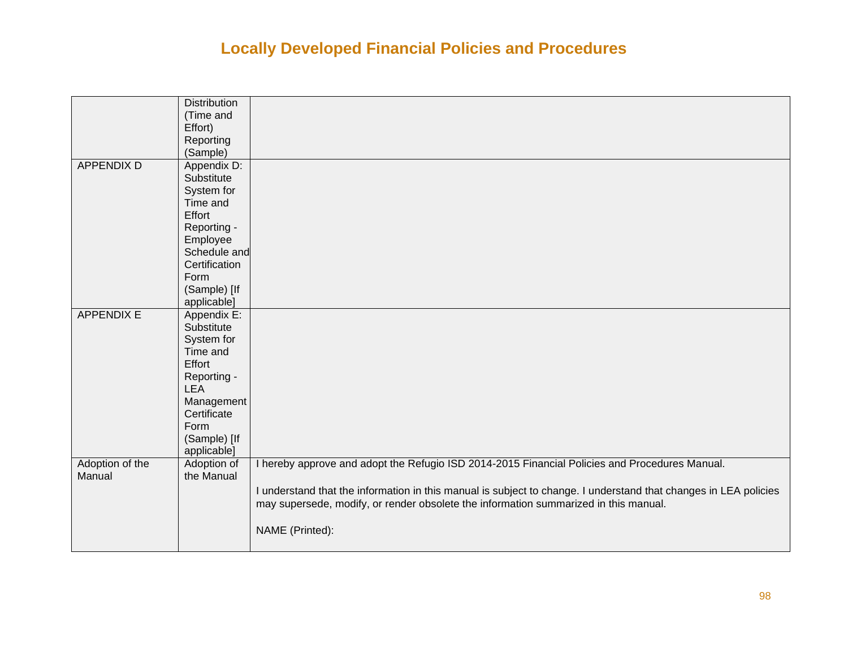|                   | <b>Distribution</b><br>(Time and<br>Effort)<br>Reporting |                                                                                                                  |
|-------------------|----------------------------------------------------------|------------------------------------------------------------------------------------------------------------------|
|                   | (Sample)                                                 |                                                                                                                  |
| <b>APPENDIX D</b> | Appendix D:                                              |                                                                                                                  |
|                   | Substitute                                               |                                                                                                                  |
|                   | System for                                               |                                                                                                                  |
|                   | Time and                                                 |                                                                                                                  |
|                   | Effort                                                   |                                                                                                                  |
|                   | Reporting -                                              |                                                                                                                  |
|                   | Employee                                                 |                                                                                                                  |
|                   | Schedule and                                             |                                                                                                                  |
|                   | Certification                                            |                                                                                                                  |
|                   | Form                                                     |                                                                                                                  |
|                   | (Sample) [If                                             |                                                                                                                  |
| <b>APPENDIX E</b> | applicable]<br>Appendix E:                               |                                                                                                                  |
|                   | Substitute                                               |                                                                                                                  |
|                   | System for                                               |                                                                                                                  |
|                   | Time and                                                 |                                                                                                                  |
|                   | Effort                                                   |                                                                                                                  |
|                   | Reporting -                                              |                                                                                                                  |
|                   | <b>LEA</b>                                               |                                                                                                                  |
|                   | Management                                               |                                                                                                                  |
|                   | Certificate                                              |                                                                                                                  |
|                   | Form                                                     |                                                                                                                  |
|                   | (Sample) [If                                             |                                                                                                                  |
|                   | applicable]                                              |                                                                                                                  |
| Adoption of the   | Adoption of                                              | I hereby approve and adopt the Refugio ISD 2014-2015 Financial Policies and Procedures Manual.                   |
| Manual            | the Manual                                               |                                                                                                                  |
|                   |                                                          | I understand that the information in this manual is subject to change. I understand that changes in LEA policies |
|                   |                                                          | may supersede, modify, or render obsolete the information summarized in this manual.                             |
|                   |                                                          |                                                                                                                  |
|                   |                                                          | NAME (Printed):                                                                                                  |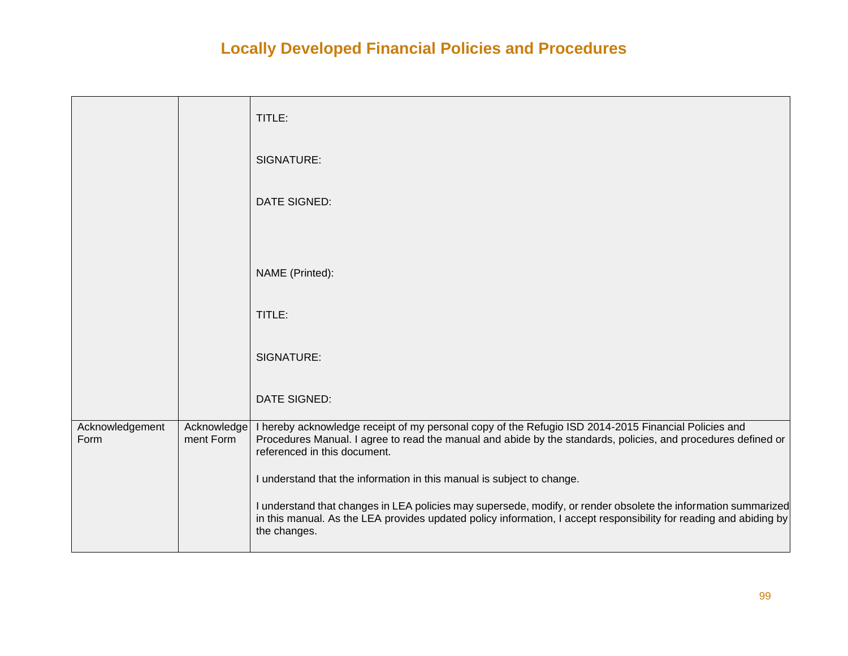|                         |                          | TITLE:                                                                                                                                                                                                                                                |
|-------------------------|--------------------------|-------------------------------------------------------------------------------------------------------------------------------------------------------------------------------------------------------------------------------------------------------|
|                         |                          | SIGNATURE:                                                                                                                                                                                                                                            |
|                         |                          | DATE SIGNED:                                                                                                                                                                                                                                          |
|                         |                          |                                                                                                                                                                                                                                                       |
|                         |                          | NAME (Printed):                                                                                                                                                                                                                                       |
|                         |                          | TITLE:                                                                                                                                                                                                                                                |
|                         |                          | SIGNATURE:                                                                                                                                                                                                                                            |
|                         |                          | DATE SIGNED:                                                                                                                                                                                                                                          |
| Acknowledgement<br>Form | Acknowledge<br>ment Form | I hereby acknowledge receipt of my personal copy of the Refugio ISD 2014-2015 Financial Policies and<br>Procedures Manual. I agree to read the manual and abide by the standards, policies, and procedures defined or<br>referenced in this document. |
|                         |                          | I understand that the information in this manual is subject to change.                                                                                                                                                                                |
|                         |                          | I understand that changes in LEA policies may supersede, modify, or render obsolete the information summarized<br>in this manual. As the LEA provides updated policy information, I accept responsibility for reading and abiding by<br>the changes.  |